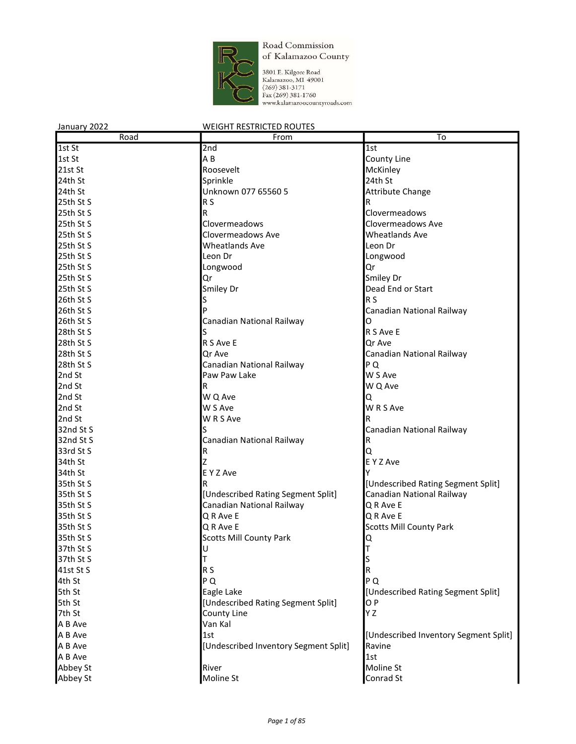

3801 E. Kilgore Road<br>Kalamazoo, MI 49001<br>(269) 381-3171<br>Fax (269) 381-1760<br>www.kalamazoocountyroads.com

| January 2022 | <b>WEIGHT RESTRICTED ROUTES</b>       |                                       |
|--------------|---------------------------------------|---------------------------------------|
| Road         | From                                  | $\overline{\text{To}}$                |
| 1st St       | 2nd                                   | 1st                                   |
| 1st St       | A B                                   | County Line                           |
| 21st St      | Roosevelt                             | McKinley                              |
| 24th St      | Sprinkle                              | 24th St                               |
| 24th St      | Unknown 077 65560 5                   | <b>Attribute Change</b>               |
| 25th St S    | R <sub>S</sub>                        | R                                     |
| 25th St S    | R                                     | Clovermeadows                         |
| 25th St S    | Clovermeadows                         | Clovermeadows Ave                     |
| 25th St S    | Clovermeadows Ave                     | <b>Wheatlands Ave</b>                 |
| 25th St S    | <b>Wheatlands Ave</b>                 | Leon Dr                               |
| 25th St S    | Leon Dr                               | Longwood                              |
| 25th St S    | Longwood                              | Qr                                    |
| 25th St S    | Qr                                    | Smiley Dr                             |
| 25th St S    | Smiley Dr                             | Dead End or Start                     |
| 26th St S    |                                       | R S                                   |
| 26th St S    |                                       | Canadian National Railway             |
| 26th St S    | Canadian National Railway             | O                                     |
| 28th St S    |                                       | R S Ave E                             |
| 28th St S    | R S Ave E                             | Qr Ave                                |
| 28th St S    | Qr Ave                                | Canadian National Railway             |
| 28th St S    | Canadian National Railway             | PQ                                    |
| 2nd St       | Paw Paw Lake                          | W S Ave                               |
| 2nd St       | R                                     | W Q Ave                               |
| 2nd St       | W Q Ave                               | Q                                     |
| 2nd St       | W S Ave                               | W R S Ave                             |
| 2nd St       | W R S Ave                             |                                       |
| 32nd St S    |                                       | Canadian National Railway             |
| 32nd St S    | Canadian National Railway             | R                                     |
| 33rd St S    | R                                     | Q                                     |
| 34th St      |                                       | E Y Z Ave                             |
| 34th St      | E Y Z Ave                             |                                       |
| 35th St S    |                                       | [Undescribed Rating Segment Split]    |
| 35th St S    | [Undescribed Rating Segment Split]    | Canadian National Railway             |
| 35th St S    | Canadian National Railway             | Q R Ave E                             |
|              | Q R Ave E                             | Q R Ave E                             |
| 35th St S    |                                       |                                       |
| 35th St S    | Q R Ave E                             | <b>Scotts Mill County Park</b>        |
| 35th St S    | <b>Scotts Mill County Park</b>        |                                       |
| 37th St S    |                                       |                                       |
| 37th St S    |                                       |                                       |
| 41st St S    | R <sub>S</sub>                        | R                                     |
| 4th St       | PQ                                    | PQ                                    |
| 5th St       | Eagle Lake                            | [Undescribed Rating Segment Split]    |
| 5th St       | [Undescribed Rating Segment Split]    | O <sub>P</sub>                        |
| 7th St       | County Line                           | Y Z                                   |
| A B Ave      | Van Kal                               |                                       |
| A B Ave      | 1st                                   | [Undescribed Inventory Segment Split] |
| A B Ave      | [Undescribed Inventory Segment Split] | Ravine                                |
| A B Ave      |                                       | 1st                                   |
| Abbey St     | River                                 | Moline St                             |
| Abbey St     | Moline St                             | Conrad St                             |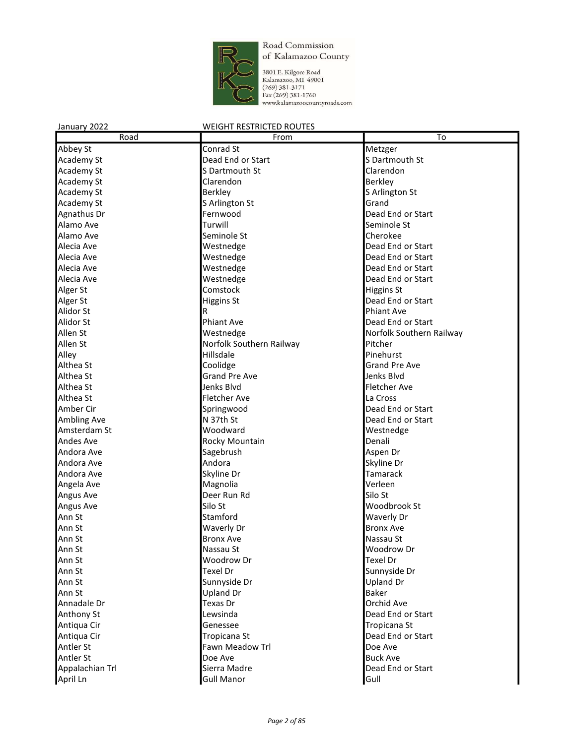

3801 E. Kilgore Road<br>Kalamazoo, MI 49001<br>(269) 381-3171<br>Fax (269) 381-1760<br>www.kalamazoocountyroads.com

# January 2022 WEIGHT RESTRICTED ROUTES Road **From To** Abbey St Conrad St Conrad St Metzger<br>Academy St Dead End or Start S. Dartmouth St Academy St **Dead End or Start Start Start Start** Startmouth St

| <b>ACQUEILIV SU</b> | Deau Enu or Start        | s Dartmouth St           |
|---------------------|--------------------------|--------------------------|
| <b>Academy St</b>   | S Dartmouth St           | Clarendon                |
| Academy St          | Clarendon                | Berkley                  |
| Academy St          | <b>Berkley</b>           | S Arlington St           |
| Academy St          | S Arlington St           | Grand                    |
| Agnathus Dr         | Fernwood                 | Dead End or Start        |
| Alamo Ave           | Turwill                  | Seminole St              |
| Alamo Ave           | Seminole St              | Cherokee                 |
| Alecia Ave          | Westnedge                | Dead End or Start        |
| Alecia Ave          | Westnedge                | Dead End or Start        |
| Alecia Ave          | Westnedge                | Dead End or Start        |
| Alecia Ave          | Westnedge                | Dead End or Start        |
| Alger St            | Comstock                 | Higgins St               |
| Alger St            | <b>Higgins St</b>        | Dead End or Start        |
| Alidor St           | R                        | Phiant Ave               |
| Alidor St           | <b>Phiant Ave</b>        | Dead End or Start        |
| Allen St            | Westnedge                | Norfolk Southern Railway |
| Allen St            | Norfolk Southern Railway | Pitcher                  |
| Alley               | Hillsdale                | Pinehurst                |
| Althea St           | Coolidge                 | <b>Grand Pre Ave</b>     |
| Althea St           | <b>Grand Pre Ave</b>     | Jenks Blvd               |
| Althea St           | Jenks Blvd               | Fletcher Ave             |
| Althea St           | <b>Fletcher Ave</b>      | La Cross                 |
| Amber Cir           | Springwood               | Dead End or Start        |
| <b>Ambling Ave</b>  | N 37th St                | Dead End or Start        |
| Amsterdam St        | Woodward                 | Westnedge                |
| <b>Andes Ave</b>    | Rocky Mountain           | Denali                   |
| Andora Ave          | Sagebrush                | Aspen Dr                 |
| Andora Ave          | Andora                   | Skyline Dr               |
| Andora Ave          | Skyline Dr               | <b>Tamarack</b>          |
| Angela Ave          | Magnolia                 | Verleen                  |
| Angus Ave           | Deer Run Rd              | Silo St                  |
| Angus Ave           | Silo St                  | Woodbrook St             |
| Ann St              | Stamford                 | Waverly Dr               |
| Ann St              | Waverly Dr               | <b>Bronx Ave</b>         |
| Ann St              | <b>Bronx Ave</b>         | Nassau St                |
| Ann St              | Nassau St                | Woodrow Dr               |
| Ann St              | Woodrow Dr               | <b>Texel Dr</b>          |
| Ann St              | <b>Texel Dr</b>          | Sunnyside Dr             |
| Ann St              | Sunnyside Dr             | <b>Upland Dr</b>         |
| Ann St              | <b>Upland Dr</b>         | Baker                    |
| Annadale Dr         | Texas Dr                 | Orchid Ave               |
| Anthony St          | Lewsinda                 | Dead End or Start        |
| Antiqua Cir         | Genessee                 | Tropicana St             |
| Antiqua Cir         | Tropicana St             | Dead End or Start        |
| <b>Antler St</b>    | Fawn Meadow Trl          | Doe Ave                  |
| Antler St           | Doe Ave                  | <b>Buck Ave</b>          |
| Appalachian Trl     | Sierra Madre             | Dead End or Start        |
| April Ln            | <b>Gull Manor</b>        | Gull                     |
|                     |                          |                          |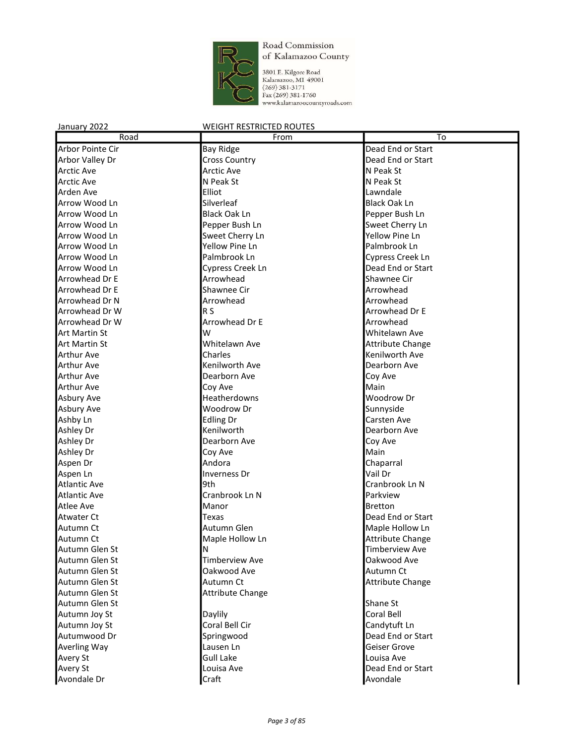

3801 E. Kilgore Road<br>Kalamazoo, MI 49001<br>(269) 381-3171<br>Fax (269) 381-1760<br>www.kalamazoocountyroads.com

| Road                 | From                    | To                      |
|----------------------|-------------------------|-------------------------|
| Arbor Pointe Cir     | <b>Bay Ridge</b>        | Dead End or Start       |
| Arbor Valley Dr      | <b>Cross Country</b>    | Dead End or Start       |
| <b>Arctic Ave</b>    | <b>Arctic Ave</b>       | N Peak St               |
| <b>Arctic Ave</b>    | N Peak St               | N Peak St               |
| Arden Ave            | Elliot                  | Lawndale                |
| Arrow Wood Ln        | Silverleaf              | <b>Black Oak Ln</b>     |
| Arrow Wood Ln        | <b>Black Oak Ln</b>     | Pepper Bush Ln          |
| Arrow Wood Ln        | Pepper Bush Ln          | Sweet Cherry Ln         |
| Arrow Wood Ln        | Sweet Cherry Ln         | Yellow Pine Ln          |
| Arrow Wood Ln        | Yellow Pine Ln          | Palmbrook Ln            |
| Arrow Wood Ln        | Palmbrook Ln            | Cypress Creek Ln        |
| Arrow Wood Ln        | Cypress Creek Ln        | Dead End or Start       |
| Arrowhead Dr E       | Arrowhead               | Shawnee Cir             |
| Arrowhead Dr E       | Shawnee Cir             | Arrowhead               |
| Arrowhead Dr N       | Arrowhead               | Arrowhead               |
| Arrowhead Dr W       | R <sub>S</sub>          | Arrowhead Dr E          |
| Arrowhead Dr W       | Arrowhead Dr E          | Arrowhead               |
| <b>Art Martin St</b> | W                       | Whitelawn Ave           |
| <b>Art Martin St</b> | Whitelawn Ave           | <b>Attribute Change</b> |
| <b>Arthur Ave</b>    | Charles                 | Kenilworth Ave          |
| <b>Arthur Ave</b>    | Kenilworth Ave          | Dearborn Ave            |
| <b>Arthur Ave</b>    | Dearborn Ave            | Coy Ave                 |
| <b>Arthur Ave</b>    | Coy Ave                 | Main                    |
| Asbury Ave           | <b>Heatherdowns</b>     | Woodrow Dr              |
| Asbury Ave           | Woodrow Dr              | Sunnyside               |
| Ashby Ln             | <b>Edling Dr</b>        | Carsten Ave             |
| Ashley Dr            | Kenilworth              | Dearborn Ave            |
| Ashley Dr            | Dearborn Ave            | Coy Ave                 |
| Ashley Dr            | Coy Ave                 | Main                    |
| Aspen Dr             | Andora                  | Chaparral               |
| Aspen Ln             | <b>Inverness Dr</b>     | Vail Dr                 |
| <b>Atlantic Ave</b>  | 9th                     | Cranbrook Ln N          |
| <b>Atlantic Ave</b>  | Cranbrook Ln N          | Parkview                |
| <b>Atlee Ave</b>     | Manor                   | <b>Bretton</b>          |
| <b>Atwater Ct</b>    | Texas                   | Dead End or Start       |
| Autumn Ct            | Autumn Glen             | Maple Hollow Ln         |
| Autumn Ct            | Maple Hollow Ln         | <b>Attribute Change</b> |
| Autumn Glen St       | N                       | <b>Timberview Ave</b>   |
| Autumn Glen St       | <b>Timberview Ave</b>   | Oakwood Ave             |
| Autumn Glen St       | Oakwood Ave             | Autumn Ct               |
| Autumn Glen St       | Autumn Ct               | <b>Attribute Change</b> |
| Autumn Glen St       | <b>Attribute Change</b> |                         |
| Autumn Glen St       |                         | Shane St                |
| Autumn Joy St        | Daylily                 | Coral Bell              |
| Autumn Joy St        | Coral Bell Cir          | Candytuft Ln            |
| Autumwood Dr         | Springwood              | Dead End or Start       |
| <b>Averling Way</b>  | Lausen Ln               | Geiser Grove            |
| <b>Avery St</b>      | <b>Gull Lake</b>        | Louisa Ave              |
| <b>Avery St</b>      | Louisa Ave              | Dead End or Start       |
| Avondale Dr          | Craft                   | Avondale                |
|                      |                         |                         |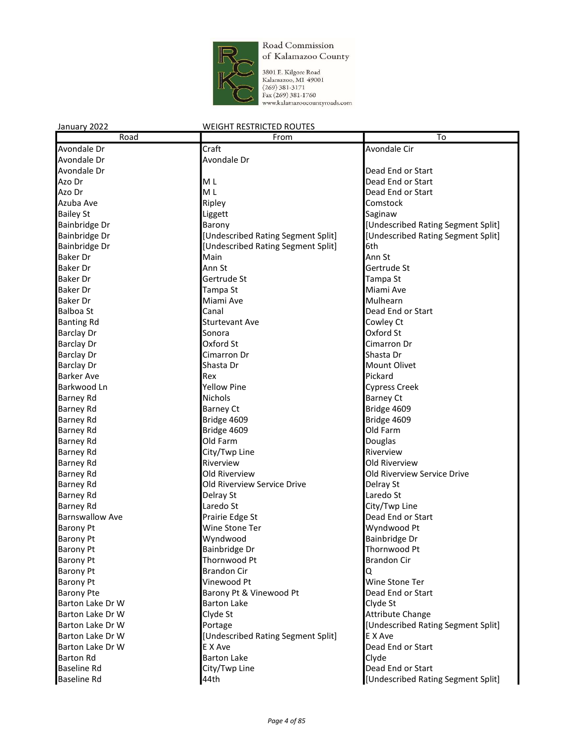

3801 E. Kilgore Road Kalamazoo, MI 49001  $(269)$  381-3171 Fax (269) 381-1760 www.kalamazoocountyroads.com

#### January 2022 WEIGHT RESTRICTED ROUTES Road **From To** Avondale Dr **Craft** Avondale Circle Avondale Circle Avondale Circle Avondale Circle Avondale Circle Avondale Cir Avondale Dr **Avondale Dr** Avondale Dr Avondale Dr **Dead End of Start Avondale Dr** Dead End or Start Avondale Dr Dead End or Start Avondale Dr Dead End or Start Avondale Dr Dead End or Start Avondale Dr Dead End or Start Avondale Dr Dead End or Start Avondale D Azo Dr **M** L **M** L **Dead End or Start** Azo Dr **M** L **M** L **Dead End or Start** Azuba Ave **Ripley Comstock Comstock** Bailey St **Liggett Saginaw COVID-19 COVID-19 COVID-19 COVID-19 COVID-19 COVID-19 COVID-19 COVID-19 COVID-19 COVID-19 COVID-19 COVID-19 COVID-19 COVID-19 COVID-19 COVID-19 COVID-19 COVID-19 COVID-19 COVID-19 COVID-19 CO** Bainbridge Dr **Barony Barony Example 2 Example 2 Example 2 Example 2 Example 2 EXAMPLE 2 EXAMPLE 2 EXAMPLE 2 EXAMPLE 2 EXAMPLE 2 EXAMPLE 2 EXAMPLE 2 EXAMPLE 2 EXAMPLE 2 EXAMPLE 2 EXAMPLE 2** Bainbridge Dr **Exercicial Contract Contract Contract Contract Contract Contract Contract Contract Contract Contr** Bainbridge Dr **business Controller Controller Controller** [Undescribed Rating Segment Split] 6th Baker Dr **Main** Ann St Baker Dr **Ann St Gertrude St** Gertrude St Gertrude St Gertrude St Gertrude St Baker Dr Gertrude St Tampa St Tampa St Baker Dr **Tampa St** Miami Ave and Tampa St **Miami** Ave Baker Dr **Mulhearn** Miami Ave **Mulhearn** Mulhearn **Balboa St** Canal Canal **Canal Canal Canal Dead End or Start** Banting Rd **Sturtevant Ave** Cowley Ct Barclay Dr **Sonora Communist Sonora Communist Sonora Communist Structure Communist Structure Communist Communist Communist Communist Communist Communist Communist Communist Communist Communist Communist Communist Com** Barclay Dr **Cimarron Dr Cimarron Dr Cimarron Dr** Cimarron Dr Cimarron Dr Cimarron Dr Barclay Dr **Communist Communist Communist Communist Communist Communist Communist Communist Communist Communist Communist Communist Communist Communist Communist Communist Communist Communist Communist Communist Communist** Barclay Dr **Shasta Dr Shasta Dr** Mount Olivet Barker Ave **Rex** Rex **Pickard** Barkwood Ln **Cypress Creek Property** Cypress Creek **Cypress** Creek Barney Rd **Barney Ct Nichols Barney Ct Barney Ct** Barney Rd Barney Ct Barney Ct Bridge 4609 Barney Rd **Bridge 1609** Bridge 4609 Bridge 4609 Barney Rd **Bridge 4609 Disk Example 1609 Disk Example 2609 Old Farm** Barney Rd **Douglas Did Farm Did Farm Douglas Douglas** Barney Rd **City/Twp Line Riverview** Riverview Barney Rd **Riverview Riverview COLOGITY RIVER RIVER AND RIVER RIVER RIVER AND RIVER RIVER RIVER AND RIVER R** Barney Rd **Communist Communist Communist Communist Communist Communist Communist Communist Communist Communist Communist Communist Communist Communist Communist Communist Communist Communist Communist Communist Communist C** Barney Rd **Construction Cold Riverview Service Drive** Delray St Barney Rd **Delray St** Delray St **Delray St Laredo St** Barney Rd **City/Twp Line** Laredo St **City/Twp Line** Barnswallow Ave **Prairie Edge St Prairie Edge St Dead End or Start** Barony Pt **Wine Stone Ter** Wine Stone Ter Wyndwood Pt Barony Pt **Example 2018** Wyndwood **Bainbridge Dr** Bainbridge Dr Barony Pt **Bainbridge Dr** Bainbridge Dr **Thornwood Pt** Barony Pt **Example 2** Thornwood Pt **Brandon Circle 19** Brandon Circle 19 Brandon Circle 19 Brandon Circle 19 Brandon Circle 19 Brandon Circle 19 Brandon Circle 19 Brandon Circle 19 Brandon Circle 19 Brandon Circle 19 Brand Barony Pt **Brandon Cir** Brandon Cir **Q** Barony Pt **Contract Contract Contract Contract Contract Contract Contract Contract Contract Contract Contract Contract Contract Contract Contract Contract Contract Contract Contract Contract Contract Contract Contract Cont** Barony Pte **Barony Pt & Vinewood Pt** Dead End or Start Barton Lake Dr W Barton Lake Clyde St Barton Lake Dr W Clyde St Attribute Change Barton Lake Dr W **Portage Communist Communist Communist Communist Communist Communist Communist Communist Communist Communist Communist Communist Communist Communist Communist Communist Communist Communist Communist Commun** Barton Lake Dr W **[Undescribed Rating Segment Split]** E X Ave Barton Lake Dr W **EX** Ave **Dead End or Start** Barton Lake Dr W Barton Rd **Barton Lake** Barton Lake **Clyde** Baseline Rd **City/Twp Line Community** City/Twp Line Dead End or Start Baseline Rd **Australia Communist Communist Communist Communist Communist Communist Communist Communist Communist Communist Communist Communist Communist Communist Communist Communist Communist Communist Communist Communist**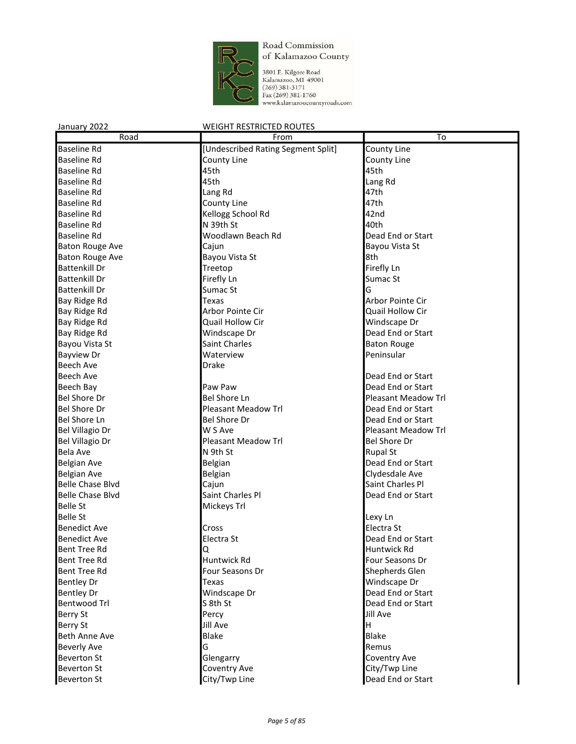

3801 F. Kilgore Road<br>Kalamazoo, M1 49001<br>(269) 381-3171<br>Fax (269) 381-1760<br>www.kalamazoocountyroads.com

| January 2022            | <b>WEIGHT RESTRICTED ROUTES</b>    |                            |
|-------------------------|------------------------------------|----------------------------|
| Road                    | From                               | $\overline{\text{To}}$     |
| <b>Baseline Rd</b>      | [Undescribed Rating Segment Split] | County Line                |
| <b>Baseline Rd</b>      | County Line                        | County Line                |
| <b>Baseline Rd</b>      | 45th                               | 45th                       |
| Baseline Rd             | 45th                               | Lang Rd                    |
| <b>Baseline Rd</b>      | Lang Rd                            | 47th                       |
| <b>Baseline Rd</b>      | County Line                        | 47th                       |
| <b>Baseline Rd</b>      | Kellogg School Rd                  | 42nd                       |
| <b>Baseline Rd</b>      | N 39th St                          | 40th                       |
| <b>Baseline Rd</b>      | Woodlawn Beach Rd                  | Dead End or Start          |
| <b>Baton Rouge Ave</b>  | Cajun                              | Bayou Vista St             |
| <b>Baton Rouge Ave</b>  | Bayou Vista St                     | 8th                        |
| <b>Battenkill Dr</b>    | Treetop                            | Firefly Ln                 |
| <b>Battenkill Dr</b>    | Firefly Ln                         | Sumac St                   |
| <b>Battenkill Dr</b>    | Sumac St                           | G                          |
| Bay Ridge Rd            | Texas                              | Arbor Pointe Cir           |
| Bay Ridge Rd            | Arbor Pointe Cir                   | Quail Hollow Cir           |
| Bay Ridge Rd            | Quail Hollow Cir                   | Windscape Dr               |
| Bay Ridge Rd            | Windscape Dr                       | Dead End or Start          |
| Bayou Vista St          | Saint Charles                      | <b>Baton Rouge</b>         |
| <b>Bayview Dr</b>       | Waterview                          | Peninsular                 |
| <b>Beech Ave</b>        | Drake                              |                            |
| <b>Beech Ave</b>        |                                    | Dead End or Start          |
| <b>Beech Bay</b>        | Paw Paw                            | Dead End or Start          |
| <b>Bel Shore Dr</b>     | <b>Bel Shore Ln</b>                | <b>Pleasant Meadow Trl</b> |
| <b>Bel Shore Dr</b>     | <b>Pleasant Meadow Trl</b>         | Dead End or Start          |
| <b>Bel Shore Ln</b>     | <b>Bel Shore Dr</b>                | Dead End or Start          |
| Bel Villagio Dr         | W S Ave                            | <b>Pleasant Meadow Trl</b> |
| <b>Bel Villagio Dr</b>  | <b>Pleasant Meadow Trl</b>         | <b>Bel Shore Dr</b>        |
| <b>Bela Ave</b>         | N 9th St                           | <b>Rupal St</b>            |
| Belgian Ave             | Belgian                            | Dead End or Start          |
| Belgian Ave             | Belgian                            | Clydesdale Ave             |
| <b>Belle Chase Blvd</b> | Cajun                              | Saint Charles Pl           |
| <b>Belle Chase Blvd</b> | Saint Charles Pl                   | Dead End or Start          |
| <b>Belle St</b>         | Mickeys Trl                        |                            |
| <b>Belle St</b>         |                                    | Lexy Ln                    |
| <b>Benedict Ave</b>     | Cross                              | Electra St                 |
| <b>Benedict Ave</b>     | Electra St                         | Dead End or Start          |
| Bent Tree Rd            | Q                                  | Huntwick Rd                |
| <b>Bent Tree Rd</b>     | Huntwick Rd                        | Four Seasons Dr            |
| Bent Tree Rd            | Four Seasons Dr                    | Shepherds Glen             |
| <b>Bentley Dr</b>       | Texas                              | Windscape Dr               |
| <b>Bentley Dr</b>       | Windscape Dr                       | Dead End or Start          |
| Bentwood Trl            | S 8th St                           | Dead End or Start          |
| Berry St                | Percy                              | Jill Ave                   |
| <b>Berry St</b>         | Jill Ave                           | H                          |
| Beth Anne Ave           | <b>Blake</b>                       | Blake                      |
| <b>Beverly Ave</b>      | G                                  | Remus                      |
| <b>Beverton St</b>      | Glengarry                          | Coventry Ave               |
| <b>Beverton St</b>      | Coventry Ave                       | City/Twp Line              |
| <b>Beverton St</b>      | City/Twp Line                      | Dead End or Start          |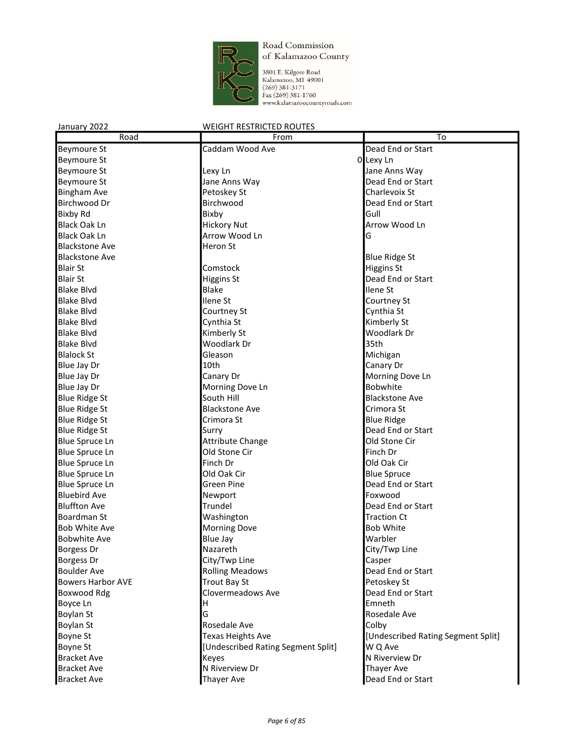

3801 E. Kilgore Road<br>Kalamazoo, MI 49001<br>(269) 381-3171<br>Fax (269) 381-1760<br>www.kalamazoocountyroads.com

| Road                     | From                               | To                                 |
|--------------------------|------------------------------------|------------------------------------|
| <b>Beymoure St</b>       | Caddam Wood Ave                    | Dead End or Start                  |
| <b>Beymoure St</b>       |                                    | 0 Lexy Ln                          |
| <b>Beymoure St</b>       | Lexy Ln                            | Jane Anns Way                      |
| <b>Beymoure St</b>       | Jane Anns Way                      | Dead End or Start                  |
| <b>Bingham Ave</b>       | Petoskey St                        | Charlevoix St                      |
| Birchwood Dr             | Birchwood                          | Dead End or Start                  |
| <b>Bixby Rd</b>          | Bixby                              | Gull                               |
| <b>Black Oak Ln</b>      | <b>Hickory Nut</b>                 | Arrow Wood Ln                      |
| <b>Black Oak Ln</b>      | Arrow Wood Ln                      | G                                  |
| <b>Blackstone Ave</b>    | Heron St                           |                                    |
| <b>Blackstone Ave</b>    |                                    | <b>Blue Ridge St</b>               |
| <b>Blair St</b>          | Comstock                           | Higgins St                         |
| <b>Blair St</b>          | <b>Higgins St</b>                  | Dead End or Start                  |
| <b>Blake Blvd</b>        | <b>Blake</b>                       | Ilene St                           |
| <b>Blake Blvd</b>        | Ilene St                           | Courtney St                        |
| <b>Blake Blvd</b>        | Courtney St                        | Cynthia St                         |
| <b>Blake Blvd</b>        | Cynthia St                         | Kimberly St                        |
| <b>Blake Blvd</b>        | Kimberly St                        | Woodlark Dr                        |
| <b>Blake Blvd</b>        | Woodlark Dr                        | 35th                               |
| <b>Blalock St</b>        | Gleason                            | Michigan                           |
| Blue Jay Dr              | 10th                               | Canary Dr                          |
| Blue Jay Dr              | Canary Dr                          | Morning Dove Ln                    |
| Blue Jay Dr              | Morning Dove Ln                    | <b>Bobwhite</b>                    |
| <b>Blue Ridge St</b>     | South Hill                         | <b>Blackstone Ave</b>              |
| <b>Blue Ridge St</b>     | <b>Blackstone Ave</b>              | Crimora St                         |
| <b>Blue Ridge St</b>     | Crimora St                         | <b>Blue Ridge</b>                  |
| <b>Blue Ridge St</b>     | Surry                              | Dead End or Start                  |
| <b>Blue Spruce Ln</b>    | <b>Attribute Change</b>            | Old Stone Cir                      |
| <b>Blue Spruce Ln</b>    | Old Stone Cir                      | Finch Dr                           |
| <b>Blue Spruce Ln</b>    | Finch Dr                           | Old Oak Cir                        |
| <b>Blue Spruce Ln</b>    | Old Oak Cir                        | <b>Blue Spruce</b>                 |
| <b>Blue Spruce Ln</b>    | <b>Green Pine</b>                  | Dead End or Start                  |
| <b>Bluebird Ave</b>      | Newport                            | Foxwood                            |
| <b>Bluffton Ave</b>      | Trundel                            | Dead End or Start                  |
| Boardman St              | Washington                         | <b>Traction Ct</b>                 |
| <b>Bob White Ave</b>     | <b>Morning Dove</b>                | <b>Bob White</b>                   |
| <b>Bobwhite Ave</b>      | <b>Blue Jay</b>                    | Warbler                            |
| <b>Borgess Dr</b>        | Nazareth                           | City/Twp Line                      |
| <b>Borgess Dr</b>        | City/Twp Line                      | Casper                             |
| <b>Boulder Ave</b>       | <b>Rolling Meadows</b>             | Dead End or Start                  |
| <b>Bowers Harbor AVE</b> | <b>Trout Bay St</b>                | Petoskey St                        |
| Boxwood Rdg              | Clovermeadows Ave                  | Dead End or Start                  |
| Boyce Ln                 | н                                  | Emneth                             |
| <b>Boylan St</b>         | G                                  | Rosedale Ave                       |
| Boylan St                | Rosedale Ave                       | Colby                              |
| <b>Boyne St</b>          | <b>Texas Heights Ave</b>           | [Undescribed Rating Segment Split] |
| <b>Boyne St</b>          | [Undescribed Rating Segment Split] | W Q Ave                            |
| <b>Bracket Ave</b>       | <b>Keyes</b>                       | N Riverview Dr                     |
| <b>Bracket Ave</b>       | N Riverview Dr                     | <b>Thayer Ave</b>                  |
| <b>Bracket Ave</b>       | <b>Thayer Ave</b>                  | Dead End or Start                  |
|                          |                                    |                                    |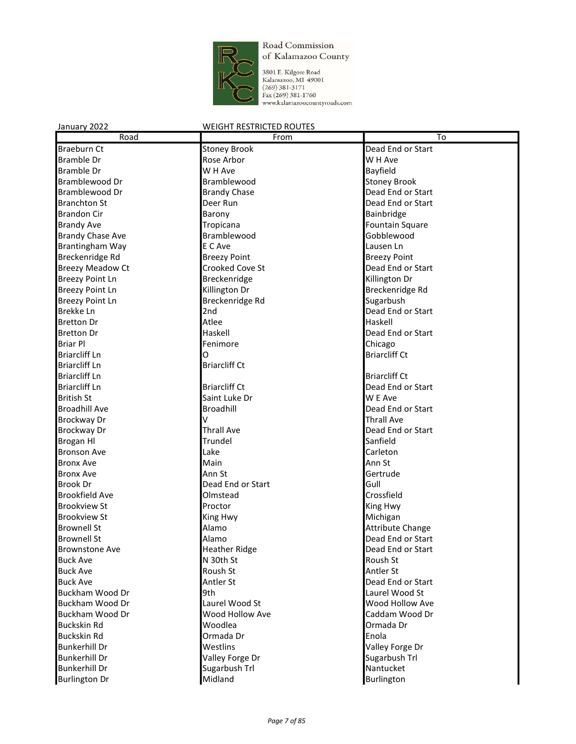

3801 E. Kilgore Road<br>Kalamazoo, MI 49001<br>(269) 381-3171<br>Fax (269) 381-1760<br>www.kalamazoocountyroads.com

| Road                               | From                       | To                          |
|------------------------------------|----------------------------|-----------------------------|
| <b>Braeburn Ct</b>                 | <b>Stoney Brook</b>        | Dead End or Start           |
| <b>Bramble Dr</b>                  | Rose Arbor                 | W H Ave                     |
| <b>Bramble Dr</b>                  | W H Ave                    | Bayfield                    |
| Bramblewood Dr                     | Bramblewood                | <b>Stoney Brook</b>         |
| Bramblewood Dr                     | <b>Brandy Chase</b>        | Dead End or Start           |
| <b>Branchton St</b>                | Deer Run                   | Dead End or Start           |
| <b>Brandon Cir</b>                 | Barony                     | Bainbridge                  |
| <b>Brandy Ave</b>                  | Tropicana                  | <b>Fountain Square</b>      |
| <b>Brandy Chase Ave</b>            | Bramblewood                | Gobblewood                  |
| Brantingham Way                    | E C Ave                    | Lausen Ln                   |
| Breckenridge Rd                    | <b>Breezy Point</b>        | <b>Breezy Point</b>         |
| <b>Breezy Meadow Ct</b>            | Crooked Cove St            | Dead End or Start           |
| <b>Breezy Point Ln</b>             | Breckenridge               | Killington Dr               |
| <b>Breezy Point Ln</b>             | Killington Dr              | Breckenridge Rd             |
| <b>Breezy Point Ln</b>             | Breckenridge Rd            | Sugarbush                   |
| <b>Brekke Ln</b>                   | 2nd                        | Dead End or Start           |
| <b>Bretton Dr</b>                  | Atlee                      | Haskell                     |
| <b>Bretton Dr</b>                  | Haskell                    | Dead End or Start           |
| <b>Briar Pl</b>                    | Fenimore                   | Chicago                     |
| <b>Briarcliff Ln</b>               | O                          | <b>Briarcliff Ct</b>        |
| <b>Briarcliff Ln</b>               | <b>Briarcliff Ct</b>       |                             |
| <b>Briarcliff Ln</b>               |                            | <b>Briarcliff Ct</b>        |
| <b>Briarcliff Ln</b>               | <b>Briarcliff Ct</b>       | Dead End or Start           |
| <b>British St</b>                  | Saint Luke Dr              | W E Ave                     |
| <b>Broadhill Ave</b>               | Broadhill                  | Dead End or Start           |
| Brockway Dr                        | v                          | <b>Thrall Ave</b>           |
| <b>Brockway Dr</b>                 | <b>Thrall Ave</b>          | Dead End or Start           |
| <b>Brogan HI</b>                   | Trundel                    | Sanfield                    |
| <b>Bronson Ave</b>                 | Lake                       | Carleton                    |
| <b>Bronx Ave</b>                   | Main                       | Ann St                      |
| <b>Bronx Ave</b>                   | Ann St                     | Gertrude                    |
| <b>Brook Dr</b>                    | Dead End or Start          | Gull                        |
| <b>Brookfield Ave</b>              | Olmstead                   | Crossfield                  |
| <b>Brookview St</b>                | Proctor                    | King Hwy                    |
| <b>Brookview St</b>                | King Hwy                   | Michigan                    |
| <b>Brownell St</b>                 | Alamo                      | <b>Attribute Change</b>     |
| <b>Brownell St</b>                 | Alamo                      | Dead End or Start           |
| <b>Brownstone Ave</b>              | <b>Heather Ridge</b>       | Dead End or Start           |
| <b>Buck Ave</b>                    | N 30th St                  | Roush St                    |
|                                    | Roush St                   | Antler St                   |
| <b>Buck Ave</b>                    |                            | Dead End or Start           |
| <b>Buck Ave</b><br>Buckham Wood Dr | Antler St<br>9th           | Laurel Wood St              |
| Buckham Wood Dr                    | Laurel Wood St             | Wood Hollow Ave             |
| Buckham Wood Dr                    |                            |                             |
| <b>Buckskin Rd</b>                 | Wood Hollow Ave<br>Woodlea | Caddam Wood Dr<br>Ormada Dr |
|                                    |                            |                             |
| <b>Buckskin Rd</b>                 | Ormada Dr                  | Enola                       |
| <b>Bunkerhill Dr</b>               | Westlins                   | Valley Forge Dr             |
| <b>Bunkerhill Dr</b>               | Valley Forge Dr            | Sugarbush Trl               |
| <b>Bunkerhill Dr</b>               | Sugarbush Trl              | Nantucket                   |
| <b>Burlington Dr</b>               | Midland                    | Burlington                  |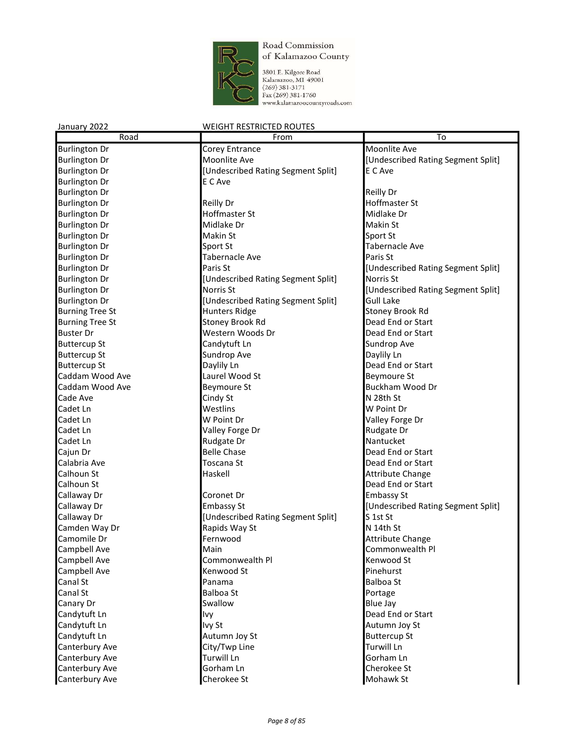

3801 E. Kilgore Road<br>Kalamazoo, M1 49001<br>(269) 381-3171<br>Fax (269) 381-1760<br>www.kalamazoocountyroads.com

| January 2022           | <b>WEIGHT RESTRICTED ROUTES</b>    |                                    |
|------------------------|------------------------------------|------------------------------------|
| Road                   | From                               | To                                 |
| <b>Burlington Dr</b>   | Corey Entrance                     | Moonlite Ave                       |
| <b>Burlington Dr</b>   | Moonlite Ave                       | [Undescribed Rating Segment Split] |
| <b>Burlington Dr</b>   | [Undescribed Rating Segment Split] | E C Ave                            |
| <b>Burlington Dr</b>   | E C Ave                            |                                    |
| <b>Burlington Dr</b>   |                                    | <b>Reilly Dr</b>                   |
| <b>Burlington Dr</b>   | <b>Reilly Dr</b>                   | Hoffmaster St                      |
| <b>Burlington Dr</b>   | Hoffmaster St                      | Midlake Dr                         |
| <b>Burlington Dr</b>   | Midlake Dr                         | Makin St                           |
| <b>Burlington Dr</b>   | Makin St                           | Sport St                           |
| <b>Burlington Dr</b>   | Sport St                           | <b>Tabernacle Ave</b>              |
| <b>Burlington Dr</b>   | <b>Tabernacle Ave</b>              | Paris St                           |
| <b>Burlington Dr</b>   | Paris St                           | [Undescribed Rating Segment Split] |
| <b>Burlington Dr</b>   | [Undescribed Rating Segment Split] | Norris St                          |
| <b>Burlington Dr</b>   | Norris St                          | [Undescribed Rating Segment Split] |
| <b>Burlington Dr</b>   | [Undescribed Rating Segment Split] | <b>Gull Lake</b>                   |
| <b>Burning Tree St</b> | <b>Hunters Ridge</b>               | Stoney Brook Rd                    |
| <b>Burning Tree St</b> | Stoney Brook Rd                    | Dead End or Start                  |
| <b>Buster Dr</b>       | Western Woods Dr                   | Dead End or Start                  |
| <b>Buttercup St</b>    | Candytuft Ln                       | Sundrop Ave                        |
| <b>Buttercup St</b>    | Sundrop Ave                        | Daylily Ln                         |
| <b>Buttercup St</b>    | Daylily Ln                         | Dead End or Start                  |
| Caddam Wood Ave        | Laurel Wood St                     | Beymoure St                        |
| Caddam Wood Ave        | <b>Beymoure St</b>                 | Buckham Wood Dr                    |
| Cade Ave               | Cindy St                           | N 28th St                          |
| Cadet Ln               | Westlins                           | W Point Dr                         |
| Cadet Ln               | W Point Dr                         | Valley Forge Dr                    |
| Cadet Ln               | Valley Forge Dr                    | Rudgate Dr                         |
| Cadet Ln               | Rudgate Dr                         | Nantucket                          |
| Cajun Dr               | <b>Belle Chase</b>                 | Dead End or Start                  |
| Calabria Ave           | Toscana St                         | Dead End or Start                  |
| Calhoun St             | Haskell                            | <b>Attribute Change</b>            |
| Calhoun St             |                                    | Dead End or Start                  |
| Callaway Dr            | Coronet Dr                         | <b>Embassy St</b>                  |
| Callaway Dr            | <b>Embassy St</b>                  | [Undescribed Rating Segment Split] |
| Callaway Dr            | [Undescribed Rating Segment Split] | S 1st St                           |
| Camden Way Dr          | Rapids Way St                      | N 14th St                          |
| Camomile Dr            | Fernwood                           | Attribute Change                   |
| Campbell Ave           | Main                               | Commonwealth Pl                    |
| Campbell Ave           | Commonwealth Pl                    | Kenwood St                         |
| Campbell Ave           | Kenwood St                         | Pinehurst                          |
| Canal St               | Panama                             | <b>Balboa St</b>                   |
| Canal St               | <b>Balboa St</b>                   | Portage                            |
| Canary Dr              | Swallow                            | <b>Blue Jay</b>                    |
| Candytuft Ln           | Ivy                                | Dead End or Start                  |
| Candytuft Ln           | Ivy St                             | Autumn Joy St                      |
| Candytuft Ln           | Autumn Joy St                      | <b>Buttercup St</b>                |
| Canterbury Ave         | City/Twp Line                      | Turwill Ln                         |
| Canterbury Ave         | Turwill Ln                         | Gorham Ln                          |
| Canterbury Ave         | Gorham Ln                          | Cherokee St                        |
| Canterbury Ave         | Cherokee St                        | Mohawk St                          |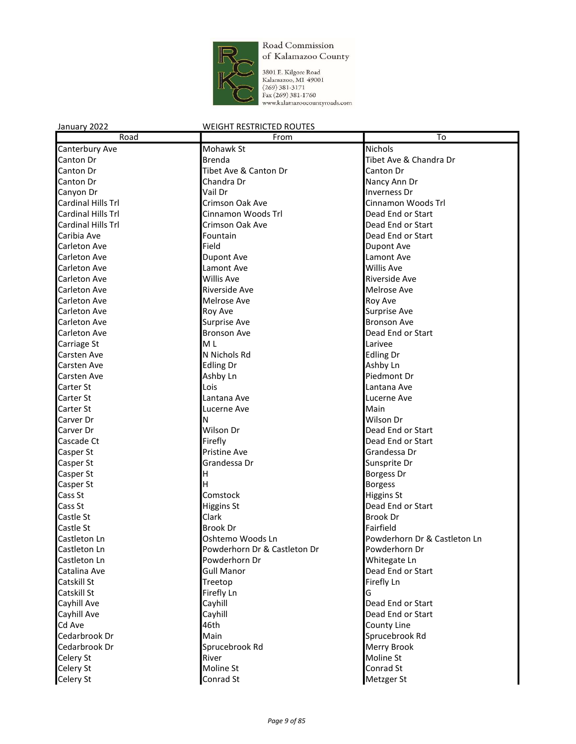

3801 E. Kilgore Road<br>Kalamazoo, MI 49001<br>(269) 381-3171<br>Fax (269) 381-1760<br>www.kalamazoocountyroads.com

| Road               | From                         | To                           |
|--------------------|------------------------------|------------------------------|
| Canterbury Ave     | Mohawk St                    | <b>Nichols</b>               |
| Canton Dr          | Brenda                       | Tibet Ave & Chandra Dr       |
| Canton Dr          | Tibet Ave & Canton Dr        | Canton Dr                    |
| Canton Dr          | Chandra Dr                   | Nancy Ann Dr                 |
| Canyon Dr          | Vail Dr                      | <b>Inverness Dr</b>          |
| Cardinal Hills Trl | Crimson Oak Ave              | Cinnamon Woods Trl           |
| Cardinal Hills Trl | Cinnamon Woods Trl           | Dead End or Start            |
| Cardinal Hills Trl | Crimson Oak Ave              | Dead End or Start            |
| Caribia Ave        | Fountain                     | Dead End or Start            |
| Carleton Ave       | Field                        | Dupont Ave                   |
| Carleton Ave       | <b>Dupont Ave</b>            | Lamont Ave                   |
| Carleton Ave       | Lamont Ave                   | <b>Willis Ave</b>            |
| Carleton Ave       | Willis Ave                   | Riverside Ave                |
| Carleton Ave       | Riverside Ave                | Melrose Ave                  |
| Carleton Ave       | Melrose Ave                  | <b>Roy Ave</b>               |
| Carleton Ave       | <b>Roy Ave</b>               | Surprise Ave                 |
| Carleton Ave       | Surprise Ave                 | <b>Bronson Ave</b>           |
| Carleton Ave       | <b>Bronson Ave</b>           | Dead End or Start            |
| Carriage St        | M <sub>L</sub>               | Larivee                      |
| Carsten Ave        | N Nichols Rd                 | <b>Edling Dr</b>             |
| <b>Carsten Ave</b> | <b>Edling Dr</b>             | Ashby Ln                     |
| Carsten Ave        | Ashby Ln                     | Piedmont Dr                  |
| Carter St          | Lois                         | Lantana Ave                  |
| Carter St          | Lantana Ave                  | Lucerne Ave                  |
| Carter St          | Lucerne Ave                  | Main                         |
| Carver Dr          | Ν                            | Wilson Dr                    |
| Carver Dr          | Wilson Dr                    | Dead End or Start            |
| Cascade Ct         | Firefly                      | Dead End or Start            |
| Casper St          | <b>Pristine Ave</b>          | Grandessa Dr                 |
| Casper St          | Grandessa Dr                 | Sunsprite Dr                 |
| Casper St          | H                            | Borgess Dr                   |
| Casper St          | H                            | Borgess                      |
| Cass St            | Comstock                     | Higgins St                   |
| Cass St            | <b>Higgins St</b>            | Dead End or Start            |
| Castle St          | Clark                        | <b>Brook Dr</b>              |
| Castle St          | <b>Brook Dr</b>              | Fairfield                    |
| Castleton Ln       | Oshtemo Woods Ln             | Powderhorn Dr & Castleton Ln |
| Castleton Ln       | Powderhorn Dr & Castleton Dr | Powderhorn Dr                |
| Castleton Ln       | Powderhorn Dr                | Whitegate Ln                 |
| Catalina Ave       | <b>Gull Manor</b>            | Dead End or Start            |
| Catskill St        | Treetop                      | Firefly Ln                   |
| Catskill St        | Firefly Ln                   | G                            |
| Cayhill Ave        | Cayhill                      | Dead End or Start            |
| Cayhill Ave        | Cayhill                      | Dead End or Start            |
| Cd Ave             | 46th                         | County Line                  |
| Cedarbrook Dr      | Main                         | Sprucebrook Rd               |
| Cedarbrook Dr      | Sprucebrook Rd               | Merry Brook                  |
| Celery St          | River                        | Moline St                    |
| Celery St          | Moline St                    | Conrad St                    |
| Celery St          | Conrad St                    | Metzger St                   |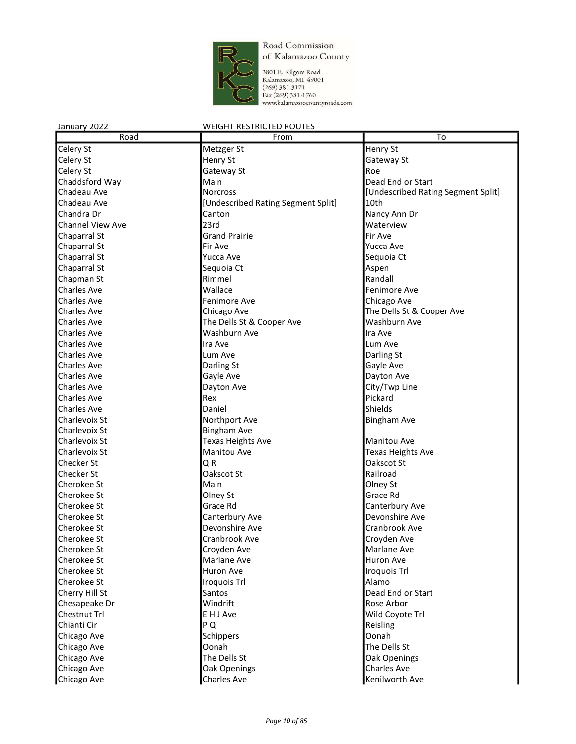

3801 E. Kilgore Road<br>Kalamazoo, MI 49001<br>(269) 381-3171<br>Fax (269) 381-1760<br>www.kalamazoocountyroads.com

| Road                    | From                               | $\overline{\text{To}}$             |
|-------------------------|------------------------------------|------------------------------------|
| Celery St               | Metzger St                         | Henry St                           |
| Celery St               | Henry St                           | Gateway St                         |
| Celery St               | Gateway St                         | Roe                                |
| Chaddsford Way          | Main                               | Dead End or Start                  |
| Chadeau Ave             | <b>Norcross</b>                    | [Undescribed Rating Segment Split] |
| Chadeau Ave             | [Undescribed Rating Segment Split] | 10th                               |
| Chandra Dr              | Canton                             | Nancy Ann Dr                       |
| <b>Channel View Ave</b> | 23rd                               | Waterview                          |
| Chaparral St            | <b>Grand Prairie</b>               | Fir Ave                            |
| Chaparral St            | Fir Ave                            | Yucca Ave                          |
| Chaparral St            | Yucca Ave                          | Sequoia Ct                         |
| Chaparral St            | Sequoia Ct                         | Aspen                              |
| Chapman St              | Rimmel                             | Randall                            |
| <b>Charles Ave</b>      | Wallace                            | <b>Fenimore Ave</b>                |
| <b>Charles Ave</b>      | Fenimore Ave                       | Chicago Ave                        |
| <b>Charles Ave</b>      | Chicago Ave                        | The Dells St & Cooper Ave          |
| <b>Charles Ave</b>      | The Dells St & Cooper Ave          | Washburn Ave                       |
| <b>Charles Ave</b>      | Washburn Ave                       | Ira Ave                            |
| <b>Charles Ave</b>      | Ira Ave                            | Lum Ave                            |
| <b>Charles Ave</b>      | Lum Ave                            | Darling St                         |
| <b>Charles Ave</b>      | Darling St                         | Gayle Ave                          |
| <b>Charles Ave</b>      | Gayle Ave                          | Dayton Ave                         |
| <b>Charles Ave</b>      | Dayton Ave                         | City/Twp Line                      |
| <b>Charles Ave</b>      | Rex                                | Pickard                            |
| <b>Charles Ave</b>      | Daniel                             | Shields                            |
|                         |                                    |                                    |
| Charlevoix St           | Northport Ave                      | <b>Bingham Ave</b>                 |
| Charlevoix St           | <b>Bingham Ave</b>                 |                                    |
| Charlevoix St           | <b>Texas Heights Ave</b>           | <b>Manitou Ave</b>                 |
| Charlevoix St           | Manitou Ave                        | <b>Texas Heights Ave</b>           |
| Checker St              | QR                                 | Oakscot St                         |
| Checker St              | Oakscot St                         | Railroad                           |
| <b>Cherokee St</b>      | Main                               | Olney St                           |
| <b>Cherokee St</b>      | Olney St                           | Grace Rd                           |
| <b>Cherokee St</b>      | Grace Rd                           | Canterbury Ave                     |
| <b>Cherokee St</b>      | Canterbury Ave                     | Devonshire Ave                     |
| Cherokee St             | Devonshire Ave                     | Cranbrook Ave                      |
| Cherokee St             | Cranbrook Ave                      | Croyden Ave                        |
| <b>Cherokee St</b>      | Croyden Ave                        | Marlane Ave                        |
| Cherokee St             | Marlane Ave                        | Huron Ave                          |
| Cherokee St             | Huron Ave                          | Iroquois Trl                       |
| Cherokee St             | Iroquois Trl                       | Alamo                              |
| Cherry Hill St          | Santos                             | Dead End or Start                  |
| Chesapeake Dr           | Windrift                           | Rose Arbor                         |
| Chestnut Trl            | E H J Ave                          | Wild Coyote Trl                    |
| Chianti Cir             | P Q                                | Reisling                           |
| Chicago Ave             | Schippers                          | Oonah                              |
| Chicago Ave             | Oonah                              | The Dells St                       |
| Chicago Ave             | The Dells St                       | Oak Openings                       |
| Chicago Ave             | Oak Openings                       | <b>Charles Ave</b>                 |
| Chicago Ave             | <b>Charles Ave</b>                 | Kenilworth Ave                     |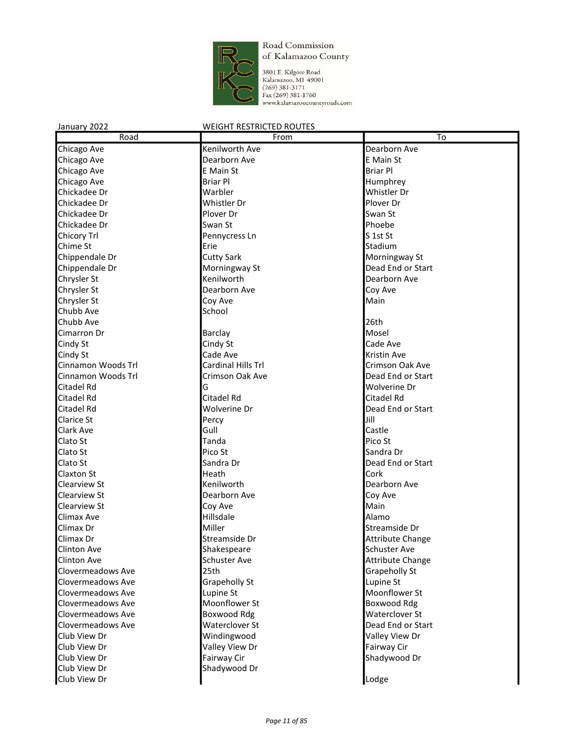

3801 E. Kilgore Road<br>Kalamazoo, MI 49001<br>(269) 381-3171<br>Fax (269) 381-1760<br>www.kalamazoocountyroads.com

| Road                | From               | To                      |
|---------------------|--------------------|-------------------------|
| Chicago Ave         | Kenilworth Ave     | Dearborn Ave            |
| Chicago Ave         | Dearborn Ave       | E Main St               |
| Chicago Ave         | E Main St          | <b>Briar Pl</b>         |
| Chicago Ave         | <b>Briar Pl</b>    | Humphrey                |
| Chickadee Dr        | Warbler            | Whistler Dr             |
| Chickadee Dr        | Whistler Dr        | Plover Dr               |
| Chickadee Dr        | Plover Dr          | Swan St                 |
| Chickadee Dr        | Swan St            | Phoebe                  |
| Chicory Trl         | Pennycress Ln      | S 1st St                |
| Chime St            | Erie               | Stadium                 |
| Chippendale Dr      | <b>Cutty Sark</b>  | Morningway St           |
| Chippendale Dr      | Morningway St      | Dead End or Start       |
| Chrysler St         | Kenilworth         | Dearborn Ave            |
| Chrysler St         | Dearborn Ave       | Coy Ave                 |
| Chrysler St         | Coy Ave            | Main                    |
| Chubb Ave           | School             |                         |
| Chubb Ave           |                    | 26th                    |
| Cimarron Dr         | Barclay            | Mosel                   |
| Cindy St            | Cindy St           | Cade Ave                |
| Cindy St            | Cade Ave           | Kristin Ave             |
| Cinnamon Woods Trl  | Cardinal Hills Trl | <b>Crimson Oak Ave</b>  |
| Cinnamon Woods Trl  | Crimson Oak Ave    | Dead End or Start       |
| Citadel Rd          | G                  | Wolverine Dr            |
| Citadel Rd          | Citadel Rd         | Citadel Rd              |
| Citadel Rd          | Wolverine Dr       | Dead End or Start       |
| <b>Clarice St</b>   | Percy              | Jill                    |
| Clark Ave           | Gull               | Castle                  |
| Clato St            | Tanda              | Pico St                 |
| Clato St            | Pico St            | Sandra Dr               |
| Clato St            | Sandra Dr          | Dead End or Start       |
| <b>Claxton St</b>   | Heath              | Cork                    |
| <b>Clearview St</b> | Kenilworth         | Dearborn Ave            |
| Clearview St        | Dearborn Ave       | Coy Ave                 |
| Clearview St        | Coy Ave            | Main                    |
| Climax Ave          | Hillsdale          | Alamo                   |
| Climax Dr           | Miller             | Streamside Dr           |
| Climax Dr           | Streamside Dr      | <b>Attribute Change</b> |
| <b>Clinton Ave</b>  | Shakespeare        | Schuster Ave            |
| <b>Clinton Ave</b>  | Schuster Ave       | <b>Attribute Change</b> |
| Clovermeadows Ave   | 25th               | Grapeholly St           |
| Clovermeadows Ave   | Grapeholly St      | Lupine St               |
| Clovermeadows Ave   | Lupine St          | Moonflower St           |
| Clovermeadows Ave   | Moonflower St      | Boxwood Rdg             |
| Clovermeadows Ave   | Boxwood Rdg        | Waterclover St          |
| Clovermeadows Ave   | Waterclover St     | Dead End or Start       |
| Club View Dr        | Windingwood        | Valley View Dr          |
| Club View Dr        | Valley View Dr     | Fairway Cir             |
| Club View Dr        | Fairway Cir        | Shadywood Dr            |
| Club View Dr        | Shadywood Dr       |                         |
| Club View Dr        |                    | Lodge                   |
|                     |                    |                         |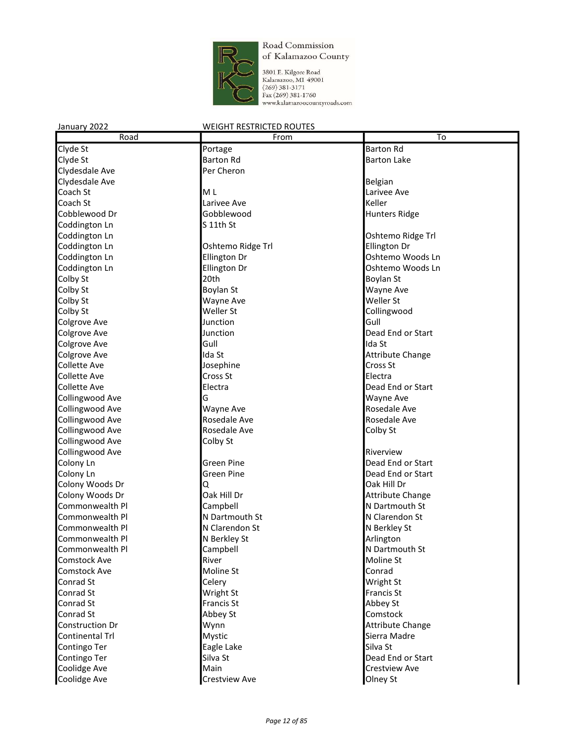

3801 E. Kilgore Road<br>Kalamazoo, MI 49001<br>(269) 381-3171<br>Fax (269) 381-1760<br>www.kalamazoocountyroads.com

| Road                   | From                      | To                        |
|------------------------|---------------------------|---------------------------|
| Clyde St               | Portage                   | <b>Barton Rd</b>          |
| Clyde St               | <b>Barton Rd</b>          | <b>Barton Lake</b>        |
| Clydesdale Ave         | Per Cheron                |                           |
| Clydesdale Ave         |                           | Belgian                   |
| Coach St               | M <sub>L</sub>            | Larivee Ave               |
| Coach St               | Larivee Ave               | Keller                    |
| Cobblewood Dr          | Gobblewood                | <b>Hunters Ridge</b>      |
| Coddington Ln          | $S$ 11th St               |                           |
| Coddington Ln          |                           | Oshtemo Ridge Trl         |
| Coddington Ln          | Oshtemo Ridge Trl         | Ellington Dr              |
| Coddington Ln          | Ellington Dr              | Oshtemo Woods Ln          |
| Coddington Ln          | Ellington Dr              | Oshtemo Woods Ln          |
| Colby St               | 20th                      | Boylan St                 |
| Colby St               | Boylan St                 | Wayne Ave                 |
| Colby St               | Wayne Ave                 | Weller St                 |
| Colby St               | Weller St                 | Collingwood               |
| <b>Colgrove Ave</b>    | Junction                  | Gull                      |
| <b>Colgrove Ave</b>    | Junction                  | Dead End or Start         |
| <b>Colgrove Ave</b>    | Gull                      | Ida St                    |
| <b>Colgrove Ave</b>    | Ida St                    | <b>Attribute Change</b>   |
| <b>Collette Ave</b>    | Josephine                 | Cross St                  |
| <b>Collette Ave</b>    | Cross St                  | Flectra                   |
| <b>Collette Ave</b>    | Electra                   | Dead End or Start         |
|                        | G                         |                           |
| <b>Collingwood Ave</b> |                           | Wayne Ave<br>Rosedale Ave |
| <b>Collingwood Ave</b> | Wayne Ave<br>Rosedale Ave | Rosedale Ave              |
| <b>Collingwood Ave</b> | Rosedale Ave              |                           |
| <b>Collingwood Ave</b> |                           | Colby St                  |
| <b>Collingwood Ave</b> | Colby St                  |                           |
| <b>Collingwood Ave</b> |                           | Riverview                 |
| Colony Ln              | <b>Green Pine</b>         | Dead End or Start         |
| Colony Ln              | Green Pine                | Dead End or Start         |
| Colony Woods Dr        | Q                         | Oak Hill Dr               |
| Colony Woods Dr        | Oak Hill Dr               | <b>Attribute Change</b>   |
| Commonwealth Pl        | Campbell                  | N Dartmouth St            |
| Commonwealth Pl        | N Dartmouth St            | N Clarendon St            |
| Commonwealth Pl        | N Clarendon St            | N Berkley St              |
| Commonwealth Pl        | N Berkley St              | Arlington                 |
| Commonwealth Pl        | Campbell                  | N Dartmouth St            |
| <b>Comstock Ave</b>    | River                     | Moline St                 |
| <b>Comstock Ave</b>    | Moline St                 | Conrad                    |
| Conrad St              | Celery                    | Wright St                 |
| Conrad St              | Wright St                 | Francis St                |
| Conrad St              | <b>Francis St</b>         | Abbey St                  |
| Conrad St              | Abbey St                  | Comstock                  |
| <b>Construction Dr</b> | Wynn                      | <b>Attribute Change</b>   |
| <b>Continental Trl</b> | Mystic                    | Sierra Madre              |
| Contingo Ter           | Eagle Lake                | Silva St                  |
| Contingo Ter           | Silva St                  | Dead End or Start         |
| Coolidge Ave           | Main                      | <b>Crestview Ave</b>      |
| Coolidge Ave           | <b>Crestview Ave</b>      | Olney St                  |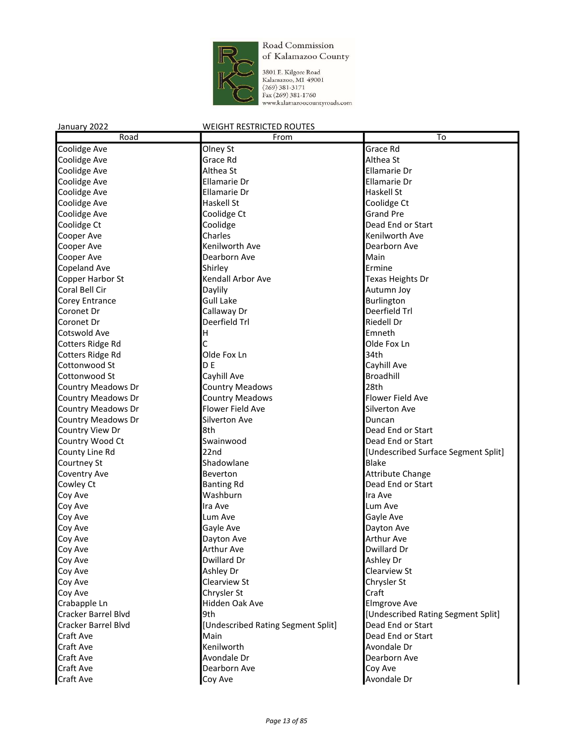

3801 E. Kilgore Road<br>Kalamazoo, MI 49001<br>(269) 381-3171<br>Fax (269) 381-1760<br>www.kalamazoocountyroads.com

| Road                      | From                               | $\overline{To}$                     |
|---------------------------|------------------------------------|-------------------------------------|
| Coolidge Ave              | Olney St                           | Grace Rd                            |
| Coolidge Ave              | Grace Rd                           | Althea St                           |
| Coolidge Ave              | Althea St                          | Ellamarie Dr                        |
| Coolidge Ave              | <b>Ellamarie Dr</b>                | Ellamarie Dr                        |
| Coolidge Ave              | <b>Ellamarie Dr</b>                | Haskell St                          |
| Coolidge Ave              | Haskell St                         | Coolidge Ct                         |
| Coolidge Ave              | Coolidge Ct                        | <b>Grand Pre</b>                    |
| Coolidge Ct               | Coolidge                           | Dead End or Start                   |
| Cooper Ave                | Charles                            | Kenilworth Ave                      |
| Cooper Ave                | Kenilworth Ave                     | Dearborn Ave                        |
| Cooper Ave                | Dearborn Ave                       | Main                                |
| <b>Copeland Ave</b>       | Shirley                            | Ermine                              |
| Copper Harbor St          | Kendall Arbor Ave                  | Texas Heights Dr                    |
| Coral Bell Cir            | Daylily                            | Autumn Joy                          |
| Corey Entrance            | <b>Gull Lake</b>                   | Burlington                          |
| Coronet Dr                | Callaway Dr                        | Deerfield Trl                       |
| Coronet Dr                | Deerfield Trl                      | <b>Riedell Dr</b>                   |
|                           |                                    | Emneth                              |
| Cotswold Ave              | Н                                  |                                     |
| Cotters Ridge Rd          | Ċ                                  | Olde Fox Ln                         |
| Cotters Ridge Rd          | Olde Fox Ln                        | 34th                                |
| Cottonwood St             | D F                                | Cayhill Ave                         |
| Cottonwood St             | Cayhill Ave                        | Broadhill                           |
| <b>Country Meadows Dr</b> | <b>Country Meadows</b>             | 28th                                |
| <b>Country Meadows Dr</b> | <b>Country Meadows</b>             | Flower Field Ave                    |
| Country Meadows Dr        | Flower Field Ave                   | Silverton Ave                       |
| Country Meadows Dr        | Silverton Ave                      | Duncan                              |
| Country View Dr           | 8th                                | Dead End or Start                   |
| Country Wood Ct           | Swainwood                          | Dead End or Start                   |
| County Line Rd            | 22nd                               | [Undescribed Surface Segment Split] |
| Courtney St               | Shadowlane                         | Blake                               |
| Coventry Ave              | Beverton                           | Attribute Change                    |
| Cowley Ct                 | <b>Banting Rd</b>                  | Dead End or Start                   |
| Coy Ave                   | Washburn                           | Ira Ave                             |
| Coy Ave                   | Ira Ave                            | Lum Ave                             |
| Coy Ave                   | Lum Ave                            | Gayle Ave                           |
| Coy Ave                   | Gayle Ave                          | Dayton Ave                          |
| Coy Ave                   | Dayton Ave                         | <b>Arthur Ave</b>                   |
| Coy Ave                   | <b>Arthur Ave</b>                  | Dwillard Dr                         |
| Coy Ave                   | Dwillard Dr                        | Ashley Dr                           |
| Coy Ave                   | Ashley Dr                          | Clearview St                        |
| Coy Ave                   | Clearview St                       | Chrysler St                         |
| Coy Ave                   | Chrysler St                        | Craft                               |
| Crabapple Ln              | Hidden Oak Ave                     | <b>Elmgrove Ave</b>                 |
| Cracker Barrel Blvd       | 9th                                | [Undescribed Rating Segment Split]  |
| Cracker Barrel Blvd       | [Undescribed Rating Segment Split] | Dead End or Start                   |
| Craft Ave                 | Main                               | Dead End or Start                   |
| Craft Ave                 | Kenilworth                         | Avondale Dr                         |
| Craft Ave                 | Avondale Dr                        | Dearborn Ave                        |
| Craft Ave                 | Dearborn Ave                       | Coy Ave                             |
| <b>Craft Ave</b>          | Coy Ave                            | Avondale Dr                         |
|                           |                                    |                                     |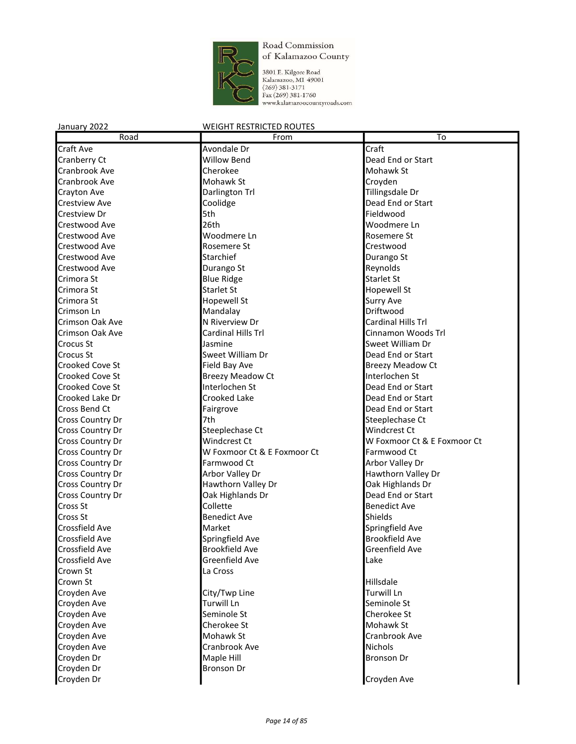

3801 E. Kilgore Road<br>Kalamazoo, MI 49001<br>(269) 381-3171<br>Fax (269) 381-1760<br>www.kalamazoocountyroads.com

| Road                  | From                        | $\overline{\text{To}}$      |
|-----------------------|-----------------------------|-----------------------------|
| Craft Ave             | Avondale Dr                 | Craft                       |
| Cranberry Ct          | <b>Willow Bend</b>          | Dead End or Start           |
| Cranbrook Ave         | Cherokee                    | Mohawk St                   |
| Cranbrook Ave         | Mohawk St                   | Croyden                     |
| Crayton Ave           | Darlington Trl              | Tillingsdale Dr             |
| <b>Crestview Ave</b>  | Coolidge                    | Dead End or Start           |
| Crestview Dr          | 5th                         | Fieldwood                   |
| Crestwood Ave         | 26th                        | Woodmere Ln                 |
| Crestwood Ave         | Woodmere Ln                 | Rosemere St                 |
| Crestwood Ave         | Rosemere St                 | Crestwood                   |
| Crestwood Ave         | Starchief                   | Durango St                  |
| Crestwood Ave         | Durango St                  | Reynolds                    |
| Crimora St            | <b>Blue Ridge</b>           | <b>Starlet St</b>           |
| Crimora St            | <b>Starlet St</b>           | Hopewell St                 |
| Crimora St            | <b>Hopewell St</b>          | <b>Surry Ave</b>            |
| Crimson Ln            | Mandalay                    | Driftwood                   |
| Crimson Oak Ave       | N Riverview Dr              | Cardinal Hills Trl          |
| Crimson Oak Ave       | Cardinal Hills Trl          | Cinnamon Woods Trl          |
| Crocus St             | Jasmine                     | Sweet William Dr            |
| Crocus St             | Sweet William Dr            | Dead End or Start           |
| Crooked Cove St       | Field Bay Ave               | <b>Breezy Meadow Ct</b>     |
| Crooked Cove St       | <b>Breezy Meadow Ct</b>     | Interlochen St              |
| Crooked Cove St       | Interlochen St              | Dead End or Start           |
| Crooked Lake Dr       | Crooked Lake                | Dead End or Start           |
| Cross Bend Ct         | Fairgrove                   | Dead End or Start           |
| Cross Country Dr      | 7th                         | Steeplechase Ct             |
| Cross Country Dr      | Steeplechase Ct             | Windcrest Ct                |
| Cross Country Dr      | <b>Windcrest Ct</b>         | W Foxmoor Ct & E Foxmoor Ct |
| Cross Country Dr      | W Foxmoor Ct & E Foxmoor Ct | Farmwood Ct                 |
| Cross Country Dr      | Farmwood Ct                 | Arbor Valley Dr             |
| Cross Country Dr      | Arbor Valley Dr             | Hawthorn Valley Dr          |
| Cross Country Dr      | Hawthorn Valley Dr          | Oak Highlands Dr            |
| Cross Country Dr      | Oak Highlands Dr            | Dead End or Start           |
| Cross St              | Collette                    | <b>Benedict Ave</b>         |
| Cross St              | <b>Benedict Ave</b>         | <b>Shields</b>              |
| Crossfield Ave        | Market                      | Springfield Ave             |
| Crossfield Ave        | Springfield Ave             | <b>Brookfield Ave</b>       |
| <b>Crossfield Ave</b> | <b>Brookfield Ave</b>       | Greenfield Ave              |
| Crossfield Ave        | Greenfield Ave              | Lake                        |
| Crown St              | La Cross                    |                             |
| Crown St              |                             | Hillsdale                   |
| Croyden Ave           | City/Twp Line               | Turwill Ln                  |
| Croyden Ave           | <b>Turwill Ln</b>           | Seminole St                 |
| Croyden Ave           | Seminole St                 | Cherokee St                 |
| Croyden Ave           | Cherokee St                 | Mohawk St                   |
| Croyden Ave           | Mohawk St                   | Cranbrook Ave               |
| Croyden Ave           | Cranbrook Ave               | Nichols                     |
| Croyden Dr            | Maple Hill                  | <b>Bronson Dr</b>           |
| Croyden Dr            | <b>Bronson Dr</b>           |                             |
| Croyden Dr            |                             | Croyden Ave                 |
|                       |                             |                             |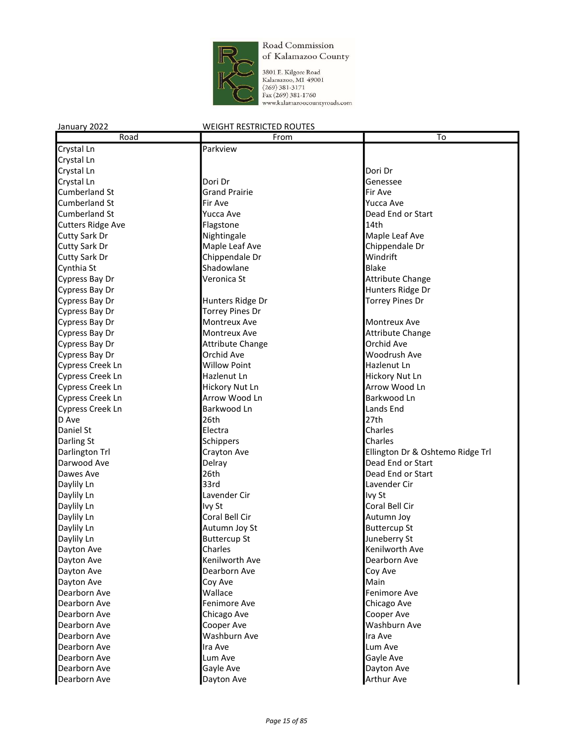

3801 E. Kilgore Road<br>Kalamazoo, MI 49001<br>(269) 381-3171<br>Fax (269) 381-1760<br>www.kalamazoocountyroads.com

| Road                     | From                    | To                               |
|--------------------------|-------------------------|----------------------------------|
| Crystal Ln               | Parkview                |                                  |
| Crystal Ln               |                         |                                  |
| Crystal Ln               |                         | Dori Dr                          |
| Crystal Ln               | Dori Dr                 | Genessee                         |
| <b>Cumberland St</b>     | <b>Grand Prairie</b>    | Fir Ave                          |
| <b>Cumberland St</b>     | Fir Ave                 | Yucca Ave                        |
| <b>Cumberland St</b>     | Yucca Ave               | Dead End or Start                |
| <b>Cutters Ridge Ave</b> | Flagstone               | 14th                             |
| <b>Cutty Sark Dr</b>     | Nightingale             | Maple Leaf Ave                   |
| <b>Cutty Sark Dr</b>     | Maple Leaf Ave          | Chippendale Dr                   |
| <b>Cutty Sark Dr</b>     | Chippendale Dr          | Windrift                         |
| Cynthia St               | Shadowlane              | <b>Blake</b>                     |
| Cypress Bay Dr           | Veronica St             | Attribute Change                 |
| Cypress Bay Dr           |                         | Hunters Ridge Dr                 |
| Cypress Bay Dr           | Hunters Ridge Dr        | <b>Torrey Pines Dr</b>           |
| Cypress Bay Dr           | <b>Torrey Pines Dr</b>  |                                  |
| Cypress Bay Dr           | Montreux Ave            | Montreux Ave                     |
| Cypress Bay Dr           | Montreux Ave            | Attribute Change                 |
| Cypress Bay Dr           | <b>Attribute Change</b> | Orchid Ave                       |
| Cypress Bay Dr           | Orchid Ave              | Woodrush Ave                     |
| Cypress Creek Ln         | <b>Willow Point</b>     | Hazlenut Ln                      |
| Cypress Creek Ln         | Hazlenut Ln             | Hickory Nut Ln                   |
| Cypress Creek Ln         | Hickory Nut Ln          | Arrow Wood Ln                    |
| Cypress Creek Ln         | Arrow Wood Ln           | Barkwood Ln                      |
| <b>Cypress Creek Ln</b>  | Barkwood Ln             | Lands End                        |
| D Ave                    | 26th                    | 27th                             |
| Daniel St                | Electra                 | Charles                          |
| Darling St               | Schippers               | Charles                          |
| Darlington Trl           | Crayton Ave             | Ellington Dr & Oshtemo Ridge Trl |
| Darwood Ave              | Delray                  | Dead End or Start                |
| Dawes Ave                | 26th                    | Dead End or Start                |
| Daylily Ln               | 33rd                    | Lavender Cir                     |
| Daylily Ln               | Lavender Cir            | Ivy St                           |
| Daylily Ln               | Ivy St                  | Coral Bell Cir                   |
| Daylily Ln               | Coral Bell Cir          | Autumn Joy                       |
| Daylily Ln               | Autumn Joy St           | <b>Buttercup St</b>              |
| Daylily Ln               | <b>Buttercup St</b>     | Juneberry St                     |
| Dayton Ave               | Charles                 | Kenilworth Ave                   |
| Dayton Ave               | Kenilworth Ave          | Dearborn Ave                     |
| Dayton Ave               | Dearborn Ave            | Coy Ave                          |
| Dayton Ave               | Coy Ave                 | Main                             |
| Dearborn Ave             | Wallace                 | Fenimore Ave                     |
| Dearborn Ave             | Fenimore Ave            | Chicago Ave                      |
| Dearborn Ave             | Chicago Ave             | Cooper Ave                       |
| Dearborn Ave             | Cooper Ave              | Washburn Ave                     |
| Dearborn Ave             | Washburn Ave            | Ira Ave                          |
| Dearborn Ave             | Ira Ave                 | Lum Ave                          |
| Dearborn Ave             | Lum Ave                 | Gayle Ave                        |
| Dearborn Ave             | Gayle Ave               | Dayton Ave                       |
| Dearborn Ave             | Dayton Ave              | Arthur Ave                       |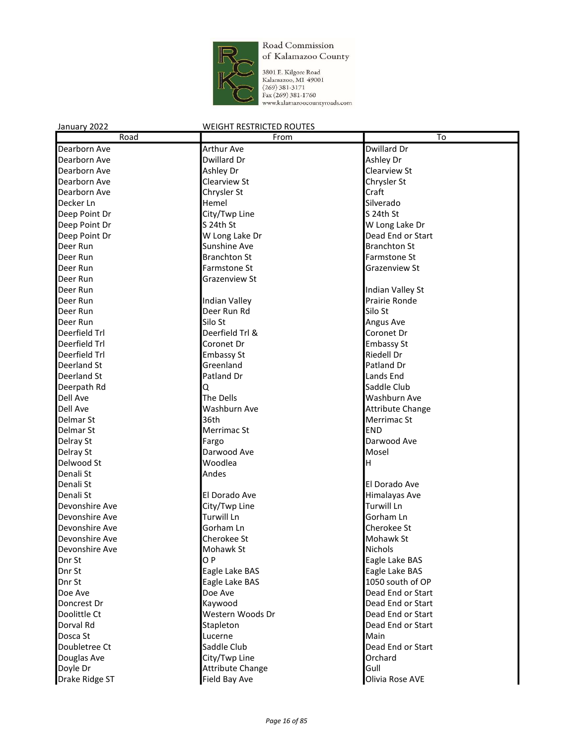

3801 E. Kilgore Road<br>Kalamazoo, MI 49001<br>(269) 381-3171<br>Fax (269) 381-1760<br>www.kalamazoocountyroads.com

| Road           | From                    | To                      |
|----------------|-------------------------|-------------------------|
| Dearborn Ave   | <b>Arthur Ave</b>       | Dwillard Dr             |
| Dearborn Ave   | Dwillard Dr             | Ashley Dr               |
| Dearborn Ave   | Ashley Dr               | Clearview St            |
| Dearborn Ave   | Clearview St            | Chrysler St             |
| Dearborn Ave   | Chrysler St             | Craft                   |
| Decker Ln      | Hemel                   | Silverado               |
| Deep Point Dr  | City/Twp Line           | S 24th St               |
| Deep Point Dr  | S 24th St               | W Long Lake Dr          |
| Deep Point Dr  | W Long Lake Dr          | Dead End or Start       |
| Deer Run       | Sunshine Ave            | <b>Branchton St</b>     |
| Deer Run       | <b>Branchton St</b>     | Farmstone St            |
| Deer Run       | Farmstone St            | <b>Grazenview St</b>    |
| Deer Run       | <b>Grazenview St</b>    |                         |
| Deer Run       |                         | Indian Valley St        |
| Deer Run       | <b>Indian Valley</b>    | Prairie Ronde           |
| Deer Run       | Deer Run Rd             | Silo St                 |
| Deer Run       | Silo St                 | <b>Angus Ave</b>        |
| Deerfield Trl  | Deerfield Trl &         | Coronet Dr              |
| Deerfield Trl  | Coronet Dr              | <b>Embassy St</b>       |
| Deerfield Trl  | <b>Embassy St</b>       | <b>Riedell Dr</b>       |
| Deerland St    | Greenland               | Patland Dr              |
| Deerland St    | Patland Dr              | Lands End               |
| Deerpath Rd    | Q                       | Saddle Club             |
| Dell Ave       | The Dells               | Washburn Ave            |
| Dell Ave       | Washburn Ave            | <b>Attribute Change</b> |
| Delmar St      | 36th                    | Merrimac St             |
| Delmar St      | Merrimac St             | <b>END</b>              |
| Delray St      | Fargo                   | Darwood Ave             |
| Delray St      | Darwood Ave             | Mosel                   |
| Delwood St     | Woodlea                 | н                       |
| Denali St      | Andes                   |                         |
| Denali St      |                         | El Dorado Ave           |
| Denali St      | El Dorado Ave           | Himalayas Ave           |
| Devonshire Ave | City/Twp Line           | <b>Turwill Ln</b>       |
| Devonshire Ave | <b>Turwill Ln</b>       | Gorham Ln               |
| Devonshire Ave | Gorham Ln               | Cherokee St             |
| Devonshire Ave | Cherokee St             | Mohawk St               |
| Devonshire Ave | Mohawk St               | Nichols                 |
| Dnr St         | OP                      | Eagle Lake BAS          |
| Dnr St         | Eagle Lake BAS          | Eagle Lake BAS          |
| Dnr St         | Eagle Lake BAS          | 1050 south of OP        |
| Doe Ave        | Doe Ave                 | Dead End or Start       |
| Doncrest Dr    | Kaywood                 | Dead End or Start       |
| Doolittle Ct   | Western Woods Dr        | Dead End or Start       |
| Dorval Rd      | Stapleton               | Dead End or Start       |
| Dosca St       | Lucerne                 | Main                    |
| Doubletree Ct  | Saddle Club             | Dead End or Start       |
| Douglas Ave    | City/Twp Line           | Orchard                 |
| Doyle Dr       | <b>Attribute Change</b> | Gull                    |
| Drake Ridge ST | Field Bay Ave           | Olivia Rose AVE         |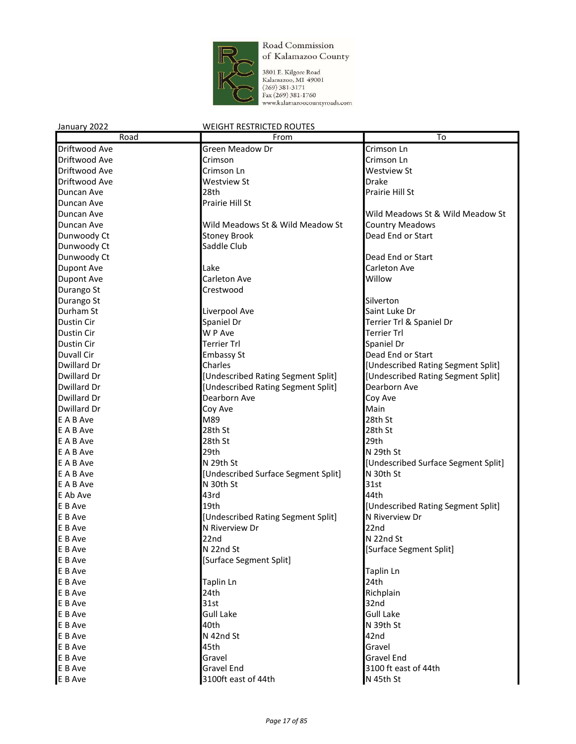

3801 E. Kilgore Road<br>Kalamazoo, M1 49001<br>(269) 381-3171<br>Fax (269) 381-1760<br>www.kalamazoocountyroads.com

| January 2022      | <b>WEIGHT RESTRICTED ROUTES</b>     |                                     |
|-------------------|-------------------------------------|-------------------------------------|
| Road              | From                                | To                                  |
| Driftwood Ave     | Green Meadow Dr                     | Crimson Ln                          |
| Driftwood Ave     | Crimson                             | Crimson Ln                          |
| Driftwood Ave     | Crimson Ln                          | <b>Westview St</b>                  |
| Driftwood Ave     | <b>Westview St</b>                  | <b>Drake</b>                        |
| Duncan Ave        | 28th                                | Prairie Hill St                     |
| Duncan Ave        | Prairie Hill St                     |                                     |
| Duncan Ave        |                                     | Wild Meadows St & Wild Meadow St    |
| Duncan Ave        | Wild Meadows St & Wild Meadow St    | <b>Country Meadows</b>              |
| Dunwoody Ct       | <b>Stoney Brook</b>                 | Dead End or Start                   |
| Dunwoody Ct       | Saddle Club                         |                                     |
| Dunwoody Ct       |                                     | Dead End or Start                   |
| <b>Dupont Ave</b> | Lake                                | Carleton Ave                        |
| <b>Dupont Ave</b> | Carleton Ave                        | Willow                              |
| Durango St        | Crestwood                           |                                     |
| Durango St        |                                     | Silverton                           |
| Durham St         | Liverpool Ave                       | Saint Luke Dr                       |
| Dustin Cir        | Spaniel Dr                          | Terrier Trl & Spaniel Dr            |
| Dustin Cir        | W P Ave                             | <b>Terrier Trl</b>                  |
| Dustin Cir        | Terrier Trl                         | Spaniel Dr                          |
| Duvall Cir        | <b>Embassy St</b>                   | Dead End or Start                   |
| Dwillard Dr       | Charles                             | [Undescribed Rating Segment Split]  |
| Dwillard Dr       | [Undescribed Rating Segment Split]  | [Undescribed Rating Segment Split]  |
| Dwillard Dr       | [Undescribed Rating Segment Split]  | Dearborn Ave                        |
| Dwillard Dr       | Dearborn Ave                        | Coy Ave                             |
| Dwillard Dr       | Coy Ave                             | Main                                |
| E A B Ave         | M89                                 | 28th St                             |
| E A B Ave         | 28th St                             | 28th St                             |
| E A B Ave         | 28th St                             | 29th                                |
| E A B Ave         | 29th                                | N 29th St                           |
| E A B Ave         | N 29th St                           | [Undescribed Surface Segment Split] |
| E A B Ave         | [Undescribed Surface Segment Split] | N 30th St                           |
| E A B Ave         | N 30th St                           | 31st                                |
| E Ab Ave          | 43rd                                | 44th                                |
| E B Ave           | 19th                                | [Undescribed Rating Segment Split]  |
| E B Ave           | [Undescribed Rating Segment Split]  | N Riverview Dr                      |
| E B Ave           | N Riverview Dr                      | 22nd                                |
| E B Ave           | 22nd                                | N 22nd St                           |
| E B Ave           | N 22nd St                           | [Surface Segment Split]             |
| E B Ave           | [Surface Segment Split]             |                                     |
| E B Ave           |                                     | Taplin Ln                           |
| E B Ave           | Taplin Ln                           | 24th                                |
| E B Ave           | 24th                                | Richplain                           |
| E B Ave           | 31st                                | 32nd                                |
| E B Ave           | <b>Gull Lake</b>                    | <b>Gull Lake</b>                    |
| E B Ave           | 40th                                | N 39th St                           |
| E B Ave           | N 42nd St                           | 42nd                                |
| E B Ave           | 45th                                | Gravel                              |
| E B Ave           | Gravel                              | Gravel End                          |
| E B Ave           | <b>Gravel End</b>                   | 3100 ft east of 44th                |
| E B Ave           | 3100ft east of 44th                 | N 45th St                           |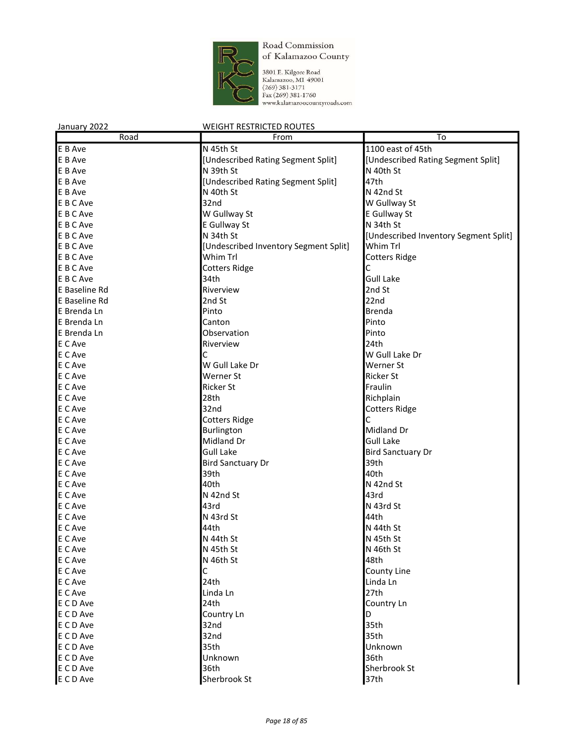

3801 E. Kilgore Road<br>Kalamazoo, M1 49001<br>(269) 381-3171<br>Fax (269) 381-1760<br>www.kalamazoocountyroads.com

| January 2022  | <b>WEIGHT RESTRICTED ROUTES</b>       |                                       |
|---------------|---------------------------------------|---------------------------------------|
| Road          | From                                  | To                                    |
| E B Ave       | N 45th St                             | 1100 east of 45th                     |
| E B Ave       | [Undescribed Rating Segment Split]    | [Undescribed Rating Segment Split]    |
| E B Ave       | N 39th St                             | N 40th St                             |
| E B Ave       | [Undescribed Rating Segment Split]    | 47th                                  |
| E B Ave       | N 40th St                             | N 42nd St                             |
| E B C Ave     | 32nd                                  | W Gullway St                          |
| E B C Ave     | W Gullway St                          | E Gullway St                          |
| E B C Ave     | E Gullway St                          | N 34th St                             |
| E B C Ave     | N 34th St                             | [Undescribed Inventory Segment Split] |
| E B C Ave     | [Undescribed Inventory Segment Split] | Whim Trl                              |
| E B C Ave     | Whim Trl                              | <b>Cotters Ridge</b>                  |
| E B C Ave     | <b>Cotters Ridge</b>                  | C                                     |
| E B C Ave     | 34th                                  | <b>Gull Lake</b>                      |
| E Baseline Rd | Riverview                             | 2nd St                                |
| E Baseline Rd | 2nd St                                | 22nd                                  |
| E Brenda Ln   | Pinto                                 | <b>Brenda</b>                         |
| E Brenda Ln   | Canton                                | Pinto                                 |
| E Brenda Ln   | Observation                           | Pinto                                 |
| E C Ave       | Riverview                             | 24th                                  |
| E C Ave       | С                                     | W Gull Lake Dr                        |
| E C Ave       | W Gull Lake Dr                        | Werner St                             |
| E C Ave       | Werner St                             | <b>Ricker St</b>                      |
| E C Ave       | <b>Ricker St</b>                      | Fraulin                               |
| E C Ave       | 28th                                  | Richplain                             |
| E C Ave       | 32nd                                  | <b>Cotters Ridge</b>                  |
| E C Ave       | <b>Cotters Ridge</b>                  | С                                     |
| E C Ave       | Burlington                            | Midland Dr                            |
| E C Ave       | Midland Dr                            | <b>Gull Lake</b>                      |
| E C Ave       | <b>Gull Lake</b>                      | <b>Bird Sanctuary Dr</b>              |
| E C Ave       | <b>Bird Sanctuary Dr</b>              | 39th                                  |
| E C Ave       | 39th                                  | 40th                                  |
| E C Ave       | 40th                                  | N 42nd St                             |
| E C Ave       | N 42nd St                             | 43rd                                  |
| E C Ave       | 43rd                                  | N 43rd St                             |
| E C Ave       | N 43rd St                             | 44th                                  |
| E C Ave       | 44th                                  | N 44th St                             |
| E C Ave       | N 44th St                             | N 45th St                             |
| E C Ave       | N 45th St                             | N 46th St                             |
| E C Ave       | N 46th St                             | 48th                                  |
| E C Ave       | С                                     | County Line                           |
| E C Ave       | 24th                                  | Linda Ln                              |
| E C Ave       | Linda Ln                              | 27th                                  |
| E C D Ave     | 24th                                  | Country Ln                            |
| E C D Ave     | Country Ln                            | D                                     |
| E C D Ave     | 32nd                                  | 35th                                  |
| E C D Ave     | 32nd                                  | 35th                                  |
| E C D Ave     | 35th                                  | Unknown                               |
| E C D Ave     | Unknown                               | 36th                                  |
| E C D Ave     | 36th                                  | Sherbrook St                          |
| E C D Ave     | Sherbrook St                          | 37 <sub>th</sub>                      |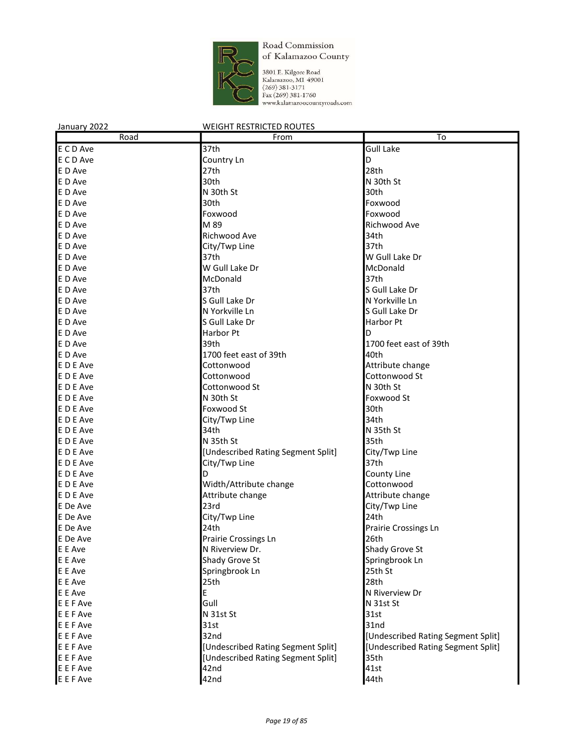

3801 E. Kilgore Road Kalamazoo, MI 49001  $(269)$  381-3171 Fax (269) 381-1760 www.kalamazoocountyroads.com

#### January 2022 WEIGHT RESTRICTED ROUTES Road **From To** E C D Ave 37th Gull Lake E C D Ave **Country Ln** Country Ln E D Ave 28th E D Ave 30th N 30th St E D Ave 30th St 30th St 30th St 30th E D Ave 30th Foxwood E D Ave Foxwood Foxwood Foxwood Foxwood Foxwood Foxwood Foxwood Foxwood Foxwood Foxwood Foxwood Foxwood Foxwood E D Ave **M 89** M 89 Richwood Ave E D Ave 34th E D Ave City/Twp Line 37th E B Ave 10 and 10 and 10 and 10 and 10 and 10 and 10 and 10 and 10 and 10 and 10 and 10 and 10 and 10 and 10 and 10 and 10 and 10 and 10 and 10 and 10 and 10 and 10 and 10 and 10 and 10 and 10 and 10 and 10 and 10 and 10 a E D Ave **W** Gull Lake Dr McDonald E D Ave and South American McDonald and South Ave and South Ave and South Ave and South Ave and South Ave and South Ave and South Ave and South Ave and South Ave and South Ave and South Ave and South Ave and South Ave and E D Ave 37th S Gull Lake Dr E D Ave North Contract Area S Gull Lake Dr N S (North N Yorkville Ln E D Ave N Yorkville Ln S Gull Lake Dr E D Ave **S** Gull Lake Dr **Harbor Pt** Harbor Pt E D Ave **D** Ave **Harbor Pt Harbor Pt** E D Ave 39th 39th 39th 1700 feet east of 39th E D Ave 1700 feet east of 39th 40th E D E Ave **Cottonwood Continue Continue Attribute change** E D E Ave **Cottonwood** Cottonwood **Cottonwood** Cottonwood **Cottonwood** Cottonwood Cottonwood St E D E Ave Not all a new Section Cottonwood St Cotton N 30th St E D E Ave **N** 30th St Foxwood St E D E Ave 30th E D E Ave 34th E D E Ave N 35th St N 35th St N 35th St N 35th St N 35th St N 35th St N 35th St N 35th St E D E Ave 35th St 35th St 35th St 35th 35th E D E Ave **EXECUTE:** [Undescribed Rating Segment Split] **City/Twp Line** E D E Ave 37th E D E Ave **D** D County Line E D E Ave **EXECUTE:** Number 2011 Width/Attribute change Cottonwood E D E Ave **Attribute change Attribute change Attribute change Attribute change** E De Ave 23rd 23rd 23rd City/Twp Line E De Ave 24th E De Ave 2012 24th 24th 22th Prairie Crossings Ln E De Ave **Prairie Crossings Ln** 26th E E Ave N Riverview Dr. Shady Grove St E E Ave Shady Grove St Springbrook Ln Springbrook Ln Springbrook Ln Springbrook Ln Springbrook Ln Springbrook Ln Springbrook Ln Springbrook Ln Springbrook Ln Springbrook Ln Springbrook Ln Springbrook Ln Springbrook Ln Spri Springbrook Ln 25th St E E Ave 28th E E Ave **E** N Riverview Dr E E F Ave N 31st St E E F Ave 31st St E E F Ave 31st 31st 31st E E F Ave 32nd [Undescribed Rating Segment Split] E F Ave **EXECT CONCOCOLLY CONCOCOLLY CONCOCOLLY CONCOCOLLY CONCOCOLLY CONCOCOLLY CONCOCOLLY CONCOCOLLY CONCOCOLLY CONCOCOLLY CONCOCOLLY CONCOCOLLY CONCOCOLLY CONCOCOLLY CONCOCOLLY CONCOCOLLY CONCOCOLLY CONCOCOLLY CONCOCOLL** E E F Ave **EXECUTE:** [Undescribed Rating Segment Split] 35th E E F Ave 41st E E F Ave 44th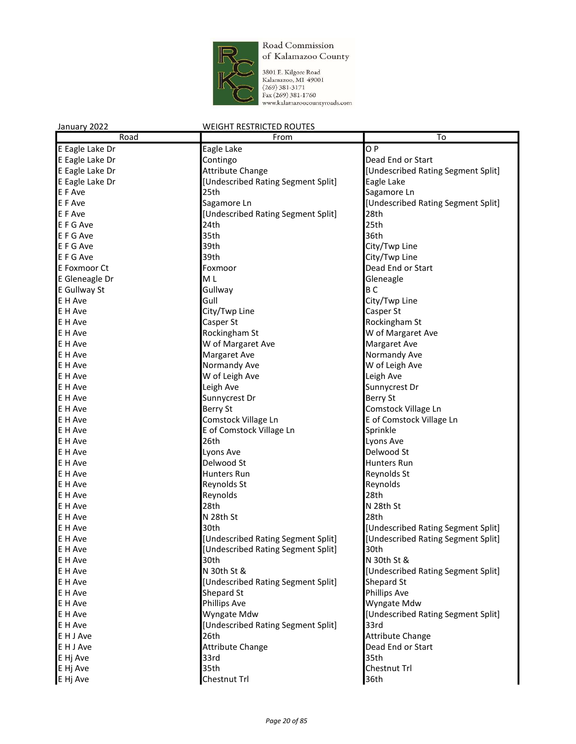

3801 E. Kilgore Road Kalamazoo, MI 49001  $(269)$  381-3171 Fax (269) 381-1760 www.kalamazoocountyroads.com

#### January 2022 WEIGHT RESTRICTED ROUTES Road **From To** E Eagle Lake Dr **Eagle Lake** C P E Eagle Lake Dr **Contingo** Contingo **Dead End or Start** E Eagle Lake Dr **Attribute Change E** Eagle Lake Dr **Attribute Change and Club** [Undescribed Rating Segment Split] E Eagle Lake Dr **Eagle Lake** [Undescribed Rating Segment Split] **Eagle Lake** E F Ave **25th** Sagamore Ln 25th Sagamore Ln 25th Sagamore Ln 25th Sagamore Ln 25th Sagamore Ln 25th Sagamore Ln E F Ave **Sagamore Ln** Sagamore Ln **E F** Ave Split Lundescribed Rating Segment Split E F Ave **EXECUTE:** [Undescribed Rating Segment Split] 28th E F G Ave 25th E F G Ave 36th 35th 35th 35th 36th E F G Ave 39th 39th City/Twp Line E F G Ave **39th** 39th City/Twp Line E Foxmoor Ct **Foxmoor Foxmoor E** Foxmoor **Dead End or Start** E Gleneagle Dr **M** L Gleneagle Dr Gleneagle E Gullway St **Gullway Community** Gullway **B C** E H Ave **Gull** Gull **Gull** City/Twp Line E H Ave Casper St Casper St Casper St Casper St Casper St Casper St Casper St Casper St E H Ave **Casper St** Casper St **Casper St** Rockingham St E H Ave **Rockingham St** W of Margaret Ave E H Ave **Margaret Ave Margaret Ave** Margaret Ave Margaret Ave E H Ave Normandy Ave Normandy Ave Normandy Ave Normandy Ave Normandy Ave Normandy Ave Normandy Ave Normandy Ave E H Ave Normandy Ave Normandy Ave Normandy Ave Normandy Ave Normandy Ave Normandy Ave North Ave North Ave North Ave E H Ave Leigh Ave Leigh Ave Leigh Ave Leigh Ave Leigh Ave Leigh Ave Leigh Ave Leigh Ave Leigh Ave Leigh Ave Leigh Ave Leigh Ave Leigh Ave Leigh Ave Leigh Ave Leigh Ave Leigh Ave Leigh Ave Leigh Ave Leigh Ave Leigh Ave Leig E H Ave Sunnycrest Dr **E** Leigh Ave Sunnycrest Dr **Sunnycrest** Dr E H Ave Berry St E H Ave **Berry St** Berry St **Comstock Village Ln** E H Ave **COMSTOCK Village Ln** E of Comstock Village Ln E H Ave Sprinkle **E** of Comstock Village Ln Sprinkle E H Ave 26th Lyons Ave E H Ave **Delwood Strategies Ave** Lyons Ave **Delwood Strategies Ave and Delwood Strategies** E H Ave **Delwood St Delwood St Contains Run** E H Ave **Hunters Run Reynolds St** Reynolds St Reynolds St Reynolds St E H Ave **Reynolds** Reynolds St **Reynolds** St **Reynolds** Reynolds St **Reynolds** E H Ave 28th E H Ave N 28th N 28th N 28th N 28th St E H Ave 28th St 28th St 28th St 28th E H Ave 30th [Undescribed Rating Segment Split] E H Ave **Example 20 Telepon Controller Segment Split** [Undescribed Rating Segment Split] [Undescribed Rating Segment Split] E H Ave **EXECUTE:** [Undescribed Rating Segment Split] 30th E H Ave N 30th St & N 30th St & N 30th St & N 30th St & N 30th St & N 30th St & N 30th St & N 30th St & N 30th St & N 30th St & N 30th St & N 30th St & N 30th St & N 30th St & N 30th St & N 30th St & N 30th St & N 30th St E H Ave **N 30th St & COMB CON 2018** [Undescribed Rating Segment Split] E H Ave **EXECUTE 1** [Undescribed Rating Segment Split] Shepard St E H Ave **Shepard Struck Ave Shepard Struck Ave Shepard Struck** Phillips Ave **Phillips Ave** E H Ave **Phillips Ave Community Ave Ave Ave Ave Ave Ave** Myngate Mdw E H Ave **EXECUTE ACCOMPLISION** Wyngate Mdw **EXECUTE 1** [Undescribed Rating Segment Split] E H Ave **EXECUTE:** [Undescribed Rating Segment Split] 33rd E H J Ave 26th Attribute Change E H J Ave **Attribute Change Change Change Dead End or Start Change Dead End or Start** E Hj Ave 35th E Hj Ave 35th Chestnut Trl E Hj Ave Chestnut Trl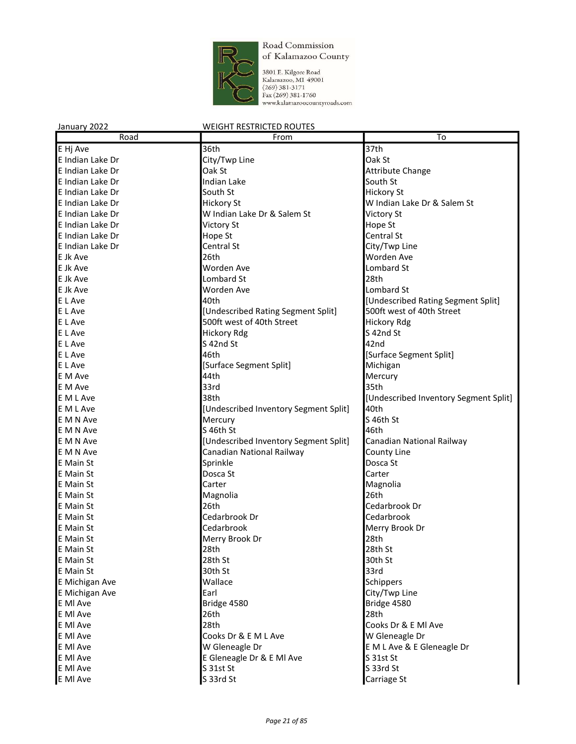

3801 E. Kilgore Road<br>Kalamazoo, MI 49001<br>(269) 381-3171<br>Fax (269) 381-1760<br>www.kalamazoocountyroads.com

| Road                 | From                                  | To                                        |
|----------------------|---------------------------------------|-------------------------------------------|
| E Hj Ave             | 36th                                  | 37th                                      |
| E Indian Lake Dr     | City/Twp Line                         | Oak St                                    |
| E Indian Lake Dr     | Oak St                                | <b>Attribute Change</b>                   |
| E Indian Lake Dr     | <b>Indian Lake</b>                    | South St                                  |
| E Indian Lake Dr     | South St                              | <b>Hickory St</b>                         |
| E Indian Lake Dr     | <b>Hickory St</b>                     | W Indian Lake Dr & Salem St               |
| E Indian Lake Dr     | W Indian Lake Dr & Salem St           | <b>Victory St</b>                         |
| E Indian Lake Dr     | <b>Victory St</b>                     | Hope St                                   |
| E Indian Lake Dr     | Hope St                               | Central St                                |
| E Indian Lake Dr     | Central St                            | City/Twp Line                             |
| E Jk Ave             | 26th                                  | Worden Ave                                |
| E Jk Ave             | Worden Ave                            | Lombard St                                |
| E Jk Ave             | Lombard St                            | 28th                                      |
| E Jk Ave             | Worden Ave                            | Lombard St                                |
| E L Ave              | 40th                                  | [Undescribed Rating Segment Split]        |
| E L Ave              | [Undescribed Rating Segment Split]    | 500ft west of 40th Street                 |
| E L Ave              | 500ft west of 40th Street             | <b>Hickory Rdg</b>                        |
| E L Ave              | <b>Hickory Rdg</b>                    | S 42nd St                                 |
| E L Ave              | S 42nd St                             | 42nd                                      |
| E L Ave              | 46th                                  | [Surface Segment Split]                   |
| E L Ave              | [Surface Segment Split]               | Michigan                                  |
| E M Ave              | 44th                                  | Mercury                                   |
| E M Ave              | 33rd                                  | 35th                                      |
| E M L Ave            | 38th                                  | [Undescribed Inventory Segment Split]     |
| E M L Ave            | [Undescribed Inventory Segment Split] | 40th                                      |
| E M N Ave            | Mercury                               | S 46th St                                 |
| E M N Ave            | S 46th St                             | 46th                                      |
| E M N Ave            | [Undescribed Inventory Segment Split] | Canadian National Railway                 |
| E M N Ave            | Canadian National Railway             | County Line                               |
| E Main St            | Sprinkle                              | Dosca St                                  |
| IE Main St           | Dosca St                              | Carter                                    |
| IE Main St           | Carter                                | Magnolia                                  |
| E Main St            | Magnolia                              | 26th                                      |
| E Main St            | 26th                                  | Cedarbrook Dr                             |
| E Main St            | Cedarbrook Dr                         | Cedarbrook                                |
| <b>E</b> Main St     | Cedarbrook                            | Merry Brook Dr                            |
| E Main St            |                                       | 28th                                      |
| E Main St            | Merry Brook Dr<br>28th                | 28th St                                   |
| <b>E</b> Main St     | 28th St                               | 30th St                                   |
| <b>E</b> Main St     | 30th St                               | 33rd                                      |
| E Michigan Ave       | Wallace                               | Schippers                                 |
| E Michigan Ave       | Earl                                  | City/Twp Line                             |
|                      |                                       | Bridge 4580                               |
| E MI Ave<br>E MI Ave | Bridge 4580<br>26th                   | 28th                                      |
| E MI Ave             | 28th                                  | Cooks Dr & E MI Ave                       |
| E MI Ave             | Cooks Dr & E M L Ave                  |                                           |
|                      |                                       | W Gleneagle Dr                            |
| E MI Ave             | W Gleneagle Dr                        | E M L Ave & E Gleneagle Dr<br>$S$ 31st St |
| E MI Ave             | E Gleneagle Dr & E MI Ave             |                                           |
| E MI Ave             | S 31st St                             | S 33rd St                                 |
| E MI Ave             | S 33rd St                             | Carriage St                               |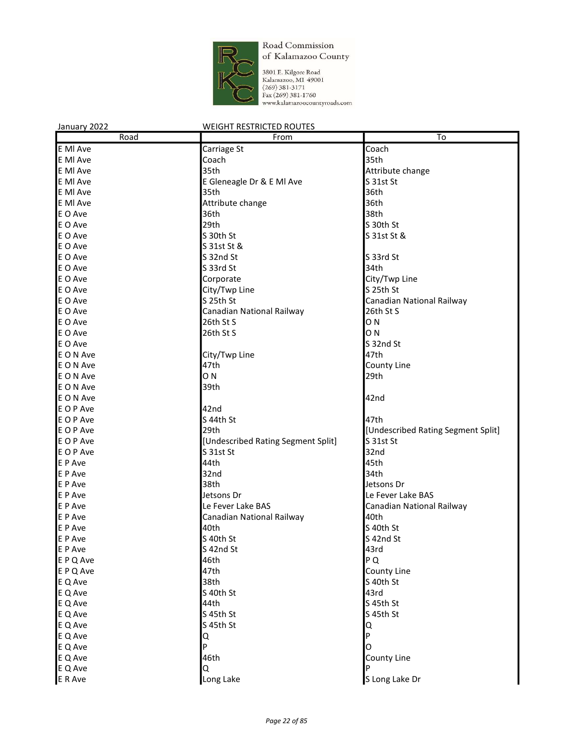

3801 E. Kilgore Road<br>Kalamazoo, M1 49001<br>(269) 381-3171<br>Fax (269) 381-1760<br>www.kalamazoocountyroads.com

| January 2022 | <b>WEIGHT RESTRICTED ROUTES</b>    |                                    |
|--------------|------------------------------------|------------------------------------|
| Road         | From                               | To                                 |
| E MI Ave     | Carriage St                        | Coach                              |
| E MI Ave     | Coach                              | 35th                               |
| E MI Ave     | 35th                               | Attribute change                   |
| E MI Ave     | E Gleneagle Dr & E MI Ave          | S 31st St                          |
| E MI Ave     | 35th                               | 36th                               |
| E MI Ave     | Attribute change                   | 36th                               |
| E O Ave      | 36th                               | 38th                               |
| E O Ave      | 29th                               | S 30th St                          |
| E O Ave      | S 30th St                          | S 31st St &                        |
| E O Ave      | S 31st St &                        |                                    |
| E O Ave      | S 32nd St                          | S 33rd St                          |
| E O Ave      | S 33rd St                          | 34th                               |
| E O Ave      | Corporate                          | City/Twp Line                      |
| E O Ave      | City/Twp Line                      | S 25th St                          |
| E O Ave      | S 25th St                          | Canadian National Railway          |
| E O Ave      | Canadian National Railway          | 26th St S                          |
| E O Ave      | 26th St S                          | ON                                 |
| E O Ave      | 26th St S                          | ON                                 |
| E O Ave      |                                    | S 32nd St                          |
| E O N Ave    | City/Twp Line                      | 47th                               |
| E O N Ave    | 47th                               | County Line                        |
| E O N Ave    | ON.                                | 29th                               |
| E O N Ave    | 39th                               |                                    |
| E O N Ave    |                                    | 42nd                               |
| E O P Ave    | 42nd                               |                                    |
| E O P Ave    | S 44th St                          | 47th                               |
| E O P Ave    | 29th                               | [Undescribed Rating Segment Split] |
| E O P Ave    | [Undescribed Rating Segment Split] | S 31st St                          |
| E O P Ave    | S 31st St                          | 32nd                               |
| E P Ave      | 44th                               | 45th                               |
| E P Ave      | 32nd                               | 34th                               |
| E P Ave      | 38th                               | Jetsons Dr                         |
| E P Ave      | Jetsons Dr                         | Le Fever Lake BAS                  |
| E P Ave      | Le Fever Lake BAS                  | Canadian National Railway          |
| E P Ave      | Canadian National Railway          | 40th                               |
| E P Ave      | 40th                               | S 40th St                          |
| E P Ave      | S 40th St                          | S 42nd St                          |
| E P Ave      | S 42nd St                          | 43rd                               |
| E P Q Ave    | 46th                               | P Q                                |
| E P Q Ave    | 47th                               | County Line                        |
| E Q Ave      | 38th                               | S 40th St                          |
| E Q Ave      | S 40th St                          | 43rd                               |
| E Q Ave      | 44th                               | S 45th St                          |
| E Q Ave      | S 45th St                          | S 45th St                          |
| E Q Ave      | S 45th St                          | Q                                  |
| E Q Ave      | Q                                  | P                                  |
| E Q Ave      | P                                  | O                                  |
| E Q Ave      | 46th                               | County Line                        |
| E Q Ave      | Q                                  | P                                  |
| E R Ave      | Long Lake                          | S Long Lake Dr                     |
|              |                                    |                                    |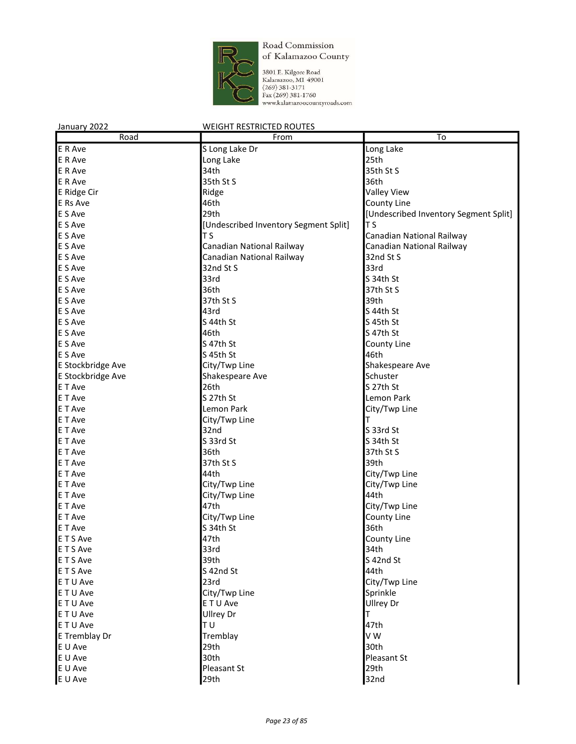

3801 E. Kilgore Road Kalamazoo, MI 49001  $(269)$  381-3171 Fax (269) 381-1760 www.kalamazoocountyroads.com

#### January 2022 WEIGHT RESTRICTED ROUTES Road **From To** E R Ave Show S Long Lake Dr Long Lake Long Lake Long Lake Long Lake Long Lake E R Ave and the Long Lake Long Lake and the Contract of the Contract of the Contract of the Contract of the Contract of the Contract of the Contract of the Contract of the Contract of the Contract of the Contract of the Co E R Ave 34th 34th 35th St S E R Ave 36th St S 35th St S 36th E Ridge Cir **Ridge Valley View** Ridge **Ridge** Valley View **Valley View** E Rs Ave **1998 County Line 1999 County Line County Line County Line** E S Ave **29th 2008** 29th **2008 2008 2008 2008 2008 2008 2008 2008 2008 2008 2008 2008 2008 2008 2008 2008 2008 2008 2008 2008 2008 2008 2008 2008 2008 2008 2008 2008** E S Ave **EXECUTE:** [Undescribed Inventory Segment Split] T S E S Ave **T S** T S Canadian National Railway E S Ave **Canadian National Railway**<br>
E S Ave **Canadian National Railway Canadian National Railway**<br>
E S Ave **Canadian National Railway** 32nd St S Canadian National Railway 32nd St S E S Ave 32nd St S 33rd E S Ave Solution Services Services and S 34th St E S Ave 37th St S 36th 37th St S E S Ave 39th St S 37th St S E S Ave Services and S 43rd S 44th St S 44th St E S Ave S 45th St S 44th St S 44th St S 45th St E S Ave Services and S 47th St and After Archives and After Archives and S 47th St and S 47th St and S 47th St E S Ave **S** 47th St County Line E S Ave 46th E Stockbridge Ave City/Twp Line Shakespeare Ave E Stockbridge Ave Shakespeare Ave Shakespeare Ave Shakespeare Ave Shakespeare Ave E T Ave Server Server Allen States and the 26th States of the Server Server States States States States States E T Ave S 27th St Lemon Park Lemon Park City/Twp Line E T Ave **City/Twp Line** T T Ave E T Ave Solution Service States and S 32nd States States States States States States States States States States States States States States States States States States States States States States States States States Stat E T Ave S 33rd St S 34th St E T Ave 37th St S 36th 37th St S E T Ave 39th St S 37th St S E T Ave **Archaeology City/Twp Line City/Twp Line** E T Ave City/Twp Line City/Twp Line City City/Twp Line City/Twp Line City<br>
City/Twp Line City City/Twp Line City City City City City City City E T Ave City/Twp Line 44th 47th **EXECUTE:** City/Twp Line E T Ave **COULD COULD COULD COULD COULD COULD COULD** COULD COULD COULD COULD COULD COULD COULD COULD COULD COULD COULD COULD COULD COULD COULD COULD COULD COULD COULD COULD COULD COULD COULD COULD COULD COULD COULD COULD CO E T Ave 36th E T S Ave 47th County Line E T S Ave 34th E T S Ave Server Server Server S 42nd St E T S Ave 44th E T U Ave 23rd City/Twp Line E T U Ave Sprinkle E T U Ave Ullrey Dr E T U Ave Ullrey Dr T E T U Ave 47th E Tremblay Dr **Example 19 Tremblay** Tremblay **CONFING 1989 129th** CONFINENT RELATIONS 120th 130th E U Ave 29th 29th 20th 30th E U Ave 30th Pleasant St E U Ave Pleasant St 29th E U Ave 32nd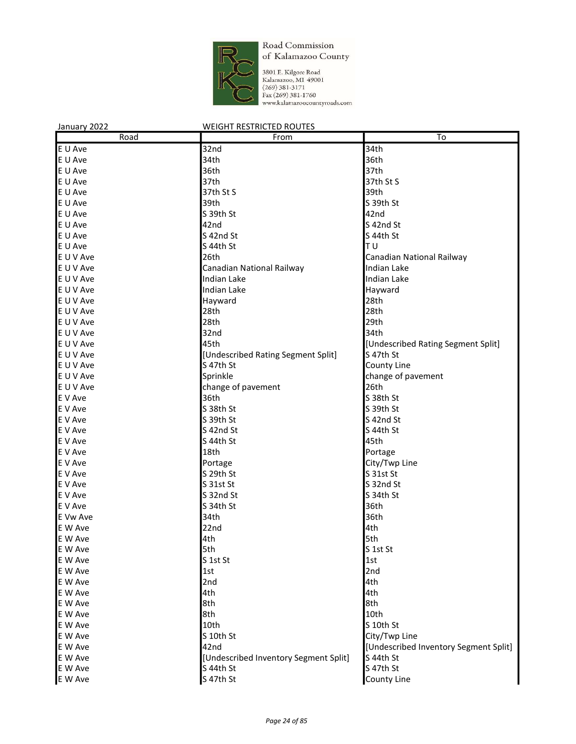

3801 E. Kilgore Road<br>Kalamazoo, MI 49001<br>(269) 381-3171<br>Fax (269) 381-1760<br>www.kalamazoocountyroads.com

| January 2022 | <b>WEIGHT RESTRICTED ROUTES</b>       |                                       |
|--------------|---------------------------------------|---------------------------------------|
| Road         | From                                  | To                                    |
| E U Ave      | 32nd                                  | 34th                                  |
| E U Ave      | 34th                                  | 36th                                  |
| E U Ave      | 36th                                  | 37th                                  |
| E U Ave      | 37th                                  | 37th St S                             |
| E U Ave      | 37th St S                             | 39th                                  |
| E U Ave      | 39th                                  | S 39th St                             |
| E U Ave      | S 39th St                             | 42nd                                  |
| E U Ave      | 42nd                                  | S 42nd St                             |
| E U Ave      | S 42nd St                             | S 44th St                             |
| E U Ave      | S 44th St                             | ΙTυ                                   |
| E U V Ave    | 26th                                  | Canadian National Railway             |
| E U V Ave    | Canadian National Railway             | Indian Lake                           |
| E U V Ave    | Indian Lake                           | Indian Lake                           |
| E U V Ave    | Indian Lake                           | Hayward                               |
| E U V Ave    | Hayward                               | 28th                                  |
| E U V Ave    | 28th                                  | 28th                                  |
| E U V Ave    | 28th                                  | 29th                                  |
| E U V Ave    | 32nd                                  | 34th                                  |
| E U V Ave    | 45th                                  | [Undescribed Rating Segment Split]    |
| E U V Ave    | [Undescribed Rating Segment Split]    | S 47th St                             |
| E U V Ave    | S 47th St                             | County Line                           |
| E U V Ave    | Sprinkle                              | change of pavement                    |
| E U V Ave    | change of pavement                    | 26th                                  |
| E V Ave      | 36th                                  | S 38th St                             |
| E V Ave      | S 38th St                             | S 39th St                             |
| E V Ave      | S 39th St                             | S 42nd St                             |
| E V Ave      | S 42nd St                             | S 44th St                             |
| E V Ave      | S 44th St                             | 45th                                  |
| E V Ave      | 18th                                  | Portage                               |
| E V Ave      | Portage                               | City/Twp Line                         |
| E V Ave      | S 29th St                             | S 31st St                             |
| E V Ave      | S 31st St                             | S 32nd St                             |
| E V Ave      | S 32nd St                             | S 34th St                             |
| E V Ave      | S 34th St                             | 36th                                  |
| E Vw Ave     | 34th                                  | 36th                                  |
| E W Ave      | 22nd                                  | 4th                                   |
| E W Ave      | 4th                                   | 5th                                   |
| E W Ave      | 5th                                   | S 1st St                              |
| E W Ave      | S 1st St                              | 1st                                   |
| E W Ave      | 1st                                   | 2nd                                   |
| E W Ave      | 2nd                                   | 4th                                   |
| E W Ave      | 4th                                   | 4th                                   |
| E W Ave      | 8th                                   | 8th                                   |
| E W Ave      | 8th                                   | 10th                                  |
| E W Ave      | 10th                                  | S 10th St                             |
| E W Ave      | S 10th St                             | City/Twp Line                         |
| E W Ave      | 42nd                                  | [Undescribed Inventory Segment Split] |
| E W Ave      | [Undescribed Inventory Segment Split] | S 44th St                             |
| E W Ave      | S 44th St                             | S 47th St                             |
| E W Ave      | S 47th St                             | <b>County Line</b>                    |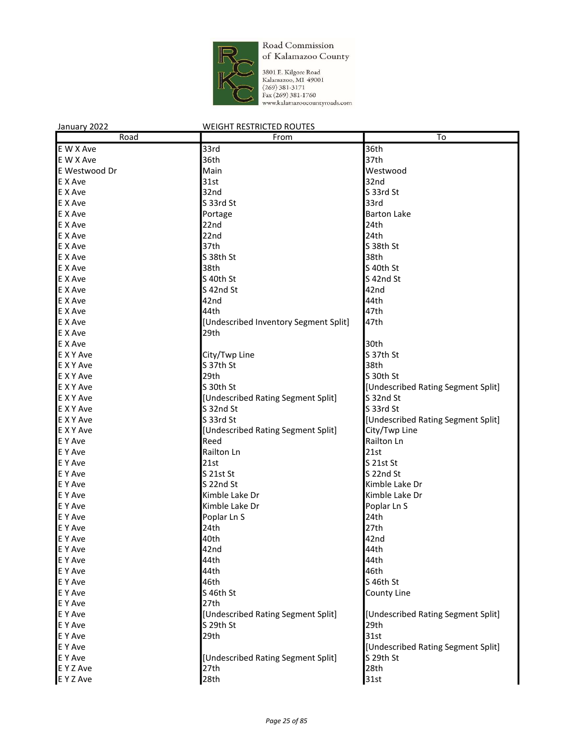

3801 E. Kilgore Road<br>Kalamazoo, MI 49001<br>(269) 381-3171<br>Fax (269) 381-1760<br>www.kalamazoocountyroads.com

| January 2022  | <b>WEIGHT RESTRICTED ROUTES</b>                 |                                    |
|---------------|-------------------------------------------------|------------------------------------|
| Road          | From                                            | To                                 |
| E W X Ave     | 33rd                                            | 36th                               |
| E W X Ave     | 36th                                            | 37th                               |
| E Westwood Dr | Main                                            | Westwood                           |
| E X Ave       | 31st                                            | 32nd                               |
| E X Ave       | 32nd                                            | S 33rd St                          |
| E X Ave       | S 33rd St                                       | 33rd                               |
| E X Ave       | Portage                                         | <b>Barton Lake</b>                 |
| E X Ave       | 22nd                                            | 24th                               |
| E X Ave       | 22nd                                            | 24th                               |
| E X Ave       | 37th                                            | S 38th St                          |
| E X Ave       | S 38th St                                       | 38th                               |
| E X Ave       | 38th                                            | S 40th St                          |
| E X Ave       | S 40th St                                       | S <sub>42nd</sub> St               |
| E X Ave       | S 42nd St                                       | 42nd                               |
| E X Ave       | 42nd                                            | 44th                               |
| E X Ave       | 44th                                            | 47th                               |
| E X Ave       | [Undescribed Inventory Segment Split]           | 47th                               |
| E X Ave       | 29th                                            |                                    |
| E X Ave       |                                                 | 30th                               |
| E X Y Ave     | City/Twp Line                                   | S 37th St                          |
| E X Y Ave     | S 37th St                                       | 38th                               |
| E X Y Ave     | 29th                                            | S 30th St                          |
| E X Y Ave     | S 30th St                                       | [Undescribed Rating Segment Split] |
| E X Y Ave     | [Undescribed Rating Segment Split]              | S 32nd St                          |
| E X Y Ave     | S 32nd St                                       | S 33rd St                          |
| E X Y Ave     | S 33rd St                                       | [Undescribed Rating Segment Split] |
| E X Y Ave     | [Undescribed Rating Segment Split]              | City/Twp Line                      |
| E Y Ave       | Reed                                            | Railton Ln                         |
| E Y Ave       | Railton Ln                                      | 21st                               |
| E Y Ave       | 21st                                            | $S$ 21st St                        |
| E Y Ave       | S 21st St                                       | S 22nd St                          |
| E Y Ave       | S 22nd St                                       | Kimble Lake Dr                     |
| E Y Ave       | Kimble Lake Dr                                  | Kimble Lake Dr                     |
| E Y Ave       | Kimble Lake Dr                                  | Poplar Ln S                        |
| E Y Ave       | Poplar Ln S                                     | 24th                               |
| E Y Ave       | 24th                                            | 27th                               |
| E Y Ave       | 40th                                            | 42nd                               |
| E Y Ave       | 42nd                                            | 44th                               |
| E Y Ave       | 44th                                            | 44th                               |
| E Y Ave       | 44th                                            | 46th                               |
| E Y Ave       | 46th                                            | S 46th St                          |
| E Y Ave       | S 46th St                                       |                                    |
|               | 27th                                            | County Line                        |
| E Y Ave       |                                                 |                                    |
| E Y Ave       | [Undescribed Rating Segment Split]<br>S 29th St | [Undescribed Rating Segment Split] |
| E Y Ave       |                                                 | 29th                               |
| E Y Ave       | 29th                                            | 31st                               |
| E Y Ave       |                                                 | [Undescribed Rating Segment Split] |
| E Y Ave       | [Undescribed Rating Segment Split]              | S 29th St                          |
| E Y Z Ave     | 27th                                            | 28th                               |
| E Y Z Ave     | 28th                                            | 31st                               |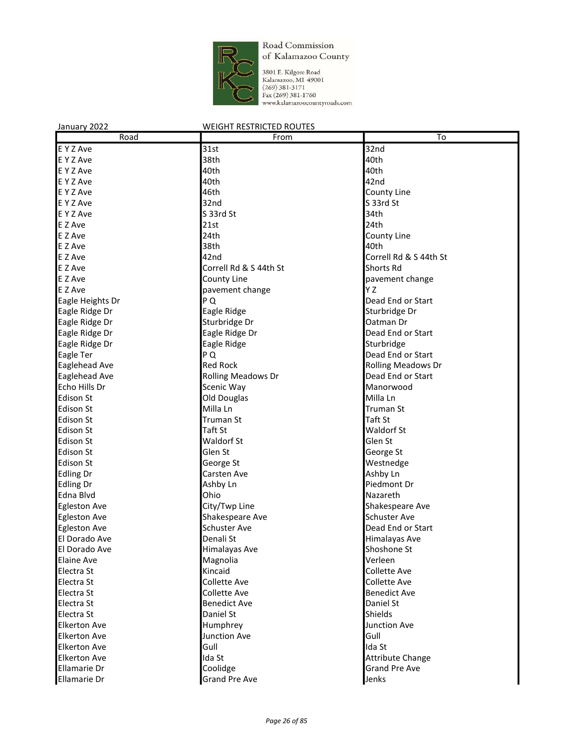

3801 E. Kilgore Road<br>Kalamazoo, MI 49001<br>(269) 381-3171<br>Fax (269) 381-1760<br>www.kalamazoocountyroads.com

| Road                | From                      | To                        |
|---------------------|---------------------------|---------------------------|
| E Y Z Ave           | 31st                      | 32nd                      |
| E Y Z Ave           | 38th                      | 40th                      |
| E Y Z Ave           | 40th                      | 40th                      |
| E Y Z Ave           | 40th                      | 42nd                      |
| E Y Z Ave           | 46th                      | County Line               |
| E Y Z Ave           | 32nd                      | S 33rd St                 |
| E Y Z Ave           | S 33rd St                 | 34th                      |
| E Z Ave             | 21st                      | 24th                      |
| E Z Ave             | 24th                      | County Line               |
| E Z Ave             | 38th                      | 40th                      |
| E Z Ave             | 42nd                      | Correll Rd & S 44th St    |
| E Z Ave             | Correll Rd & S 44th St    | <b>Shorts Rd</b>          |
| E Z Ave             | County Line               | pavement change           |
| E Z Ave             |                           | Y Z                       |
|                     | pavement change           |                           |
| Eagle Heights Dr    | P Q                       | Dead End or Start         |
| Eagle Ridge Dr      | Eagle Ridge               | Sturbridge Dr             |
| Eagle Ridge Dr      | Sturbridge Dr             | Oatman Dr                 |
| Eagle Ridge Dr      | Eagle Ridge Dr            | Dead End or Start         |
| Eagle Ridge Dr      | Eagle Ridge               | Sturbridge                |
| Eagle Ter           | P Q                       | Dead End or Start         |
| Eaglehead Ave       | <b>Red Rock</b>           | <b>Rolling Meadows Dr</b> |
| Eaglehead Ave       | <b>Rolling Meadows Dr</b> | Dead End or Start         |
| Echo Hills Dr       | Scenic Way                | Manorwood                 |
| <b>Edison St</b>    | Old Douglas               | Milla Ln                  |
| <b>Edison St</b>    | Milla Ln                  | <b>Truman St</b>          |
| Edison St           | <b>Truman St</b>          | Taft St                   |
| Edison St           | Taft St                   | <b>Waldorf St</b>         |
| <b>Edison St</b>    | <b>Waldorf St</b>         | Glen St                   |
| <b>Edison St</b>    | Glen St                   | George St                 |
| Edison St           | George St                 | Westnedge                 |
| <b>Edling Dr</b>    | Carsten Ave               | Ashby Ln                  |
| <b>Edling Dr</b>    | Ashby Ln                  | Piedmont Dr               |
| Edna Blvd           | Ohio                      | Nazareth                  |
| <b>Egleston Ave</b> | City/Twp Line             | Shakespeare Ave           |
| <b>Egleston Ave</b> | Shakespeare Ave           | <b>Schuster Ave</b>       |
| <b>Egleston Ave</b> | <b>Schuster Ave</b>       | Dead End or Start         |
| El Dorado Ave       | Denali St                 | Himalayas Ave             |
| El Dorado Ave       | Himalayas Ave             | Shoshone St               |
| Elaine Ave          | Magnolia                  | Verleen                   |
| Electra St          | Kincaid                   | Collette Ave              |
| Electra St          | <b>Collette Ave</b>       | Collette Ave              |
| Electra St          | Collette Ave              | <b>Benedict Ave</b>       |
| Electra St          | <b>Benedict Ave</b>       | Daniel St                 |
| Electra St          | Daniel St                 | Shields                   |
| <b>Elkerton Ave</b> | Humphrey                  | Junction Ave              |
| <b>Elkerton Ave</b> | Junction Ave              | Gull                      |
|                     |                           |                           |
| <b>Elkerton Ave</b> | Gull                      | Ida St                    |
| <b>Elkerton Ave</b> | Ida St                    | <b>Attribute Change</b>   |
| Ellamarie Dr        | Coolidge                  | <b>Grand Pre Ave</b>      |
| Ellamarie Dr        | <b>Grand Pre Ave</b>      | Jenks                     |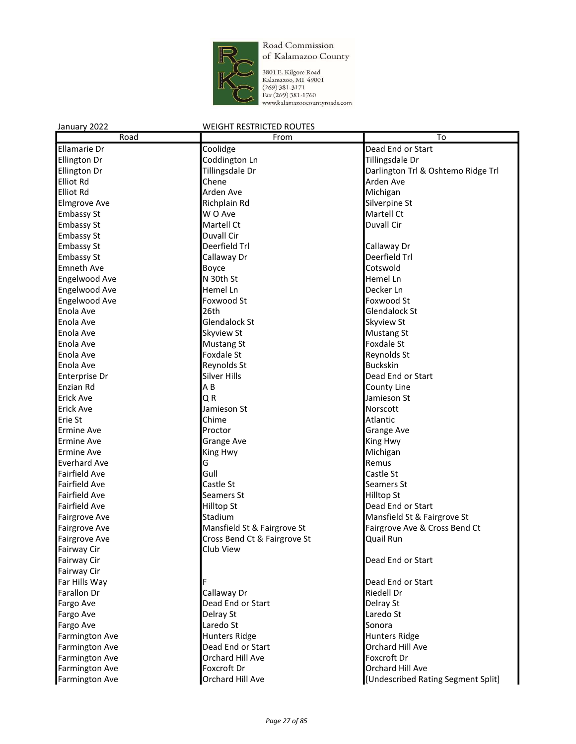

3801 E. Kilgore Road<br>Kalamazoo, MI 49001<br>(269) 381-3171<br>Fax (269) 381-1760<br>www.kalamazoocountyroads.com

| Road                  | From                         | To                                 |
|-----------------------|------------------------------|------------------------------------|
| Ellamarie Dr          | Coolidge                     | Dead End or Start                  |
| Ellington Dr          | Coddington Ln                | Tillingsdale Dr                    |
| Ellington Dr          | Tillingsdale Dr              | Darlington Trl & Oshtemo Ridge Trl |
| Elliot Rd             | Chene                        | Arden Ave                          |
| <b>Elliot Rd</b>      | Arden Ave                    | Michigan                           |
| <b>Elmgrove Ave</b>   | Richplain Rd                 | Silverpine St                      |
| <b>Embassy St</b>     | W O Ave                      | Martell Ct                         |
| <b>Embassy St</b>     | Martell Ct                   | Duvall Cir                         |
| <b>Embassy St</b>     | Duvall Cir                   |                                    |
| <b>Embassy St</b>     | Deerfield Trl                | Callaway Dr                        |
| <b>Embassy St</b>     | Callaway Dr                  | Deerfield Trl                      |
| <b>Emneth Ave</b>     | Boyce                        | Cotswold                           |
| Engelwood Ave         | N 30th St                    | Hemel Ln                           |
| <b>Engelwood Ave</b>  | Hemel Ln                     | Decker Ln                          |
| Engelwood Ave         | Foxwood St                   | Foxwood St                         |
| Enola Ave             | 26th                         | <b>Glendalock St</b>               |
| Enola Ave             | Glendalock St                | Skyview St                         |
| Enola Ave             | Skyview St                   | Mustang St                         |
| Enola Ave             | <b>Mustang St</b>            | Foxdale St                         |
| Enola Ave             | Foxdale St                   | Reynolds St                        |
| Enola Ave             | Reynolds St                  | <b>Buckskin</b>                    |
| Enterprise Dr         | <b>Silver Hills</b>          | Dead End or Start                  |
| Enzian Rd             | AB                           | County Line                        |
| Erick Ave             | QR                           | Jamieson St                        |
| <b>Erick Ave</b>      | Jamieson St                  | Norscott                           |
| Erie St               | Chime                        | Atlantic                           |
| Ermine Ave            | Proctor                      | <b>Grange Ave</b>                  |
| Ermine Ave            | Grange Ave                   | King Hwy                           |
| Ermine Ave            | King Hwy                     | Michigan                           |
| <b>Everhard Ave</b>   | G                            | Remus                              |
| <b>Fairfield Ave</b>  | Gull                         | Castle St                          |
| <b>Fairfield Ave</b>  | Castle St                    | Seamers St                         |
| <b>Fairfield Ave</b>  | Seamers St                   | Hilltop St                         |
| Fairfield Ave         | <b>Hilltop St</b>            | Dead End or Start                  |
| <b>Fairgrove Ave</b>  | Stadium                      | Mansfield St & Fairgrove St        |
| Fairgrove Ave         | Mansfield St & Fairgrove St  | Fairgrove Ave & Cross Bend Ct      |
| Fairgrove Ave         | Cross Bend Ct & Fairgrove St | <b>Quail Run</b>                   |
| Fairway Cir           | Club View                    |                                    |
| Fairway Cir           |                              | Dead End or Start                  |
| Fairway Cir           |                              |                                    |
| Far Hills Way         |                              | Dead End or Start                  |
| Farallon Dr           | Callaway Dr                  | Riedell Dr                         |
| Fargo Ave             | Dead End or Start            | Delray St                          |
| Fargo Ave             | Delray St                    | Laredo St                          |
| Fargo Ave             | Laredo St                    | Sonora                             |
| Farmington Ave        | <b>Hunters Ridge</b>         | Hunters Ridge                      |
| Farmington Ave        | Dead End or Start            | Orchard Hill Ave                   |
| Farmington Ave        | Orchard Hill Ave             | Foxcroft Dr                        |
| <b>Farmington Ave</b> | Foxcroft Dr                  | Orchard Hill Ave                   |
| <b>Farmington Ave</b> | Orchard Hill Ave             | [Undescribed Rating Segment Split] |
|                       |                              |                                    |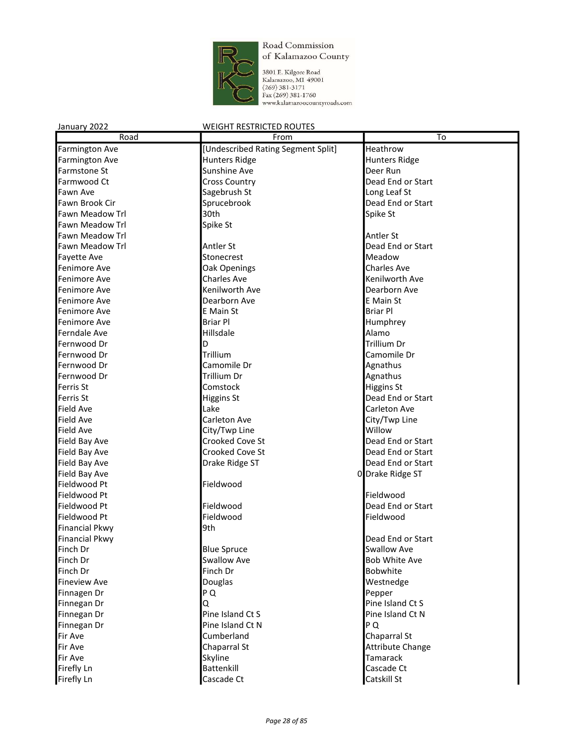

3801 E. Kilgore Road<br>Kalamazoo, MI 49001<br>(269) 381-3171<br>Fax (269) 381-1760<br>www.kalamazoocountyroads.com

| Road                   | From                               | To                      |
|------------------------|------------------------------------|-------------------------|
| <b>Farmington Ave</b>  | [Undescribed Rating Segment Split] | Heathrow                |
| Farmington Ave         | <b>Hunters Ridge</b>               | <b>Hunters Ridge</b>    |
| Farmstone St           | Sunshine Ave                       | Deer Run                |
| Farmwood Ct            | <b>Cross Country</b>               | Dead End or Start       |
| <b>Fawn Ave</b>        | Sagebrush St                       | Long Leaf St            |
| Fawn Brook Cir         | Sprucebrook                        | Dead End or Start       |
| <b>Fawn Meadow Trl</b> | 30th                               | Spike St                |
| <b>Fawn Meadow Trl</b> | Spike St                           |                         |
| <b>Fawn Meadow Trl</b> |                                    | Antler St               |
| Fawn Meadow Trl        | Antler St                          | Dead End or Start       |
| <b>Fayette Ave</b>     | Stonecrest                         | Meadow                  |
| Fenimore Ave           | Oak Openings                       | <b>Charles Ave</b>      |
| Fenimore Ave           | <b>Charles Ave</b>                 | Kenilworth Ave          |
| Fenimore Ave           | Kenilworth Ave                     | Dearborn Ave            |
| Fenimore Ave           | Dearborn Ave                       | E Main St               |
| Fenimore Ave           | E Main St                          | <b>Briar Pl</b>         |
| Fenimore Ave           | <b>Briar Pl</b>                    | Humphrey                |
| Ferndale Ave           | <b>Hillsdale</b>                   | Alamo                   |
| Fernwood Dr            | D                                  | <b>Trillium Dr</b>      |
| Fernwood Dr            | Trillium                           | Camomile Dr             |
| Fernwood Dr            | Camomile Dr                        | Agnathus                |
| Fernwood Dr            | <b>Trillium Dr</b>                 | Agnathus                |
| Ferris St              | Comstock                           | <b>Higgins St</b>       |
| Ferris St              | <b>Higgins St</b>                  | Dead End or Start       |
| <b>Field Ave</b>       | Lake                               | Carleton Ave            |
| Field Ave              | Carleton Ave                       | City/Twp Line           |
| Field Ave              | City/Twp Line                      | Willow                  |
| Field Bay Ave          | Crooked Cove St                    | Dead End or Start       |
| Field Bay Ave          | Crooked Cove St                    | Dead End or Start       |
| Field Bay Ave          | Drake Ridge ST                     | Dead End or Start       |
| Field Bay Ave          |                                    | 0 Drake Ridge ST        |
| Fieldwood Pt           | Fieldwood                          |                         |
| Fieldwood Pt           |                                    | Fieldwood               |
| Fieldwood Pt           | Fieldwood                          | Dead End or Start       |
| Fieldwood Pt           | Fieldwood                          | Fieldwood               |
| <b>Financial Pkwy</b>  | l9th                               |                         |
| <b>Financial Pkwy</b>  |                                    | Dead End or Start       |
| Finch Dr               | <b>Blue Spruce</b>                 | <b>Swallow Ave</b>      |
| Finch Dr               | <b>Swallow Ave</b>                 | <b>Bob White Ave</b>    |
| Finch Dr               | Finch Dr                           | Bobwhite                |
| <b>Fineview Ave</b>    | Douglas                            | Westnedge               |
| Finnagen Dr            | PQ                                 | Pepper                  |
| Finnegan Dr            | Q                                  | Pine Island Ct S        |
| Finnegan Dr            | Pine Island Ct S                   | Pine Island Ct N        |
| Finnegan Dr            | Pine Island Ct N                   | P Q                     |
| Fir Ave                | Cumberland                         | Chaparral St            |
| Fir Ave                | Chaparral St                       | <b>Attribute Change</b> |
| Fir Ave                | Skyline                            | <b>Tamarack</b>         |
| Firefly Ln             | <b>Battenkill</b>                  | Cascade Ct              |
| Firefly Ln             | Cascade Ct                         | Catskill St             |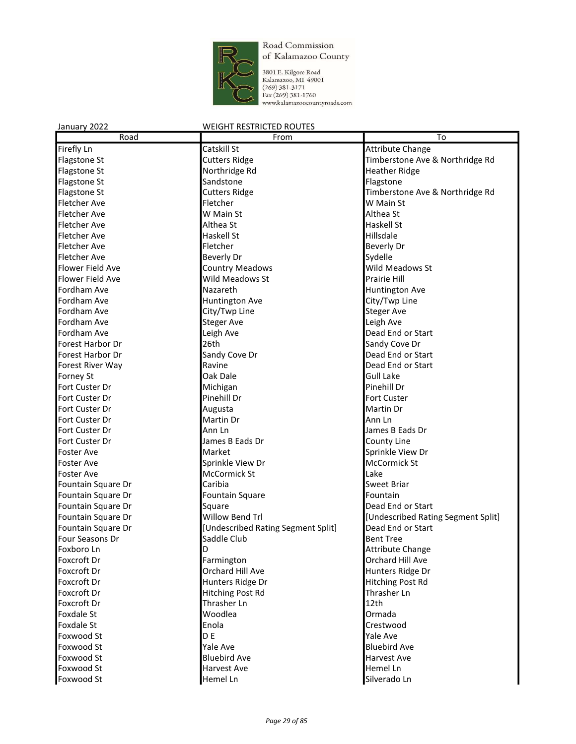

3801 E. Kilgore Road Kalamazoo, MI 49001  $(269)$  381-3171 Fax (269) 381-1760 www.kalamazoocountyroads.com

#### January 2022 WEIGHT RESTRICTED ROUTES Road **From To** Firefly Ln Catskill St Attribute Change Catskill St Attribute Change Flagstone St **Cutters Ridge** Timberstone Ave & Northridge Rd Cutters Ridge Flagstone St **Northridge Rd Heather Ridge** Northridge Rd **Heather Ridge** Flagstone St **Sandstone Sandstone Flagstone** Flagstone St Cutters Ridge Timberstone Ave & Northridge Rd Fletcher Ave Fletcher W Main St Fletcher Ave **W** Main St **Althea St** Althea St Fletcher Ave **Althea St** Althea St **Haskell St** Haskell St Fletcher Ave **Haskell St** Haskell St **Hillsdale** Fletcher Ave **Fletcher Fletcher Example 1 Beverly Dr** Fletcher Ave **Beverly Dr** Beverly Dr **Sydelle** Flower Field Ave **Country Meadows** Meadows Meadows St Flower Field Ave Wild Meadows St Prairie Hill Fordham Ave **Nazareth Nazareth Nazareth Huntington Ave** Fordham Ave Huntington Ave City/Twp Line Fordham Ave **City/Twp Line** City/Twp Line Fordham Ave **Steger Ave Steger Ave Steger Ave Stephen Ave** Leigh Ave Fordham Ave **Leigh Ave Community** Leigh Ave **Dead End or Start** Forest Harbor Dr **Example 26th** Sandy Cove Dr 26th Sandy Cove Dr Sandy Cove Dr 3 Forest Harbor Dr **Sandy Cove Dr Dead End or Start** Forest River Way **Ravine Ravine Ravine Ravine Property Dead End or Start** Forney St **Canadian Community Community** Cak Dale **Community Community Community Community** Community Community Community Community Community Community Community Community Community Community Community Community Community Fort Custer Dr **Michigan** Pinehill Dr **Michigan** Pinehill Dr **Pinehill Dr** Fort Custer Dr **Pinehill Dr** Pinehill Dr **Pinehill Dr** Fort Custer **Fort Custer**<br>Fort Custer Dr **Property Augusta** Fort Custer Dr **Fort Custer Dr Contact Custer Contact Custer Contact Ann Ln** Fort Custer Dr **Ann Lock Custer Dr Ann Ln** Ann Ln James B Eads Dr Fort Custer Dr **County Lines B** Eads Dr **County Line** Foster Ave **Market Springs Ave** Sprinkle View Dr Foster Ave **Sprinkle View Dr McCormick Strate** McCormick Strategy and McCormick St Foster Ave **Manual Accormick St** Lake Lake Lake Fountain Square Dr **Caribia** Caribia Sweet Briar Sweet Briar Fountain Square Dr **Fountain Square** Fountain Square **Fountain** Fountain Square Dr **Square Start School School Square Dead End or Start** Dead End or Start Fountain Square Dr **Example 20** Willow Bend Trl **Example 20 III** [Undescribed Rating Segment Split] Fountain Square Dr [Undescribed Rating Segment Split] Dead End or Start Four Seasons Dr **Saddle Club** Bent Tree Foxboro Ln **D D Attribute Change** Foxcroft Dr **Farmington Constanting Constanting Constanting Constanting Constanting Constanting Constanting Constanting Constanting Constanting Constanting Constanting Constanting Constanting Constanting Constanting Cons** Foxcroft Dr **Call Ave Communist Communist Communist Communist Communist Communist Communist Communist Communist Communist Communist Communist Communist Communist Communist Communist Communist Communist Communist Communist** Foxcroft Dr Hunters Ridge Dr Hitching Post Rd Foxcroft Dr **Foxcroft Dr** Hitching Post Rd Thrasher Ln Foxcroft Dr Thrasher Ln 12th Foxdale St **Example 3** Woodlea **COLLEGE WOODLER** Woodlea **COLLEGE ST** Ormada Foxdale St **Enola** Enola Crestwood **Crestwood** Foxwood St D E Yale Ave Foxwood St **Example Ave** Pale Ave **Bluebird Ave** Bluebird Ave Foxwood St **Bluebird Ave Harvest Ave Harvest Ave** Foxwood St **Harvest Ave** Hemel Ln **Hemel Ln**

Foxwood St **Hemel Ln** Silverado Ln Silverado Ln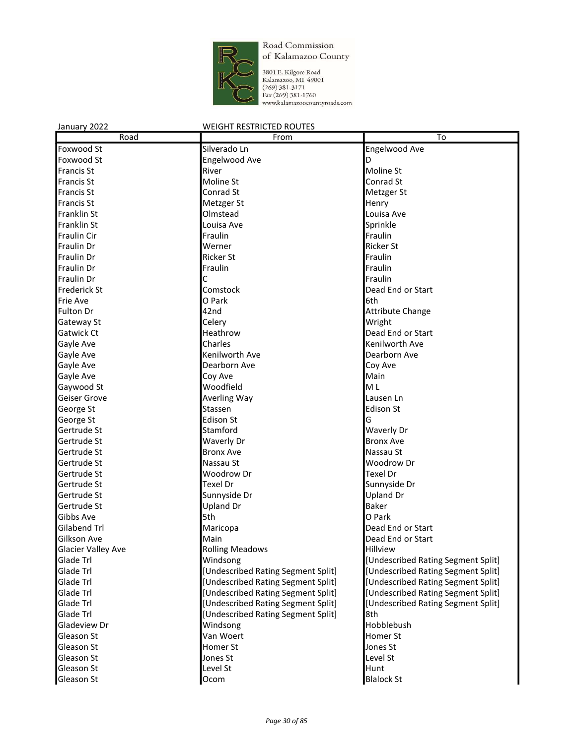

3801 E. Kilgore Road<br>Kalamazoo, MI 49001<br>(269) 381-3171<br>Fax (269) 381-1760<br>www.kalamazoocountyroads.com

| Road                      | From                               | $\overline{To}$                    |
|---------------------------|------------------------------------|------------------------------------|
| Foxwood St                | Silverado Ln                       | Engelwood Ave                      |
| Foxwood St                | Engelwood Ave                      | D                                  |
| <b>Francis St</b>         | River                              | Moline St                          |
| <b>Francis St</b>         | Moline St                          | Conrad St                          |
| <b>Francis St</b>         | Conrad St                          | Metzger St                         |
| <b>Francis St</b>         | Metzger St                         | Henry                              |
| Franklin St               | Olmstead                           | Louisa Ave                         |
| Franklin St               | Louisa Ave                         | Sprinkle                           |
| <b>Fraulin Cir</b>        | Fraulin                            | Fraulin                            |
| <b>Fraulin Dr</b>         | Werner                             | <b>Ricker St</b>                   |
| <b>Fraulin Dr</b>         | <b>Ricker St</b>                   | Fraulin                            |
| <b>Fraulin Dr</b>         | Fraulin                            | Fraulin                            |
| Fraulin Dr                | С                                  | Fraulin                            |
| <b>Frederick St</b>       | Comstock                           | Dead End or Start                  |
| Frie Ave                  | O Park                             | 6th                                |
| Fulton Dr                 | 42nd                               | <b>Attribute Change</b>            |
| Gateway St                | Celery                             | Wright                             |
| Gatwick Ct                | Heathrow                           | Dead End or Start                  |
| Gayle Ave                 | Charles                            | Kenilworth Ave                     |
| Gayle Ave                 | Kenilworth Ave                     | Dearborn Ave                       |
| Gayle Ave                 | Dearborn Ave                       | Coy Ave                            |
| Gayle Ave                 | Coy Ave                            | Main                               |
| Gaywood St                | Woodfield                          | M <sub>L</sub>                     |
| Geiser Grove              | Averling Way                       | Lausen Ln                          |
| George St                 | Stassen                            | Edison St                          |
| George St                 | <b>Edison St</b>                   | G                                  |
| Gertrude St               | Stamford                           | Waverly Dr                         |
| Gertrude St               | Waverly Dr                         | <b>Bronx Ave</b>                   |
| Gertrude St               | <b>Bronx Ave</b>                   | Nassau St                          |
| Gertrude St               | Nassau St                          | Woodrow Dr                         |
| Gertrude St               | Woodrow Dr                         | Texel Dr                           |
| Gertrude St               | Texel Dr                           | Sunnyside Dr                       |
| Gertrude St               | Sunnyside Dr                       | <b>Upland Dr</b>                   |
| Gertrude St               | <b>Upland Dr</b>                   | <b>Baker</b>                       |
| Gibbs Ave                 | 5th                                | O Park                             |
| Gilabend Trl              | Maricopa                           | Dead End or Start                  |
| Gilkson Ave               | Main                               | Dead End or Start                  |
| <b>Glacier Valley Ave</b> | <b>Rolling Meadows</b>             | <b>Hillview</b>                    |
| Glade Trl                 | Windsong                           | [Undescribed Rating Segment Split] |
| Glade Trl                 | [Undescribed Rating Segment Split] | [Undescribed Rating Segment Split] |
| Glade Trl                 | [Undescribed Rating Segment Split] | [Undescribed Rating Segment Split] |
| Glade Trl                 | [Undescribed Rating Segment Split] | [Undescribed Rating Segment Split] |
| Glade Trl                 | [Undescribed Rating Segment Split] | [Undescribed Rating Segment Split] |
| Glade Trl                 | [Undescribed Rating Segment Split] | 8th                                |
| Gladeview Dr              | Windsong                           | Hobblebush                         |
| Gleason St                | Van Woert                          | Homer St                           |
| Gleason St                | Homer St                           | Jones St                           |
| Gleason St                | Jones St                           | Level St                           |
| Gleason St                | Level St                           | Hunt                               |
| Gleason St                | Ocom                               | <b>Blalock St</b>                  |
|                           |                                    |                                    |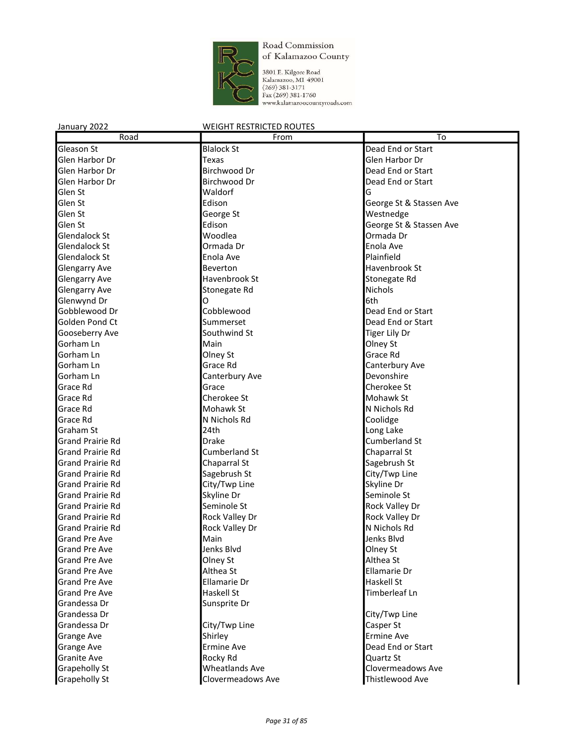

3801 E. Kilgore Road<br>Kalamazoo, MI 49001<br>(269) 381-3171<br>Fax (269) 381-1760<br>www.kalamazoocountyroads.com

| Road                    | From                  | To                      |
|-------------------------|-----------------------|-------------------------|
| Gleason St              | <b>Blalock St</b>     | Dead End or Start       |
| Glen Harbor Dr          | Texas                 | Glen Harbor Dr          |
| Glen Harbor Dr          | Birchwood Dr          | Dead End or Start       |
| Glen Harbor Dr          | Birchwood Dr          | Dead End or Start       |
| Glen St                 | Waldorf               | G                       |
| Glen St                 | Edison                | George St & Stassen Ave |
| Glen St                 | George St             | Westnedge               |
| Glen St                 | Edison                | George St & Stassen Ave |
| <b>Glendalock St</b>    | Woodlea               | Ormada Dr               |
| Glendalock St           | Ormada Dr             | Enola Ave               |
| <b>Glendalock St</b>    | Enola Ave             | Plainfield              |
| <b>Glengarry Ave</b>    | Beverton              | Havenbrook St           |
| <b>Glengarry Ave</b>    | Havenbrook St         | Stonegate Rd            |
| <b>Glengarry Ave</b>    | Stonegate Rd          | <b>Nichols</b>          |
| Glenwynd Dr             | O                     | 6th                     |
| Gobblewood Dr           | Cobblewood            | Dead End or Start       |
| Golden Pond Ct          | Summerset             | Dead End or Start       |
| Gooseberry Ave          | Southwind St          | Tiger Lily Dr           |
| Gorham Ln               | Main                  | Olney St                |
| Gorham Ln               | Olney St              | Grace Rd                |
| Gorham Ln               | Grace Rd              | Canterbury Ave          |
| Gorham Ln               | Canterbury Ave        | Devonshire              |
| Grace Rd                | Grace                 | Cherokee St             |
| Grace Rd                | Cherokee St           | Mohawk St               |
| Grace Rd                | Mohawk St             | N Nichols Rd            |
| Grace Rd                | N Nichols Rd          | Coolidge                |
| Graham St               | 24th                  | Long Lake               |
| <b>Grand Prairie Rd</b> | Drake                 | <b>Cumberland St</b>    |
| <b>Grand Prairie Rd</b> | <b>Cumberland St</b>  | Chaparral St            |
| <b>Grand Prairie Rd</b> | Chaparral St          | Sagebrush St            |
| <b>Grand Prairie Rd</b> | Sagebrush St          | City/Twp Line           |
| <b>Grand Prairie Rd</b> | City/Twp Line         | Skyline Dr              |
| <b>Grand Prairie Rd</b> | Skyline Dr            | Seminole St             |
| <b>Grand Prairie Rd</b> | Seminole St           | Rock Valley Dr          |
| <b>Grand Prairie Rd</b> | Rock Valley Dr        | Rock Valley Dr          |
| <b>Grand Prairie Rd</b> | Rock Valley Dr        | N Nichols Rd            |
| <b>Grand Pre Ave</b>    | Main                  | Jenks Blvd              |
| <b>Grand Pre Ave</b>    | Jenks Blyd            | Olney St                |
| <b>Grand Pre Ave</b>    | Olney St              | Althea St               |
| <b>Grand Pre Ave</b>    | Althea St             | Ellamarie Dr            |
| <b>Grand Pre Ave</b>    | Ellamarie Dr          | Haskell St              |
| <b>Grand Pre Ave</b>    | Haskell St            | Timberleaf Ln           |
| Grandessa Dr            | Sunsprite Dr          |                         |
| Grandessa Dr            |                       | City/Twp Line           |
| Grandessa Dr            | City/Twp Line         | Casper St               |
| Grange Ave              | Shirley               | <b>Ermine Ave</b>       |
| Grange Ave              | Ermine Ave            | Dead End or Start       |
| <b>Granite Ave</b>      | Rocky Rd              | Quartz St               |
| Grapeholly St           | <b>Wheatlands Ave</b> | Clovermeadows Ave       |
| <b>Grapeholly St</b>    | Clovermeadows Ave     | Thistlewood Ave         |
|                         |                       |                         |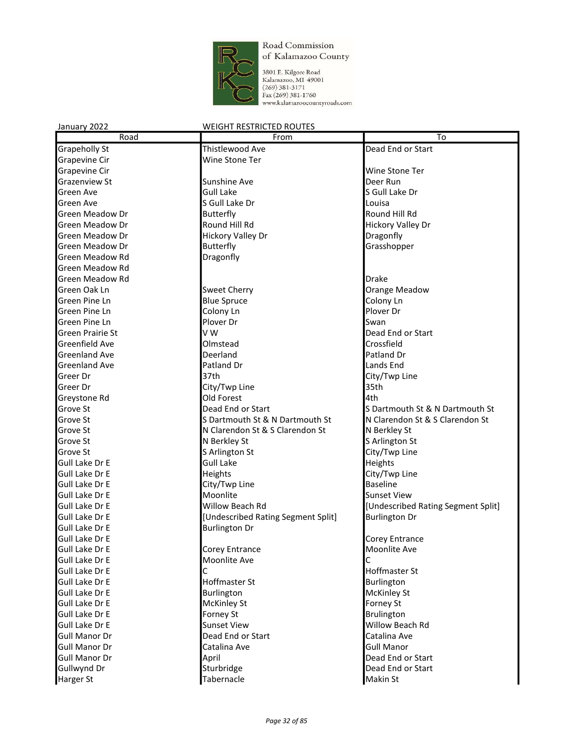

3801 E. Kilgore Road<br>Kalamazoo, M1 49001<br>(269) 381-3171<br>Fax (269) 381-1760<br>www.kalamazoocountyroads.com

| January 2022           | <b>WEIGHT RESTRICTED ROUTES</b>    |                                    |
|------------------------|------------------------------------|------------------------------------|
| Road                   | From                               | To                                 |
| <b>Grapeholly St</b>   | Thistlewood Ave                    | Dead End or Start                  |
| Grapevine Cir          | Wine Stone Ter                     |                                    |
| <b>Grapevine Cir</b>   |                                    | Wine Stone Ter                     |
| <b>Grazenview St</b>   | Sunshine Ave                       | Deer Run                           |
| Green Ave              | <b>Gull Lake</b>                   | S Gull Lake Dr                     |
| Green Ave              | S Gull Lake Dr                     | Louisa                             |
| Green Meadow Dr        | <b>Butterfly</b>                   | Round Hill Rd                      |
| <b>Green Meadow Dr</b> | Round Hill Rd                      | <b>Hickory Valley Dr</b>           |
| Green Meadow Dr        | <b>Hickory Valley Dr</b>           | Dragonfly                          |
| Green Meadow Dr        | <b>Butterfly</b>                   | Grasshopper                        |
| <b>Green Meadow Rd</b> | Dragonfly                          |                                    |
| <b>Green Meadow Rd</b> |                                    |                                    |
| <b>Green Meadow Rd</b> |                                    | Drake                              |
| Green Oak Ln           | <b>Sweet Cherry</b>                | Orange Meadow                      |
| Green Pine Ln          | <b>Blue Spruce</b>                 | Colony Ln                          |
| Green Pine Ln          | Colony Ln                          | Plover Dr                          |
| Green Pine Ln          | Plover Dr                          | Swan                               |
| Green Prairie St       | V W                                | Dead End or Start                  |
| Greenfield Ave         | Olmstead                           | Crossfield                         |
| <b>Greenland Ave</b>   | Deerland                           | Patland Dr                         |
| <b>Greenland Ave</b>   | Patland Dr                         | Lands End                          |
| Greer Dr               | 37th                               | City/Twp Line                      |
| Greer Dr               | City/Twp Line                      | 35th                               |
| Greystone Rd           | Old Forest                         | 4th                                |
| Grove St               | Dead End or Start                  | S Dartmouth St & N Dartmouth St    |
| Grove St               | S Dartmouth St & N Dartmouth St    | N Clarendon St & S Clarendon St    |
| Grove St               | N Clarendon St & S Clarendon St    | N Berkley St                       |
| Grove St               | N Berkley St                       | S Arlington St                     |
| Grove St               | S Arlington St                     | City/Twp Line                      |
| Gull Lake Dr E         | <b>Gull Lake</b>                   | Heights                            |
| Gull Lake Dr E         | Heights                            | City/Twp Line                      |
| Gull Lake Dr E         | City/Twp Line                      | <b>Baseline</b>                    |
| Gull Lake Dr E         | Moonlite                           | <b>Sunset View</b>                 |
| Gull Lake Dr E         | Willow Beach Rd                    | [Undescribed Rating Segment Split] |
| Gull Lake Dr E         | [Undescribed Rating Segment Split] | <b>Burlington Dr</b>               |
| Gull Lake Dr E         | <b>Burlington Dr</b>               |                                    |
| Gull Lake Dr E         |                                    | Corey Entrance                     |
| Gull Lake Dr E         | Corey Entrance                     | Moonlite Ave                       |
| Gull Lake Dr E         | Moonlite Ave                       | С                                  |
| Gull Lake Dr E         | С                                  | <b>Hoffmaster St</b>               |
| Gull Lake Dr E         | Hoffmaster St                      | Burlington                         |
| Gull Lake Dr E         | Burlington                         | <b>McKinley St</b>                 |
| Gull Lake Dr E         | McKinley St                        | Forney St                          |
| Gull Lake Dr E         | Forney St                          | Brulington                         |
| Gull Lake Dr E         | <b>Sunset View</b>                 | Willow Beach Rd                    |
| <b>Gull Manor Dr</b>   | Dead End or Start                  | Catalina Ave                       |
| <b>Gull Manor Dr</b>   | Catalina Ave                       | <b>Gull Manor</b>                  |
| <b>Gull Manor Dr</b>   | April                              | Dead End or Start                  |
| Gullwynd Dr            | Sturbridge                         | Dead End or Start                  |
| <b>Harger St</b>       | Tabernacle                         | Makin St                           |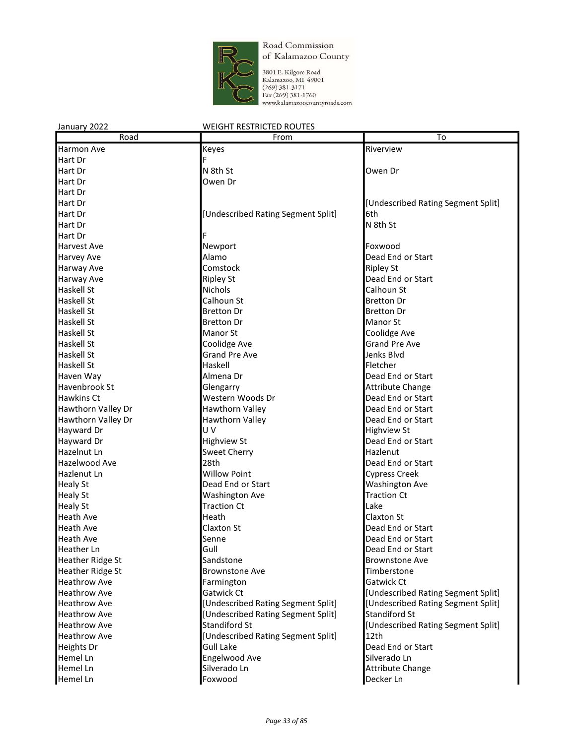

3801 E. Kilgore Road Kalamazoo, MI 49001  $(269)$  381-3171 Fax (269) 381-1760 www.kalamazoocountyroads.com

January 2022 WEIGHT RESTRICTED ROUTES Road **From To** Harmon Ave **Riverview** Keyes **Riverview** Riverview Hart Dr Hart Dr **N** 8th St Owen Dr **N** 8th St **Contract Owen Dr Hart Dr Communist Communist Communist Communist Communist Communist Communist Communist Communist Communist Communist Communist Communist Communist Communist Communist Communist Communist Communist Communist Communist Com** Hart Dr Hart Dr **Example 2018 Hart Dr Example 2018 Hart Dr Example 2018 Hart Dr Example 2018 Hart Dr Example 2018 Hart Dr Example 2018 Hart Dr Example 2018 Hart Dr Example 2018 Hart Dr Example 2018 Hart Dr Exampl** Hart Dr **Extracts Controller Controller Extracts** [Undescribed Rating Segment Split] 6th 6th St<br>Hart Dr **M** 8th St Hart Dr New York (1999) and the United States of the United States of the United States of the United States of the United States of the United States of the United States of the United States of the United States of the U Hart Dr Harvest Ave **Newport Newport Constant Constant Constant Constant Constant Constant Constant Constant Constant Constant Constant Constant Constant Constant Constant Constant Constant Constant Constant Constant Constant** Harvey Ave **Alamo** Alamo **Dead End or Start** Harway Ave **Comstock Ripley St Ripley St** Harway Ave **Ripley St** Ripley St **Dead End or Start** Haskell St Nichols Nichols Calhoun St Nichols Calhoun St Nichols Nichols Nichols Nichols Nichols Nichols Nichols Haskell St **Calhoun St** Calhoun St **Bretton Dr** Bretton Dr Haskell St **Bretton Dr** Bretton Dr **Bretton Dr** Bretton Dr Haskell St **Bretton Dr** Bretton Dr **Manor St** Haskell St Manor St Coolidge Ave Haskell St Coolidge Ave Grand Pre Ave Haskell St **Grand Pre Ave Strutter** Grand Pre Ave **Jenks Blvd** Haskell St **Haskell** Haskell **Haskell** Haskell **Fletcher** Haven Way **Almena Dr Almena Dr Communist Communist Communist Communist Communist Communist Communist Communist Communist Communist Communist Communist Communist Communist Communist Communist Communist Communist Communi** Havenbrook St **Glengarry** Glengarry **Attribute Change** Hawkins Ct discussed the U.S. of the U.S. end of Start Moods Dr and Dead End or Start<br>Hawthorn Valley Dr Dead End or Start Hawthorn Valley Chapter of Dead End or Start Hawthorn Valley Dr **Hawthorn Valley Brand** Hawthorn Valley Dr **Hawthorn Valley Communist Communist Communist** Dead End or Start Hayward Dr **No. 2018** U V **Highview St Highview St** Hayward Dr **Highview St** Dead End or Start **Communist Engineering** Dead End or Start Hazelnut Ln **Sweet Cherry Cherry Hazlenut** Hazlenut Hazelwood Ave 28th Dead End or Start Hazlenut Ln **No. 2018 Willow Point Cypress Creek** Cypress Creek Healy St **Dead End or Start** Mashington Ave Healy St **Mashington Ave Traction Ct Traction Ct** Healy St **Traction Ct Traction Ct Lake** Heath Ave **Heath** Heath Claxton St Heath Ave **Claxton St** Dead End or Start Class **Dead End or Start** Heath Ave **Senne** Dead End or Start Senne **Containers** End or Start Start Start Start Start Start Start Start Start Start Start Start Start Start Start Start Start Start Start Start Start Start Start Start Start Start Star Heather Ln Gull Dead End or Start Heather Ridge St **Sandstone** Brownstone Ave Heather Ridge St **Brownstone Ave Communist Communist Communist Communist Communist Communist Communist Communist Communist Communist Communist Communist Communist Communist Communist Communist Communist Communist Communist** Heathrow Ave **Farmington Farmington Farmington Gatwick Ct** Heathrow Ave **Gatwick Ct** Gatwick Ct **Gatwick Ct CO E** [Undescribed Rating Segment Split] Heathrow Ave **Exercise 1 Constants I** [Undescribed Rating Segment Split] [Undescribed Rating Segment Split] Heathrow Ave **Example 2 Times** [Undescribed Rating Segment Split] Standiford St

Heathrow Ave **Standiford Standiform Standiform Community** [Undescribed Rating Segment Split]

Heathrow Ave **Exercise 12th** [Undescribed Rating Segment Split] 12th

Heights Dr Gull Lake **Dead End or Start** 

Hemel Ln Engelwood Ave Silverado Ln Hemel Ln Silverado Ln Boxwood<br>Hemel Ln Boxwood Foxwood Boxwood Decker Ln Hemel Ln **Foxwood** Decker Ln **Protocommunity** Foxwood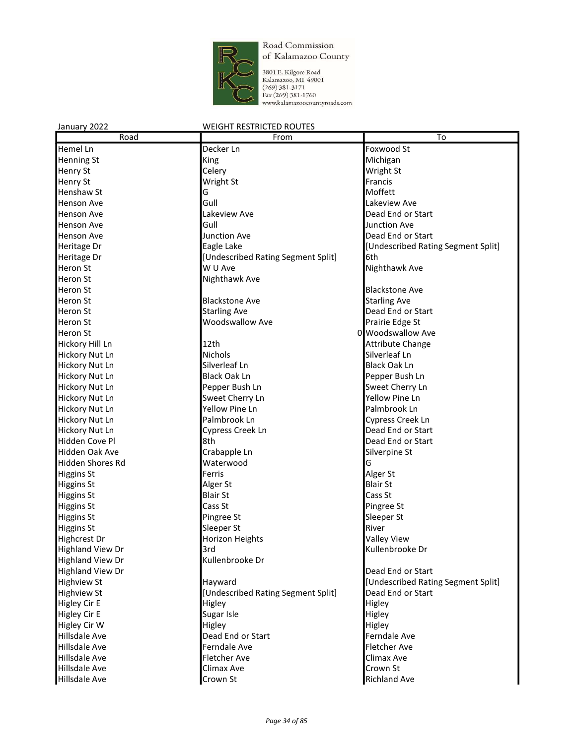

3801 E. Kilgore Road<br>Kalamazoo, MI 49001<br>(269) 381-3171<br>Fax (269) 381-1760<br>www.kalamazoocountyroads.com

| Road                    | From                               | To                                 |
|-------------------------|------------------------------------|------------------------------------|
| Hemel Ln                | Decker Ln                          | Foxwood St                         |
| Henning St              | <b>King</b>                        | Michigan                           |
| <b>Henry St</b>         | Celery                             | Wright St                          |
| <b>Henry St</b>         | Wright St                          | Francis                            |
| <b>Henshaw St</b>       | G                                  | Moffett                            |
| <b>Henson Ave</b>       | Gull                               | Lakeview Ave                       |
| <b>Henson Ave</b>       | Lakeview Ave                       | Dead End or Start                  |
| <b>Henson Ave</b>       | Gull                               | <b>Junction Ave</b>                |
| <b>Henson Ave</b>       | <b>Junction Ave</b>                | Dead End or Start                  |
| Heritage Dr             | Eagle Lake                         | [Undescribed Rating Segment Split] |
| Heritage Dr             | [Undescribed Rating Segment Split] | l6th                               |
| <b>Heron St</b>         | W U Ave                            | Nighthawk Ave                      |
| Heron St                | Nighthawk Ave                      |                                    |
| Heron St                |                                    | <b>Blackstone Ave</b>              |
| Heron St                | <b>Blackstone Ave</b>              | <b>Starling Ave</b>                |
| <b>Heron St</b>         | <b>Starling Ave</b>                | Dead End or Start                  |
| <b>Heron St</b>         | <b>Woodswallow Ave</b>             | Prairie Edge St                    |
| <b>Heron St</b>         |                                    | 0 Woodswallow Ave                  |
|                         |                                    |                                    |
| Hickory Hill Ln         | 12th                               | <b>Attribute Change</b>            |
| <b>Hickory Nut Ln</b>   | Nichols                            | Silverleaf Ln                      |
| Hickory Nut Ln          | Silverleaf Ln                      | <b>Black Oak Ln</b>                |
| Hickory Nut Ln          | <b>Black Oak Ln</b>                | Pepper Bush Ln                     |
| Hickory Nut Ln          | Pepper Bush Ln                     | Sweet Cherry Ln                    |
| <b>Hickory Nut Ln</b>   | Sweet Cherry Ln                    | Yellow Pine Ln                     |
| <b>Hickory Nut Ln</b>   | Yellow Pine Ln                     | Palmbrook Ln                       |
| Hickory Nut Ln          | Palmbrook Ln                       | Cypress Creek Ln                   |
| Hickory Nut Ln          | Cypress Creek Ln                   | Dead End or Start                  |
| Hidden Cove Pl          | 8th                                | Dead End or Start                  |
| <b>Hidden Oak Ave</b>   | Crabapple Ln                       | Silverpine St                      |
| Hidden Shores Rd        | Waterwood                          | G                                  |
| <b>Higgins St</b>       | Ferris                             | Alger St                           |
| <b>Higgins St</b>       | Alger St                           | <b>Blair St</b>                    |
| <b>Higgins St</b>       | <b>Blair St</b>                    | Cass St                            |
| <b>Higgins St</b>       | Cass St                            | Pingree St                         |
| <b>Higgins St</b>       | Pingree St                         | Sleeper St                         |
| <b>Higgins St</b>       | Sleeper St                         | River                              |
| <b>Highcrest Dr</b>     | Horizon Heights                    | <b>Valley View</b>                 |
| <b>Highland View Dr</b> | 3rd                                | Kullenbrooke Dr                    |
| <b>Highland View Dr</b> | Kullenbrooke Dr                    |                                    |
| <b>Highland View Dr</b> |                                    | Dead End or Start                  |
| <b>Highview St</b>      | Hayward                            | [Undescribed Rating Segment Split] |
| <b>Highview St</b>      | [Undescribed Rating Segment Split] | Dead End or Start                  |
| <b>Higley Cir E</b>     | Higley                             | Higley                             |
| <b>Higley Cir E</b>     | Sugar Isle                         | Higley                             |
| Higley Cir W            | Higley                             | Higley                             |
| Hillsdale Ave           | Dead End or Start                  | Ferndale Ave                       |
| <b>Hillsdale Ave</b>    | Ferndale Ave                       | Fletcher Ave                       |
| <b>Hillsdale Ave</b>    | Fletcher Ave                       | Climax Ave                         |
| Hillsdale Ave           | Climax Ave                         | Crown St                           |
| Hillsdale Ave           | Crown St                           | <b>Richland Ave</b>                |
|                         |                                    |                                    |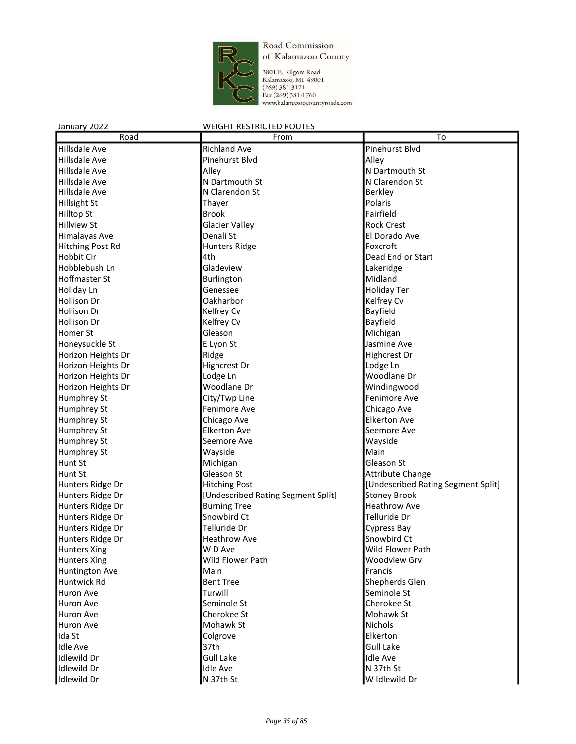

3801 E. Kilgore Road<br>Kalamazoo, MI 49001<br>(269) 381-3171<br>Fax (269) 381-1760<br>www.kalamazoocountyroads.com

| Road                                 | From                                                      | To                                         |
|--------------------------------------|-----------------------------------------------------------|--------------------------------------------|
| <b>Hillsdale Ave</b>                 | <b>Richland Ave</b>                                       | Pinehurst Blvd                             |
| Hillsdale Ave                        | Pinehurst Blvd                                            | Alley                                      |
| Hillsdale Ave                        | Alley                                                     | N Dartmouth St                             |
| <b>Hillsdale Ave</b>                 | N Dartmouth St                                            | N Clarendon St                             |
| Hillsdale Ave                        | N Clarendon St                                            | <b>Berkley</b>                             |
| Hillsight St                         | Thayer                                                    | Polaris                                    |
| <b>Hilltop St</b>                    | <b>Brook</b>                                              | Fairfield                                  |
| <b>Hillview St</b>                   | <b>Glacier Valley</b>                                     | <b>Rock Crest</b>                          |
| Himalayas Ave                        | Denali St                                                 | El Dorado Ave                              |
| Hitching Post Rd                     | <b>Hunters Ridge</b>                                      | Foxcroft                                   |
| <b>Hobbit Cir</b>                    | 4th                                                       | Dead End or Start                          |
| Hobblebush Ln                        | Gladeview                                                 | Lakeridge                                  |
| <b>Hoffmaster St</b>                 | Burlington                                                | Midland                                    |
| Holiday Ln                           | Genessee                                                  | <b>Holiday Ter</b>                         |
| Hollison Dr                          | Oakharbor                                                 | Kelfrey Cv                                 |
| Hollison Dr                          | Kelfrey Cv                                                | Bayfield                                   |
| <b>Hollison Dr</b>                   | Kelfrey Cv                                                | Bayfield                                   |
| Homer St                             | Gleason                                                   | Michigan                                   |
| Honeysuckle St                       | E Lyon St                                                 | Jasmine Ave                                |
| Horizon Heights Dr                   | Ridge                                                     | Highcrest Dr                               |
| Horizon Heights Dr                   | Highcrest Dr                                              | Lodge Ln                                   |
| Horizon Heights Dr                   | Lodge Ln                                                  | Woodlane Dr                                |
| Horizon Heights Dr                   | Woodlane Dr                                               | Windingwood                                |
| Humphrey St                          | City/Twp Line                                             | Fenimore Ave                               |
| Humphrey St                          | Fenimore Ave                                              | Chicago Ave                                |
| Humphrey St                          | Chicago Ave                                               | <b>Elkerton Ave</b>                        |
| Humphrey St                          | <b>Elkerton Ave</b>                                       | Seemore Ave                                |
|                                      | Seemore Ave                                               |                                            |
| Humphrey St                          | Wayside                                                   | Wayside<br>Main                            |
| Humphrey St<br>Hunt St               | Michigan                                                  | Gleason St                                 |
|                                      | Gleason St                                                |                                            |
| Hunt St                              |                                                           | Attribute Change                           |
| Hunters Ridge Dr<br>Hunters Ridge Dr | <b>Hitching Post</b>                                      | [Undescribed Rating Segment Split]         |
| Hunters Ridge Dr                     | [Undescribed Rating Segment Split]<br><b>Burning Tree</b> | <b>Stoney Brook</b><br><b>Heathrow Ave</b> |
|                                      | Snowbird Ct                                               | Telluride Dr                               |
| Hunters Ridge Dr                     | Telluride Dr                                              |                                            |
| Hunters Ridge Dr                     | <b>Heathrow Ave</b>                                       | Cypress Bay<br>Snowbird Ct                 |
| Hunters Ridge Dr                     | W D Ave                                                   | Wild Flower Path                           |
| <b>Hunters Xing</b>                  | Wild Flower Path                                          |                                            |
| <b>Hunters Xing</b>                  | Main                                                      | Woodview Grv                               |
| Huntington Ave<br>Huntwick Rd        | <b>Bent Tree</b>                                          | Francis<br>Shepherds Glen                  |
|                                      |                                                           |                                            |
| Huron Ave                            | Turwill                                                   | Seminole St                                |
| Huron Ave                            | Seminole St                                               | Cherokee St                                |
| Huron Ave                            | Cherokee St                                               | Mohawk St                                  |
| Huron Ave                            | Mohawk St                                                 | Nichols                                    |
| Ida St                               | Colgrove                                                  | Elkerton                                   |
| <b>Idle Ave</b>                      | 37th                                                      | <b>Gull Lake</b>                           |
| Idlewild Dr                          | <b>Gull Lake</b>                                          | <b>Idle Ave</b>                            |
| <b>Idlewild Dr</b>                   | <b>Idle Ave</b>                                           | N 37th St                                  |
| <b>Idlewild Dr</b>                   | N 37th St                                                 | W Idlewild Dr                              |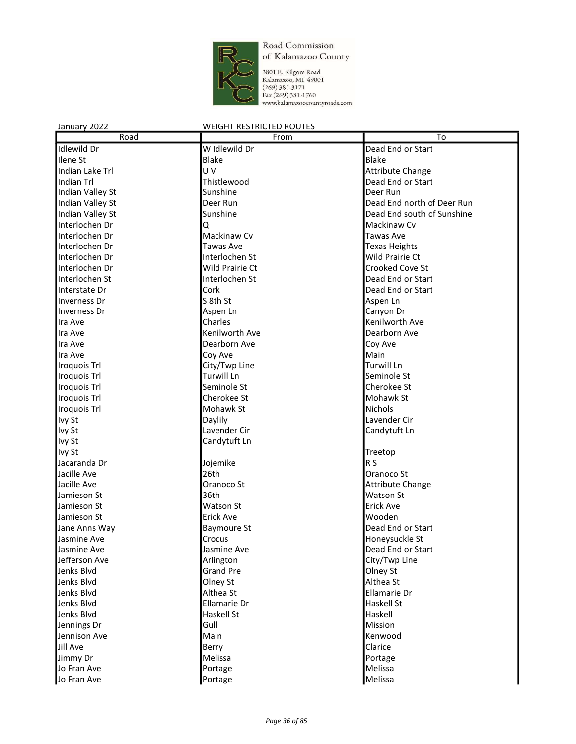

3801 E. Kilgore Road<br>Kalamazoo, MI 49001<br>(269) 381-3171<br>Fax (269) 381-1760<br>www.kalamazoocountyroads.com

| Road                         | From                   | To                                  |
|------------------------------|------------------------|-------------------------------------|
| <b>Idlewild Dr</b>           | W Idlewild Dr          | Dead End or Start                   |
| Ilene <sub>St</sub>          | <b>Blake</b>           | <b>Blake</b>                        |
| Indian Lake Trl              | U V                    | Attribute Change                    |
| Indian Trl                   | Thistlewood            | Dead End or Start                   |
| Indian Valley St             | Sunshine               | Deer Run                            |
| Indian Valley St             | Deer Run               | Dead End north of Deer Run          |
| Indian Valley St             | Sunshine               | Dead End south of Sunshine          |
| Interlochen Dr               | Q                      | <b>Mackinaw Cv</b>                  |
| Interlochen Dr               | Mackinaw Cv            | <b>Tawas Ave</b>                    |
| Interlochen Dr               | <b>Tawas Ave</b>       | Texas Heights                       |
| Interlochen Dr               | Interlochen St         | Wild Prairie Ct                     |
| Interlochen Dr               | <b>Wild Prairie Ct</b> | Crooked Cove St                     |
| Interlochen St               | Interlochen St         | Dead End or Start                   |
| Interstate Dr                | Cork                   | Dead End or Start                   |
| Inverness Dr                 | S 8th St               | Aspen Ln                            |
| Inverness Dr                 | Aspen Ln               | Canyon Dr                           |
| Ira Ave                      | Charles                | Kenilworth Ave                      |
| Ira Ave                      | Kenilworth Ave         | Dearborn Ave                        |
| Ira Ave                      | Dearborn Ave           | Coy Ave                             |
| Ira Ave                      | Coy Ave                | Main                                |
| <b>Iroquois Trl</b>          | City/Twp Line          | Turwill Ln                          |
| <b>Iroquois Trl</b>          | Turwill Ln             | Seminole St                         |
| <b>Iroquois Trl</b>          | Seminole St            | Cherokee St                         |
| Iroquois Trl                 | Cherokee St            | Mohawk St                           |
| <b>Iroquois Trl</b>          | Mohawk St              | <b>Nichols</b>                      |
| Ivy St                       | Daylily                | Lavender Cir                        |
| Ivy St                       | Lavender Cir           | Candytuft Ln                        |
| Ivy St                       | Candytuft Ln           |                                     |
| Ivy St                       |                        | Treetop                             |
| Jacaranda Dr                 | Jojemike               | R <sub>S</sub>                      |
| Jacille Ave                  | 26th                   | Oranoco St                          |
| Jacille Ave                  | Oranoco St             | <b>Attribute Change</b>             |
| Jamieson St                  | 36th                   | Watson St                           |
| Jamieson St                  | Watson St              | <b>Erick Ave</b>                    |
| Jamieson St                  | <b>Erick Ave</b>       | Wooden                              |
|                              |                        |                                     |
| Jane Anns Way<br>Jasmine Ave | <b>Baymoure St</b>     | Dead End or Start                   |
| Jasmine Ave                  | Crocus<br>Jasmine Ave  | Honeysuckle St<br>Dead End or Start |
| Jefferson Ave                |                        |                                     |
|                              | Arlington              | City/Twp Line<br>Olney St           |
| Jenks Blvd                   | <b>Grand Pre</b>       | Althea St                           |
| Jenks Blvd                   | Olney St               |                                     |
| Jenks Blvd                   | Althea St              | Ellamarie Dr                        |
| Jenks Blvd                   | Ellamarie Dr           | <b>Haskell St</b>                   |
| Jenks Blvd                   | Haskell St             | Haskell                             |
| Jennings Dr                  | Gull                   | Mission                             |
| Jennison Ave                 | Main                   | Kenwood                             |
| Jill Ave                     | Berry                  | Clarice                             |
| Jimmy Dr                     | Melissa                | Portage                             |
| Jo Fran Ave                  | Portage                | Melissa                             |
| Jo Fran Ave                  | Portage                | Melissa                             |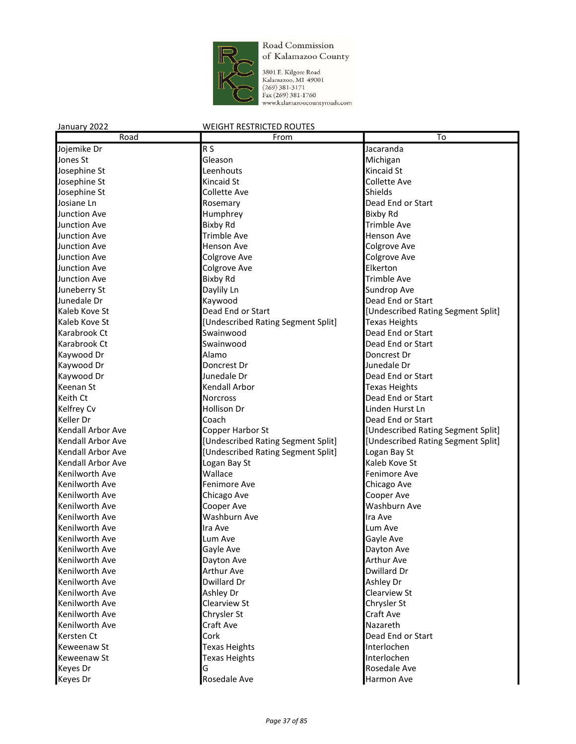

3801 E. Kilgore Road<br>Kalamazoo, MI 49001<br>(269) 381-3171<br>Fax (269) 381-1760<br>www.kalamazoocountyroads.com

| Road                | From                               | To                                 |
|---------------------|------------------------------------|------------------------------------|
| Jojemike Dr         | R <sub>S</sub>                     | Jacaranda                          |
| Jones St            | Gleason                            | Michigan                           |
| Josephine St        | Leenhouts                          | Kincaid St                         |
| Josephine St        | Kincaid St                         | <b>Collette Ave</b>                |
| Josephine St        | Collette Ave                       | Shields                            |
| Josiane Ln          | Rosemary                           | Dead End or Start                  |
| <b>Junction Ave</b> | Humphrey                           | <b>Bixby Rd</b>                    |
| Junction Ave        | <b>Bixby Rd</b>                    | <b>Trimble Ave</b>                 |
| <b>Junction Ave</b> | Trimble Ave                        | <b>Henson Ave</b>                  |
| Junction Ave        | <b>Henson Ave</b>                  | Colgrove Ave                       |
| Junction Ave        | Colgrove Ave                       | <b>Colgrove Ave</b>                |
| Junction Ave        | Colgrove Ave                       | Elkerton                           |
| <b>Junction Ave</b> | <b>Bixby Rd</b>                    | <b>Trimble Ave</b>                 |
| Juneberry St        | Daylily Ln                         | Sundrop Ave                        |
| Junedale Dr         | Kaywood                            | Dead End or Start                  |
| Kaleb Kove St       | Dead End or Start                  | [Undescribed Rating Segment Split] |
| Kaleb Kove St       |                                    |                                    |
|                     | [Undescribed Rating Segment Split] | <b>Texas Heights</b>               |
| Karabrook Ct        | Swainwood                          | Dead End or Start                  |
| Karabrook Ct        | Swainwood                          | Dead End or Start                  |
| Kaywood Dr          | Alamo                              | Doncrest Dr                        |
| Kaywood Dr          | Doncrest Dr                        | Junedale Dr                        |
| Kaywood Dr          | Junedale Dr                        | Dead End or Start                  |
| Keenan St           | Kendall Arbor                      | <b>Texas Heights</b>               |
| Keith Ct            | Norcross                           | Dead End or Start                  |
| Kelfrey Cv          | <b>Hollison Dr</b>                 | Linden Hurst Ln                    |
| Keller Dr           | Coach                              | Dead End or Start                  |
| Kendall Arbor Ave   | Copper Harbor St                   | [Undescribed Rating Segment Split] |
| Kendall Arbor Ave   | [Undescribed Rating Segment Split] | [Undescribed Rating Segment Split] |
| Kendall Arbor Ave   | [Undescribed Rating Segment Split] | Logan Bay St                       |
| Kendall Arbor Ave   | Logan Bay St                       | Kaleb Kove St                      |
| Kenilworth Ave      | Wallace                            | Fenimore Ave                       |
| Kenilworth Ave      | Fenimore Ave                       | Chicago Ave                        |
| Kenilworth Ave      | Chicago Ave                        | Cooper Ave                         |
| Kenilworth Ave      | Cooper Ave                         | Washburn Ave                       |
| Kenilworth Ave      | Washburn Ave                       | Ira Ave                            |
| Kenilworth Ave      | Ira Ave                            | Lum Ave                            |
| Kenilworth Ave      | Lum Ave                            | Gayle Ave                          |
| Kenilworth Ave      | Gayle Ave                          | Dayton Ave                         |
| Kenilworth Ave      | Dayton Ave                         | <b>Arthur Ave</b>                  |
| Kenilworth Ave      | <b>Arthur Ave</b>                  | Dwillard Dr                        |
| Kenilworth Ave      | Dwillard Dr                        | Ashley Dr                          |
| Kenilworth Ave      | Ashley Dr                          | Clearview St                       |
| Kenilworth Ave      | Clearview St                       | Chrysler St                        |
| Kenilworth Ave      | Chrysler St                        | Craft Ave                          |
| Kenilworth Ave      | Craft Ave                          | Nazareth                           |
| Kersten Ct          | Cork                               | Dead End or Start                  |
| Keweenaw St         | Texas Heights                      | Interlochen                        |
| Keweenaw St         | Texas Heights                      | Interlochen                        |
| Keyes Dr            | G                                  | Rosedale Ave                       |
| Keyes Dr            | Rosedale Ave                       | Harmon Ave                         |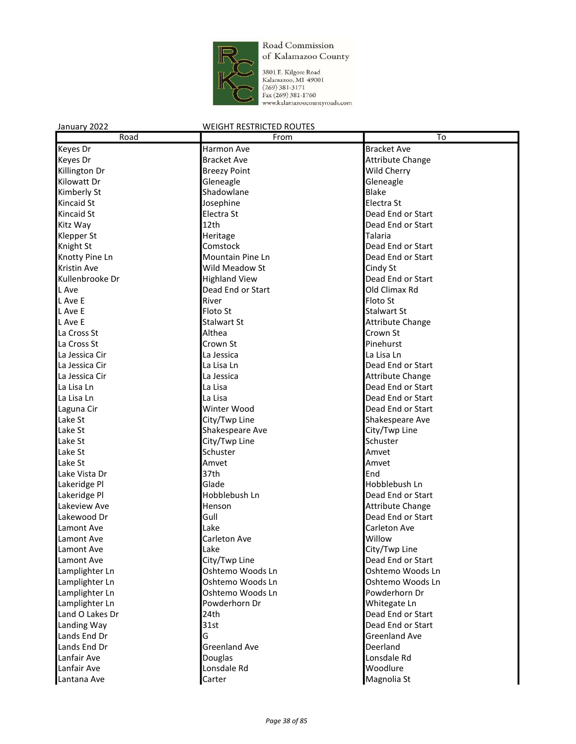

3801 E. Kilgore Road<br>Kalamazoo, MI 49001<br>(269) 381-3171<br>Fax (269) 381-1760<br>www.kalamazoocountyroads.com

| Road               | From                 | $\overline{\text{To}}$  |
|--------------------|----------------------|-------------------------|
| Keyes Dr           | Harmon Ave           | <b>Bracket Ave</b>      |
| Keyes Dr           | <b>Bracket Ave</b>   | <b>Attribute Change</b> |
| Killington Dr      | <b>Breezy Point</b>  | Wild Cherry             |
| Kilowatt Dr        | Gleneagle            | Gleneagle               |
| Kimberly St        | Shadowlane           | Blake                   |
| <b>Kincaid St</b>  | Josephine            | Electra St              |
| <b>Kincaid St</b>  | Electra St           | Dead End or Start       |
| Kitz Way           | 12th                 | Dead End or Start       |
| <b>Klepper St</b>  | Heritage             | <b>Talaria</b>          |
| Knight St          | Comstock             | Dead End or Start       |
| Knotty Pine Ln     | Mountain Pine Ln     | Dead End or Start       |
| <b>Kristin Ave</b> | Wild Meadow St       | Cindy St                |
| Kullenbrooke Dr    | <b>Highland View</b> | Dead End or Start       |
| L Ave              | Dead End or Start    | Old Climax Rd           |
| L Ave E            | River                | Floto St                |
| L Ave E            | Floto St             | <b>Stalwart St</b>      |
| L Ave E            | <b>Stalwart St</b>   | <b>Attribute Change</b> |
| La Cross St        | Althea               | Crown St                |
|                    |                      | Pinehurst               |
| La Cross St        | Crown St             |                         |
| La Jessica Cir     | La Jessica           | La Lisa Ln              |
| La Jessica Cir     | La Lisa Ln           | Dead End or Start       |
| La Jessica Cir     | La Jessica           | <b>Attribute Change</b> |
| La Lisa Ln         | La Lisa              | Dead End or Start       |
| La Lisa Ln         | La Lisa              | Dead End or Start       |
| Laguna Cir         | Winter Wood          | Dead End or Start       |
| Lake St            | City/Twp Line        | Shakespeare Ave         |
| Lake St            | Shakespeare Ave      | City/Twp Line           |
| Lake St            | City/Twp Line        | Schuster                |
| Lake St            | Schuster             | Amvet                   |
| Lake St            | Amvet                | Amvet                   |
| Lake Vista Dr      | 37th                 | End                     |
| Lakeridge Pl       | Glade                | Hobblebush Ln           |
| Lakeridge Pl       | Hobblebush Ln        | Dead End or Start       |
| Lakeview Ave       | Henson               | <b>Attribute Change</b> |
| Lakewood Dr        | Gull                 | Dead End or Start       |
| Lamont Ave         | Lake                 | Carleton Ave            |
| Lamont Ave         | Carleton Ave         | Willow                  |
| Lamont Ave         | Lake                 | City/Twp Line           |
| Lamont Ave         | City/Twp Line        | Dead End or Start       |
| Lamplighter Ln     | Oshtemo Woods Ln     | Oshtemo Woods Ln        |
| Lamplighter Ln     | Oshtemo Woods Ln     | Oshtemo Woods Ln        |
| Lamplighter Ln     | Oshtemo Woods Ln     | Powderhorn Dr           |
| Lamplighter Ln     | Powderhorn Dr        | Whitegate Ln            |
| Land O Lakes Dr    | 24th                 | Dead End or Start       |
| Landing Way        | 31st                 | Dead End or Start       |
| Lands End Dr       | G                    | <b>Greenland Ave</b>    |
| Lands End Dr       | <b>Greenland Ave</b> | Deerland                |
| Lanfair Ave        | Douglas              | Lonsdale Rd             |
| Lanfair Ave        | Lonsdale Rd          | Woodlure                |
| Lantana Ave        | Carter               | Magnolia St             |
|                    |                      |                         |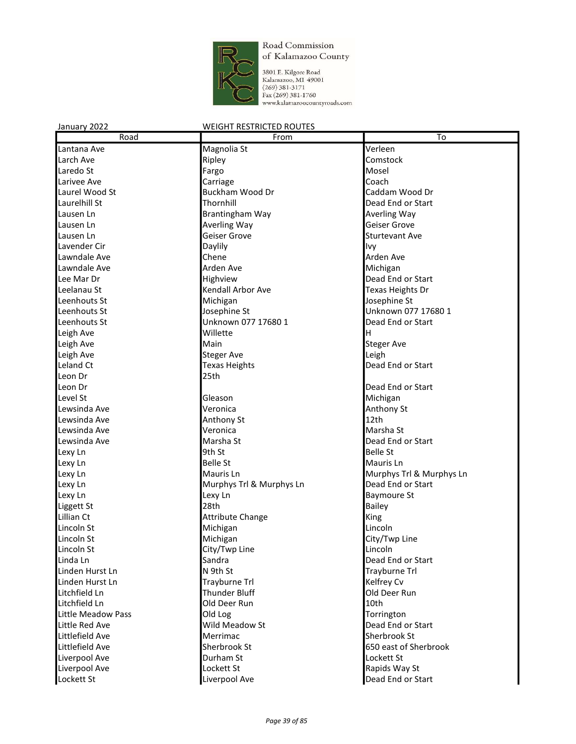

3801 E. Kilgore Road Kalamazoo, MI 49001  $(269)$  381-3171 Fax (269) 381-1760 www.kalamazoocountyroads.com

#### January 2022 WEIGHT RESTRICTED ROUTES Road **From To** Lantana Ave Magnolia St Verleen Larch Ave **Comstock Ripley Comstock Comstock** Laredo St Fargo Mosel Larivee Ave **Carriage** Carriage **Coach** Coach Laurel Wood St Buckham Wood Dr Caddam Wood Dr Laurelhill St Thornhill Dead End or Start Lausen Ln **Brantingham Way Averling Way** Lausen Ln **Averling Way Geiser Grove** Communication Control and Averling Way **Communication** Control Communication Lausen Ln Geiser Grove Chronic Lausen Lausen Ln Geiser Grove Chronic Lausen Ln Geiser Sturtevant Ave Lavender Cir Daylily Ivy Lawndale Ave Chene Arden Ave Lawndale Ave Arden Ave Michigan Lee Mar Dr **End of Start Highview** Communication of the United States of the United States of the United States Leelanau St **Kendall Arbor Ave Texas Heights Dr** Texas Heights Dr Leenhouts St **Michigan Containers Leenhouts** St and Dosephine St Leenhouts St **Leenhouts St** Josephine St **Leenhouts St** Unknown 077 17680 1 Leenhouts St Unknown 077 17680 1 Dead End or Start Leigh Ave **H** Willette **H** Willette Leigh Ave **Main** Main Steger Ave Leigh Ave **Steger Ave** Steger Ave **Steger Ave** Stegen Ave **Leigh** Leland Ct **Texas Heights** Contains the Dead End or Start Leon Dr Leon Dr Leon Dr Dead End or Start Gleason Michigan<br>
Veronica Christian Michigan<br>
Michigan Michigan Michigan Lewsinda Ave **Veronica** Lewsinda Ave **Anthony St Anthony St** 12th Lewsinda Ave **Marsha Struck Ave** Veronica **Marsha Struck Ave Marsha Struck** Marsha St Lewsinda Ave **Marsha St Marsha St Constanting Constanting Constanting Constanting Constanting Operation** Lexy Ln 9th St Belle St Belle St Belle St Belle St Belle St Belle St Belle St Belle St Lexy Ln **Belle St** Mauris Ln **Mauris Ln** Lexy Ln Mauris Ln Murphys Trl & Murphys Ln Lexy Ln **Murphys Trl & Murphys Ln** Dead End or Start Lexy Ln Baymoure St Liggett St **Bailey Contract 28th** Bailey **Contract 28th** Bailey Lillian Ct **Attribute Change Attribute Change Attribute Change Attribute Change** Lincoln St **Michigan Lincoln Lincoln Lincoln** Lincoln St **Michigan** Michigan **City/Twp Line** Lincoln St Lincoln City/Twp Line Line Lincoln Linda Ln Sandra Dead End or Start Linda Ln Sandra Communication of Start Linda Ln Start Linda Ln Start Linda L Linden Hurst Ln N 9th St Trayburne Trl Linden Hurst Ln **Trayburne Trl** Trayburne Trl Kelfrey Cv Litchfield Ln Thunder Bluff Old Deer Run Litchfield Ln Old Deer Run 10th Little Meadow Pass **Constanting Construction** Old Log **Torrington** Little Red Ave Wild Meadow St Dead End or Start Littlefield Ave Merrimac Sherbrook St Littlefield Ave Sherbrook St Charles Constanting Constanting Constanting Constanting Constanting Constanting Co

Liverpool Ave **Dead End or Start** 

Liverpool Ave Durham St Lockett St Liverpool Ave Lockett St Lockett St Lockett St Rapids Way St Lockett St Lockett St Lockett St Lockett St Lockett St Lockett St Lockett St Lockett St Lockett St Lockett St Lockett St Lockett St Lockett St Lockett St Lockett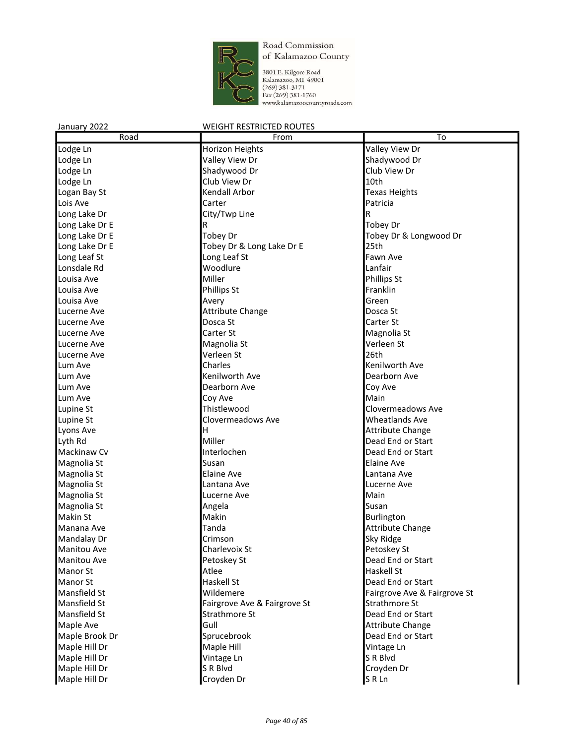

3801 E. Kilgore Road Kalamazoo, MI 49001  $(269)$  381-3171 Fax (269) 381-1760 www.kalamazoocountyroads.com

#### January 2022 WEIGHT RESTRICTED ROUTES Road **From To** Lodge Ln Horizon Heights Valley View Dr Lodge Ln Shadywood Dr Shadywood Dr Shadywood Dr Shadywood Dr Shadywood Dr Shadywood Dr Shadywood Dr Lodge Ln Shadywood Dr Club View Dr Club View Dr Shadywood Dr Club View Dr Club View Dr Lodge Ln **10th** Club View Dr **10th** Logan Bay St **Kendall Arbor** Texas Heights Lois Ave **Carter Carter** Carter **Patricia** Long Lake Dr **City/Twp Line** City/Twp Line Long Lake Dr E R R Tobey Dr Long Lake Dr E Tobey Dr Tobey Dr & Longwood Dr Long Lake Dr E **Tobey Dr & Long Lake Dr E** 25th<br>
Long Leaf St Fawn Ave Long Leaf St **Facult 2018** Long Leaf St Lonsdale Rd Woodlure Lanfair Louisa Ave **Miller Miller** Phillips St Louisa Ave **Phillips St** Phillips St **Franklin** Louisa Ave **Avery** Avery **Avery Construction** Green Lucerne Ave **Attribute Change Attribute Change Attribute Change Change Change Change Change Change Change Change Change Change Change Change Change Change Change Change Change Change** Lucerne Ave **Carter St** Dosca St Carter St Carter St Carter St Lucerne Ave Carter St Carter St Carter St Carter St Magnolia St Cartes Music St Cartes of Magnolia St Cartes o Lucerne Ave **Magnolia St** Magnolia St **Magnolia St** Verleen St Lucerne Ave Verleen St 26th Lum Ave Charles Kenilworth Ave Lum Ave Kenilworth Ave Dearborn Ave Lum Ave Dearborn Ave Coy Ave Lum Ave Coy Ave Main Lupine St **Thistlewood** Clovermeadows Ave Lupine St **Clovermeadows Ave Community** Wheatlands Ave Lyons Ave **H H H** Attribute Change Lyth Rd Miller Dead End or Start Mackinaw Cv **Interlochen** Interlochen **Interlochen** Dead End or Start Magnolia St Susan Elaine Ave Magnolia St **Elaine Ave Lantana Ave Lantana Ave Lantana Ave** Magnolia St **Lantana Ave Lantana Ave Lucerne Ave** Lucerne Ave Magnolia St **Magnolia St** Lucerne Ave **Magnolia St** Main Magnolia St **Angela** Angela **Susan** Susan Makin St **Makin** Burlington Manana Ave **Tanda Tanda Attribute Change Attribute Change** Mandalay Dr **Crimson** Crimson Sky Ridge Sky Ridge **Sky Ridge** Manitou Ave **Charlevoix St** Charlevoix St **Petoskey St** Manitou Ave **Petoskey St** Petoskey St **Petoskey St Petoskey St Petoskey St Petoskey St Petoskey St Petoskey St** Manor St **Atlee** Haskell St Atlantic Manor St Atlantic Atlantic Atlantic Manor St Atlantic Atlantic Manor St Atlantic Manor St Atlantic Manor St Atlantic Manor St Atlantic Manor St Atlantic Manor St Atlantic Manor St Atlan Manor St **Haskell St** Dead End or Start **Haskell St** Dead End or Start Mansfield St **Easily Struck Contract Contract Contract Contract Contract Contract Contract Contract Contract Contract Contract Contract Contract Contract Contract Contract Contract Contract Contract Contract Contract Contr** Mansfield St **Fairgrove Ave & Fairgrove St** Strathmore St Mansfield St **Strathmore St** Strathmore St **Dead End or Start** Maple Ave **Gull** Gull **Gull** Gull **Change** Attribute Change Maple Brook Dr Sprucebrook Dead End or Start Sprucebrook Dead End or Start Maple Hill Dr **Maple Hill** Maple Hill **Maple Hill** Vintage Ln Maple Hill Dr **Vintage Ln** SR Blvd

Maple Hill Dr S R Blvd Croyden Dr

Maple Hill Dr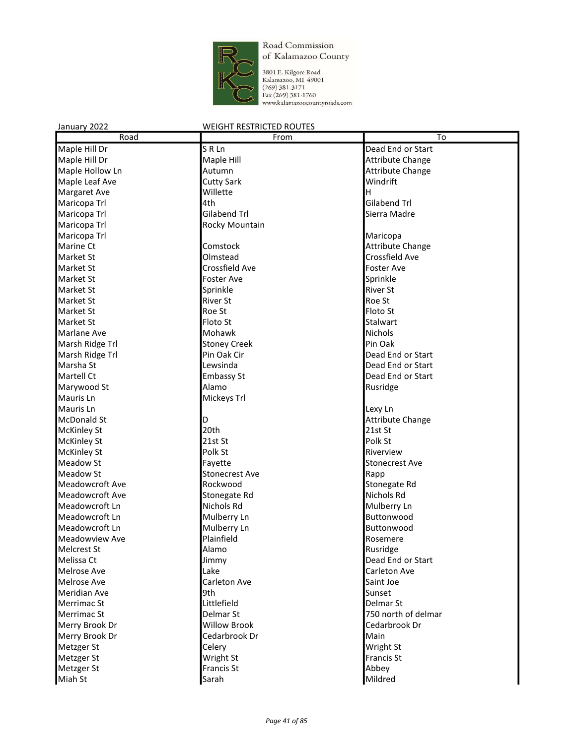

3801 E. Kilgore Road<br>Kalamazoo, MI 49001<br>(269) 381-3171<br>Fax (269) 381-1760<br>www.kalamazoocountyroads.com

| Road                          | From                  | To                                 |
|-------------------------------|-----------------------|------------------------------------|
| Maple Hill Dr                 | SRLn                  | Dead End or Start                  |
| Maple Hill Dr                 | Maple Hill            | <b>Attribute Change</b>            |
| Maple Hollow Ln               | Autumn                | <b>Attribute Change</b>            |
| Maple Leaf Ave                | <b>Cutty Sark</b>     | Windrift                           |
| <b>Margaret Ave</b>           | Willette              | H                                  |
| Maricopa Trl                  | 4th                   | Gilabend Trl                       |
| Maricopa Trl                  | Gilabend Trl          | Sierra Madre                       |
| Maricopa Trl                  | Rocky Mountain        |                                    |
| Maricopa Trl                  |                       | Maricopa                           |
| <b>Marine Ct</b>              | Comstock              | <b>Attribute Change</b>            |
| <b>Market St</b>              | Olmstead              | Crossfield Ave                     |
| <b>Market St</b>              | Crossfield Ave        | Foster Ave                         |
| <b>Market St</b>              | <b>Foster Ave</b>     | Sprinkle                           |
| <b>Market St</b>              | Sprinkle              | <b>River St</b>                    |
| <b>Market St</b>              | <b>River St</b>       | Roe St                             |
| <b>Market St</b>              | Roe St                | Floto St                           |
| <b>Market St</b>              | Floto St              | Stalwart                           |
| Marlane Ave                   | Mohawk                | <b>Nichols</b>                     |
| Marsh Ridge Trl               | <b>Stoney Creek</b>   | Pin Oak                            |
| Marsh Ridge Trl               | Pin Oak Cir           | Dead End or Start                  |
| Marsha St                     | Lewsinda              | Dead End or Start                  |
| Martell Ct                    | <b>Embassy St</b>     | Dead End or Start                  |
|                               | Alamo                 |                                    |
| Marywood St                   |                       | Rusridge                           |
| Mauris Ln<br><b>Mauris Ln</b> | Mickeys Trl           |                                    |
|                               |                       | Lexy Ln                            |
| <b>McDonald St</b>            | D<br>20th             | <b>Attribute Change</b><br>21st St |
| <b>McKinley St</b>            |                       |                                    |
| <b>McKinley St</b>            | 21st St               | Polk St                            |
| <b>McKinley St</b>            | Polk St               | Riverview                          |
| Meadow St                     | Fayette               | <b>Stonecrest Ave</b>              |
| <b>Meadow St</b>              | <b>Stonecrest Ave</b> | Rapp                               |
| <b>Meadowcroft Ave</b>        | Rockwood              | Stonegate Rd                       |
| <b>Meadowcroft Ave</b>        | Stonegate Rd          | Nichols Rd                         |
| Meadowcroft Ln                | Nichols Rd            | Mulberry Ln                        |
| Meadowcroft Ln                | Mulberry Ln           | Buttonwood                         |
| Meadowcroft Ln                | Mulberry Ln           | Buttonwood                         |
| Meadowview Ave                | Plainfield            | Rosemere                           |
| <b>Melcrest St</b>            | Alamo                 | Rusridge                           |
| Melissa Ct                    | Jimmy                 | Dead End or Start                  |
| <b>Melrose Ave</b>            | Lake                  | Carleton Ave                       |
| Melrose Ave                   | Carleton Ave          | Saint Joe                          |
| <b>Meridian Ave</b>           | 9th                   | Sunset                             |
| Merrimac St                   | Littlefield           | Delmar St                          |
| Merrimac St                   | Delmar St             | 750 north of delmar                |
| Merry Brook Dr                | <b>Willow Brook</b>   | Cedarbrook Dr                      |
| Merry Brook Dr                | Cedarbrook Dr         | Main                               |
| Metzger St                    | Celery                | Wright St                          |
| Metzger St                    | Wright St             | Francis St                         |
| Metzger St                    | Francis St            | Abbey                              |
| Miah St                       | Sarah                 | Mildred                            |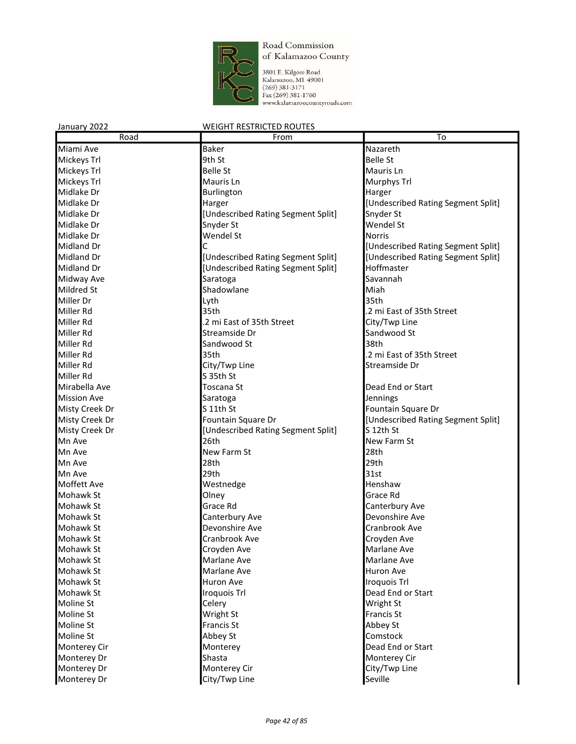

| January 2022       | <b>WEIGHT RESTRICTED ROUTES</b>    |                                    |
|--------------------|------------------------------------|------------------------------------|
| Road               | From                               | To                                 |
| Miami Ave          | <b>Baker</b>                       | Nazareth                           |
| Mickeys Trl        | 9th St                             | <b>Belle St</b>                    |
| Mickeys Trl        | <b>Belle St</b>                    | Mauris Ln                          |
| Mickeys Trl        | Mauris Ln                          | Murphys Trl                        |
| Midlake Dr         | Burlington                         | Harger                             |
| Midlake Dr         | Harger                             | [Undescribed Rating Segment Split] |
| Midlake Dr         | [Undescribed Rating Segment Split] | Snyder St                          |
| Midlake Dr         | Snyder St                          | Wendel St                          |
| Midlake Dr         | Wendel St                          | Norris                             |
| Midland Dr         | C                                  | [Undescribed Rating Segment Split] |
| <b>Midland Dr</b>  | [Undescribed Rating Segment Split] | [Undescribed Rating Segment Split] |
| Midland Dr         | [Undescribed Rating Segment Split] | Hoffmaster                         |
| Midway Ave         | Saratoga                           | Savannah                           |
| <b>Mildred St</b>  | Shadowlane                         | Miah                               |
| Miller Dr          | Lyth                               | 35th                               |
| Miller Rd          | 35th                               | .2 mi East of 35th Street          |
| Miller Rd          | .2 mi East of 35th Street          | City/Twp Line                      |
| Miller Rd          | Streamside Dr                      | Sandwood St                        |
| Miller Rd          | Sandwood St                        | 38th                               |
| Miller Rd          | 35th                               | .2 mi East of 35th Street          |
| Miller Rd          | City/Twp Line                      | Streamside Dr                      |
| Miller Rd          | S 35th St                          |                                    |
| Mirabella Ave      | Toscana St                         | Dead End or Start                  |
| <b>Mission Ave</b> | Saratoga                           | Jennings                           |
| Misty Creek Dr     | S 11th St                          | Fountain Square Dr                 |
| Misty Creek Dr     | Fountain Square Dr                 | [Undescribed Rating Segment Split] |
| Misty Creek Dr     | [Undescribed Rating Segment Split] | S 12th St                          |
| Mn Ave             | 26th                               | New Farm St                        |
| Mn Ave             | New Farm St                        | 28th                               |
| Mn Ave             | 28th                               | 29th                               |
| Mn Ave             | 29th                               | 31st                               |
| Moffett Ave        | Westnedge                          | Henshaw                            |
| Mohawk St          | Olney                              | Grace Rd                           |
| Mohawk St          | Grace Rd                           | Canterbury Ave                     |
| Mohawk St          | Canterbury Ave                     | Devonshire Ave                     |
| Mohawk St          | Devonshire Ave                     | Cranbrook Ave                      |
| Mohawk St          | Cranbrook Ave                      | Croyden Ave                        |
| Mohawk St          | Croyden Ave                        | Marlane Ave                        |
| Mohawk St          | Marlane Ave                        | Marlane Ave                        |
| Mohawk St          | Marlane Ave                        | Huron Ave                          |
| Mohawk St          | Huron Ave                          | <b>Iroquois Trl</b>                |
| Mohawk St          | Iroquois Trl                       | Dead End or Start                  |
| Moline St          | Celery                             | Wright St                          |
| Moline St          | Wright St                          | Francis St                         |
| Moline St          | <b>Francis St</b>                  | Abbey St                           |
| Moline St          | Abbey St                           | Comstock                           |
| Monterey Cir       | Monterey                           | Dead End or Start                  |
| Monterey Dr        | Shasta                             | Monterey Cir                       |
| Monterey Dr        | Monterey Cir                       | City/Twp Line                      |
| Monterey Dr        | City/Twp Line                      | Seville                            |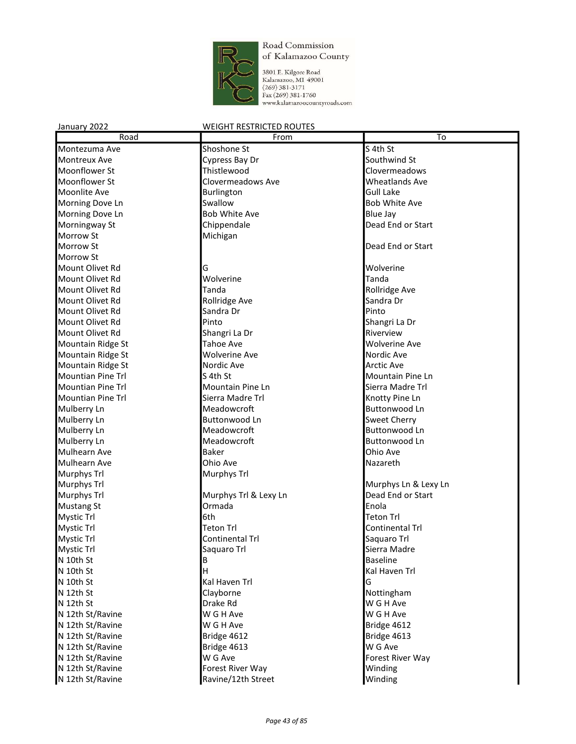

3801 E. Kilgore Road<br>Kalamazoo, MI 49001<br>(269) 381-3171<br>Fax (269) 381-1760<br>www.kalamazoocountyroads.com

| Road                     | From                  | To                    |
|--------------------------|-----------------------|-----------------------|
| Montezuma Ave            | Shoshone St           | S 4th St              |
| Montreux Ave             | Cypress Bay Dr        | Southwind St          |
| Moonflower St            | Thistlewood           | Clovermeadows         |
| Moonflower St            | Clovermeadows Ave     | <b>Wheatlands Ave</b> |
| Moonlite Ave             | Burlington            | <b>Gull Lake</b>      |
| Morning Dove Ln          | Swallow               | <b>Bob White Ave</b>  |
| Morning Dove Ln          | <b>Bob White Ave</b>  | <b>Blue Jay</b>       |
| Morningway St            | Chippendale           | Dead End or Start     |
| Morrow St                | Michigan              |                       |
| <b>Morrow St</b>         |                       | Dead End or Start     |
| Morrow St                |                       |                       |
| Mount Olivet Rd          | G                     | Wolverine             |
| Mount Olivet Rd          | Wolverine             | Tanda                 |
| <b>Mount Olivet Rd</b>   | Tanda                 | Rollridge Ave         |
| Mount Olivet Rd          | Rollridge Ave         | Sandra Dr             |
| Mount Olivet Rd          | Sandra Dr             | Pinto                 |
| Mount Olivet Rd          | Pinto                 | Shangri La Dr         |
| Mount Olivet Rd          | Shangri La Dr         | Riverview             |
| Mountain Ridge St        | <b>Tahoe Ave</b>      | <b>Wolverine Ave</b>  |
| Mountain Ridge St        | <b>Wolverine Ave</b>  | Nordic Ave            |
| Mountain Ridge St        | Nordic Ave            | <b>Arctic Ave</b>     |
| <b>Mountian Pine Trl</b> | S 4th St              | Mountain Pine Ln      |
| <b>Mountian Pine Trl</b> | Mountain Pine Ln      | Sierra Madre Trl      |
| <b>Mountian Pine Trl</b> | Sierra Madre Trl      | Knotty Pine Ln        |
| Mulberry Ln              | Meadowcroft           | Buttonwood Ln         |
| Mulberry Ln              | Buttonwood Ln         | <b>Sweet Cherry</b>   |
| Mulberry Ln              | Meadowcroft           | <b>Buttonwood Ln</b>  |
| Mulberry Ln              | Meadowcroft           | <b>Buttonwood Ln</b>  |
| <b>Mulhearn Ave</b>      | <b>Baker</b>          | Ohio Ave              |
| Mulhearn Ave             | Ohio Ave              | Nazareth              |
| Murphys Trl              | Murphys Trl           |                       |
| Murphys Trl              |                       | Murphys Ln & Lexy Ln  |
| Murphys Trl              | Murphys Trl & Lexy Ln | Dead End or Start     |
| <b>Mustang St</b>        | Ormada                | Enola                 |
| <b>Mystic Trl</b>        | 6th                   | <b>Teton Trl</b>      |
| <b>Mystic Trl</b>        | <b>Teton Trl</b>      | Continental Trl       |
| Mystic Trl               | Continental Trl       | Saquaro Trl           |
| <b>Mystic Trl</b>        | Saquaro Trl           | Sierra Madre          |
| N 10th St                | В                     | <b>Baseline</b>       |
| N 10th St                | н                     | Kal Haven Trl         |
| N 10th St                | Kal Haven Trl         | G                     |
| N 12th St                | Clayborne             | Nottingham            |
| N 12th St                | Drake Rd              | W G H Ave             |
| N 12th St/Ravine         | W G H Ave             | W G H Ave             |
| N 12th St/Ravine         | W G H Ave             | Bridge 4612           |
| N 12th St/Ravine         | Bridge 4612           | Bridge 4613           |
| N 12th St/Ravine         | Bridge 4613           | W G Ave               |
| N 12th St/Ravine         | W G Ave               | Forest River Way      |
| N 12th St/Ravine         | Forest River Way      | Winding               |
| N 12th St/Ravine         | Ravine/12th Street    | Winding               |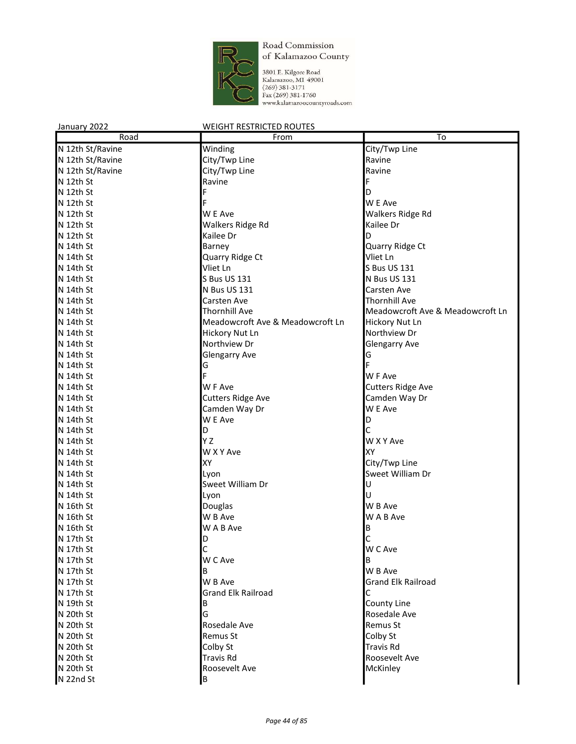

| January 2022     | <b>WEIGHT RESTRICTED ROUTES</b>  |                                  |
|------------------|----------------------------------|----------------------------------|
| Road             | From                             | To                               |
| N 12th St/Ravine | Winding                          | City/Twp Line                    |
| N 12th St/Ravine | City/Twp Line                    | Ravine                           |
| N 12th St/Ravine | City/Twp Line                    | Ravine                           |
| N 12th St        | Ravine                           | F                                |
| N 12th St        | F                                | D                                |
| N 12th St        |                                  | W E Ave                          |
| N 12th St        | W E Ave                          | Walkers Ridge Rd                 |
| N 12th St        | Walkers Ridge Rd                 | Kailee Dr                        |
| N 12th St        | Kailee Dr                        | D                                |
| N 14th St        | Barney                           | Quarry Ridge Ct                  |
| N 14th St        | Quarry Ridge Ct                  | Vliet Ln                         |
| N 14th St        | Vliet Ln                         | S Bus US 131                     |
| N 14th St        | S Bus US 131                     | N Bus US 131                     |
| N 14th St        | N Bus US 131                     | <b>Carsten Ave</b>               |
| N 14th St        | <b>Carsten Ave</b>               | <b>Thornhill Ave</b>             |
| N 14th St        | <b>Thornhill Ave</b>             | Meadowcroft Ave & Meadowcroft Ln |
| N 14th St        | Meadowcroft Ave & Meadowcroft Ln | Hickory Nut Ln                   |
| N 14th St        | Hickory Nut Ln                   | Northview Dr                     |
| N 14th St        | Northview Dr                     | <b>Glengarry Ave</b>             |
| N 14th St        | <b>Glengarry Ave</b>             | G                                |
| N 14th St        | G                                |                                  |
| N 14th St        |                                  | W F Ave                          |
| N 14th St        | W F Ave                          | <b>Cutters Ridge Ave</b>         |
| N 14th St        | <b>Cutters Ridge Ave</b>         | Camden Way Dr                    |
| N 14th St        | Camden Way Dr                    | W E Ave                          |
| N 14th St        | W E Ave                          | D                                |
| N 14th St        | D                                | C                                |
| N 14th St        | ΥZ                               | W X Y Ave                        |
| N 14th St        | W X Y Ave                        | lχγ                              |
| N 14th St        | XY                               | City/Twp Line                    |
| N 14th St        | Lyon                             | Sweet William Dr                 |
| N 14th St        | Sweet William Dr                 | U                                |
| N 14th St        | Lyon                             | U                                |
| N 16th St        | Douglas                          | W B Ave                          |
| N 16th St        | W B Ave                          | W A B Ave                        |
| N 16th St        | W A B Ave                        | B                                |
| N 17th St        | D                                | $\mathsf{C}$                     |
| N 17th St        | C                                | W C Ave                          |
| N 17th St        | W C Ave                          | B                                |
| N 17th St        | В                                | W B Ave                          |
| N 17th St        | W B Ave                          | <b>Grand Elk Railroad</b>        |
| N 17th St        | <b>Grand Elk Railroad</b>        | С                                |
| N 19th St        | В                                | County Line                      |
| N 20th St        | G                                | Rosedale Ave                     |
| N 20th St        | Rosedale Ave                     | Remus St                         |
| N 20th St        | Remus St                         | Colby St                         |
| N 20th St        | Colby St                         | <b>Travis Rd</b>                 |
| N 20th St        | <b>Travis Rd</b>                 | Roosevelt Ave                    |
| N 20th St        | Roosevelt Ave                    | McKinley                         |
| N 22nd St        | В                                |                                  |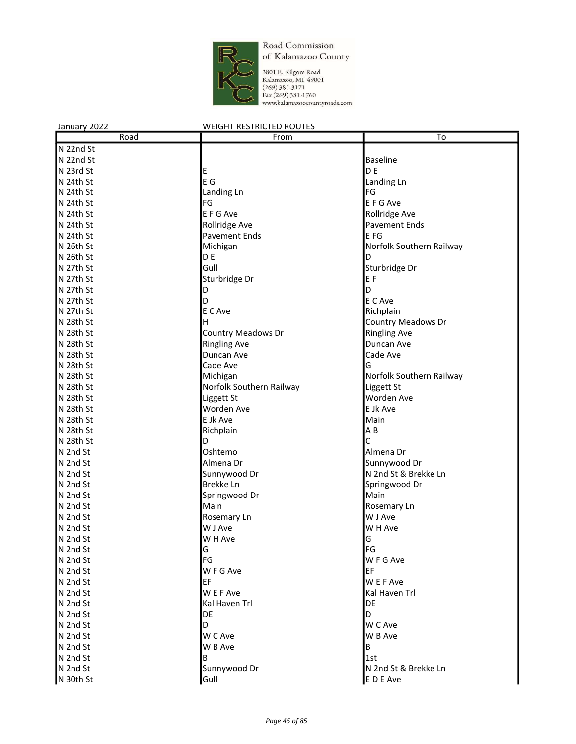

| January 2022 | <b>WEIGHT RESTRICTED ROUTES</b> |                           |
|--------------|---------------------------------|---------------------------|
| Road         | From                            | To                        |
| N 22nd St    |                                 |                           |
| N 22nd St    |                                 | <b>Baseline</b>           |
| N 23rd St    | E                               | D <sub>E</sub>            |
| N 24th St    | E G                             | Landing Ln                |
| N 24th St    | Landing Ln                      | FG                        |
| N 24th St    | FG                              | E F G Ave                 |
| N 24th St    | E F G Ave                       | Rollridge Ave             |
| N 24th St    | Rollridge Ave                   | Pavement Ends             |
| N 24th St    | <b>Pavement Ends</b>            | E FG                      |
| N 26th St    | Michigan                        | Norfolk Southern Railway  |
| N 26th St    | D E                             | D                         |
| N 27th St    | Gull                            | Sturbridge Dr             |
| N 27th St    | Sturbridge Dr                   | E F                       |
| N 27th St    | D                               | D                         |
| N 27th St    | D                               | E C Ave                   |
| N 27th St    | E C Ave                         | Richplain                 |
| N 28th St    | н                               | <b>Country Meadows Dr</b> |
| N 28th St    | <b>Country Meadows Dr</b>       | <b>Ringling Ave</b>       |
| N 28th St    | <b>Ringling Ave</b>             | Duncan Ave                |
| N 28th St    | Duncan Ave                      | Cade Ave                  |
| N 28th St    | Cade Ave                        | G                         |
| N 28th St    | Michigan                        | Norfolk Southern Railway  |
| N 28th St    | Norfolk Southern Railway        | Liggett St                |
| N 28th St    | Liggett St                      | Worden Ave                |
| N 28th St    | Worden Ave                      | E Jk Ave                  |
| N 28th St    | E Jk Ave                        | Main                      |
| N 28th St    | Richplain                       | $A$ $B$                   |
| N 28th St    | D                               | C                         |
| N 2nd St     | Oshtemo                         | Almena Dr                 |
| N 2nd St     | Almena Dr                       | Sunnywood Dr              |
| N 2nd St     | Sunnywood Dr                    | N 2nd St & Brekke Ln      |
| N 2nd St     | Brekke Ln                       | Springwood Dr             |
| N 2nd St     | Springwood Dr                   | Main                      |
| N 2nd St     | Main                            | Rosemary Ln               |
| N 2nd St     | Rosemary Ln                     | W J Ave                   |
| N 2nd St     | W J Ave                         | W H Ave                   |
| N 2nd St     | W H Ave                         | lG                        |
| N 2nd St     | G                               | FG                        |
| N 2nd St     | FG                              | W F G Ave                 |
| N 2nd St     | W F G Ave                       | EF                        |
| N 2nd St     | EF                              | W E F Ave                 |
| N 2nd St     | W E F Ave                       | Kal Haven Trl             |
| N 2nd St     | Kal Haven Trl                   | DE                        |
| N 2nd St     | DE                              | D                         |
| N 2nd St     | D                               | W C Ave                   |
| N 2nd St     | W C Ave                         | W B Ave                   |
| N 2nd St     | W B Ave                         | В                         |
| N 2nd St     | В                               | 1st                       |
| N 2nd St     | Sunnywood Dr                    | N 2nd St & Brekke Ln      |
| N 30th St    | Gull                            | E D E Ave                 |
|              |                                 |                           |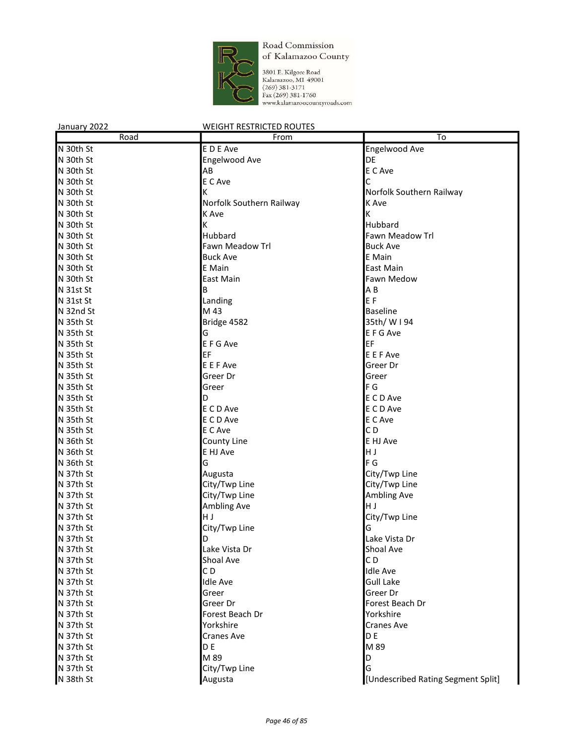

| January 2022 | <b>WEIGHT RESTRICTED ROUTES</b> |                                    |
|--------------|---------------------------------|------------------------------------|
| Road         | From                            | To                                 |
| N 30th St    | E D E Ave                       | Engelwood Ave                      |
| N 30th St    | Engelwood Ave                   | DE                                 |
| N 30th St    | AB                              | E C Ave                            |
| N 30th St    | E C Ave                         | C                                  |
| N 30th St    | ΙK                              | Norfolk Southern Railway           |
| N 30th St    | Norfolk Southern Railway        | K Ave                              |
| N 30th St    | K Ave                           | К                                  |
| N 30th St    | K                               | Hubbard                            |
| N 30th St    | Hubbard                         | Fawn Meadow Trl                    |
| N 30th St    | Fawn Meadow Trl                 | <b>Buck Ave</b>                    |
| N 30th St    | <b>Buck Ave</b>                 | E Main                             |
| N 30th St    | E Main                          | East Main                          |
| N 30th St    | East Main                       | Fawn Medow                         |
| N 31st St    | В                               | A B                                |
| N 31st St    | Landing                         | EF                                 |
| N 32nd St    | M 43                            | <b>Baseline</b>                    |
| N 35th St    | Bridge 4582                     | 35th/ W I 94                       |
| N 35th St    | G                               | E F G Ave                          |
| N 35th St    | E F G Ave                       | EF                                 |
| N 35th St    | EF                              | E E F Ave                          |
| N 35th St    | E E F Ave                       | Greer Dr                           |
| N 35th St    | Greer Dr                        | Greer                              |
| N 35th St    | Greer                           | lF G                               |
| N 35th St    | D                               | E C D Ave                          |
| N 35th St    | E C D Ave                       | E C D Ave                          |
| N 35th St    | E C D Ave                       | E C Ave                            |
| N 35th St    | E C Ave                         | CD                                 |
| N 36th St    | County Line                     | E HJ Ave                           |
| N 36th St    | E HJ Ave                        | НJ                                 |
| N 36th St    | G                               | F G                                |
| N 37th St    | Augusta                         | City/Twp Line                      |
| N 37th St    | City/Twp Line                   | City/Twp Line                      |
| N 37th St    | City/Twp Line                   | Ambling Ave                        |
| N 37th St    | Ambling Ave                     | lн ј                               |
| N 37th St    | H J                             | City/Twp Line                      |
| N 37th St    | City/Twp Line                   | G                                  |
| N 37th St    | ID                              | Lake Vista Dr                      |
| N 37th St    | Lake Vista Dr                   | Shoal Ave                          |
| N 37th St    | Shoal Ave                       | CD                                 |
| N 37th St    | CD                              | <b>Idle Ave</b>                    |
| N 37th St    | <b>Idle Ave</b>                 | <b>Gull Lake</b>                   |
| N 37th St    | Greer                           | Greer Dr                           |
| N 37th St    | Greer Dr                        | Forest Beach Dr                    |
| N 37th St    | Forest Beach Dr                 | Yorkshire                          |
| N 37th St    | Yorkshire                       | <b>Cranes Ave</b>                  |
| N 37th St    | <b>Cranes Ave</b>               | D E                                |
| N 37th St    | D <sub>E</sub>                  | M 89                               |
| N 37th St    | M 89                            | D                                  |
| N 37th St    | City/Twp Line                   | G                                  |
| N 38th St    | Augusta                         | [Undescribed Rating Segment Split] |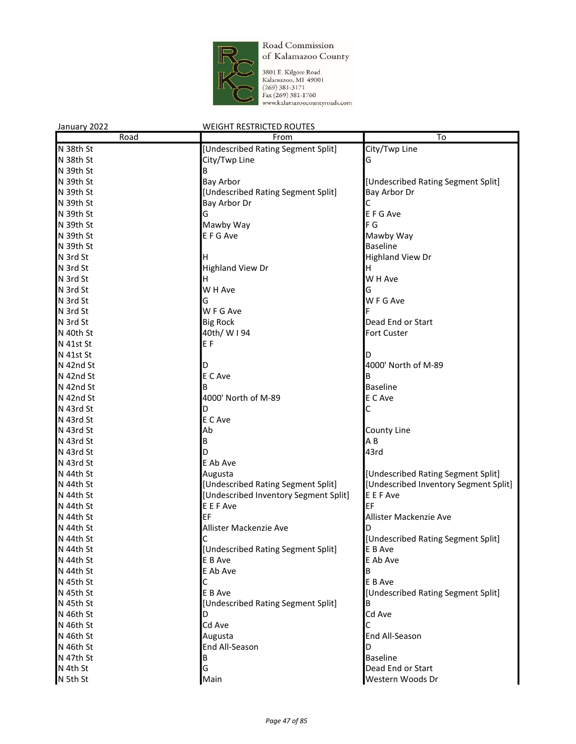

| January 2022 | <b>WEIGHT RESTRICTED ROUTES</b>       |                                       |
|--------------|---------------------------------------|---------------------------------------|
| Road         | From                                  | To                                    |
| N 38th St    | [Undescribed Rating Segment Split]    | City/Twp Line                         |
| N 38th St    | City/Twp Line                         | G                                     |
| N 39th St    | В                                     |                                       |
| N 39th St    | <b>Bay Arbor</b>                      | [Undescribed Rating Segment Split]    |
| N 39th St    | [Undescribed Rating Segment Split]    | Bay Arbor Dr                          |
| N 39th St    | Bay Arbor Dr                          | C                                     |
| N 39th St    | G                                     | E F G Ave                             |
| N 39th St    |                                       | F G                                   |
|              | Mawby Way<br>E F G Ave                |                                       |
| N 39th St    |                                       | Mawby Way                             |
| N 39th St    |                                       | <b>Baseline</b>                       |
| N 3rd St     | н                                     | <b>Highland View Dr</b>               |
| N 3rd St     | <b>Highland View Dr</b>               | н                                     |
| N 3rd St     | н                                     | W H Ave                               |
| N 3rd St     | W H Ave                               | G                                     |
| N 3rd St     | G                                     | W F G Ave                             |
| N 3rd St     | W F G Ave                             |                                       |
| N 3rd St     | <b>Big Rock</b>                       | Dead End or Start                     |
| N 40th St    | 40th/ W I 94                          | <b>Fort Custer</b>                    |
| N 41st St    | E <sub>F</sub>                        |                                       |
| N 41st St    |                                       | D                                     |
| N 42nd St    | D                                     | 4000' North of M-89                   |
| N 42nd St    | E C Ave                               | B                                     |
| N 42nd St    |                                       | <b>Baseline</b>                       |
| N 42nd St    | 4000' North of M-89                   | E C Ave                               |
| N 43rd St    | D                                     | С                                     |
| N 43rd St    | E C Ave                               |                                       |
| N 43rd St    | Ab                                    | County Line                           |
| N 43rd St    | В                                     | AB                                    |
| N 43rd St    | D                                     | 43rd                                  |
| N 43rd St    | E Ab Ave                              |                                       |
| N 44th St    | Augusta                               | [Undescribed Rating Segment Split]    |
| N 44th St    | [Undescribed Rating Segment Split]    | [Undescribed Inventory Segment Split] |
| N 44th St    | [Undescribed Inventory Segment Split] | E E F Ave                             |
| N 44th St    | E E F Ave                             | EF                                    |
| N 44th St    | EF                                    | Allister Mackenzie Ave                |
| N 44th St    | Allister Mackenzie Ave                | D                                     |
|              | $\mathsf{C}$                          |                                       |
| N 44th St    |                                       | [Undescribed Rating Segment Split]    |
| N 44th St    | [Undescribed Rating Segment Split]    | E B Ave                               |
| N 44th St    | E B Ave                               | E Ab Ave                              |
| N 44th St    | E Ab Ave                              | В                                     |
| N 45th St    | С                                     | E B Ave                               |
| N 45th St    | E B Ave                               | [Undescribed Rating Segment Split]    |
| N 45th St    | [Undescribed Rating Segment Split]    | В                                     |
| N 46th St    | D                                     | Cd Ave                                |
| N 46th St    | Cd Ave                                | С                                     |
| N 46th St    | Augusta                               | End All-Season                        |
| N 46th St    | End All-Season                        | D                                     |
| N 47th St    | В                                     | <b>Baseline</b>                       |
| N 4th St     | G                                     | Dead End or Start                     |
| N 5th St     | Main                                  | Western Woods Dr                      |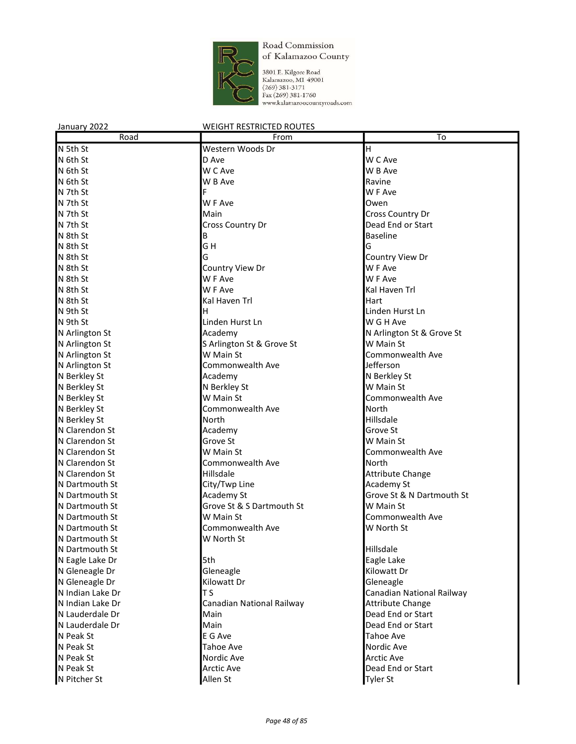

| January 2022     | <b>WEIGHT RESTRICTED ROUTES</b> |                           |
|------------------|---------------------------------|---------------------------|
| Road             | From                            | To                        |
| N 5th St         | Western Woods Dr                | H                         |
| N 6th St         | D Ave                           | W C Ave                   |
| N 6th St         | W C Ave                         | W B Ave                   |
| N 6th St         | W B Ave                         | Ravine                    |
| N 7th St         | F                               | W F Ave                   |
| N 7th St         | W F Ave                         | Owen                      |
| N 7th St         | Main                            | Cross Country Dr          |
| N 7th St         | Cross Country Dr                | Dead End or Start         |
| N 8th St         | В                               | <b>Baseline</b>           |
| N 8th St         | GH                              | G                         |
| N 8th St         | G                               | Country View Dr           |
| N 8th St         | Country View Dr                 | W F Ave                   |
| N 8th St         | W F Ave                         | W F Ave                   |
| N 8th St         | W F Ave                         | Kal Haven Trl             |
| N 8th St         | Kal Haven Trl                   | Hart                      |
| N 9th St         | н                               | Linden Hurst Ln           |
| N 9th St         | Linden Hurst Ln                 | W G H Ave                 |
| N Arlington St   | Academy                         | N Arlington St & Grove St |
| N Arlington St   | S Arlington St & Grove St       | W Main St                 |
| N Arlington St   | W Main St                       | Commonwealth Ave          |
| N Arlington St   | Commonwealth Ave                | Jefferson                 |
| N Berkley St     | Academy                         | N Berkley St              |
| N Berkley St     | N Berkley St                    | W Main St                 |
| N Berkley St     | W Main St                       | Commonwealth Ave          |
| N Berkley St     | Commonwealth Ave                | North                     |
| N Berkley St     | North                           | Hillsdale                 |
| N Clarendon St   | Academy                         | Grove St                  |
| N Clarendon St   | Grove St                        | W Main St                 |
| N Clarendon St   | W Main St                       | Commonwealth Ave          |
| N Clarendon St   | Commonwealth Ave                | North                     |
| N Clarendon St   | <b>Hillsdale</b>                | Attribute Change          |
| N Dartmouth St   | City/Twp Line                   | Academy St                |
| N Dartmouth St   | Academy St                      | Grove St & N Dartmouth St |
| N Dartmouth St   | Grove St & S Dartmouth St       | W Main St                 |
| N Dartmouth St   | W Main St                       | Commonwealth Ave          |
| N Dartmouth St   | Commonwealth Ave                | W North St                |
| N Dartmouth St   | W North St                      |                           |
| N Dartmouth St   |                                 | Hillsdale                 |
| N Eagle Lake Dr  | 5th                             | Eagle Lake                |
| N Gleneagle Dr   | Gleneagle                       | Kilowatt Dr               |
| N Gleneagle Dr   | Kilowatt Dr                     | Gleneagle                 |
| N Indian Lake Dr | <b>TS</b>                       | Canadian National Railway |
| N Indian Lake Dr | Canadian National Railway       | Attribute Change          |
| N Lauderdale Dr  | Main                            | Dead End or Start         |
| N Lauderdale Dr  | Main                            | Dead End or Start         |
| N Peak St        | E G Ave                         | <b>Tahoe Ave</b>          |
| N Peak St        | <b>Tahoe Ave</b>                | Nordic Ave                |
| N Peak St        | Nordic Ave                      | <b>Arctic Ave</b>         |
| N Peak St        | <b>Arctic Ave</b>               | Dead End or Start         |
| N Pitcher St     | Allen St                        | <b>Tyler St</b>           |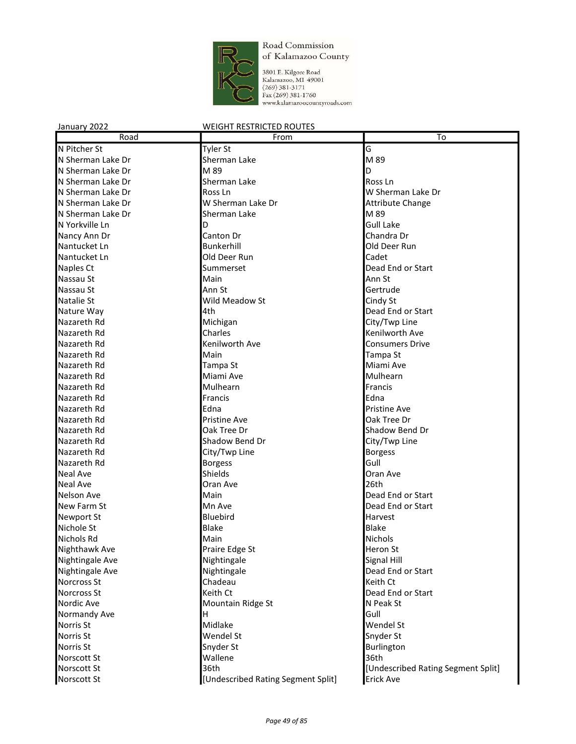

3801 E. Kilgore Road<br>Kalamazoo, MI 49001<br>(269) 381-3171<br>Fax (269) 381-1760<br>www.kalamazoocountyroads.com

| Road              | From                               | To                                 |
|-------------------|------------------------------------|------------------------------------|
| N Pitcher St      | Tyler St                           | G                                  |
| N Sherman Lake Dr | Sherman Lake                       | M 89                               |
| N Sherman Lake Dr | M 89                               | D                                  |
| N Sherman Lake Dr | Sherman Lake                       | Ross Ln                            |
| N Sherman Lake Dr | Ross <sub>Ln</sub>                 | W Sherman Lake Dr                  |
| N Sherman Lake Dr | W Sherman Lake Dr                  | <b>Attribute Change</b>            |
| N Sherman Lake Dr | Sherman Lake                       | M 89                               |
| N Yorkville Ln    | D                                  | <b>Gull Lake</b>                   |
| Nancy Ann Dr      | Canton Dr                          | Chandra Dr                         |
| Nantucket Ln      | Bunkerhill                         | Old Deer Run                       |
| Nantucket Ln      | Old Deer Run                       | Cadet                              |
| Naples Ct         | Summerset                          | Dead End or Start                  |
| Nassau St         | Main                               | Ann St                             |
| Nassau St         | Ann St                             | Gertrude                           |
| Natalie St        | Wild Meadow St                     | Cindy St                           |
| Nature Way        | 4th                                | Dead End or Start                  |
| Nazareth Rd       | Michigan                           | City/Twp Line                      |
| Nazareth Rd       | Charles                            | Kenilworth Ave                     |
| Nazareth Rd       | Kenilworth Ave                     | <b>Consumers Drive</b>             |
| Nazareth Rd       | Main                               | Tampa St                           |
| Nazareth Rd       | Tampa St                           | Miami Ave                          |
| Nazareth Rd       | Miami Ave                          | Mulhearn                           |
| Nazareth Rd       | Mulhearn                           | Francis                            |
| Nazareth Rd       | Francis                            | Edna                               |
| Nazareth Rd       | Edna                               | <b>Pristine Ave</b>                |
| Nazareth Rd       | <b>Pristine Ave</b>                | Oak Tree Dr                        |
| Nazareth Rd       | Oak Tree Dr                        | Shadow Bend Dr                     |
| Nazareth Rd       | Shadow Bend Dr                     | City/Twp Line                      |
| Nazareth Rd       | City/Twp Line                      | <b>Borgess</b>                     |
| Nazareth Rd       | <b>Borgess</b>                     | Gull                               |
| Neal Ave          | Shields                            | Oran Ave                           |
| <b>Neal Ave</b>   | Oran Ave                           | 26th                               |
| <b>Nelson Ave</b> | Main                               | Dead End or Start                  |
| New Farm St       | Mn Ave                             | Dead End or Start                  |
| <b>Newport St</b> | <b>Bluebird</b>                    | Harvest                            |
| Nichole St        | <b>Blake</b>                       | <b>Blake</b>                       |
| Nichols Rd        | Main                               | <b>Nichols</b>                     |
| Nighthawk Ave     | Praire Edge St                     | Heron St                           |
| Nightingale Ave   | Nightingale                        | Signal Hill                        |
| Nightingale Ave   | Nightingale                        | Dead End or Start                  |
| Norcross St       | Chadeau                            | Keith Ct                           |
| Norcross St       | Keith Ct                           | Dead End or Start                  |
| Nordic Ave        | Mountain Ridge St                  | N Peak St                          |
| Normandy Ave      | H                                  | Gull                               |
| Norris St         | Midlake                            | Wendel St                          |
| Norris St         | Wendel St                          | Snyder St                          |
| Norris St         | Snyder St                          | Burlington                         |
| Norscott St       | Wallene                            | 36th                               |
| Norscott St       | 36th                               | [Undescribed Rating Segment Split] |
| Norscott St       | [Undescribed Rating Segment Split] | <b>Erick Ave</b>                   |
|                   |                                    |                                    |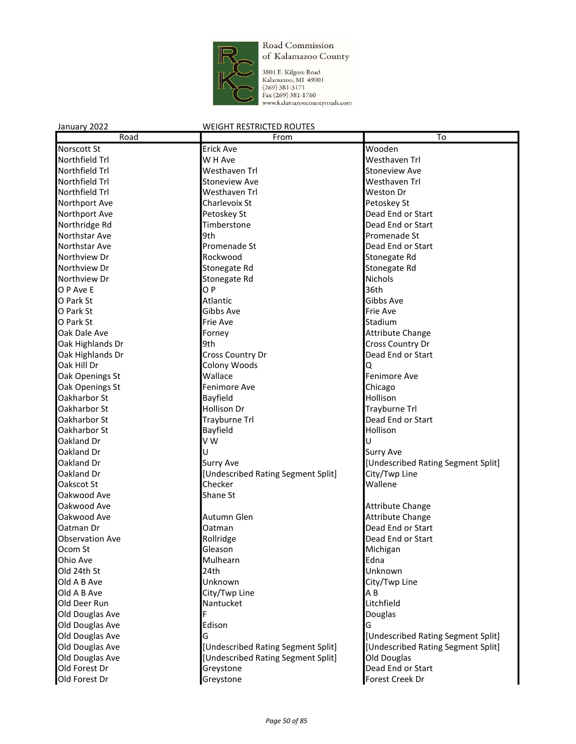

3801 E. Kilgore Road<br>Kalamazoo, MI 49001<br>(269) 381-3171<br>Fax (269) 381-1760<br>www.kalamazoocountyroads.com

| Road                   | From                               | $\overline{\text{To}}$             |
|------------------------|------------------------------------|------------------------------------|
| <b>Norscott St</b>     | <b>Erick Ave</b>                   | Wooden                             |
| Northfield Trl         | W H Ave                            | Westhaven Trl                      |
| Northfield Trl         | Westhaven Trl                      | <b>Stoneview Ave</b>               |
| Northfield Trl         | <b>Stoneview Ave</b>               | Westhaven Trl                      |
| Northfield Trl         | Westhaven Trl                      | <b>Weston Dr</b>                   |
| Northport Ave          | Charlevoix St                      | Petoskey St                        |
| Northport Ave          | Petoskey St                        | Dead End or Start                  |
| Northridge Rd          | Timberstone                        | Dead End or Start                  |
| Northstar Ave          | 9th                                | Promenade St                       |
| Northstar Ave          | Promenade St                       | Dead End or Start                  |
| Northview Dr           | Rockwood                           | Stonegate Rd                       |
| Northview Dr           | Stonegate Rd                       | Stonegate Rd                       |
| Northview Dr           | Stonegate Rd                       | Nichols                            |
| O P Ave E              | OP                                 | 36th                               |
| O Park St              | <b>Atlantic</b>                    | Gibbs Ave                          |
| O Park St              | Gibbs Ave                          | Frie Ave                           |
| O Park St              | <b>Frie Ave</b>                    | Stadium                            |
| Oak Dale Ave           | Forney                             | <b>Attribute Change</b>            |
| Oak Highlands Dr       | 9th                                | Cross Country Dr                   |
| Oak Highlands Dr       | Cross Country Dr                   | Dead End or Start                  |
| Oak Hill Dr            | Colony Woods                       | Q                                  |
| Oak Openings St        | Wallace                            | Fenimore Ave                       |
| Oak Openings St        | Fenimore Ave                       | Chicago                            |
| Oakharbor St           | Bayfield                           | Hollison                           |
| Oakharbor St           | Hollison Dr                        | Trayburne Trl                      |
| Oakharbor St           | Trayburne Trl                      | Dead End or Start                  |
| Oakharbor St           | Bayfield                           | Hollison                           |
| Oakland Dr             | V W                                | U                                  |
| Oakland Dr             | Ū                                  | <b>Surry Ave</b>                   |
| Oakland Dr             | <b>Surry Ave</b>                   | [Undescribed Rating Segment Split] |
| Oakland Dr             | [Undescribed Rating Segment Split] | City/Twp Line                      |
| Oakscot St             | Checker                            | Wallene                            |
| Oakwood Ave            | Shane St                           |                                    |
| Oakwood Ave            |                                    | <b>Attribute Change</b>            |
| Oakwood Ave            | Autumn Glen                        | Attribute Change                   |
| Oatman Dr              | Oatman                             | Dead End or Start                  |
| <b>Observation Ave</b> | Rollridge                          | Dead End or Start                  |
| Ocom St                | Gleason                            | Michigan                           |
| Ohio Ave               | Mulhearn                           | Edna                               |
| Old 24th St            | 24th                               | Unknown                            |
| Old A B Ave            | Unknown                            | City/Twp Line                      |
| Old A B Ave            | City/Twp Line                      | A B                                |
| Old Deer Run           | Nantucket                          | Litchfield                         |
| Old Douglas Ave        | F                                  | Douglas                            |
| Old Douglas Ave        | Edison                             | G                                  |
| Old Douglas Ave        | G                                  | [Undescribed Rating Segment Split] |
| Old Douglas Ave        | [Undescribed Rating Segment Split] | [Undescribed Rating Segment Split] |
| Old Douglas Ave        | [Undescribed Rating Segment Split] | Old Douglas                        |
| Old Forest Dr          | Greystone                          | Dead End or Start                  |
| Old Forest Dr          | Greystone                          | Forest Creek Dr                    |
|                        |                                    |                                    |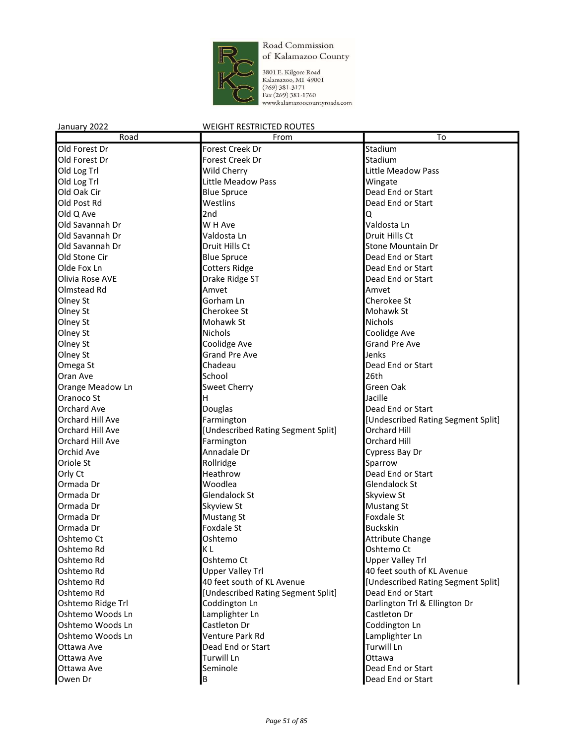

3801 E. Kilgore Road<br>Kalamazoo, MI 49001<br>(269) 381-3171<br>Fax (269) 381-1760<br>www.kalamazoocountyroads.com

| Road                 | From                               | To                                 |
|----------------------|------------------------------------|------------------------------------|
| Old Forest Dr        | Forest Creek Dr                    | Stadium                            |
| Old Forest Dr        | Forest Creek Dr                    | Stadium                            |
| Old Log Trl          | Wild Cherry                        | Little Meadow Pass                 |
| Old Log Trl          | Little Meadow Pass                 | Wingate                            |
| Old Oak Cir          | <b>Blue Spruce</b>                 | Dead End or Start                  |
| Old Post Rd          | Westlins                           | Dead End or Start                  |
| Old Q Ave            | 2nd                                | Q                                  |
| Old Savannah Dr      | W H Ave                            | Valdosta Ln                        |
| Old Savannah Dr      | Valdosta Ln                        | Druit Hills Ct                     |
| Old Savannah Dr      | Druit Hills Ct                     | <b>Stone Mountain Dr</b>           |
| Old Stone Cir        | <b>Blue Spruce</b>                 | Dead End or Start                  |
| Olde Fox Ln          | <b>Cotters Ridge</b>               | Dead End or Start                  |
| Olivia Rose AVE      | Drake Ridge ST                     | Dead End or Start                  |
| Olmstead Rd          | Amvet                              | Amvet                              |
| Olney St             | Gorham Ln                          | Cherokee St                        |
| Olney St             | Cherokee St                        | Mohawk St                          |
| Olney St             | <b>Mohawk St</b>                   | Nichols                            |
| Olney St             | <b>Nichols</b>                     | Coolidge Ave                       |
| Olney St             | Coolidge Ave                       | <b>Grand Pre Ave</b>               |
| Olney St             | <b>Grand Pre Ave</b>               | Jenks                              |
|                      | Chadeau                            | Dead End or Start                  |
| Omega St<br>Oran Ave | School                             | 26th                               |
|                      |                                    | Green Oak                          |
| Orange Meadow Ln     | <b>Sweet Cherry</b>                | Jacille                            |
| Oranoco St           | н                                  |                                    |
| Orchard Ave          | Douglas                            | Dead End or Start                  |
| Orchard Hill Ave     | Farmington                         | [Undescribed Rating Segment Split] |
| Orchard Hill Ave     | [Undescribed Rating Segment Split] | <b>Orchard Hill</b>                |
| Orchard Hill Ave     | Farmington                         | Orchard Hill                       |
| Orchid Ave           | Annadale Dr                        | Cypress Bay Dr                     |
| Oriole St            | Rollridge                          | Sparrow                            |
| Orly Ct              | Heathrow                           | Dead End or Start                  |
| Ormada Dr            | Woodlea                            | Glendalock St                      |
| Ormada Dr            | <b>Glendalock St</b>               | Skyview St                         |
| Ormada Dr            | <b>Skyview St</b>                  | <b>Mustang St</b>                  |
| Ormada Dr            | <b>Mustang St</b>                  | Foxdale St                         |
| Ormada Dr            | <b>Foxdale St</b>                  | <b>Buckskin</b>                    |
| Oshtemo Ct           | Oshtemo                            | <b>Attribute Change</b>            |
| Oshtemo Rd           | K L                                | Oshtemo Ct                         |
| Oshtemo Rd           | Oshtemo Ct                         | <b>Upper Valley Trl</b>            |
| Oshtemo Rd           | <b>Upper Valley Trl</b>            | 40 feet south of KL Avenue         |
| Oshtemo Rd           | 40 feet south of KL Avenue         | [Undescribed Rating Segment Split] |
| Oshtemo Rd           | [Undescribed Rating Segment Split] | Dead End or Start                  |
| Oshtemo Ridge Trl    | Coddington Ln                      | Darlington Trl & Ellington Dr      |
| Oshtemo Woods Ln     | Lamplighter Ln                     | Castleton Dr                       |
| Oshtemo Woods Ln     | Castleton Dr                       | Coddington Ln                      |
| Oshtemo Woods Ln     | Venture Park Rd                    | Lamplighter Ln                     |
| Ottawa Ave           | Dead End or Start                  | <b>Turwill Ln</b>                  |
| Ottawa Ave           | Turwill Ln                         | Ottawa                             |
| Ottawa Ave           | Seminole                           | Dead End or Start                  |
| Owen Dr              | B                                  | Dead End or Start                  |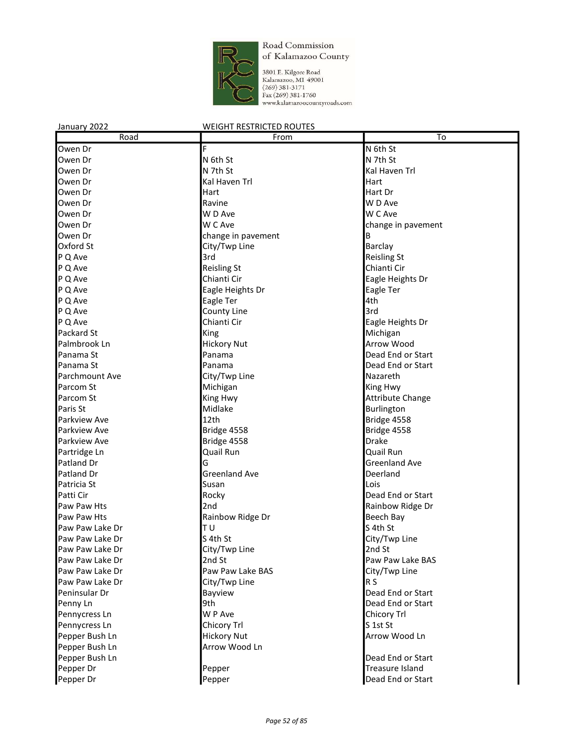

3801 E. Kilgore Road<br>Kalamazoo, MI 49001<br>(269) 381-3171<br>Fax (269) 381-1760<br>www.kalamazoocountyroads.com

| Road                                                                                                                                                              | From                                                                                                                                                                                         | To                                                                                                                                                                                                   |
|-------------------------------------------------------------------------------------------------------------------------------------------------------------------|----------------------------------------------------------------------------------------------------------------------------------------------------------------------------------------------|------------------------------------------------------------------------------------------------------------------------------------------------------------------------------------------------------|
| Owen Dr                                                                                                                                                           | F                                                                                                                                                                                            | N 6th St                                                                                                                                                                                             |
| Owen Dr                                                                                                                                                           | N 6th St                                                                                                                                                                                     | N 7th St                                                                                                                                                                                             |
| Owen Dr                                                                                                                                                           | N 7th St                                                                                                                                                                                     | Kal Haven Trl                                                                                                                                                                                        |
| Owen Dr                                                                                                                                                           | Kal Haven Trl                                                                                                                                                                                | Hart                                                                                                                                                                                                 |
| Owen Dr                                                                                                                                                           | Hart                                                                                                                                                                                         | Hart Dr                                                                                                                                                                                              |
| Owen Dr                                                                                                                                                           | Ravine                                                                                                                                                                                       | W D Ave                                                                                                                                                                                              |
| Owen Dr                                                                                                                                                           | W D Ave                                                                                                                                                                                      | W C Ave                                                                                                                                                                                              |
| Owen Dr                                                                                                                                                           | W C Ave                                                                                                                                                                                      | change in pavement                                                                                                                                                                                   |
| Owen Dr                                                                                                                                                           | change in pavement                                                                                                                                                                           | В                                                                                                                                                                                                    |
| Oxford St                                                                                                                                                         | City/Twp Line                                                                                                                                                                                | <b>Barclay</b>                                                                                                                                                                                       |
| P Q Ave                                                                                                                                                           | 3rd                                                                                                                                                                                          | <b>Reisling St</b>                                                                                                                                                                                   |
| P Q Ave                                                                                                                                                           | <b>Reisling St</b>                                                                                                                                                                           | Chianti Cir                                                                                                                                                                                          |
| P Q Ave                                                                                                                                                           | Chianti Cir                                                                                                                                                                                  | Eagle Heights Dr                                                                                                                                                                                     |
| P Q Ave                                                                                                                                                           | Eagle Heights Dr                                                                                                                                                                             | Eagle Ter                                                                                                                                                                                            |
| P Q Ave                                                                                                                                                           | Eagle Ter                                                                                                                                                                                    | 4th                                                                                                                                                                                                  |
| P Q Ave                                                                                                                                                           | County Line                                                                                                                                                                                  | 3rd                                                                                                                                                                                                  |
| P Q Ave                                                                                                                                                           | Chianti Cir                                                                                                                                                                                  | Eagle Heights Dr                                                                                                                                                                                     |
| Packard St                                                                                                                                                        |                                                                                                                                                                                              |                                                                                                                                                                                                      |
|                                                                                                                                                                   | King                                                                                                                                                                                         | Michigan                                                                                                                                                                                             |
| Palmbrook Ln                                                                                                                                                      | <b>Hickory Nut</b><br>Panama                                                                                                                                                                 | Arrow Wood                                                                                                                                                                                           |
| Panama St                                                                                                                                                         |                                                                                                                                                                                              | Dead End or Start                                                                                                                                                                                    |
| Panama St                                                                                                                                                         | Panama                                                                                                                                                                                       | Dead End or Start                                                                                                                                                                                    |
| <b>Parchmount Ave</b>                                                                                                                                             | City/Twp Line                                                                                                                                                                                | Nazareth                                                                                                                                                                                             |
| Parcom St                                                                                                                                                         | Michigan                                                                                                                                                                                     | King Hwy                                                                                                                                                                                             |
| Parcom St                                                                                                                                                         | King Hwy                                                                                                                                                                                     | <b>Attribute Change</b>                                                                                                                                                                              |
|                                                                                                                                                                   |                                                                                                                                                                                              |                                                                                                                                                                                                      |
|                                                                                                                                                                   |                                                                                                                                                                                              |                                                                                                                                                                                                      |
|                                                                                                                                                                   |                                                                                                                                                                                              |                                                                                                                                                                                                      |
|                                                                                                                                                                   |                                                                                                                                                                                              |                                                                                                                                                                                                      |
|                                                                                                                                                                   |                                                                                                                                                                                              |                                                                                                                                                                                                      |
|                                                                                                                                                                   |                                                                                                                                                                                              |                                                                                                                                                                                                      |
|                                                                                                                                                                   |                                                                                                                                                                                              |                                                                                                                                                                                                      |
|                                                                                                                                                                   |                                                                                                                                                                                              |                                                                                                                                                                                                      |
|                                                                                                                                                                   |                                                                                                                                                                                              |                                                                                                                                                                                                      |
|                                                                                                                                                                   |                                                                                                                                                                                              |                                                                                                                                                                                                      |
| Paw Paw Hts                                                                                                                                                       |                                                                                                                                                                                              |                                                                                                                                                                                                      |
| Paw Paw Lake Dr                                                                                                                                                   |                                                                                                                                                                                              |                                                                                                                                                                                                      |
| Paw Paw Lake Dr                                                                                                                                                   |                                                                                                                                                                                              |                                                                                                                                                                                                      |
| Paw Paw Lake Dr                                                                                                                                                   |                                                                                                                                                                                              | 2nd St                                                                                                                                                                                               |
| Paw Paw Lake Dr                                                                                                                                                   |                                                                                                                                                                                              | Paw Paw Lake BAS                                                                                                                                                                                     |
| Paw Paw Lake Dr                                                                                                                                                   | Paw Paw Lake BAS                                                                                                                                                                             | City/Twp Line                                                                                                                                                                                        |
| Paw Paw Lake Dr                                                                                                                                                   | City/Twp Line                                                                                                                                                                                | R <sub>S</sub>                                                                                                                                                                                       |
| Peninsular Dr                                                                                                                                                     | Bayview                                                                                                                                                                                      | Dead End or Start                                                                                                                                                                                    |
| Penny Ln                                                                                                                                                          | 9th                                                                                                                                                                                          | Dead End or Start                                                                                                                                                                                    |
| Pennycress Ln                                                                                                                                                     | W P Ave                                                                                                                                                                                      | Chicory Trl                                                                                                                                                                                          |
| Pennycress Ln                                                                                                                                                     | Chicory Trl                                                                                                                                                                                  | S 1st St                                                                                                                                                                                             |
| Pepper Bush Ln                                                                                                                                                    | <b>Hickory Nut</b>                                                                                                                                                                           | Arrow Wood Ln                                                                                                                                                                                        |
|                                                                                                                                                                   | Arrow Wood Ln                                                                                                                                                                                |                                                                                                                                                                                                      |
| Pepper Bush Ln                                                                                                                                                    |                                                                                                                                                                                              | Dead End or Start                                                                                                                                                                                    |
| Pepper Dr                                                                                                                                                         |                                                                                                                                                                                              | <b>Treasure Island</b>                                                                                                                                                                               |
| Pepper Dr                                                                                                                                                         | Pepper                                                                                                                                                                                       | Dead End or Start                                                                                                                                                                                    |
| Paris St<br>Parkview Ave<br>Parkview Ave<br>Parkview Ave<br>Partridge Ln<br>Patland Dr<br>Patland Dr<br>Patricia St<br>Patti Cir<br>Paw Paw Hts<br>Pepper Bush Ln | Midlake<br>12th<br>Bridge 4558<br>Bridge 4558<br>Quail Run<br>G<br><b>Greenland Ave</b><br>Susan<br>Rocky<br>2nd<br>Rainbow Ridge Dr<br>T U<br>S 4th St<br>City/Twp Line<br>2nd St<br>Pepper | Burlington<br>Bridge 4558<br>Bridge 4558<br><b>Drake</b><br>Quail Run<br><b>Greenland Ave</b><br>Deerland<br>Lois<br>Dead End or Start<br>Rainbow Ridge Dr<br>Beech Bay<br>S 4th St<br>City/Twp Line |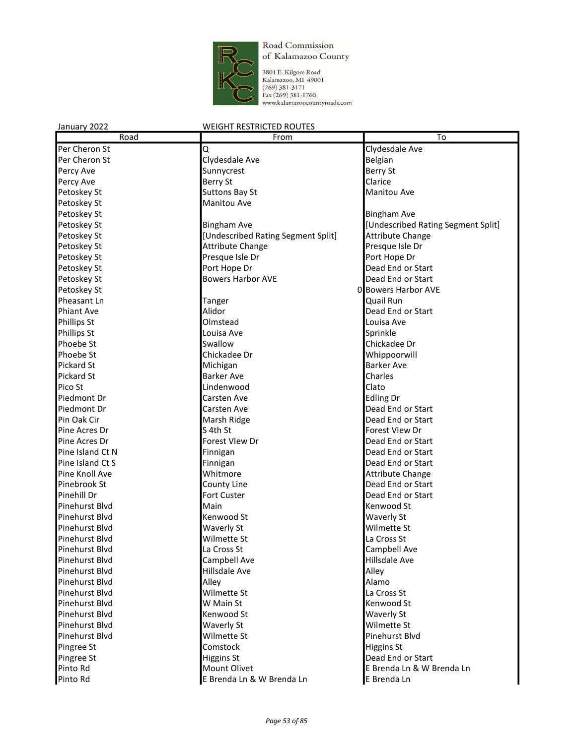

| January 2022      | <b>WEIGHT RESTRICTED ROUTES</b>    |                                    |
|-------------------|------------------------------------|------------------------------------|
| Road              | From                               | To                                 |
| Per Cheron St     | Q                                  | Clydesdale Ave                     |
| Per Cheron St     | Clydesdale Ave                     | Belgian                            |
| Percy Ave         | Sunnycrest                         | <b>Berry St</b>                    |
| Percy Ave         | Berry St                           | Clarice                            |
| Petoskey St       | <b>Suttons Bay St</b>              | Manitou Ave                        |
| Petoskey St       | Manitou Ave                        |                                    |
| Petoskey St       |                                    | <b>Bingham Ave</b>                 |
| Petoskey St       | <b>Bingham Ave</b>                 | [Undescribed Rating Segment Split] |
| Petoskey St       | [Undescribed Rating Segment Split] | <b>Attribute Change</b>            |
| Petoskey St       | <b>Attribute Change</b>            | Presque Isle Dr                    |
| Petoskey St       | Presque Isle Dr                    | Port Hope Dr                       |
| Petoskey St       | Port Hope Dr                       | Dead End or Start                  |
| Petoskey St       | <b>Bowers Harbor AVE</b>           | Dead End or Start                  |
| Petoskey St       |                                    | 0 Bowers Harbor AVE                |
| Pheasant Ln       | Tanger                             | Quail Run                          |
| <b>Phiant Ave</b> | Alidor                             | Dead End or Start                  |
| Phillips St       | Olmstead                           | Louisa Ave                         |
| Phillips St       | Louisa Ave                         | Sprinkle                           |
| Phoebe St         | Swallow                            | Chickadee Dr                       |
| Phoebe St         | Chickadee Dr                       | Whippoorwill                       |
| <b>Pickard St</b> | Michigan                           | <b>Barker Ave</b>                  |
| <b>Pickard St</b> | <b>Barker Ave</b>                  | Charles                            |
| Pico St           | Lindenwood                         | Clato                              |
| Piedmont Dr       | Carsten Ave                        | Edling Dr                          |
| Piedmont Dr       | Carsten Ave                        | Dead End or Start                  |
| Pin Oak Cir       | Marsh Ridge                        | Dead End or Start                  |
| Pine Acres Dr     | S 4th St                           | Forest Vlew Dr                     |
| Pine Acres Dr     | Forest Vlew Dr                     | Dead End or Start                  |
| Pine Island Ct N  | Finnigan                           | Dead End or Start                  |
| Pine Island Ct S  | Finnigan                           | Dead End or Start                  |
| Pine Knoll Ave    | Whitmore                           | <b>Attribute Change</b>            |
| Pinebrook St      | County Line                        | Dead End or Start                  |
| Pinehill Dr       | Fort Custer                        | Dead End or Start                  |
| Pinehurst Blvd    | Main                               | Kenwood St                         |
| Pinehurst Blvd    | Kenwood St                         | Waverly St                         |
| Pinehurst Blvd    | <b>Waverly St</b>                  | Wilmette St                        |
| Pinehurst Blvd    | Wilmette St                        | La Cross St                        |
| Pinehurst Blvd    | La Cross St                        | Campbell Ave                       |
| Pinehurst Blvd    | Campbell Ave                       | Hillsdale Ave                      |
| Pinehurst Blvd    | Hillsdale Ave                      | Alley                              |
| Pinehurst Blvd    | Alley                              | Alamo                              |
| Pinehurst Blvd    | Wilmette St                        | La Cross St                        |
| Pinehurst Blvd    | W Main St                          | Kenwood St                         |
| Pinehurst Blvd    | Kenwood St                         | Waverly St                         |
| Pinehurst Blvd    | <b>Waverly St</b>                  | Wilmette St                        |
| Pinehurst Blvd    | Wilmette St                        | Pinehurst Blvd                     |
| Pingree St        | Comstock                           | <b>Higgins St</b>                  |
| Pingree St        | <b>Higgins St</b>                  | Dead End or Start                  |
| Pinto Rd          | Mount Olivet                       | E Brenda Ln & W Brenda Ln          |
| Pinto Rd          | E Brenda Ln & W Brenda Ln          | E Brenda Ln                        |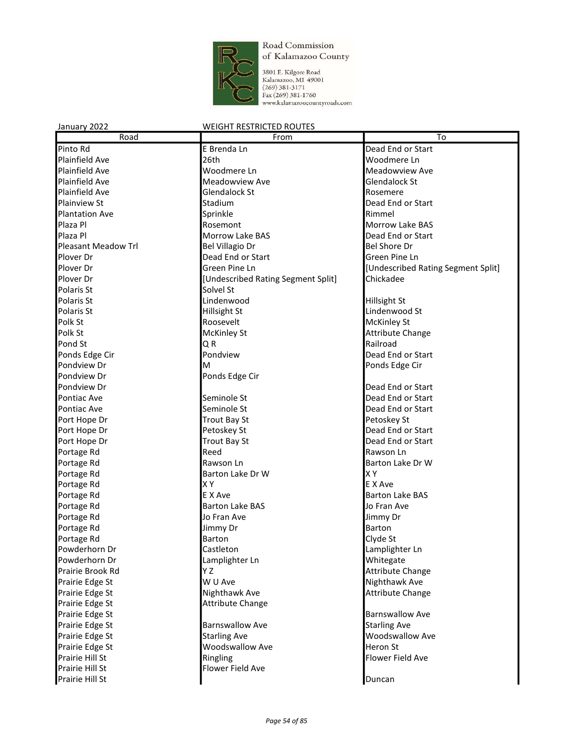

3801 E. Kilgore Road<br>Kalamazoo, MI 49001<br>(269) 381-3171<br>Fax (269) 381-1760<br>www.kalamazoocountyroads.com

| Road                       | From                               | $\overline{\text{To}}$             |
|----------------------------|------------------------------------|------------------------------------|
| Pinto Rd                   | E Brenda Ln                        | Dead End or Start                  |
| <b>Plainfield Ave</b>      | 26th                               | Woodmere Ln                        |
| <b>Plainfield Ave</b>      | Woodmere Ln                        | Meadowview Ave                     |
| <b>Plainfield Ave</b>      | Meadowview Ave                     | <b>Glendalock St</b>               |
| <b>Plainfield Ave</b>      | <b>Glendalock St</b>               | Rosemere                           |
| <b>Plainview St</b>        | Stadium                            | Dead End or Start                  |
| <b>Plantation Ave</b>      | Sprinkle                           | Rimmel                             |
| Plaza Pl                   | Rosemont                           | Morrow Lake BAS                    |
| Plaza Pl                   | <b>Morrow Lake BAS</b>             | Dead End or Start                  |
| <b>Pleasant Meadow Trl</b> | <b>Bel Villagio Dr</b>             | <b>Bel Shore Dr</b>                |
| Plover Dr                  | Dead End or Start                  | Green Pine Ln                      |
| Plover Dr                  | Green Pine Ln                      | [Undescribed Rating Segment Split] |
| Plover Dr                  | [Undescribed Rating Segment Split] | Chickadee                          |
| Polaris St                 | Solvel St                          |                                    |
| Polaris St                 | Lindenwood                         | Hillsight St                       |
| Polaris St                 | <b>Hillsight St</b>                | Lindenwood St                      |
| Polk St                    | Roosevelt                          | McKinley St                        |
| Polk St                    | <b>McKinley St</b>                 | Attribute Change                   |
| Pond St                    | Q R                                | Railroad                           |
| Ponds Edge Cir             | Pondview                           | Dead End or Start                  |
| Pondview Dr                | м                                  | Ponds Edge Cir                     |
| Pondview Dr                | Ponds Edge Cir                     |                                    |
| Pondview Dr                |                                    | Dead End or Start                  |
| Pontiac Ave                | Seminole St                        | Dead End or Start                  |
| Pontiac Ave                | Seminole St                        | Dead End or Start                  |
| Port Hope Dr               | <b>Trout Bay St</b>                | Petoskey St                        |
| Port Hope Dr               | Petoskey St                        | Dead End or Start                  |
| Port Hope Dr               | <b>Trout Bay St</b>                | Dead End or Start                  |
| Portage Rd                 | Reed                               | Rawson Ln                          |
| Portage Rd                 | Rawson Ln                          | Barton Lake Dr W                   |
| Portage Rd                 | Barton Lake Dr W                   | <b>XY</b>                          |
| Portage Rd                 | XΥ                                 | E X Ave                            |
| Portage Rd                 | E X Ave                            | <b>Barton Lake BAS</b>             |
| Portage Rd                 | <b>Barton Lake BAS</b>             | Jo Fran Ave                        |
| Portage Rd                 | Jo Fran Ave                        | Jimmy Dr                           |
| Portage Rd                 | Jimmy Dr                           | <b>Barton</b>                      |
| Portage Rd                 | <b>Barton</b>                      | Clyde St                           |
| Powderhorn Dr              | Castleton                          | Lamplighter Ln                     |
| Powderhorn Dr              | Lamplighter Ln                     | Whitegate                          |
| Prairie Brook Rd           | ΥZ                                 | Attribute Change                   |
| Prairie Edge St            | W U Ave                            | Nighthawk Ave                      |
| Prairie Edge St            | Nighthawk Ave                      | Attribute Change                   |
| Prairie Edge St            | <b>Attribute Change</b>            |                                    |
| Prairie Edge St            |                                    | <b>Barnswallow Ave</b>             |
| Prairie Edge St            | <b>Barnswallow Ave</b>             | <b>Starling Ave</b>                |
| Prairie Edge St            | <b>Starling Ave</b>                | <b>Woodswallow Ave</b>             |
| Prairie Edge St            | <b>Woodswallow Ave</b>             | Heron St                           |
| Prairie Hill St            | Ringling                           | Flower Field Ave                   |
| Prairie Hill St            | Flower Field Ave                   |                                    |
| Prairie Hill St            |                                    | Duncan                             |
|                            |                                    |                                    |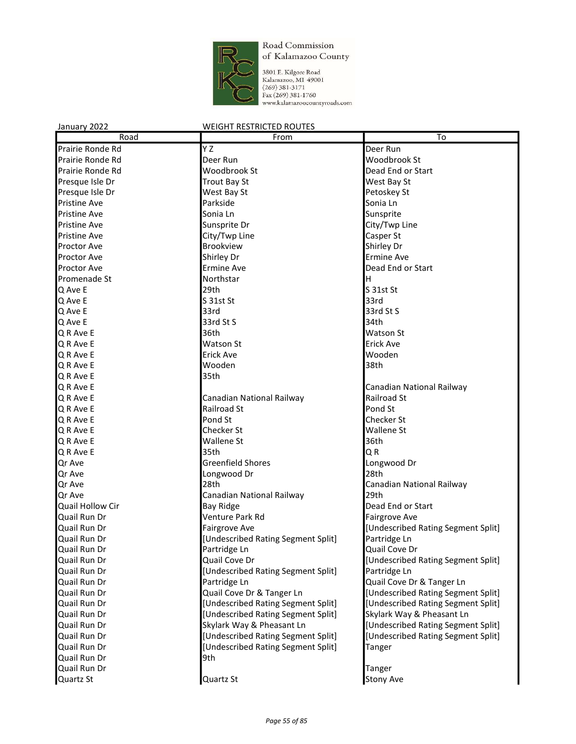

3801 E. Kilgore Road<br>Kalamazoo, MI 49001<br>(269) 381-3171<br>Fax (269) 381-1760<br>www.kalamazoocountyroads.com

| Road                | From                               | To                                       |
|---------------------|------------------------------------|------------------------------------------|
| Prairie Ronde Rd    | Y Z                                | Deer Run                                 |
| Prairie Ronde Rd    | Deer Run                           | Woodbrook St                             |
| Prairie Ronde Rd    | <b>Woodbrook St</b>                | Dead End or Start                        |
| Presque Isle Dr     | <b>Trout Bay St</b>                | West Bay St                              |
| Presque Isle Dr     | West Bay St                        | Petoskey St                              |
| <b>Pristine Ave</b> | Parkside                           | Sonia Ln                                 |
| <b>Pristine Ave</b> | Sonia Ln                           | Sunsprite                                |
| <b>Pristine Ave</b> | Sunsprite Dr                       | City/Twp Line                            |
| Pristine Ave        | City/Twp Line                      | Casper St                                |
| <b>Proctor Ave</b>  | <b>Brookview</b>                   | Shirley Dr                               |
| <b>Proctor Ave</b>  | Shirley Dr                         | <b>Ermine Ave</b>                        |
| <b>Proctor Ave</b>  | <b>Ermine Ave</b>                  | Dead End or Start                        |
| Promenade St        | Northstar                          | H                                        |
| Q Ave E             | 29th                               | S 31st St                                |
| Q Ave E             | S 31st St                          | 33rd                                     |
| Q Ave E             | 33rd                               | 33rd St S                                |
| Q Ave E             | 33rd St S                          | 34th                                     |
| Q R Ave E           | 36th                               | <b>Watson St</b>                         |
| Q R Ave E           | <b>Watson St</b>                   | <b>Erick Ave</b>                         |
| Q R Ave E           | <b>Erick Ave</b>                   | Wooden                                   |
| Q R Ave E           | Wooden                             | 38th                                     |
| Q R Ave E           | 35th                               |                                          |
|                     |                                    |                                          |
| Q R Ave E           |                                    | Canadian National Railway<br>Railroad St |
| Q R Ave E           | Canadian National Railway          |                                          |
| Q R Ave E           | Railroad St                        | Pond St                                  |
| Q R Ave E           | Pond St<br>Checker St              | Checker St<br><b>Wallene St</b>          |
| Q R Ave E           |                                    | 36th                                     |
| Q R Ave E           | <b>Wallene St</b><br>35th          | QR                                       |
| Q R Ave E           |                                    |                                          |
| Qr Ave              | <b>Greenfield Shores</b>           | Longwood Dr                              |
| Qr Ave              | Longwood Dr                        | 28th                                     |
| Qr Ave              | 28th                               | Canadian National Railway                |
| Or Ave              | Canadian National Railway          | 29th                                     |
| Quail Hollow Cir    | Bay Ridge                          | Dead End or Start                        |
| Quail Run Dr        | Venture Park Rd                    | Fairgrove Ave                            |
| Quail Run Dr        | <b>Fairgrove Ave</b>               | [Undescribed Rating Segment Split]       |
| Quail Run Dr        | [Undescribed Rating Segment Split] | Partridge Ln                             |
| Quail Run Dr        | Partridge Ln                       | Quail Cove Dr                            |
| Quail Run Dr        | Quail Cove Dr                      | [Undescribed Rating Segment Split]       |
| Quail Run Dr        | [Undescribed Rating Segment Split] | Partridge Ln                             |
| Quail Run Dr        | Partridge Ln                       | Quail Cove Dr & Tanger Ln                |
| Quail Run Dr        | Quail Cove Dr & Tanger Ln          | [Undescribed Rating Segment Split]       |
| Quail Run Dr        | [Undescribed Rating Segment Split] | [Undescribed Rating Segment Split]       |
| Quail Run Dr        | [Undescribed Rating Segment Split] | Skylark Way & Pheasant Ln                |
| Quail Run Dr        | Skylark Way & Pheasant Ln          | [Undescribed Rating Segment Split]       |
| Quail Run Dr        | [Undescribed Rating Segment Split] | [Undescribed Rating Segment Split]       |
| Quail Run Dr        | [Undescribed Rating Segment Split] | Tanger                                   |
| Quail Run Dr        | 9th                                |                                          |
| Quail Run Dr        |                                    | Tanger                                   |
| Quartz St           | Quartz St                          | Stony Ave                                |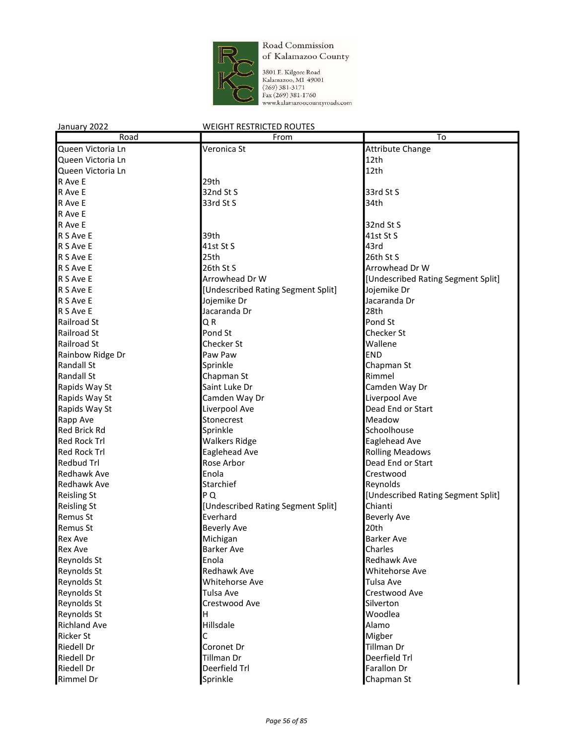

3801 E. Kilgore Road<br>Kalamazoo, MI 49001<br>(269) 381-3171<br>Fax (269) 381-1760<br>www.kalamazoocountyroads.com

| Road                                | From                               | To                                          |
|-------------------------------------|------------------------------------|---------------------------------------------|
| Queen Victoria Ln                   | Veronica St                        | <b>Attribute Change</b>                     |
| Queen Victoria Ln                   |                                    | 12th                                        |
| Queen Victoria Ln                   |                                    | 12th                                        |
| R Ave E                             | 29th                               |                                             |
| R Ave E                             | 32nd St S                          | 33rd St S                                   |
| R Ave E                             | 33rd St S                          | 34th                                        |
| R Ave E                             |                                    |                                             |
| R Ave E                             |                                    | 32nd St S                                   |
| R S Ave E                           | 39th                               | 41st St S                                   |
| R S Ave E                           | 41st St S                          | 43rd                                        |
| R S Ave E                           | 25th                               | 26th St S                                   |
| R S Ave E                           | 26th St S                          | Arrowhead Dr W                              |
| R S Ave E                           | Arrowhead Dr W                     | [Undescribed Rating Segment Split]          |
| R S Ave E                           | [Undescribed Rating Segment Split] | Jojemike Dr                                 |
| R S Ave E                           | Jojemike Dr                        | Jacaranda Dr                                |
| R S Ave E                           | Jacaranda Dr                       | 28th                                        |
| Railroad St                         | QR                                 | Pond St                                     |
| <b>Railroad St</b>                  | Pond St                            | Checker St                                  |
| Railroad St                         | Checker St                         | Wallene                                     |
| Rainbow Ridge Dr                    | Paw Paw                            | <b>END</b>                                  |
| <b>Randall St</b>                   | Sprinkle                           | Chapman St                                  |
| <b>Randall St</b>                   | Chapman St                         | Rimmel                                      |
|                                     | Saint Luke Dr                      | Camden Way Dr                               |
| Rapids Way St                       |                                    | Liverpool Ave                               |
| Rapids Way St                       | Camden Way Dr                      |                                             |
| Rapids Way St                       | Liverpool Ave                      | Dead End or Start                           |
| Rapp Ave                            | Stonecrest                         | Meadow<br>Schoolhouse                       |
| Red Brick Rd<br><b>Red Rock Trl</b> | Sprinkle                           |                                             |
|                                     | <b>Walkers Ridge</b>               | Eaglehead Ave                               |
| <b>Red Rock Trl</b>                 | Eaglehead Ave                      | <b>Rolling Meadows</b><br>Dead End or Start |
| <b>Redbud Trl</b>                   | Rose Arbor<br>Enola                |                                             |
| <b>Redhawk Ave</b>                  |                                    | Crestwood                                   |
| <b>Redhawk Ave</b>                  | Starchief                          | Reynolds                                    |
| <b>Reisling St</b>                  | PQ                                 | [Undescribed Rating Segment Split]          |
| <b>Reisling St</b>                  | [Undescribed Rating Segment Split] | Chianti                                     |
| Remus St                            | Everhard                           | <b>Beverly Ave</b>                          |
| Remus St                            | <b>Beverly Ave</b>                 | 20th                                        |
| <b>Rex Ave</b>                      | Michigan                           | <b>Barker Ave</b>                           |
| <b>Rex Ave</b>                      | <b>Barker Ave</b>                  | Charles                                     |
| Reynolds St                         | Enola                              | Redhawk Ave                                 |
| Reynolds St                         | Redhawk Ave                        | Whitehorse Ave                              |
| Reynolds St                         | Whitehorse Ave                     | Tulsa Ave                                   |
| Reynolds St                         | Tulsa Ave                          | Crestwood Ave                               |
| Reynolds St                         | Crestwood Ave                      | Silverton                                   |
| Reynolds St                         | H.                                 | Woodlea                                     |
| <b>Richland Ave</b>                 | Hillsdale                          | Alamo                                       |
| <b>Ricker St</b>                    | С                                  | Migber                                      |
| Riedell Dr                          | Coronet Dr                         | Tillman Dr                                  |
| Riedell Dr                          | Tillman Dr                         | Deerfield Trl                               |
| Riedell Dr                          | Deerfield Trl                      | Farallon Dr                                 |
| <b>Rimmel Dr</b>                    | Sprinkle                           | Chapman St                                  |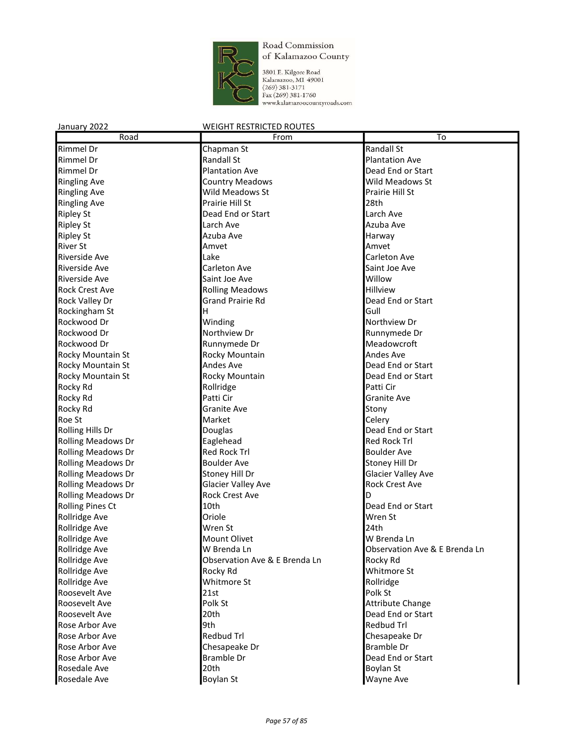

3801 E. Kilgore Road<br>Kalamazoo, MI 49001<br>(269) 381-3171<br>Fax (269) 381-1760<br>www.kalamazoocountyroads.com

| Road                      | From                          | To                                     |
|---------------------------|-------------------------------|----------------------------------------|
| Rimmel Dr                 | Chapman St                    | <b>Randall St</b>                      |
| Rimmel Dr                 | <b>Randall St</b>             | <b>Plantation Ave</b>                  |
| Rimmel Dr                 | <b>Plantation Ave</b>         | Dead End or Start                      |
| <b>Ringling Ave</b>       | <b>Country Meadows</b>        | Wild Meadows St                        |
| <b>Ringling Ave</b>       | Wild Meadows St               | Prairie Hill St                        |
| <b>Ringling Ave</b>       | Prairie Hill St               | 28th                                   |
| <b>Ripley St</b>          | Dead End or Start             | Larch Ave                              |
| <b>Ripley St</b>          | Larch Ave                     | Azuba Ave                              |
| <b>Ripley St</b>          | Azuba Ave                     | Harway                                 |
| <b>River St</b>           | Amvet                         | Amvet                                  |
| Riverside Ave             | Lake                          | <b>Carleton Ave</b>                    |
| Riverside Ave             | Carleton Ave                  | Saint Joe Ave                          |
| Riverside Ave             | Saint Joe Ave                 | Willow                                 |
| <b>Rock Crest Ave</b>     | <b>Rolling Meadows</b>        | Hillview                               |
| Rock Valley Dr            | <b>Grand Prairie Rd</b>       | Dead End or Start                      |
| Rockingham St             | н                             | Gull                                   |
| Rockwood Dr               | Winding                       | Northview Dr                           |
| Rockwood Dr               | Northview Dr                  | Runnymede Dr                           |
| Rockwood Dr               | Runnymede Dr                  | Meadowcroft                            |
| Rocky Mountain St         | Rocky Mountain                | <b>Andes Ave</b>                       |
| Rocky Mountain St         | <b>Andes Ave</b>              | Dead End or Start                      |
| Rocky Mountain St         | Rocky Mountain                | Dead End or Start                      |
| Rocky Rd                  | Rollridge                     | Patti Cir                              |
| Rocky Rd                  | Patti Cir                     | <b>Granite Ave</b>                     |
| Rocky Rd                  | <b>Granite Ave</b>            | Stony                                  |
| Roe St                    | Market                        | Celery                                 |
| Rolling Hills Dr          | Douglas                       | Dead End or Start                      |
| <b>Rolling Meadows Dr</b> | Eaglehead                     | <b>Red Rock Trl</b>                    |
| <b>Rolling Meadows Dr</b> | <b>Red Rock Trl</b>           | <b>Boulder Ave</b>                     |
| <b>Rolling Meadows Dr</b> | <b>Boulder Ave</b>            | Stoney Hill Dr                         |
| <b>Rolling Meadows Dr</b> | Stoney Hill Dr                | <b>Glacier Valley Ave</b>              |
| <b>Rolling Meadows Dr</b> | <b>Glacier Valley Ave</b>     | <b>Rock Crest Ave</b>                  |
| <b>Rolling Meadows Dr</b> | <b>Rock Crest Ave</b>         | D                                      |
| <b>Rolling Pines Ct</b>   | 10th                          | Dead End or Start                      |
| Rollridge Ave             | Oriole                        | Wren St                                |
| Rollridge Ave             | Wren St                       | 24th                                   |
| Rollridge Ave             | Mount Olivet                  | W Brenda Ln                            |
| Rollridge Ave             | W Brenda Ln                   | Observation Ave & E Brenda Ln          |
| Rollridge Ave             | Observation Ave & E Brenda Ln | Rocky Rd                               |
| Rollridge Ave             | Rocky Rd                      | Whitmore St                            |
| Rollridge Ave             | Whitmore St                   | Rollridge                              |
| Roosevelt Ave             | 21st                          | Polk St                                |
|                           |                               |                                        |
| Roosevelt Ave             | Polk St                       | Attribute Change                       |
| Roosevelt Ave             | 20th                          | Dead End or Start<br><b>Redbud Trl</b> |
| Rose Arbor Ave            | 9th                           |                                        |
| Rose Arbor Ave            | <b>Redbud Trl</b>             | Chesapeake Dr                          |
| Rose Arbor Ave            | Chesapeake Dr                 | <b>Bramble Dr</b>                      |
| Rose Arbor Ave            | <b>Bramble Dr</b>             | Dead End or Start                      |
| Rosedale Ave              | 20th                          | <b>Boylan St</b>                       |
| Rosedale Ave              | <b>Boylan St</b>              | Wayne Ave                              |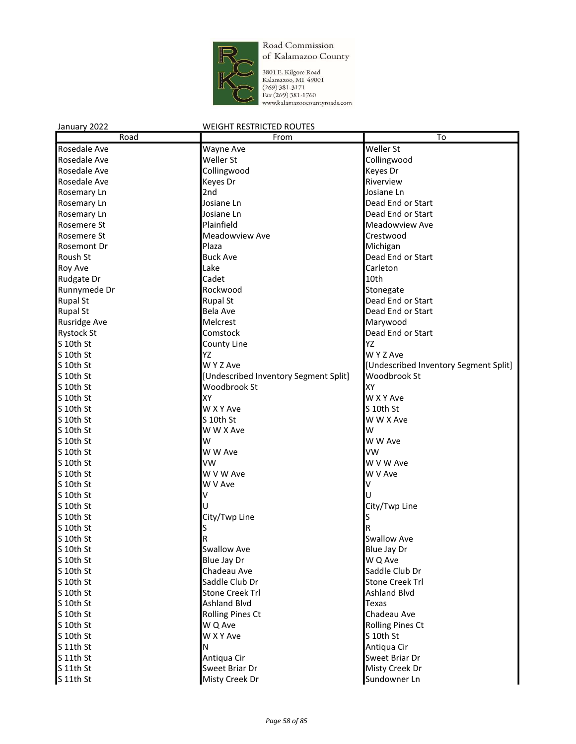

| January 2022        | <b>WEIGHT RESTRICTED ROUTES</b>       |                                       |
|---------------------|---------------------------------------|---------------------------------------|
| Road                | From                                  | To                                    |
| Rosedale Ave        | Wayne Ave                             | Weller St                             |
| Rosedale Ave        | Weller St                             | Collingwood                           |
| Rosedale Ave        | Collingwood                           | Keyes Dr                              |
| Rosedale Ave        | Keyes Dr                              | Riverview                             |
| Rosemary Ln         | 2nd                                   | Josiane Ln                            |
| Rosemary Ln         | Josiane Ln                            | Dead End or Start                     |
| Rosemary Ln         | Josiane Ln                            | Dead End or Start                     |
| Rosemere St         | Plainfield                            | Meadowview Ave                        |
| Rosemere St         | Meadowview Ave                        | Crestwood                             |
| Rosemont Dr         | Plaza                                 | Michigan                              |
| Roush St            | <b>Buck Ave</b>                       | Dead End or Start                     |
| Roy Ave             | Lake                                  | Carleton                              |
| Rudgate Dr          | Cadet                                 | 10th                                  |
| Runnymede Dr        | Rockwood                              | Stonegate                             |
| <b>Rupal St</b>     | <b>Rupal St</b>                       | Dead End or Start                     |
| <b>Rupal St</b>     | <b>Bela Ave</b>                       | Dead End or Start                     |
| <b>Rusridge Ave</b> | Melcrest                              | Marywood                              |
| <b>Rystock St</b>   | Comstock                              | Dead End or Start                     |
| S 10th St           | County Line                           | YZ                                    |
| S 10th St           | YZ                                    | W Y Z Ave                             |
| S 10th St           | W Y Z Ave                             | [Undescribed Inventory Segment Split] |
| S 10th St           | [Undescribed Inventory Segment Split] | Woodbrook St                          |
| S 10th St           | Woodbrook St                          | XY                                    |
| S 10th St           | XY                                    | W X Y Ave                             |
| S 10th St           | W X Y Ave                             | S 10th St                             |
| S 10th St           | S 10th St                             | W W X Ave                             |
| S 10th St           | W W X Ave                             | lw                                    |
| S 10th St           | W                                     | W W Ave                               |
| S 10th St           | W W Ave                               | <b>VW</b>                             |
| S 10th St           | VW                                    | W V W Ave                             |
| S 10th St           | W V W Ave                             | W V Ave                               |
| S 10th St           | W V Ave                               |                                       |
| S 10th St           | V                                     |                                       |
| S 10th St           |                                       | City/Twp Line                         |
| S 10th St           | City/Twp Line                         |                                       |
| S 10th St           | s                                     | R                                     |
| S 10th St           | R                                     | <b>Swallow Ave</b>                    |
| S 10th St           | Swallow Ave                           | Blue Jay Dr                           |
| S 10th St           | Blue Jay Dr                           | W Q Ave                               |
| $S$ 10th St         | Chadeau Ave                           | Saddle Club Dr                        |
| S 10th St           | Saddle Club Dr                        | <b>Stone Creek Trl</b>                |
| S 10th St           | <b>Stone Creek Trl</b>                | <b>Ashland Blvd</b>                   |
| S 10th St           | Ashland Blvd                          | Texas                                 |
| S 10th St           | <b>Rolling Pines Ct</b>               | Chadeau Ave                           |
| S 10th St           | W Q Ave                               | <b>Rolling Pines Ct</b>               |
| S 10th St           | W X Y Ave                             | S 10th St                             |
| S 11th St           | Ν                                     | Antiqua Cir                           |
| S 11th St           | Antiqua Cir                           | Sweet Briar Dr                        |
| S 11th St           | Sweet Briar Dr                        | Misty Creek Dr                        |
| S 11th St           | Misty Creek Dr                        | Sundowner Ln                          |
|                     |                                       |                                       |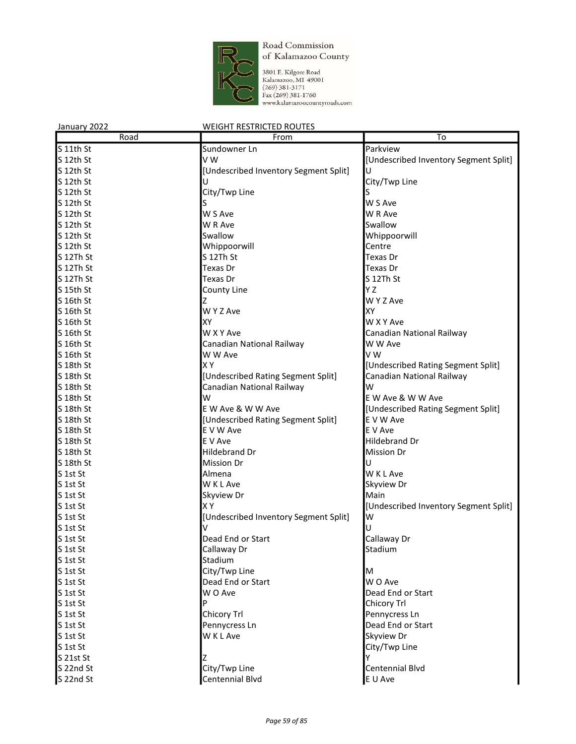

| January 2022 | <b>WEIGHT RESTRICTED ROUTES</b>       |                                       |
|--------------|---------------------------------------|---------------------------------------|
| Road         | From                                  | To                                    |
| S 11th St    | Sundowner Ln                          | Parkview                              |
| S 12th St    | V W                                   | [Undescribed Inventory Segment Split] |
| S 12th St    | [Undescribed Inventory Segment Split] |                                       |
| S 12th St    |                                       | City/Twp Line                         |
| S 12th St    | City/Twp Line                         |                                       |
| S 12th St    |                                       | W S Ave                               |
| S 12th St    | W S Ave                               | W R Ave                               |
| S 12th St    | W R Ave                               | Swallow                               |
| S 12th St    | Swallow                               | Whippoorwill                          |
| S 12th St    | Whippoorwill                          | Centre                                |
| S 12Th St    | S 12Th St                             | <b>Texas Dr</b>                       |
| S 12Th St    | Texas Dr                              | Texas Dr                              |
| S 12Th St    | Texas Dr                              | S 12Th St                             |
| S 15th St    | County Line                           | Y Z                                   |
| S 16th St    |                                       | W Y Z Ave                             |
| S 16th St    | W Y Z Ave                             | XY                                    |
| S 16th St    | XY                                    | W X Y Ave                             |
| S 16th St    | W X Y Ave                             | Canadian National Railway             |
| S 16th St    | Canadian National Railway             | W W Ave                               |
| S 16th St    | W W Ave                               | VW                                    |
| S 18th St    | XY                                    | [Undescribed Rating Segment Split]    |
| S 18th St    | [Undescribed Rating Segment Split]    | Canadian National Railway             |
| S 18th St    | Canadian National Railway             | W                                     |
| S 18th St    | W                                     | E W Ave & W W Ave                     |
| S 18th St    | E W Ave & W W Ave                     | [Undescribed Rating Segment Split]    |
| S 18th St    | [Undescribed Rating Segment Split]    | E V W Ave                             |
| S 18th St    | E V W Ave                             | E V Ave                               |
| S 18th St    | E V Ave                               | <b>Hildebrand Dr</b>                  |
| S 18th St    | Hildebrand Dr                         | <b>Mission Dr</b>                     |
| S 18th St    | Mission Dr                            |                                       |
| S 1st St     | Almena                                | <b>WKLAve</b>                         |
| S 1st St     | W K L Ave                             | Skyview Dr                            |
| S 1st St     | Skyview Dr                            | Main                                  |
| S 1st St     | XY                                    | [Undescribed Inventory Segment Split] |
| S 1st St     | [Undescribed Inventory Segment Split] | W                                     |
| S 1st St     |                                       | U                                     |
| S 1st St     | Dead End or Start                     | Callaway Dr                           |
| S 1st St     | Callaway Dr                           | Stadium                               |
| S 1st St     | Stadium                               |                                       |
| S 1st St     | City/Twp Line                         | M                                     |
| S 1st St     | Dead End or Start                     | W O Ave                               |
| S 1st St     | W O Ave                               | Dead End or Start                     |
| S 1st St     | P                                     | Chicory Trl                           |
| S 1st St     | Chicory Trl                           | Pennycress Ln                         |
| S 1st St     | Pennycress Ln                         | Dead End or Start                     |
| S 1st St     | W K L Ave                             | Skyview Dr                            |
| S 1st St     |                                       | City/Twp Line                         |
| $S$ 21st St  | Z                                     |                                       |
| S 22nd St    | City/Twp Line                         | Centennial Blvd                       |
| S 22nd St    | Centennial Blvd                       | E U Ave                               |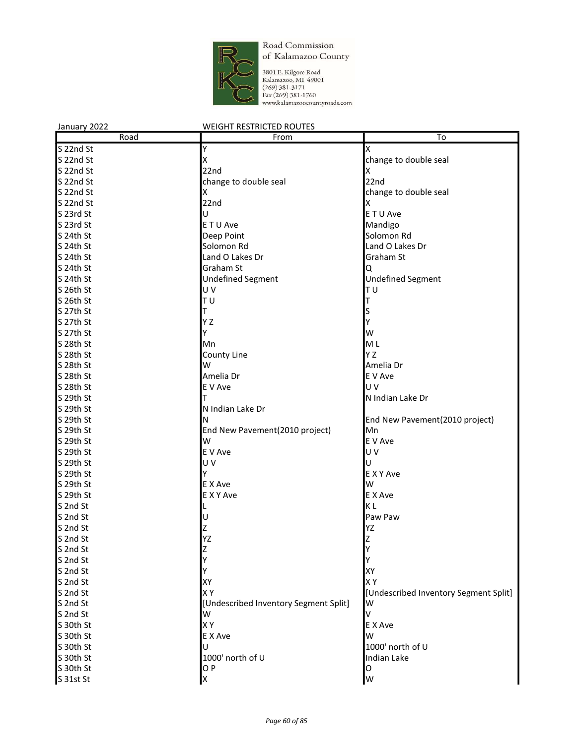

| January 2022 | <b>WEIGHT RESTRICTED ROUTES</b>       |                                       |
|--------------|---------------------------------------|---------------------------------------|
| Road         | From                                  | To                                    |
| S 22nd St    | Y                                     | Χ                                     |
| S 22nd St    | Χ                                     | change to double seal                 |
| S 22nd St    | 22nd                                  | X                                     |
| S 22nd St    | change to double seal                 | 22nd                                  |
| S 22nd St    | Χ                                     | change to double seal                 |
| S 22nd St    | 22nd                                  | x                                     |
| S 23rd St    | U                                     | E T U Ave                             |
| S 23rd St    | E T U Ave                             | Mandigo                               |
| S 24th St    | Deep Point                            | Solomon Rd                            |
| S 24th St    | Solomon Rd                            | Land O Lakes Dr                       |
| S 24th St    | Land O Lakes Dr                       | Graham St                             |
| S 24th St    | Graham St                             | Q                                     |
| S 24th St    | <b>Undefined Segment</b>              | <b>Undefined Segment</b>              |
| S 26th St    | UV                                    | ΙTυ                                   |
| S 26th St    | TU                                    |                                       |
| S 27th St    | Т                                     |                                       |
| S 27th St    | Y Z                                   |                                       |
| S 27th St    | Y                                     | W                                     |
| S 28th St    | Mn                                    | ML                                    |
| S 28th St    | County Line                           | Y Z                                   |
| S 28th St    | W                                     | Amelia Dr                             |
| S 28th St    | Amelia Dr                             | E V Ave                               |
| S 28th St    | E V Ave                               | U V                                   |
| S 29th St    | т                                     | N Indian Lake Dr                      |
| S 29th St    | N Indian Lake Dr                      |                                       |
| S 29th St    | N                                     | End New Pavement(2010 project)        |
| S 29th St    | End New Pavement(2010 project)        | Mn                                    |
| S 29th St    | W                                     | E V Ave                               |
| S 29th St    | E V Ave                               | U V                                   |
| S 29th St    | UV                                    | U                                     |
| S 29th St    | Y                                     | E X Y Ave                             |
| S 29th St    | E X Ave                               | W                                     |
| S 29th St    | E X Y Ave                             | E X Ave                               |
| S 2nd St     |                                       | ΚL                                    |
| S 2nd St     |                                       | Paw Paw                               |
| S 2nd St     |                                       | YZ                                    |
| S 2nd St     | YZ                                    | 7                                     |
| S 2nd St     |                                       |                                       |
| S 2nd St     |                                       |                                       |
| S 2nd St     |                                       | XY                                    |
| S 2nd St     | XY                                    | XΥ                                    |
| S 2nd St     | XY                                    | [Undescribed Inventory Segment Split] |
| S 2nd St     | [Undescribed Inventory Segment Split] | W                                     |
| S 2nd St     | W                                     | v                                     |
| S 30th St    | XY                                    | E X Ave                               |
| S 30th St    | E X Ave                               | W                                     |
| S 30th St    | U                                     | 1000' north of U                      |
| S 30th St    | 1000' north of U                      | Indian Lake                           |
| S 30th St    | O P                                   | O                                     |
| S 31st St    |                                       | W                                     |
|              |                                       |                                       |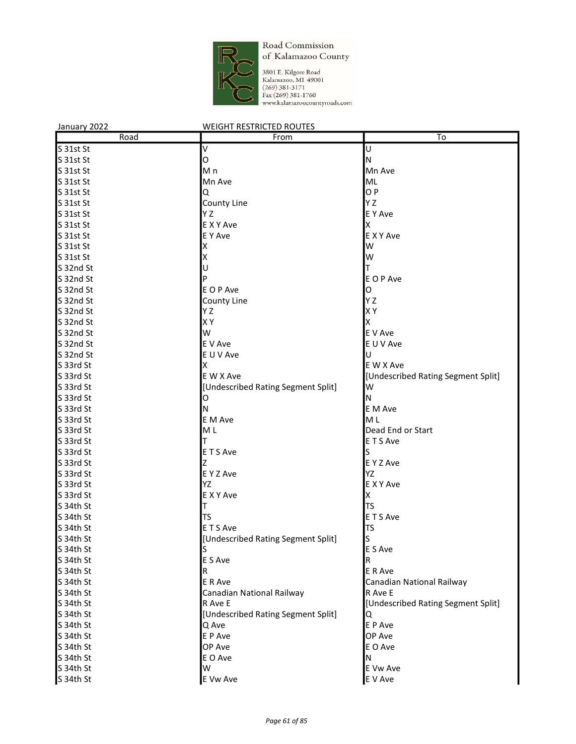

| Road<br>To<br>From<br>S 31st St<br>V<br>U<br>S 31st St<br>N<br>0<br>S 31st St<br>M n<br>Mn Ave<br>S 31st St<br>Mn Ave<br>ML<br>O P<br>S 31st St<br>Q<br>Y Z<br>S 31st St<br>County Line<br>Y Z<br>E Y Ave<br>S 31st St<br>E X Y Ave<br>Χ<br>S 31st St<br>E Y Ave<br>S 31st St<br>E X Y Ave<br>S 31st St<br>W<br>x<br>S 31st St<br>W<br>S 32nd St<br>U<br>E O P Ave<br>S 32nd St<br>S 32nd St<br>E O P Ave<br>O<br>Y Z<br>S 32nd St<br>County Line<br>X Y<br>S 32nd St<br>ΥZ<br>XY<br>S 32nd St<br>Χ<br>W<br>S 32nd St<br>E V Ave<br>E V Ave<br>S 32nd St<br>E U V Ave<br>U<br>S 32nd St<br>E U V Ave<br>S 33rd St<br>Χ<br>E W X Ave<br>S 33rd St<br>E W X Ave<br>[Undescribed Rating Segment Split]<br>S 33rd St<br>[Undescribed Rating Segment Split]<br>W<br>S 33rd St<br>Ν<br>O<br>S 33rd St<br>E M Ave<br>N<br>S 33rd St<br>E M Ave<br>M <sub>L</sub><br>M <sub>L</sub><br>S 33rd St<br>Dead End or Start<br>S 33rd St<br>E T S Ave<br>E T S Ave<br>S 33rd St<br>S 33rd St<br>E Y Z Ave<br>YZ<br>S 33rd St<br>E Y Z Ave<br>YZ<br>E X Y Ave<br>S 33rd St<br>E X Y Ave<br>S 33rd St<br>Χ<br><b>TS</b><br>TS<br>E T S Ave<br>S 34th St<br>ETS Ave<br>TS<br>S<br>[Undescribed Rating Segment Split]<br>E S Ave<br>S 34th St<br>S<br>E S Ave<br>S 34th St<br>R<br>S 34th St<br>E R Ave<br>R<br>S 34th St<br>E R Ave<br>Canadian National Railway<br>R Ave E<br>S 34th St<br>Canadian National Railway<br>R Ave E<br>[Undescribed Rating Segment Split]<br>S 34th St<br>[Undescribed Rating Segment Split]<br>S 34th St<br>Q<br>E P Ave<br>S 34th St<br>Q Ave<br>E P Ave<br>OP Ave<br>S 34th St | January 2022 | <b>WEIGHT RESTRICTED ROUTES</b> |         |
|-----------------------------------------------------------------------------------------------------------------------------------------------------------------------------------------------------------------------------------------------------------------------------------------------------------------------------------------------------------------------------------------------------------------------------------------------------------------------------------------------------------------------------------------------------------------------------------------------------------------------------------------------------------------------------------------------------------------------------------------------------------------------------------------------------------------------------------------------------------------------------------------------------------------------------------------------------------------------------------------------------------------------------------------------------------------------------------------------------------------------------------------------------------------------------------------------------------------------------------------------------------------------------------------------------------------------------------------------------------------------------------------------------------------------------------------------------------------------------------------------------------------------------------------------------------------------------------------------|--------------|---------------------------------|---------|
|                                                                                                                                                                                                                                                                                                                                                                                                                                                                                                                                                                                                                                                                                                                                                                                                                                                                                                                                                                                                                                                                                                                                                                                                                                                                                                                                                                                                                                                                                                                                                                                               |              |                                 |         |
|                                                                                                                                                                                                                                                                                                                                                                                                                                                                                                                                                                                                                                                                                                                                                                                                                                                                                                                                                                                                                                                                                                                                                                                                                                                                                                                                                                                                                                                                                                                                                                                               |              |                                 |         |
|                                                                                                                                                                                                                                                                                                                                                                                                                                                                                                                                                                                                                                                                                                                                                                                                                                                                                                                                                                                                                                                                                                                                                                                                                                                                                                                                                                                                                                                                                                                                                                                               |              |                                 |         |
|                                                                                                                                                                                                                                                                                                                                                                                                                                                                                                                                                                                                                                                                                                                                                                                                                                                                                                                                                                                                                                                                                                                                                                                                                                                                                                                                                                                                                                                                                                                                                                                               |              |                                 |         |
|                                                                                                                                                                                                                                                                                                                                                                                                                                                                                                                                                                                                                                                                                                                                                                                                                                                                                                                                                                                                                                                                                                                                                                                                                                                                                                                                                                                                                                                                                                                                                                                               |              |                                 |         |
|                                                                                                                                                                                                                                                                                                                                                                                                                                                                                                                                                                                                                                                                                                                                                                                                                                                                                                                                                                                                                                                                                                                                                                                                                                                                                                                                                                                                                                                                                                                                                                                               |              |                                 |         |
|                                                                                                                                                                                                                                                                                                                                                                                                                                                                                                                                                                                                                                                                                                                                                                                                                                                                                                                                                                                                                                                                                                                                                                                                                                                                                                                                                                                                                                                                                                                                                                                               |              |                                 |         |
|                                                                                                                                                                                                                                                                                                                                                                                                                                                                                                                                                                                                                                                                                                                                                                                                                                                                                                                                                                                                                                                                                                                                                                                                                                                                                                                                                                                                                                                                                                                                                                                               |              |                                 |         |
|                                                                                                                                                                                                                                                                                                                                                                                                                                                                                                                                                                                                                                                                                                                                                                                                                                                                                                                                                                                                                                                                                                                                                                                                                                                                                                                                                                                                                                                                                                                                                                                               |              |                                 |         |
|                                                                                                                                                                                                                                                                                                                                                                                                                                                                                                                                                                                                                                                                                                                                                                                                                                                                                                                                                                                                                                                                                                                                                                                                                                                                                                                                                                                                                                                                                                                                                                                               |              |                                 |         |
|                                                                                                                                                                                                                                                                                                                                                                                                                                                                                                                                                                                                                                                                                                                                                                                                                                                                                                                                                                                                                                                                                                                                                                                                                                                                                                                                                                                                                                                                                                                                                                                               |              |                                 |         |
|                                                                                                                                                                                                                                                                                                                                                                                                                                                                                                                                                                                                                                                                                                                                                                                                                                                                                                                                                                                                                                                                                                                                                                                                                                                                                                                                                                                                                                                                                                                                                                                               |              |                                 |         |
|                                                                                                                                                                                                                                                                                                                                                                                                                                                                                                                                                                                                                                                                                                                                                                                                                                                                                                                                                                                                                                                                                                                                                                                                                                                                                                                                                                                                                                                                                                                                                                                               |              |                                 |         |
|                                                                                                                                                                                                                                                                                                                                                                                                                                                                                                                                                                                                                                                                                                                                                                                                                                                                                                                                                                                                                                                                                                                                                                                                                                                                                                                                                                                                                                                                                                                                                                                               |              |                                 |         |
|                                                                                                                                                                                                                                                                                                                                                                                                                                                                                                                                                                                                                                                                                                                                                                                                                                                                                                                                                                                                                                                                                                                                                                                                                                                                                                                                                                                                                                                                                                                                                                                               |              |                                 |         |
|                                                                                                                                                                                                                                                                                                                                                                                                                                                                                                                                                                                                                                                                                                                                                                                                                                                                                                                                                                                                                                                                                                                                                                                                                                                                                                                                                                                                                                                                                                                                                                                               |              |                                 |         |
|                                                                                                                                                                                                                                                                                                                                                                                                                                                                                                                                                                                                                                                                                                                                                                                                                                                                                                                                                                                                                                                                                                                                                                                                                                                                                                                                                                                                                                                                                                                                                                                               |              |                                 |         |
|                                                                                                                                                                                                                                                                                                                                                                                                                                                                                                                                                                                                                                                                                                                                                                                                                                                                                                                                                                                                                                                                                                                                                                                                                                                                                                                                                                                                                                                                                                                                                                                               |              |                                 |         |
|                                                                                                                                                                                                                                                                                                                                                                                                                                                                                                                                                                                                                                                                                                                                                                                                                                                                                                                                                                                                                                                                                                                                                                                                                                                                                                                                                                                                                                                                                                                                                                                               |              |                                 |         |
|                                                                                                                                                                                                                                                                                                                                                                                                                                                                                                                                                                                                                                                                                                                                                                                                                                                                                                                                                                                                                                                                                                                                                                                                                                                                                                                                                                                                                                                                                                                                                                                               |              |                                 |         |
|                                                                                                                                                                                                                                                                                                                                                                                                                                                                                                                                                                                                                                                                                                                                                                                                                                                                                                                                                                                                                                                                                                                                                                                                                                                                                                                                                                                                                                                                                                                                                                                               |              |                                 |         |
|                                                                                                                                                                                                                                                                                                                                                                                                                                                                                                                                                                                                                                                                                                                                                                                                                                                                                                                                                                                                                                                                                                                                                                                                                                                                                                                                                                                                                                                                                                                                                                                               |              |                                 |         |
|                                                                                                                                                                                                                                                                                                                                                                                                                                                                                                                                                                                                                                                                                                                                                                                                                                                                                                                                                                                                                                                                                                                                                                                                                                                                                                                                                                                                                                                                                                                                                                                               |              |                                 |         |
|                                                                                                                                                                                                                                                                                                                                                                                                                                                                                                                                                                                                                                                                                                                                                                                                                                                                                                                                                                                                                                                                                                                                                                                                                                                                                                                                                                                                                                                                                                                                                                                               |              |                                 |         |
|                                                                                                                                                                                                                                                                                                                                                                                                                                                                                                                                                                                                                                                                                                                                                                                                                                                                                                                                                                                                                                                                                                                                                                                                                                                                                                                                                                                                                                                                                                                                                                                               |              |                                 |         |
|                                                                                                                                                                                                                                                                                                                                                                                                                                                                                                                                                                                                                                                                                                                                                                                                                                                                                                                                                                                                                                                                                                                                                                                                                                                                                                                                                                                                                                                                                                                                                                                               |              |                                 |         |
|                                                                                                                                                                                                                                                                                                                                                                                                                                                                                                                                                                                                                                                                                                                                                                                                                                                                                                                                                                                                                                                                                                                                                                                                                                                                                                                                                                                                                                                                                                                                                                                               |              |                                 |         |
|                                                                                                                                                                                                                                                                                                                                                                                                                                                                                                                                                                                                                                                                                                                                                                                                                                                                                                                                                                                                                                                                                                                                                                                                                                                                                                                                                                                                                                                                                                                                                                                               |              |                                 |         |
|                                                                                                                                                                                                                                                                                                                                                                                                                                                                                                                                                                                                                                                                                                                                                                                                                                                                                                                                                                                                                                                                                                                                                                                                                                                                                                                                                                                                                                                                                                                                                                                               |              |                                 |         |
|                                                                                                                                                                                                                                                                                                                                                                                                                                                                                                                                                                                                                                                                                                                                                                                                                                                                                                                                                                                                                                                                                                                                                                                                                                                                                                                                                                                                                                                                                                                                                                                               |              |                                 |         |
|                                                                                                                                                                                                                                                                                                                                                                                                                                                                                                                                                                                                                                                                                                                                                                                                                                                                                                                                                                                                                                                                                                                                                                                                                                                                                                                                                                                                                                                                                                                                                                                               |              |                                 |         |
|                                                                                                                                                                                                                                                                                                                                                                                                                                                                                                                                                                                                                                                                                                                                                                                                                                                                                                                                                                                                                                                                                                                                                                                                                                                                                                                                                                                                                                                                                                                                                                                               |              |                                 |         |
|                                                                                                                                                                                                                                                                                                                                                                                                                                                                                                                                                                                                                                                                                                                                                                                                                                                                                                                                                                                                                                                                                                                                                                                                                                                                                                                                                                                                                                                                                                                                                                                               |              |                                 |         |
|                                                                                                                                                                                                                                                                                                                                                                                                                                                                                                                                                                                                                                                                                                                                                                                                                                                                                                                                                                                                                                                                                                                                                                                                                                                                                                                                                                                                                                                                                                                                                                                               |              |                                 |         |
|                                                                                                                                                                                                                                                                                                                                                                                                                                                                                                                                                                                                                                                                                                                                                                                                                                                                                                                                                                                                                                                                                                                                                                                                                                                                                                                                                                                                                                                                                                                                                                                               |              |                                 |         |
|                                                                                                                                                                                                                                                                                                                                                                                                                                                                                                                                                                                                                                                                                                                                                                                                                                                                                                                                                                                                                                                                                                                                                                                                                                                                                                                                                                                                                                                                                                                                                                                               | S 34th St    |                                 |         |
|                                                                                                                                                                                                                                                                                                                                                                                                                                                                                                                                                                                                                                                                                                                                                                                                                                                                                                                                                                                                                                                                                                                                                                                                                                                                                                                                                                                                                                                                                                                                                                                               | S 34th St    |                                 |         |
|                                                                                                                                                                                                                                                                                                                                                                                                                                                                                                                                                                                                                                                                                                                                                                                                                                                                                                                                                                                                                                                                                                                                                                                                                                                                                                                                                                                                                                                                                                                                                                                               |              |                                 |         |
|                                                                                                                                                                                                                                                                                                                                                                                                                                                                                                                                                                                                                                                                                                                                                                                                                                                                                                                                                                                                                                                                                                                                                                                                                                                                                                                                                                                                                                                                                                                                                                                               | S 34th St    |                                 |         |
|                                                                                                                                                                                                                                                                                                                                                                                                                                                                                                                                                                                                                                                                                                                                                                                                                                                                                                                                                                                                                                                                                                                                                                                                                                                                                                                                                                                                                                                                                                                                                                                               |              |                                 |         |
|                                                                                                                                                                                                                                                                                                                                                                                                                                                                                                                                                                                                                                                                                                                                                                                                                                                                                                                                                                                                                                                                                                                                                                                                                                                                                                                                                                                                                                                                                                                                                                                               |              |                                 |         |
|                                                                                                                                                                                                                                                                                                                                                                                                                                                                                                                                                                                                                                                                                                                                                                                                                                                                                                                                                                                                                                                                                                                                                                                                                                                                                                                                                                                                                                                                                                                                                                                               |              |                                 |         |
|                                                                                                                                                                                                                                                                                                                                                                                                                                                                                                                                                                                                                                                                                                                                                                                                                                                                                                                                                                                                                                                                                                                                                                                                                                                                                                                                                                                                                                                                                                                                                                                               |              |                                 |         |
|                                                                                                                                                                                                                                                                                                                                                                                                                                                                                                                                                                                                                                                                                                                                                                                                                                                                                                                                                                                                                                                                                                                                                                                                                                                                                                                                                                                                                                                                                                                                                                                               |              |                                 |         |
|                                                                                                                                                                                                                                                                                                                                                                                                                                                                                                                                                                                                                                                                                                                                                                                                                                                                                                                                                                                                                                                                                                                                                                                                                                                                                                                                                                                                                                                                                                                                                                                               |              |                                 |         |
|                                                                                                                                                                                                                                                                                                                                                                                                                                                                                                                                                                                                                                                                                                                                                                                                                                                                                                                                                                                                                                                                                                                                                                                                                                                                                                                                                                                                                                                                                                                                                                                               |              |                                 |         |
|                                                                                                                                                                                                                                                                                                                                                                                                                                                                                                                                                                                                                                                                                                                                                                                                                                                                                                                                                                                                                                                                                                                                                                                                                                                                                                                                                                                                                                                                                                                                                                                               |              |                                 |         |
|                                                                                                                                                                                                                                                                                                                                                                                                                                                                                                                                                                                                                                                                                                                                                                                                                                                                                                                                                                                                                                                                                                                                                                                                                                                                                                                                                                                                                                                                                                                                                                                               |              |                                 |         |
|                                                                                                                                                                                                                                                                                                                                                                                                                                                                                                                                                                                                                                                                                                                                                                                                                                                                                                                                                                                                                                                                                                                                                                                                                                                                                                                                                                                                                                                                                                                                                                                               | S 34th St    | OP Ave                          | E O Ave |
| S 34th St<br>E O Ave<br>N                                                                                                                                                                                                                                                                                                                                                                                                                                                                                                                                                                                                                                                                                                                                                                                                                                                                                                                                                                                                                                                                                                                                                                                                                                                                                                                                                                                                                                                                                                                                                                     |              |                                 |         |
| S 34th St<br>W<br>E Vw Ave                                                                                                                                                                                                                                                                                                                                                                                                                                                                                                                                                                                                                                                                                                                                                                                                                                                                                                                                                                                                                                                                                                                                                                                                                                                                                                                                                                                                                                                                                                                                                                    |              |                                 |         |
| S 34th St<br>E Vw Ave<br>E V Ave                                                                                                                                                                                                                                                                                                                                                                                                                                                                                                                                                                                                                                                                                                                                                                                                                                                                                                                                                                                                                                                                                                                                                                                                                                                                                                                                                                                                                                                                                                                                                              |              |                                 |         |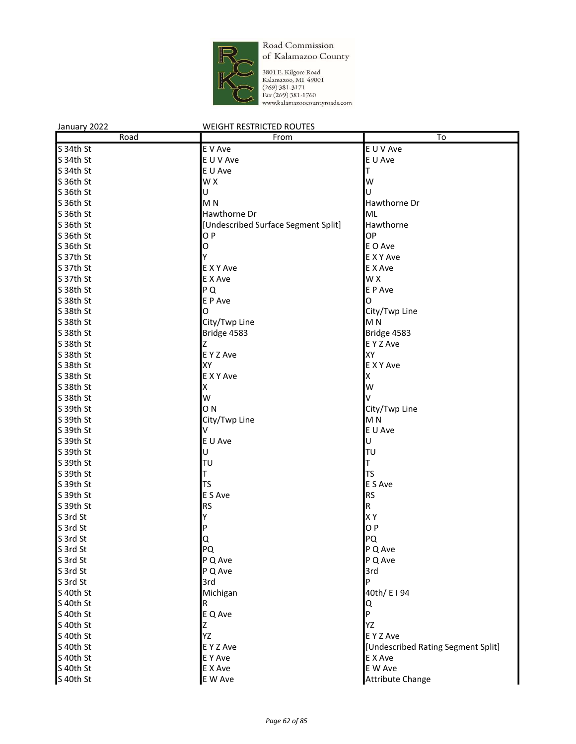

| January 2022 | <b>WEIGHT RESTRICTED ROUTES</b>     |                                    |
|--------------|-------------------------------------|------------------------------------|
| Road         | From                                | $\overline{\text{To}}$             |
| S 34th St    | E V Ave                             | E U V Ave                          |
| S 34th St    | E U V Ave                           | E U Ave                            |
| S 34th St    | E U Ave                             | T                                  |
| S 36th St    | W X                                 | W                                  |
| S 36th St    | Ù                                   | Ù                                  |
| S 36th St    | M <sub>N</sub>                      | Hawthorne Dr                       |
| S 36th St    | Hawthorne Dr                        | ML                                 |
| S 36th St    | [Undescribed Surface Segment Split] | Hawthorne                          |
| S 36th St    | OP                                  | OP                                 |
| S 36th St    | O                                   | E O Ave                            |
| S 37th St    | Υ                                   | <b>EXYAve</b>                      |
| S 37th St    | E X Y Ave                           | E X Ave                            |
| S 37th St    | E X Ave                             | W X                                |
| S 38th St    | PQ                                  | E P Ave                            |
| S 38th St    | E P Ave                             | O                                  |
| S 38th St    | O                                   | City/Twp Line                      |
| S 38th St    | City/Twp Line                       | M <sub>N</sub>                     |
| S 38th St    | Bridge 4583                         | Bridge 4583                        |
| S 38th St    | Z                                   | E Y Z Ave                          |
| S 38th St    | E Y Z Ave                           | XY                                 |
| S 38th St    | XY                                  | E X Y Ave                          |
| S 38th St    | E X Y Ave                           | X                                  |
| S 38th St    | Χ                                   | W                                  |
| S 38th St    | W                                   | v                                  |
| S 39th St    | O <sub>N</sub>                      | City/Twp Line                      |
| S 39th St    | City/Twp Line                       | M <sub>N</sub>                     |
| S 39th St    | V                                   | E U Ave                            |
| S 39th St    | E U Ave                             | U                                  |
| S 39th St    | U                                   | ΙTυ                                |
| S 39th St    | TU                                  | Т                                  |
| S 39th St    | T                                   | TS                                 |
| S 39th St    | <b>TS</b>                           | E S Ave                            |
| S 39th St    | E S Ave                             | <b>RS</b>                          |
| S 39th St    | <b>RS</b>                           | $\mathsf R$                        |
| S 3rd St     | Υ                                   | X Y                                |
| S 3rd St     |                                     | O P                                |
| S 3rd St     | P                                   | PQ                                 |
|              | Q.                                  |                                    |
| S 3rd St     | PQ                                  | P Q Ave                            |
| S 3rd St     | P Q Ave                             | P Q Ave                            |
| S 3rd St     | P Q Ave                             | 3rd<br>P                           |
| S 3rd St     | 3rd                                 |                                    |
| S 40th St    | Michigan                            | 40th/ E I 94                       |
| S 40th St    | R                                   | ΙQ                                 |
| S 40th St    | E Q Ave                             | P                                  |
| S 40th St    | Z                                   | YZ                                 |
| S 40th St    | YZ                                  | E Y Z Ave                          |
| S 40th St    | E Y Z Ave                           | [Undescribed Rating Segment Split] |
| S 40th St    | E Y Ave                             | E X Ave                            |
| S 40th St    | E X Ave                             | E W Ave                            |
| S 40th St    | E W Ave                             | Attribute Change                   |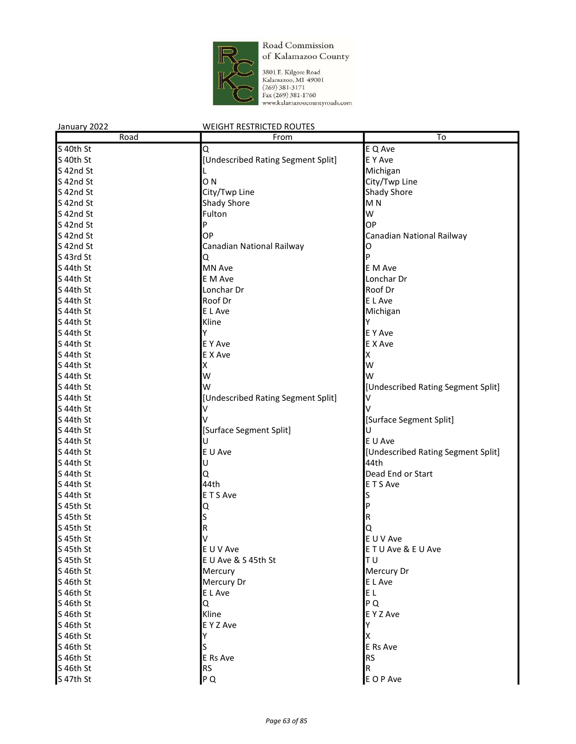

| January 2022 | <b>WEIGHT RESTRICTED ROUTES</b>    |                                    |  |
|--------------|------------------------------------|------------------------------------|--|
| Road         | From                               | To                                 |  |
| S 40th St    | Q                                  | E Q Ave                            |  |
| S 40th St    | [Undescribed Rating Segment Split] | E Y Ave                            |  |
| S 42nd St    |                                    | Michigan                           |  |
| S 42nd St    | O <sub>N</sub>                     | City/Twp Line                      |  |
| S 42nd St    | City/Twp Line                      | Shady Shore                        |  |
| S 42nd St    | <b>Shady Shore</b>                 | M <sub>N</sub>                     |  |
| S 42nd St    | Fulton                             | W                                  |  |
| S 42nd St    | P                                  | OP                                 |  |
| S 42nd St    | OP                                 | Canadian National Railway          |  |
| S 42nd St    | Canadian National Railway          | 0                                  |  |
| S 43rd St    | Q                                  | Þ                                  |  |
| S 44th St    | <b>MN Ave</b>                      | E M Ave                            |  |
| S 44th St    | E M Ave                            | Lonchar Dr                         |  |
| S 44th St    | Lonchar Dr                         | Roof Dr                            |  |
| S 44th St    | Roof Dr                            | E L Ave                            |  |
| S 44th St    | E L Ave                            | Michigan                           |  |
| S 44th St    | Kline                              | Υ                                  |  |
| S 44th St    | Υ                                  | E Y Ave                            |  |
| S 44th St    | <b>E</b> Y Ave                     | E X Ave                            |  |
| S 44th St    | E X Ave                            | Χ                                  |  |
| S 44th St    | X                                  | W                                  |  |
| S 44th St    | W                                  | W                                  |  |
| S 44th St    | w                                  | [Undescribed Rating Segment Split] |  |
| S 44th St    | [Undescribed Rating Segment Split] | V                                  |  |
| S 44th St    |                                    |                                    |  |
| S 44th St    |                                    | [Surface Segment Split]            |  |
| S 44th St    | [Surface Segment Split]            | U                                  |  |
| S 44th St    | U                                  | E U Ave                            |  |
| S 44th St    | E U Ave                            | [Undescribed Rating Segment Split] |  |
| S 44th St    | U                                  | 44th                               |  |
| S 44th St    | Q                                  | Dead End or Start                  |  |
| S 44th St    | 44th                               | ETS Ave                            |  |
| S 44th St    | E T S Ave                          |                                    |  |
| S 45th St    | Q                                  |                                    |  |
| S 45th St    | S                                  | R                                  |  |
| S 45th St    | R                                  | Q                                  |  |
| S 45th St    |                                    | E U V Ave                          |  |
| S 45th St    | E U V Ave                          | ETU Ave & EU Ave                   |  |
| S 45th St    | E U Ave & S 45th St                | TU                                 |  |
| S 46th St    | Mercury                            | Mercury Dr                         |  |
| S 46th St    | Mercury Dr                         | E L Ave                            |  |
| S 46th St    | E L Ave                            | E L                                |  |
| S 46th St    | Q                                  | P Q                                |  |
| S 46th St    | Kline                              | E Y Z Ave                          |  |
| S 46th St    | E Y Z Ave                          | Y                                  |  |
| S 46th St    | Υ                                  | х                                  |  |
| S 46th St    | S                                  | E Rs Ave                           |  |
| S 46th St    | E Rs Ave                           | <b>RS</b>                          |  |
| S 46th St    | <b>RS</b>                          | R                                  |  |
| S 47th St    | P Q                                | E O P Ave                          |  |
|              |                                    |                                    |  |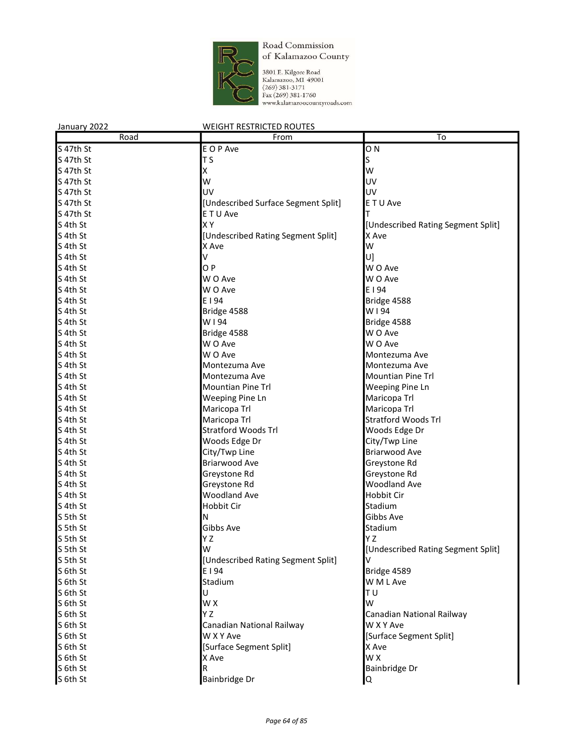

| January 2022 | <b>WEIGHT RESTRICTED ROUTES</b>     |                                    |
|--------------|-------------------------------------|------------------------------------|
| Road         | From                                | To                                 |
| S 47th St    | E O P Ave                           | O <sub>N</sub>                     |
| S 47th St    | T S                                 | S                                  |
| S 47th St    | Χ                                   | W                                  |
| S 47th St    | W                                   | UV                                 |
| S 47th St    | UV                                  | UV                                 |
| S 47th St    | [Undescribed Surface Segment Split] | E T U Ave                          |
| S 47th St    | E T U Ave                           | т                                  |
| S 4th St     | XY                                  | [Undescribed Rating Segment Split] |
| S 4th St     | [Undescribed Rating Segment Split]  | X Ave                              |
| S 4th St     | X Ave                               | W                                  |
| S 4th St     | V                                   | U]                                 |
| S 4th St     | OP                                  | W O Ave                            |
| S 4th St     | W O Ave                             | W O Ave                            |
| S 4th St     | W O Ave                             | E I 94                             |
| S 4th St     | E I 94                              | Bridge 4588                        |
| S 4th St     | Bridge 4588                         | W194                               |
| S 4th St     | W194                                | Bridge 4588                        |
| S 4th St     | Bridge 4588                         | W O Ave                            |
| S 4th St     | W O Ave                             | W O Ave                            |
| S 4th St     | W O Ave                             | Montezuma Ave                      |
| S 4th St     | Montezuma Ave                       | Montezuma Ave                      |
| S 4th St     | Montezuma Ave                       | <b>Mountian Pine Trl</b>           |
| S 4th St     | <b>Mountian Pine Trl</b>            | Weeping Pine Ln                    |
| S 4th St     | Weeping Pine Ln                     | Maricopa Trl                       |
| S 4th St     | Maricopa Trl                        | Maricopa Trl                       |
| S 4th St     | Maricopa Trl                        | <b>Stratford Woods Trl</b>         |
| S 4th St     | <b>Stratford Woods Trl</b>          | Woods Edge Dr                      |
| S 4th St     | Woods Edge Dr                       | City/Twp Line                      |
| S 4th St     | City/Twp Line                       | Briarwood Ave                      |
| S 4th St     | <b>Briarwood Ave</b>                | Greystone Rd                       |
| S 4th St     | Greystone Rd                        | Greystone Rd                       |
| S 4th St     | Greystone Rd                        | <b>Woodland Ave</b>                |
| S 4th St     | <b>Woodland Ave</b>                 | Hobbit Cir                         |
| S 4th St     | Hobbit Cir                          | Stadium                            |
| S 5th St     | N                                   | Gibbs Ave                          |
| S 5th St     | Gibbs Ave                           | Stadium                            |
| S 5th St     | Y Z                                 | Y Z                                |
| S 5th St     | W                                   | [Undescribed Rating Segment Split] |
| S 5th St     | [Undescribed Rating Segment Split]  |                                    |
| S 6th St     | E   94                              | Bridge 4589                        |
| S 6th St     | Stadium                             | W M L Ave                          |
| S 6th St     | U                                   | ΤU                                 |
| S 6th St     | W X                                 | W                                  |
| S 6th St     | ΥZ                                  | Canadian National Railway          |
| S 6th St     | Canadian National Railway           | W X Y Ave                          |
| S 6th St     | W X Y Ave                           | [Surface Segment Split]            |
| S 6th St     | [Surface Segment Split]             | X Ave                              |
| S 6th St     | X Ave                               | W X                                |
| S 6th St     | R                                   | Bainbridge Dr                      |
| S 6th St     | Bainbridge Dr                       | lQ.                                |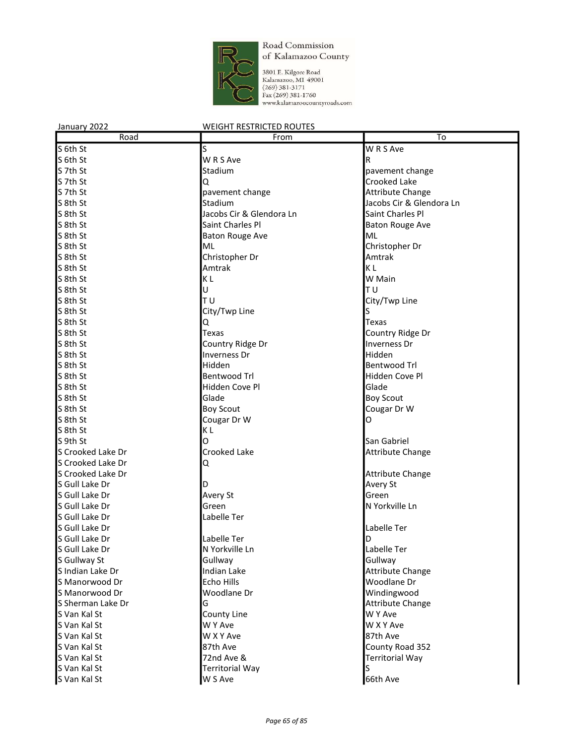

| January 2022      | <b>WEIGHT RESTRICTED ROUTES</b> |                          |  |
|-------------------|---------------------------------|--------------------------|--|
| Road              | From                            | To                       |  |
| S 6th St          | S                               | W R S Ave                |  |
| S 6th St          | W R S Ave                       | R.                       |  |
| S 7th St          | Stadium                         | pavement change          |  |
| S 7th St          | Q                               | Crooked Lake             |  |
| S 7th St          | pavement change                 | <b>Attribute Change</b>  |  |
| S 8th St          | Stadium                         | Jacobs Cir & Glendora Ln |  |
| S 8th St          | Jacobs Cir & Glendora Ln        | Saint Charles Pl         |  |
| S 8th St          | Saint Charles Pl                | <b>Baton Rouge Ave</b>   |  |
| S 8th St          | <b>Baton Rouge Ave</b>          | ML                       |  |
| S 8th St          | ML                              | Christopher Dr           |  |
| S 8th St          | Christopher Dr                  | Amtrak                   |  |
| S 8th St          | Amtrak                          | ΚL                       |  |
| S 8th St          | KL                              | W Main                   |  |
| S 8th St          | U                               | TU                       |  |
| S 8th St          | T U                             | City/Twp Line            |  |
| S 8th St          | City/Twp Line                   | S                        |  |
| S 8th St          | Q                               | Texas                    |  |
| S 8th St          | Texas                           | Country Ridge Dr         |  |
| S 8th St          | Country Ridge Dr                | Inverness Dr             |  |
| S 8th St          | Inverness Dr                    | Hidden                   |  |
| S 8th St          | Hidden                          | Bentwood Trl             |  |
| S 8th St          | <b>Bentwood Trl</b>             | Hidden Cove Pl           |  |
| S 8th St          | Hidden Cove Pl                  | Glade                    |  |
| S 8th St          | Glade                           | <b>Boy Scout</b>         |  |
| S 8th St          | <b>Boy Scout</b>                | Cougar Dr W              |  |
| S 8th St          | Cougar Dr W                     | O                        |  |
| S 8th St          | KL                              |                          |  |
| S 9th St          | O                               | San Gabriel              |  |
| S Crooked Lake Dr | Crooked Lake                    | <b>Attribute Change</b>  |  |
| S Crooked Lake Dr | Q                               |                          |  |
| S Crooked Lake Dr |                                 | <b>Attribute Change</b>  |  |
| S Gull Lake Dr    | D                               | Avery St                 |  |
| S Gull Lake Dr    | Avery St                        | Green                    |  |
| S Gull Lake Dr    | Green                           | N Yorkville Ln           |  |
| S Gull Lake Dr    | Labelle Ter                     |                          |  |
| S Gull Lake Dr    |                                 | Labelle Ter              |  |
| S Gull Lake Dr    | Labelle Ter                     | D                        |  |
| S Gull Lake Dr    | N Yorkville Ln                  | Labelle Ter              |  |
| S Gullway St      | Gullway                         | Gullway                  |  |
| S Indian Lake Dr  | Indian Lake                     | <b>Attribute Change</b>  |  |
| S Manorwood Dr    | Echo Hills                      | Woodlane Dr              |  |
| S Manorwood Dr    | Woodlane Dr                     | Windingwood              |  |
| S Sherman Lake Dr | G                               | <b>Attribute Change</b>  |  |
| S Van Kal St      | County Line                     | W Y Ave                  |  |
| S Van Kal St      | W Y Ave                         | W X Y Ave                |  |
| S Van Kal St      | W X Y Ave                       | 87th Ave                 |  |
| S Van Kal St      | 87th Ave                        | County Road 352          |  |
| S Van Kal St      | 72nd Ave &                      | <b>Territorial Way</b>   |  |
| S Van Kal St      | <b>Territorial Way</b>          | S                        |  |
| S Van Kal St      | W S Ave                         | 66th Ave                 |  |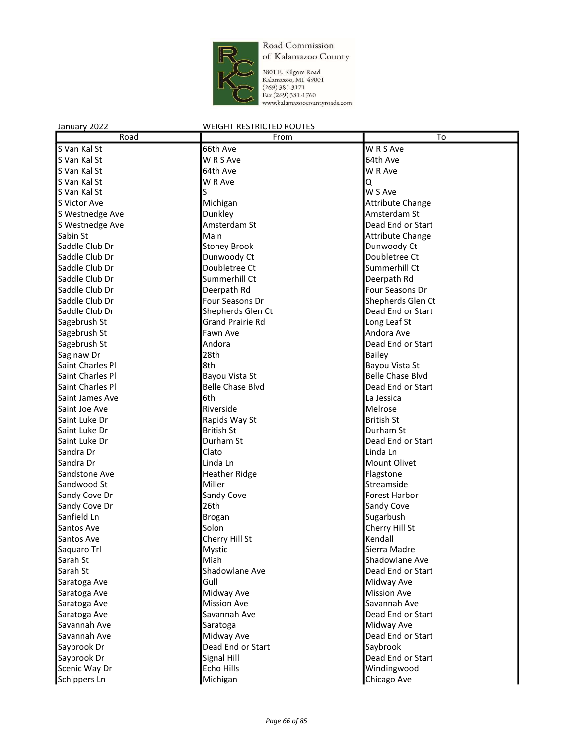

3801 E. Kilgore Road<br>Kalamazoo, MI 49001<br>(269) 381-3171<br>Fax (269) 381-1760<br>www.kalamazoocountyroads.com

| Road             | From                    | To                      |
|------------------|-------------------------|-------------------------|
| S Van Kal St     | 66th Ave                | W R S Ave               |
| S Van Kal St     | W R S Ave               | 64th Ave                |
| S Van Kal St     | 64th Ave                | W R Ave                 |
| S Van Kal St     | W R Ave                 | Q                       |
| S Van Kal St     | S                       | W S Ave                 |
| S Victor Ave     | Michigan                | <b>Attribute Change</b> |
| S Westnedge Ave  | Dunkley                 | Amsterdam St            |
| S Westnedge Ave  | Amsterdam St            | Dead End or Start       |
| Sabin St         | Main                    | <b>Attribute Change</b> |
| Saddle Club Dr   | <b>Stoney Brook</b>     | Dunwoody Ct             |
| Saddle Club Dr   | Dunwoody Ct             | Doubletree Ct           |
| Saddle Club Dr   | Doubletree Ct           | Summerhill Ct           |
| Saddle Club Dr   | Summerhill Ct           | Deerpath Rd             |
| Saddle Club Dr   | Deerpath Rd             | Four Seasons Dr         |
| Saddle Club Dr   | Four Seasons Dr         | Shepherds Glen Ct       |
| Saddle Club Dr   | Shepherds Glen Ct       | Dead End or Start       |
| Sagebrush St     | <b>Grand Prairie Rd</b> | Long Leaf St            |
| Sagebrush St     | Fawn Ave                | Andora Ave              |
| Sagebrush St     | Andora                  | Dead End or Start       |
| Saginaw Dr       | 28th                    | <b>Bailey</b>           |
| Saint Charles Pl | 8th                     | Bayou Vista St          |
| Saint Charles Pl | Bayou Vista St          | <b>Belle Chase Blvd</b> |
| Saint Charles Pl | <b>Belle Chase Blvd</b> | Dead End or Start       |
| Saint James Ave  | 6th                     | La Jessica              |
| Saint Joe Ave    | Riverside               | Melrose                 |
| Saint Luke Dr    | Rapids Way St           | <b>British St</b>       |
| Saint Luke Dr    | <b>British St</b>       | Durham St               |
| Saint Luke Dr    | Durham St               | Dead End or Start       |
| Sandra Dr        | Clato                   | Linda Ln                |
| Sandra Dr        | Linda Ln                | Mount Olivet            |
| Sandstone Ave    | <b>Heather Ridge</b>    | Flagstone               |
| Sandwood St      | Miller                  | Streamside              |
| Sandy Cove Dr    | Sandy Cove              | Forest Harbor           |
| Sandy Cove Dr    | 26th                    | Sandy Cove              |
| Sanfield Ln      | Brogan                  | Sugarbush               |
| Santos Ave       | Solon                   | Cherry Hill St          |
| Santos Ave       | Cherry Hill St          | Kendall                 |
| Saquaro Trl      | Mystic                  | Sierra Madre            |
| Sarah St         | Miah                    | Shadowlane Ave          |
| Sarah St         | Shadowlane Ave          | Dead End or Start       |
| Saratoga Ave     | Gull                    | Midway Ave              |
| Saratoga Ave     | Midway Ave              | <b>Mission Ave</b>      |
| Saratoga Ave     | <b>Mission Ave</b>      | Savannah Ave            |
| Saratoga Ave     | Savannah Ave            | Dead End or Start       |
| Savannah Ave     | Saratoga                | Midway Ave              |
| Savannah Ave     | Midway Ave              | Dead End or Start       |
| Saybrook Dr      | Dead End or Start       | Saybrook                |
| Saybrook Dr      | Signal Hill             | Dead End or Start       |
| Scenic Way Dr    | Echo Hills              | Windingwood             |
| Schippers Ln     | Michigan                | Chicago Ave             |
|                  |                         |                         |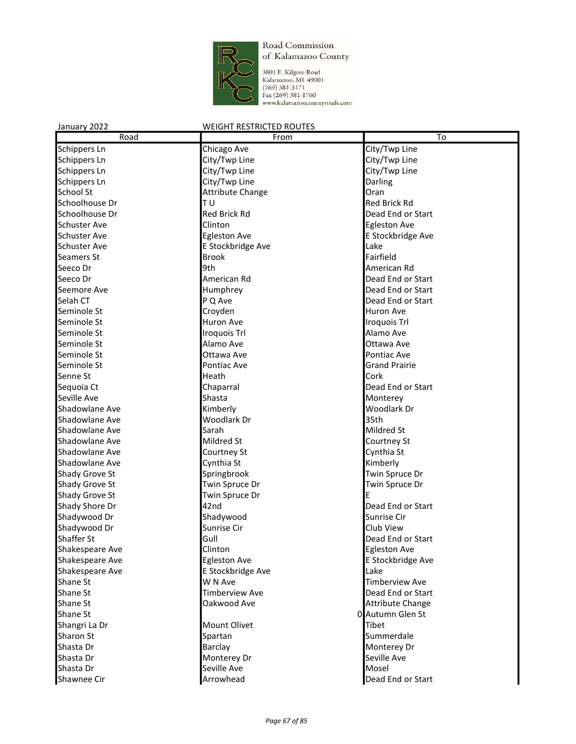

3801 E. Kilgore Road<br>Kalamazoo, MI 49001<br>(269) 381-3171<br>Fax (269) 381-1760<br>www.kalamazoocountyroads.com

| Road                | From                    | $\overline{\text{To}}$ |
|---------------------|-------------------------|------------------------|
| Schippers Ln        | Chicago Ave             | City/Twp Line          |
| Schippers Ln        | City/Twp Line           | City/Twp Line          |
| Schippers Ln        | City/Twp Line           | City/Twp Line          |
| Schippers Ln        | City/Twp Line           | Darling                |
| School St           | <b>Attribute Change</b> | Oran                   |
| Schoolhouse Dr      | TU                      | <b>Red Brick Rd</b>    |
| Schoolhouse Dr      | <b>Red Brick Rd</b>     | Dead End or Start      |
| <b>Schuster Ave</b> | Clinton                 | <b>Egleston Ave</b>    |
| <b>Schuster Ave</b> | <b>Egleston Ave</b>     | E Stockbridge Ave      |
| <b>Schuster Ave</b> | E Stockbridge Ave       | Lake                   |
| Seamers St          | <b>Brook</b>            | Fairfield              |
| Seeco Dr            | 9th                     | American Rd            |
| Seeco Dr            | American Rd             | Dead End or Start      |
| Seemore Ave         | Humphrey                | Dead End or Start      |
| Selah CT            | P Q Ave                 | Dead End or Start      |
| Seminole St         | Croyden                 | Huron Ave              |
| Seminole St         | Huron Ave               | Iroquois Trl           |
| Seminole St         | Iroquois Trl            | Alamo Ave              |
| Seminole St         | Alamo Ave               | Ottawa Ave             |
| Seminole St         | Ottawa Ave              | Pontiac Ave            |
| Seminole St         | Pontiac Ave             | <b>Grand Prairie</b>   |
| Senne St            | Heath                   | Cork                   |
| Sequoia Ct          | Chaparral               | Dead End or Start      |
| Seville Ave         | Shasta                  | Monterey               |
| Shadowlane Ave      | Kimberly                | Woodlark Dr            |
| Shadowlane Ave      | Woodlark Dr             | 35th                   |
| Shadowlane Ave      | Sarah                   | Mildred St             |
| Shadowlane Ave      | Mildred St              | Courtney St            |
| Shadowlane Ave      | Courtney St             | Cynthia St             |
| Shadowlane Ave      | Cynthia St              | Kimberly               |
| Shady Grove St      | Springbrook             | Twin Spruce Dr         |
| Shady Grove St      | Twin Spruce Dr          | Twin Spruce Dr         |
| Shady Grove St      | Twin Spruce Dr          | E                      |
| Shady Shore Dr      | 42nd                    | Dead End or Start      |
| Shadywood Dr        | Shadywood               | Sunrise Cir            |
| Shadywood Dr        | Sunrise Cir             | Club View              |
| Shaffer St          | Gull                    | Dead End or Start      |
| Shakespeare Ave     | Clinton                 | <b>Egleston Ave</b>    |
| Shakespeare Ave     | <b>Egleston Ave</b>     | E Stockbridge Ave      |
| Shakespeare Ave     | E Stockbridge Ave       | Lake                   |
| Shane St            | W N Ave                 | <b>Timberview Ave</b>  |
| Shane St            | <b>Timberview Ave</b>   | Dead End or Start      |
| Shane St            | Oakwood Ave             | Attribute Change       |
| Shane St            |                         | 0 Autumn Glen St       |
| Shangri La Dr       | Mount Olivet            | Tibet                  |
| Sharon St           | Spartan                 | Summerdale             |
| Shasta Dr           | Barclay                 | Monterey Dr            |
| Shasta Dr           | Monterey Dr             | Seville Ave            |
| Shasta Dr           | Seville Ave             | Mosel                  |
| Shawnee Cir         | Arrowhead               | Dead End or Start      |
|                     |                         |                        |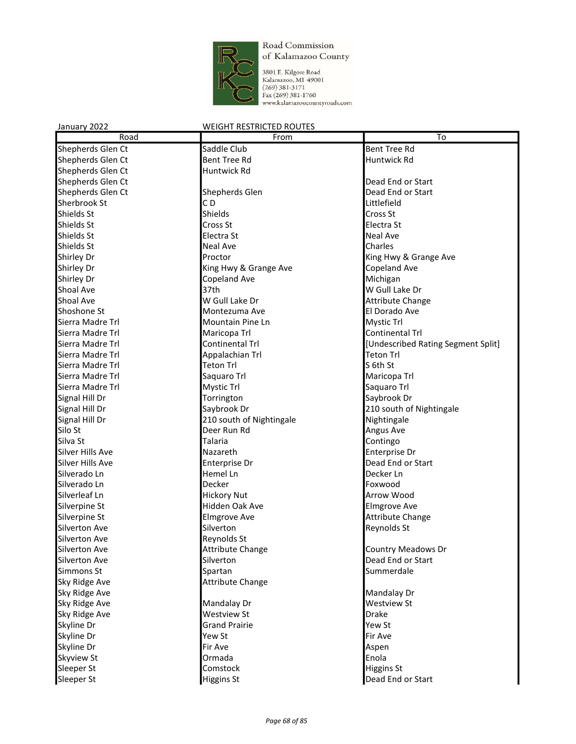

3801 E. Kilgore Road<br>Kalamazoo, MI 49001<br>(269) 381-3171<br>Fax (269) 381-1760<br>www.kalamazoocountyroads.com

| Road                 | From                     | To                                 |
|----------------------|--------------------------|------------------------------------|
| Shepherds Glen Ct    | Saddle Club              | <b>Bent Tree Rd</b>                |
| Shepherds Glen Ct    | Bent Tree Rd             | Huntwick Rd                        |
| Shepherds Glen Ct    | Huntwick Rd              |                                    |
| Shepherds Glen Ct    |                          | Dead End or Start                  |
| Shepherds Glen Ct    | Shepherds Glen           | Dead End or Start                  |
| Sherbrook St         | CD                       | Littlefield                        |
| Shields St           | Shields                  | Cross St                           |
| Shields St           | Cross St                 | Electra St                         |
| <b>Shields St</b>    | Electra St               | <b>Neal Ave</b>                    |
| Shields St           | <b>Neal Ave</b>          | Charles                            |
| Shirley Dr           | Proctor                  | King Hwy & Grange Ave              |
| <b>Shirley Dr</b>    | King Hwy & Grange Ave    | Copeland Ave                       |
| Shirley Dr           | Copeland Ave             | Michigan                           |
| <b>Shoal Ave</b>     | 37th                     | W Gull Lake Dr                     |
| Shoal Ave            | W Gull Lake Dr           | <b>Attribute Change</b>            |
| Shoshone St          | Montezuma Ave            | El Dorado Ave                      |
| Sierra Madre Trl     | Mountain Pine Ln         | Mystic Trl                         |
| Sierra Madre Trl     | Maricopa Trl             | Continental Trl                    |
| Sierra Madre Trl     | Continental Trl          | [Undescribed Rating Segment Split] |
| Sierra Madre Trl     | Appalachian Trl          | Teton Trl                          |
| Sierra Madre Trl     | <b>Teton Trl</b>         | S 6th St                           |
| Sierra Madre Trl     | Saquaro Trl              | Maricopa Trl                       |
| Sierra Madre Trl     | Mystic Trl               | Saquaro Trl                        |
| Signal Hill Dr       | Torrington               | Saybrook Dr                        |
| Signal Hill Dr       | Saybrook Dr              | 210 south of Nightingale           |
| Signal Hill Dr       | 210 south of Nightingale | Nightingale                        |
| Silo St              | Deer Run Rd              | Angus Ave                          |
| Silva St             | Talaria                  | Contingo                           |
| Silver Hills Ave     | Nazareth                 | Enterprise Dr                      |
| Silver Hills Ave     | Enterprise Dr            | Dead End or Start                  |
| Silverado Ln         | Hemel Ln                 | Decker Ln                          |
| Silverado Ln         | Decker                   | Foxwood                            |
| Silverleaf Ln        | <b>Hickory Nut</b>       | Arrow Wood                         |
| Silverpine St        | Hidden Oak Ave           | <b>Elmgrove Ave</b>                |
| Silverpine St        | <b>Elmgrove Ave</b>      | <b>Attribute Change</b>            |
| <b>Silverton Ave</b> | Silverton                | Reynolds St                        |
| <b>Silverton Ave</b> | Reynolds St              |                                    |
| <b>Silverton Ave</b> | Attribute Change         | Country Meadows Dr                 |
| Silverton Ave        | Silverton                | Dead End or Start                  |
| Simmons St           | Spartan                  | Summerdale                         |
| Sky Ridge Ave        | <b>Attribute Change</b>  |                                    |
| Sky Ridge Ave        |                          | Mandalay Dr                        |
| Sky Ridge Ave        | Mandalay Dr              | Westview St                        |
| Sky Ridge Ave        | <b>Westview St</b>       | <b>Drake</b>                       |
| Skyline Dr           | <b>Grand Prairie</b>     | Yew St                             |
| Skyline Dr           | Yew St                   | Fir Ave                            |
| Skyline Dr           | Fir Ave                  | Aspen                              |
| <b>Skyview St</b>    | Ormada                   | Enola                              |
| Sleeper St           | Comstock                 | Higgins St                         |
| Sleeper St           | <b>Higgins St</b>        | Dead End or Start                  |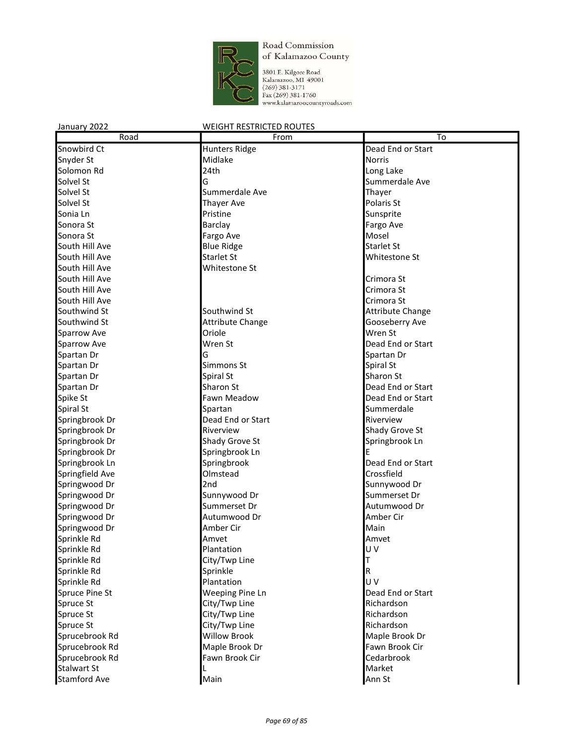

3801 E. Kilgore Road<br>Kalamazoo, MI 49001<br>(269) 381-3171<br>Fax (269) 381-1760<br>www.kalamazoocountyroads.com

| Road                | From                    | To                      |
|---------------------|-------------------------|-------------------------|
| Snowbird Ct         | <b>Hunters Ridge</b>    | Dead End or Start       |
| Snyder St           | Midlake                 | <b>Norris</b>           |
| Solomon Rd          | 24th                    | Long Lake               |
| Solvel St           | G                       | Summerdale Ave          |
| Solvel St           | Summerdale Ave          | Thayer                  |
| Solvel St           | <b>Thayer Ave</b>       | Polaris St              |
| Sonia Ln            | Pristine                | Sunsprite               |
| Sonora St           | Barclay                 | Fargo Ave               |
| Sonora St           | Fargo Ave               | Mosel                   |
| South Hill Ave      | <b>Blue Ridge</b>       | <b>Starlet St</b>       |
| South Hill Ave      | Starlet St              | Whitestone St           |
| South Hill Ave      | Whitestone St           |                         |
| South Hill Ave      |                         | Crimora St              |
| South Hill Ave      |                         | Crimora St              |
| South Hill Ave      |                         | Crimora St              |
| Southwind St        | Southwind St            | <b>Attribute Change</b> |
| Southwind St        | <b>Attribute Change</b> | Gooseberry Ave          |
| Sparrow Ave         | Oriole                  | Wren St                 |
| Sparrow Ave         | Wren St                 | Dead End or Start       |
| Spartan Dr          | G                       | Spartan Dr              |
| Spartan Dr          | Simmons St              | Spiral St               |
| Spartan Dr          | Spiral St               | Sharon St               |
| Spartan Dr          | Sharon St               | Dead End or Start       |
| Spike St            | Fawn Meadow             | Dead End or Start       |
| Spiral St           | Spartan                 | Summerdale              |
| Springbrook Dr      | Dead End or Start       | Riverview               |
| Springbrook Dr      | Riverview               | Shady Grove St          |
| Springbrook Dr      | Shady Grove St          | Springbrook Ln          |
| Springbrook Dr      | Springbrook Ln          | Е                       |
| Springbrook Ln      | Springbrook             | Dead End or Start       |
| Springfield Ave     | Olmstead                | Crossfield              |
| Springwood Dr       | 2nd                     | Sunnywood Dr            |
| Springwood Dr       | Sunnywood Dr            | Summerset Dr            |
| Springwood Dr       | Summerset Dr            | Autumwood Dr            |
| Springwood Dr       | Autumwood Dr            | Amber Cir               |
| Springwood Dr       | Amber Cir               | Main                    |
| Sprinkle Rd         | Amvet                   | Amvet                   |
| Sprinkle Rd         | Plantation              | UV                      |
| Sprinkle Rd         | City/Twp Line           |                         |
| Sprinkle Rd         | Sprinkle                | R                       |
| Sprinkle Rd         | Plantation              | UV                      |
| Spruce Pine St      | <b>Weeping Pine Ln</b>  | Dead End or Start       |
| Spruce St           | City/Twp Line           | Richardson              |
| Spruce St           | City/Twp Line           | Richardson              |
| Spruce St           | City/Twp Line           | Richardson              |
| Sprucebrook Rd      | <b>Willow Brook</b>     | Maple Brook Dr          |
| Sprucebrook Rd      | Maple Brook Dr          | Fawn Brook Cir          |
| Sprucebrook Rd      | Fawn Brook Cir          | Cedarbrook              |
| <b>Stalwart St</b>  |                         | Market                  |
| <b>Stamford Ave</b> | Main                    | Ann St                  |
|                     |                         |                         |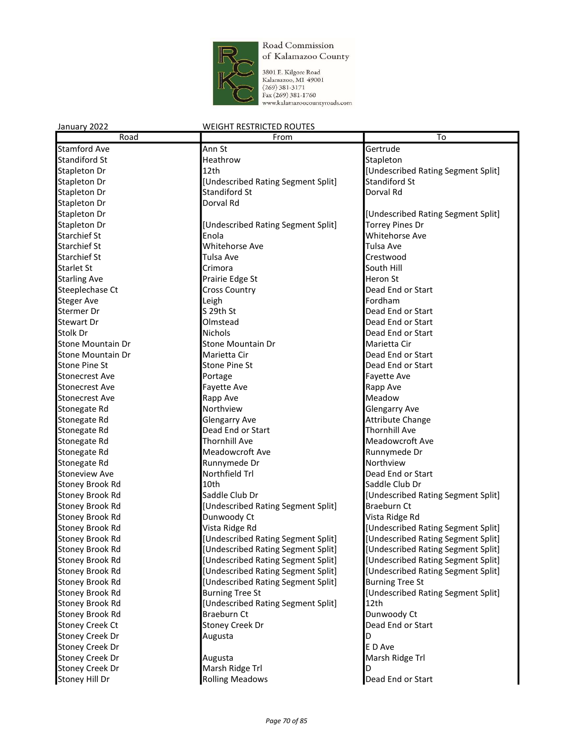

| January 2022           | <b>WEIGHT RESTRICTED ROUTES</b>    |                                    |
|------------------------|------------------------------------|------------------------------------|
| Road                   | From                               | To                                 |
| <b>Stamford Ave</b>    | Ann St                             | Gertrude                           |
| <b>Standiford St</b>   | Heathrow                           | Stapleton                          |
| Stapleton Dr           | 12th                               | [Undescribed Rating Segment Split] |
| Stapleton Dr           | [Undescribed Rating Segment Split] | <b>Standiford St</b>               |
| Stapleton Dr           | <b>Standiford St</b>               | Dorval Rd                          |
| Stapleton Dr           | Dorval Rd                          |                                    |
| Stapleton Dr           |                                    | [Undescribed Rating Segment Split] |
| Stapleton Dr           | [Undescribed Rating Segment Split] | <b>Torrey Pines Dr</b>             |
| <b>Starchief St</b>    | Enola                              | <b>Whitehorse Ave</b>              |
| <b>Starchief St</b>    | Whitehorse Ave                     | Tulsa Ave                          |
| <b>Starchief St</b>    | Tulsa Ave                          | Crestwood                          |
| <b>Starlet St</b>      | Crimora                            | lSouth Hill                        |
| <b>Starling Ave</b>    | Prairie Edge St                    | Heron St                           |
| Steeplechase Ct        | <b>Cross Country</b>               | Dead End or Start                  |
| <b>Steger Ave</b>      | Leigh                              | Fordham                            |
| Stermer Dr             | S 29th St                          | Dead End or Start                  |
| <b>Stewart Dr</b>      | Olmstead                           | Dead End or Start                  |
| Stolk Dr               | <b>Nichols</b>                     | Dead End or Start                  |
| Stone Mountain Dr      | Stone Mountain Dr                  | Marietta Cir                       |
| Stone Mountain Dr      | Marietta Cir                       | Dead End or Start                  |
| <b>Stone Pine St</b>   | <b>Stone Pine St</b>               | Dead End or Start                  |
| <b>Stonecrest Ave</b>  | Portage                            | Fayette Ave                        |
| <b>Stonecrest Ave</b>  | Fayette Ave                        | Rapp Ave                           |
| Stonecrest Ave         | Rapp Ave                           | Meadow                             |
| Stonegate Rd           | Northview                          | Glengarry Ave                      |
| Stonegate Rd           | <b>Glengarry Ave</b>               | Attribute Change                   |
| Stonegate Rd           | Dead End or Start                  | <b>Thornhill Ave</b>               |
| Stonegate Rd           | <b>Thornhill Ave</b>               | Meadowcroft Ave                    |
| Stonegate Rd           | Meadowcroft Ave                    | Runnymede Dr                       |
| Stonegate Rd           | Runnymede Dr                       | Northview                          |
| <b>Stoneview Ave</b>   | Northfield Trl                     | Dead End or Start                  |
| Stoney Brook Rd        | 10th                               | Saddle Club Dr                     |
| Stoney Brook Rd        | Saddle Club Dr                     | [Undescribed Rating Segment Split] |
| Stoney Brook Rd        | [Undescribed Rating Segment Split] | <b>Braeburn Ct</b>                 |
| <b>Stoney Brook Rd</b> | Dunwoody Ct                        | Vista Ridge Rd                     |
| <b>Stoney Brook Rd</b> | Vista Ridge Rd                     | [Undescribed Rating Segment Split] |
| <b>Stoney Brook Rd</b> | [Undescribed Rating Segment Split] | [Undescribed Rating Segment Split] |
| Stoney Brook Rd        | [Undescribed Rating Segment Split] | [Undescribed Rating Segment Split] |
| <b>Stoney Brook Rd</b> | [Undescribed Rating Segment Split] | [Undescribed Rating Segment Split] |
| Stoney Brook Rd        | [Undescribed Rating Segment Split] | [Undescribed Rating Segment Split] |
| Stoney Brook Rd        | [Undescribed Rating Segment Split] | <b>Burning Tree St</b>             |
| Stoney Brook Rd        | <b>Burning Tree St</b>             | [Undescribed Rating Segment Split] |
| Stoney Brook Rd        | [Undescribed Rating Segment Split] | 12th                               |
| Stoney Brook Rd        | Braeburn Ct                        | Dunwoody Ct                        |
| <b>Stoney Creek Ct</b> | <b>Stoney Creek Dr</b>             | Dead End or Start                  |
| <b>Stoney Creek Dr</b> | Augusta                            | D                                  |
| <b>Stoney Creek Dr</b> |                                    | E D Ave                            |
| <b>Stoney Creek Dr</b> | Augusta                            | Marsh Ridge Trl                    |
| <b>Stoney Creek Dr</b> | Marsh Ridge Trl                    | ID                                 |
| Stoney Hill Dr         | <b>Rolling Meadows</b>             | Dead End or Start                  |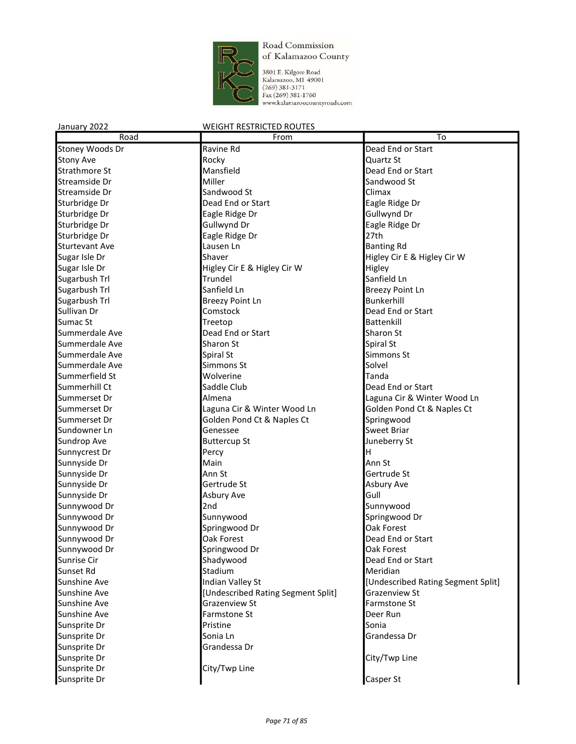

3801 E. Kilgore Road<br>Kalamazoo, MI 49001<br>(269) 381-3171<br>Fax (269) 381-1760<br>www.kalamazoocountyroads.com

| Road                  | From                               | To                                 |
|-----------------------|------------------------------------|------------------------------------|
| Stoney Woods Dr       | Ravine Rd                          | Dead End or Start                  |
| <b>Stony Ave</b>      | Rocky                              | Quartz St                          |
| <b>Strathmore St</b>  | Mansfield                          | Dead End or Start                  |
| Streamside Dr         | Miller                             | Sandwood St                        |
| Streamside Dr         | Sandwood St                        | Climax                             |
| Sturbridge Dr         | Dead End or Start                  | Eagle Ridge Dr                     |
| Sturbridge Dr         | Eagle Ridge Dr                     | Gullwynd Dr                        |
| Sturbridge Dr         | Gullwynd Dr                        | Eagle Ridge Dr                     |
| Sturbridge Dr         | Eagle Ridge Dr                     | 27th                               |
| <b>Sturtevant Ave</b> | Lausen Ln                          | <b>Banting Rd</b>                  |
| Sugar Isle Dr         | Shaver                             | Higley Cir E & Higley Cir W        |
| Sugar Isle Dr         | Higley Cir E & Higley Cir W        | Higley                             |
| Sugarbush Trl         | Trundel                            | Sanfield Ln                        |
| Sugarbush Trl         | Sanfield Ln                        | <b>Breezy Point Ln</b>             |
| Sugarbush Trl         | <b>Breezy Point Ln</b>             | Bunkerhill                         |
| Sullivan Dr           | Comstock                           | Dead End or Start                  |
| Sumac St              | Treetop                            | Battenkill                         |
| Summerdale Ave        | Dead End or Start                  | Sharon St                          |
| Summerdale Ave        | Sharon St                          | Spiral St                          |
| Summerdale Ave        | Spiral St                          | Simmons St                         |
| Summerdale Ave        | Simmons St                         | Solvel                             |
| Summerfield St        | Wolverine                          | Tanda                              |
| Summerhill Ct         | Saddle Club                        | Dead End or Start                  |
| Summerset Dr          | Almena                             | Laguna Cir & Winter Wood Ln        |
| Summerset Dr          | Laguna Cir & Winter Wood Ln        | Golden Pond Ct & Naples Ct         |
| Summerset Dr          | Golden Pond Ct & Naples Ct         | Springwood                         |
| Sundowner Ln          | Genessee                           | <b>Sweet Briar</b>                 |
| Sundrop Ave           | <b>Buttercup St</b>                | Juneberry St                       |
| Sunnycrest Dr         | Percy                              | н                                  |
| Sunnyside Dr          | Main                               | Ann St                             |
| Sunnyside Dr          | Ann St                             | Gertrude St                        |
| Sunnyside Dr          | Gertrude St                        | Asbury Ave                         |
| Sunnyside Dr          | Asbury Ave                         | Gull                               |
| Sunnywood Dr          | 2nd                                | Sunnywood                          |
| Sunnywood Dr          | Sunnywood                          | Springwood Dr                      |
| Sunnywood Dr          | Springwood Dr                      | Oak Forest                         |
| Sunnywood Dr          | Oak Forest                         | Dead End or Start                  |
| Sunnywood Dr          | Springwood Dr                      | Oak Forest                         |
| Sunrise Cir           | Shadywood                          | Dead End or Start                  |
| Sunset Rd             | Stadium                            | Meridian                           |
| Sunshine Ave          | Indian Valley St                   | [Undescribed Rating Segment Split] |
| Sunshine Ave          | [Undescribed Rating Segment Split] | Grazenview St                      |
| Sunshine Ave          | Grazenview St                      | Farmstone St                       |
| Sunshine Ave          | Farmstone St                       | Deer Run                           |
| Sunsprite Dr          | Pristine                           | Sonia                              |
| Sunsprite Dr          | Sonia Ln                           | Grandessa Dr                       |
| Sunsprite Dr          | Grandessa Dr                       |                                    |
| Sunsprite Dr          |                                    | City/Twp Line                      |
| Sunsprite Dr          | City/Twp Line                      |                                    |
| Sunsprite Dr          |                                    | Casper St                          |
|                       |                                    |                                    |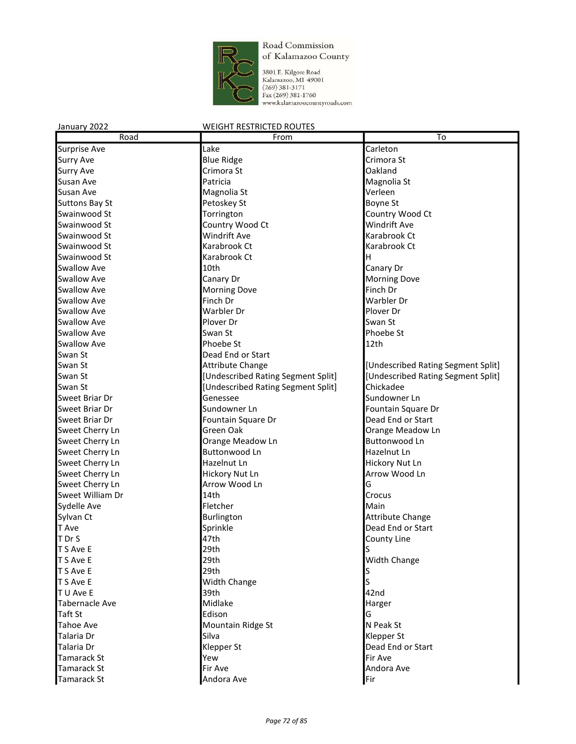

3801 E. Kilgore Road<br>Kalamazoo, MI 49001<br>(269) 381-3171<br>Fax (269) 381-1760<br>www.kalamazoocountyroads.com

| Road                  | From                               | To                                 |
|-----------------------|------------------------------------|------------------------------------|
| Surprise Ave          | Lake                               | Carleton                           |
| Surry Ave             | <b>Blue Ridge</b>                  | Crimora St                         |
| <b>Surry Ave</b>      | Crimora St                         | Oakland                            |
| Susan Ave             | Patricia                           | Magnolia St                        |
| Susan Ave             | Magnolia St                        | Verleen                            |
| <b>Suttons Bay St</b> | Petoskey St                        | Boyne St                           |
| Swainwood St          | Torrington                         | Country Wood Ct                    |
| Swainwood St          | Country Wood Ct                    | <b>Windrift Ave</b>                |
| Swainwood St          | Windrift Ave                       | Karabrook Ct                       |
| Swainwood St          | Karabrook Ct                       | Karabrook Ct                       |
| Swainwood St          | Karabrook Ct                       | ΙH                                 |
| <b>Swallow Ave</b>    | 10th                               | Canary Dr                          |
| <b>Swallow Ave</b>    | Canary Dr                          | <b>Morning Dove</b>                |
| <b>Swallow Ave</b>    | <b>Morning Dove</b>                | Finch Dr                           |
| <b>Swallow Ave</b>    | Finch Dr                           | Warbler Dr                         |
| <b>Swallow Ave</b>    | Warbler Dr                         | Plover Dr                          |
| Swallow Ave           | Plover Dr                          | Swan St                            |
| <b>Swallow Ave</b>    | Swan St                            | Phoebe St                          |
| <b>Swallow Ave</b>    | Phoebe St                          | 12th                               |
| Swan St               | Dead End or Start                  |                                    |
| Swan St               | <b>Attribute Change</b>            | [Undescribed Rating Segment Split] |
| Swan St               | [Undescribed Rating Segment Split] | [Undescribed Rating Segment Split] |
| Swan St               | [Undescribed Rating Segment Split] | Chickadee                          |
| Sweet Briar Dr        | Genessee                           | Sundowner Ln                       |
| Sweet Briar Dr        | Sundowner Ln                       | Fountain Square Dr                 |
| Sweet Briar Dr        | Fountain Square Dr                 | Dead End or Start                  |
| Sweet Cherry Ln       | Green Oak                          | Orange Meadow Ln                   |
| Sweet Cherry Ln       | Orange Meadow Ln                   | <b>Buttonwood Ln</b>               |
| Sweet Cherry Ln       | Buttonwood Ln                      | Hazelnut Ln                        |
| Sweet Cherry Ln       | Hazelnut Ln                        | Hickory Nut Ln                     |
| Sweet Cherry Ln       | Hickory Nut Ln                     | Arrow Wood Ln                      |
| Sweet Cherry Ln       | Arrow Wood Ln                      | G                                  |
| Sweet William Dr      | 14th                               | Crocus                             |
| Sydelle Ave           | Fletcher                           | Main                               |
| Sylvan Ct             | Burlington                         | Attribute Change                   |
| T Ave                 | Sprinkle                           | Dead End or Start                  |
| T Dr S                | 47th                               | <b>County Line</b>                 |
| T S Ave E             | 29th                               | ls                                 |
| T S Ave E             | 29th                               | <b>Width Change</b>                |
| T S Ave E             | 29th                               |                                    |
| T S Ave E             | Width Change                       | S                                  |
| T U Ave E             | 39th                               | 42nd                               |
| Tabernacle Ave        | Midlake                            | Harger                             |
| Taft St               | Edison                             | G                                  |
| Tahoe Ave             | Mountain Ridge St                  | N Peak St                          |
| Talaria Dr            | Silva                              | Klepper St                         |
| Talaria Dr            | Klepper St                         | Dead End or Start                  |
| Tamarack St           | Yew                                | Fir Ave                            |
| Tamarack St           | Fir Ave                            | Andora Ave                         |
|                       |                                    |                                    |
| <b>Tamarack St</b>    | Andora Ave                         | Fir                                |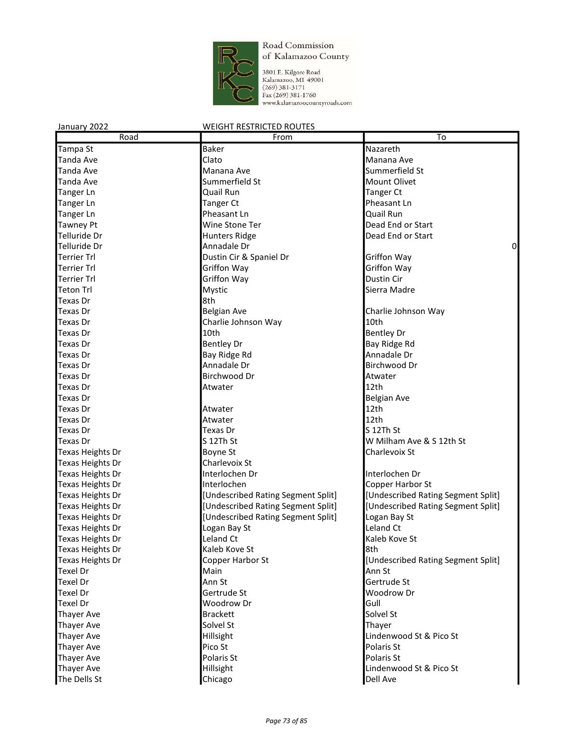

3801 E. Kilgore Road<br>Kalamazoo, M1 49001<br>(269) 381-3171<br>Fax (269) 381-1760<br>www.kalamazoocountyroads.com

| January 2022            | <b>WEIGHT RESTRICTED ROUTES</b>    |                                    |
|-------------------------|------------------------------------|------------------------------------|
| Road                    | From                               | To                                 |
| Tampa St                | <b>Baker</b>                       | Nazareth                           |
| Tanda Ave               | Clato                              | Manana Ave                         |
| Tanda Ave               | Manana Ave                         | Summerfield St                     |
| <b>Tanda Ave</b>        | Summerfield St                     | Mount Olivet                       |
| <b>Tanger Ln</b>        | Quail Run                          | Tanger Ct                          |
| Tanger Ln               | <b>Tanger Ct</b>                   | Pheasant Ln                        |
| Tanger Ln               | Pheasant Ln                        | Quail Run                          |
| <b>Tawney Pt</b>        | Wine Stone Ter                     | Dead End or Start                  |
| Telluride Dr            | <b>Hunters Ridge</b>               | Dead End or Start                  |
| Telluride Dr            | Annadale Dr                        | 0                                  |
| <b>Terrier Trl</b>      | Dustin Cir & Spaniel Dr            | <b>Griffon Way</b>                 |
| Terrier Trl             | Griffon Way                        | Griffon Way                        |
| <b>Terrier Trl</b>      | Griffon Way                        | Dustin Cir                         |
| Teton Trl               | Mystic                             | Sierra Madre                       |
| Texas Dr                | 8th                                |                                    |
| Texas Dr                | <b>Belgian Ave</b>                 | Charlie Johnson Way                |
| Texas Dr                | Charlie Johnson Way                | 10th                               |
| Texas Dr                | 10th                               | <b>Bentley Dr</b>                  |
| Texas Dr                | <b>Bentley Dr</b>                  | Bay Ridge Rd                       |
| Texas Dr                | Bay Ridge Rd                       | Annadale Dr                        |
| Texas Dr                | Annadale Dr                        | Birchwood Dr                       |
| Texas Dr                | Birchwood Dr                       | Atwater                            |
| Texas Dr                | Atwater                            | 12th                               |
| <b>Texas Dr</b>         |                                    | <b>Belgian Ave</b>                 |
| Texas Dr                | Atwater                            | 12th                               |
| Texas Dr                | Atwater                            | 12th                               |
| Texas Dr                | Texas Dr                           | lS 12Th St                         |
| Texas Dr                | S 12Th St                          | W Milham Ave & S 12th St           |
| Texas Heights Dr        | Boyne St                           | Charlevoix St                      |
| Texas Heights Dr        | Charlevoix St                      |                                    |
| Texas Heights Dr        | Interlochen Dr                     | Interlochen Dr                     |
| Texas Heights Dr        | Interlochen                        | Copper Harbor St                   |
| Texas Heights Dr        | [Undescribed Rating Segment Split] | [Undescribed Rating Segment Split] |
| Texas Heights Dr        | [Undescribed Rating Segment Split] | [Undescribed Rating Segment Split] |
| <b>Texas Heights Dr</b> | [Undescribed Rating Segment Split] | Logan Bay St                       |
| <b>Texas Heights Dr</b> | Logan Bay St                       | Leland Ct                          |
| <b>Texas Heights Dr</b> | Leland Ct                          | Kaleb Kove St                      |
| <b>Texas Heights Dr</b> | Kaleb Kove St                      | 8th                                |
| Texas Heights Dr        | Copper Harbor St                   | [Undescribed Rating Segment Split] |
| Texel Dr                | Main                               | Ann St                             |
| <b>Texel Dr</b>         | Ann St                             | Gertrude St                        |
| Texel Dr                | Gertrude St                        | Woodrow Dr                         |
| <b>Texel Dr</b>         | Woodrow Dr                         | Gull                               |
| <b>Thayer Ave</b>       | <b>Brackett</b>                    | Solvel St                          |
| <b>Thayer Ave</b>       | Solvel St                          | Thayer                             |
| <b>Thayer Ave</b>       | Hillsight                          | Lindenwood St & Pico St            |
| <b>Thayer Ave</b>       | Pico St                            | Polaris St                         |
| <b>Thayer Ave</b>       | Polaris St                         | Polaris St                         |
| Thayer Ave              | Hillsight                          | Lindenwood St & Pico St            |
| The Dells St            | Chicago                            | Dell Ave                           |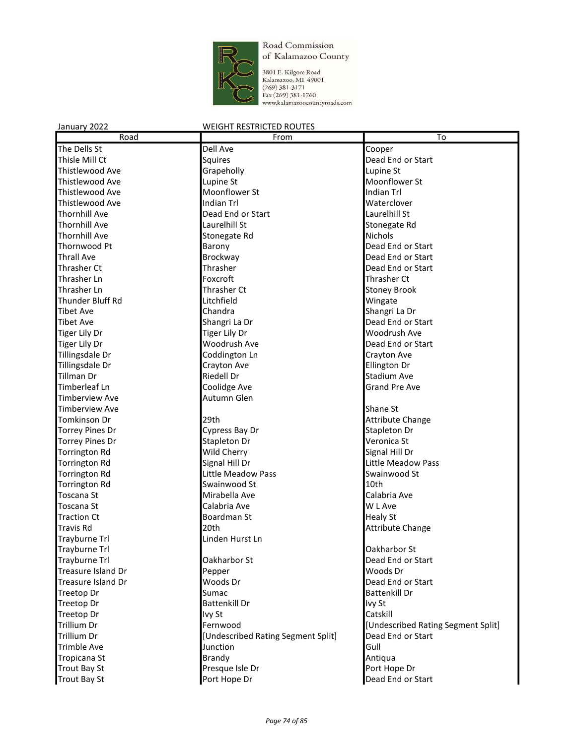

3801 E. Kilgore Road<br>Kalamazoo, MI 49001<br>(269) 381-3171<br>Fax (269) 381-1760<br>www.kalamazoocountyroads.com

| Road                   | From                               | To                                 |
|------------------------|------------------------------------|------------------------------------|
| The Dells St           | Dell Ave                           | Cooper                             |
| Thisle Mill Ct         | Squires                            | Dead End or Start                  |
| Thistlewood Ave        | Grapeholly                         | Lupine St                          |
| Thistlewood Ave        | Lupine St                          | Moonflower St                      |
| <b>Thistlewood Ave</b> | Moonflower St                      | Indian Trl                         |
| Thistlewood Ave        | Indian Trl                         | Waterclover                        |
| <b>Thornhill Ave</b>   | Dead End or Start                  | Laurelhill St                      |
| <b>Thornhill Ave</b>   | Laurelhill St                      | Stonegate Rd                       |
| <b>Thornhill Ave</b>   | Stonegate Rd                       | <b>Nichols</b>                     |
| Thornwood Pt           | Barony                             | Dead End or Start                  |
| <b>Thrall Ave</b>      | Brockway                           | Dead End or Start                  |
| <b>Thrasher Ct</b>     | Thrasher                           | Dead End or Start                  |
| Thrasher Ln            | Foxcroft                           | Thrasher Ct                        |
| Thrasher Ln            | Thrasher Ct                        | <b>Stoney Brook</b>                |
| Thunder Bluff Rd       | Litchfield                         | Wingate                            |
| <b>Tibet Ave</b>       | Chandra                            | Shangri La Dr                      |
| <b>Tibet Ave</b>       | Shangri La Dr                      | Dead End or Start                  |
| <b>Tiger Lily Dr</b>   | <b>Tiger Lily Dr</b>               | Woodrush Ave                       |
| <b>Tiger Lily Dr</b>   | Woodrush Ave                       | Dead End or Start                  |
| Tillingsdale Dr        | Coddington Ln                      | Crayton Ave                        |
| Tillingsdale Dr        | Crayton Ave                        | Ellington Dr                       |
| Tillman Dr             | <b>Riedell Dr</b>                  | Stadium Ave                        |
| Timberleaf Ln          | Coolidge Ave                       | <b>Grand Pre Ave</b>               |
| <b>Timberview Ave</b>  | Autumn Glen                        |                                    |
| <b>Timberview Ave</b>  |                                    | Shane St                           |
| Tomkinson Dr           | 29th                               | Attribute Change                   |
| <b>Torrey Pines Dr</b> | Cypress Bay Dr                     | Stapleton Dr                       |
| <b>Torrey Pines Dr</b> | Stapleton Dr                       | Veronica St                        |
| <b>Torrington Rd</b>   | Wild Cherry                        | Signal Hill Dr                     |
| <b>Torrington Rd</b>   | Signal Hill Dr                     | Little Meadow Pass                 |
| <b>Torrington Rd</b>   | Little Meadow Pass                 | Swainwood St                       |
| <b>Torrington Rd</b>   | Swainwood St                       | 10th                               |
| <b>Toscana St</b>      | Mirabella Ave                      | Calabria Ave                       |
| Toscana St             | Calabria Ave                       | W L Ave                            |
| <b>Traction Ct</b>     | Boardman St                        | <b>Healy St</b>                    |
| <b>Travis Rd</b>       | 20th                               | Attribute Change                   |
| <b>Trayburne Trl</b>   | Linden Hurst Ln                    |                                    |
| Trayburne Trl          |                                    | <b>Oakharbor St</b>                |
| Trayburne Trl          | Oakharbor St                       | Dead End or Start                  |
| Treasure Island Dr     | Pepper                             | Woods Dr                           |
| Treasure Island Dr     | Woods Dr                           | Dead End or Start                  |
| <b>Treetop Dr</b>      | Sumac                              | <b>Battenkill Dr</b>               |
| <b>Treetop Dr</b>      | <b>Battenkill Dr</b>               | Ivy St                             |
| <b>Treetop Dr</b>      | Ivy St                             | Catskill                           |
| <b>Trillium Dr</b>     | Fernwood                           | [Undescribed Rating Segment Split] |
| <b>Trillium Dr</b>     | [Undescribed Rating Segment Split] | Dead End or Start                  |
| <b>Trimble Ave</b>     | Junction                           | Gull                               |
| Tropicana St           | <b>Brandy</b>                      | Antiqua                            |
| <b>Trout Bay St</b>    | Presque Isle Dr                    | Port Hope Dr                       |
| <b>Trout Bay St</b>    | Port Hope Dr                       | Dead End or Start                  |
|                        |                                    |                                    |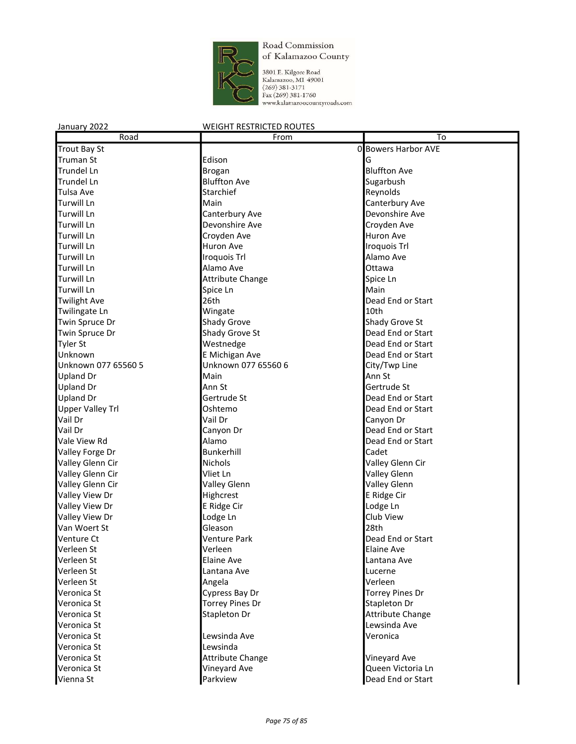

3801 E. Kilgore Road<br>Kalamazoo, MI 49001<br>(269) 381-3171<br>Fax (269) 381-1760<br>www.kalamazoocountyroads.com

| Road                       | From                    | To                      |
|----------------------------|-------------------------|-------------------------|
| <b>Trout Bay St</b>        |                         | 0 Bowers Harbor AVE     |
| Truman St                  | Edison                  | G                       |
| <b>Trundel Ln</b>          | Brogan                  | <b>Bluffton Ave</b>     |
| <b>Trundel Ln</b>          | <b>Bluffton Ave</b>     | Sugarbush               |
| Tulsa Ave                  | Starchief               | Reynolds                |
| <b>Turwill Ln</b>          | Main                    | Canterbury Ave          |
| <b>Turwill Ln</b>          | Canterbury Ave          | Devonshire Ave          |
| <b>Turwill Ln</b>          | Devonshire Ave          | Croyden Ave             |
| <b>Turwill Ln</b>          | Croyden Ave             | Huron Ave               |
| <b>Turwill Ln</b>          | <b>Huron Ave</b>        | <b>Iroquois Trl</b>     |
| <b>Turwill Ln</b>          | <b>Iroquois Trl</b>     | Alamo Ave               |
| Turwill Ln                 | Alamo Ave               | Ottawa                  |
| <b>Turwill Ln</b>          | <b>Attribute Change</b> | Spice Ln                |
| <b>Turwill Ln</b>          | Spice Ln                | Main                    |
| <b>Twilight Ave</b>        | 26th                    | Dead End or Start       |
| Twilingate Ln              | Wingate                 | 10th                    |
| Twin Spruce Dr             | <b>Shady Grove</b>      | Shady Grove St          |
| Twin Spruce Dr             | Shady Grove St          | Dead End or Start       |
| Tyler St                   | Westnedge               | Dead End or Start       |
| Unknown                    | E Michigan Ave          | Dead End or Start       |
| Unknown 077 65560 5        | Unknown 077 65560 6     | City/Twp Line           |
| <b>Upland Dr</b>           | Main                    | Ann St                  |
| <b>Upland Dr</b>           | Ann St                  | Gertrude St             |
| <b>Upland Dr</b>           | Gertrude St             | Dead End or Start       |
| <b>Upper Valley Trl</b>    | Oshtemo                 | Dead End or Start       |
| Vail Dr                    | Vail Dr                 | Canyon Dr               |
| Vail Dr                    | Canyon Dr               | Dead End or Start       |
| Vale View Rd               | Alamo                   | Dead End or Start       |
| Valley Forge Dr            | Bunkerhill              | Cadet                   |
| Valley Glenn Cir           | <b>Nichols</b>          | Valley Glenn Cir        |
| Valley Glenn Cir           | Vliet Ln                | <b>Valley Glenn</b>     |
| Valley Glenn Cir           | <b>Valley Glenn</b>     | Valley Glenn            |
| Valley View Dr             | Highcrest               | E Ridge Cir             |
| Valley View Dr             | E Ridge Cir             | Lodge Ln                |
| Valley View Dr             | Lodge Ln                | Club View               |
| Van Woert St               | Gleason                 | 28th                    |
| Venture Ct                 | <b>Venture Park</b>     | Dead End or Start       |
| Verleen St                 | Verleen                 | <b>Elaine Ave</b>       |
| Verleen St                 | <b>Elaine Ave</b>       |                         |
| Verleen St                 |                         | Lantana Ave             |
| Verleen St                 | Lantana Ave<br>Angela   | Lucerne<br>Verleen      |
| Veronica St                | Cypress Bay Dr          | <b>Torrey Pines Dr</b>  |
|                            |                         |                         |
| Veronica St<br>Veronica St | <b>Torrey Pines Dr</b>  | Stapleton Dr            |
|                            | Stapleton Dr            | <b>Attribute Change</b> |
| Veronica St                |                         | Lewsinda Ave            |
| Veronica St                | Lewsinda Ave            | Veronica                |
| Veronica St                | Lewsinda                |                         |
| Veronica St                | <b>Attribute Change</b> | Vineyard Ave            |
| Veronica St                | Vineyard Ave            | Queen Victoria Ln       |
| Vienna St                  | Parkview                | Dead End or Start       |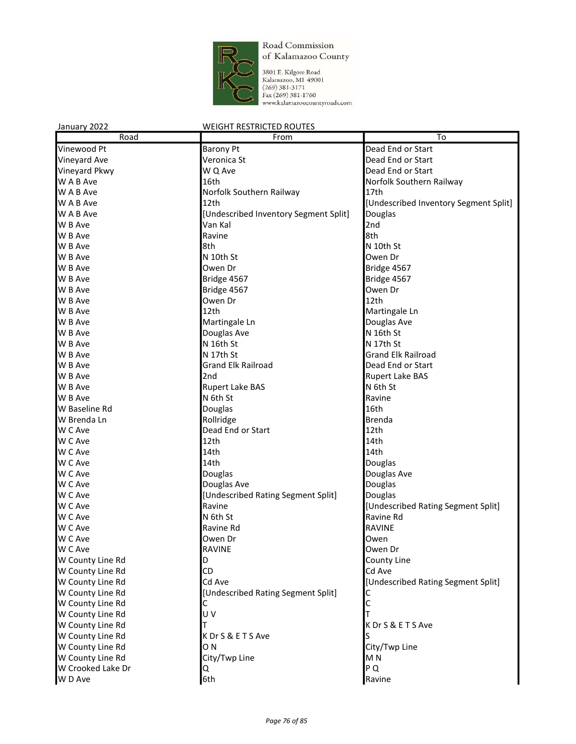

3801 E. Kilgore Road<br>Kalamazoo, MI 49001<br>(269) 381-3171<br>Fax (269) 381-1760<br>www.kalamazoocountyroads.com

| January 2022      | <b>WEIGHT RESTRICTED ROUTES</b>       |                                       |
|-------------------|---------------------------------------|---------------------------------------|
| Road              | From                                  | To                                    |
| Vinewood Pt       | <b>Barony Pt</b>                      | Dead End or Start                     |
| Vineyard Ave      | Veronica St                           | Dead End or Start                     |
| Vineyard Pkwy     | W Q Ave                               | Dead End or Start                     |
| W A B Ave         | 16th                                  | Norfolk Southern Railway              |
| W A B Ave         | Norfolk Southern Railway              | 17th                                  |
| W A B Ave         | 12th                                  | [Undescribed Inventory Segment Split] |
| W A B Ave         | [Undescribed Inventory Segment Split] | Douglas                               |
| W B Ave           | Van Kal                               | 2nd                                   |
| W B Ave           | Ravine                                | 8th                                   |
| W B Ave           | 8th                                   | N 10th St                             |
| W B Ave           | N 10th St                             | Owen Dr                               |
| W B Ave           | Owen Dr                               | Bridge 4567                           |
| W B Ave           | Bridge 4567                           | Bridge 4567                           |
| W B Ave           | Bridge 4567                           | Owen Dr                               |
| W B Ave           | Owen Dr                               | 12th                                  |
| W B Ave           | 12th                                  | Martingale Ln                         |
| W B Ave           | Martingale Ln                         | Douglas Ave                           |
| W B Ave           | Douglas Ave                           | N 16th St                             |
| W B Ave           | N 16th St                             | N 17th St                             |
| W B Ave           | N 17th St                             | <b>Grand Elk Railroad</b>             |
| W B Ave           | <b>Grand Elk Railroad</b>             | Dead End or Start                     |
| W B Ave           | 2nd                                   | Rupert Lake BAS                       |
| W B Ave           | <b>Rupert Lake BAS</b>                | N 6th St                              |
| W B Ave           | N 6th St                              | Ravine                                |
| W Baseline Rd     | Douglas                               | 16th                                  |
| W Brenda Ln       | Rollridge                             | <b>Brenda</b>                         |
| W C Ave           | Dead End or Start                     | 12th                                  |
| W C Ave           | 12th                                  | 14th                                  |
| W C Ave           | 14th                                  | 14th                                  |
| W C Ave           | 14th                                  | Douglas                               |
| W C Ave           | Douglas                               | Douglas Ave                           |
| W C Ave           | Douglas Ave                           | Douglas                               |
| W C Ave           | [Undescribed Rating Segment Split]    | Douglas                               |
| W C Ave           | Ravine                                | [Undescribed Rating Segment Split]    |
| W C Ave           | N 6th St                              | Ravine Rd                             |
| W C Ave           | Ravine Rd                             | <b>RAVINE</b>                         |
| W C Ave           | Owen Dr                               | Owen                                  |
| W C Ave           | <b>RAVINE</b>                         | Owen Dr                               |
| W County Line Rd  | D                                     | County Line                           |
| W County Line Rd  | CD                                    | Cd Ave                                |
| W County Line Rd  | Cd Ave                                | [Undescribed Rating Segment Split]    |
| W County Line Rd  | [Undescribed Rating Segment Split]    |                                       |
| W County Line Rd  | С                                     | С                                     |
| W County Line Rd  | U V                                   |                                       |
| W County Line Rd  |                                       | K Dr S & E T S Ave                    |
| W County Line Rd  | KDrS&ETSAve                           | S                                     |
| W County Line Rd  | O N                                   | City/Twp Line                         |
| W County Line Rd  | City/Twp Line                         | M <sub>N</sub>                        |
| W Crooked Lake Dr | Q                                     | PQ                                    |
| W D Ave           | 6th                                   | Ravine                                |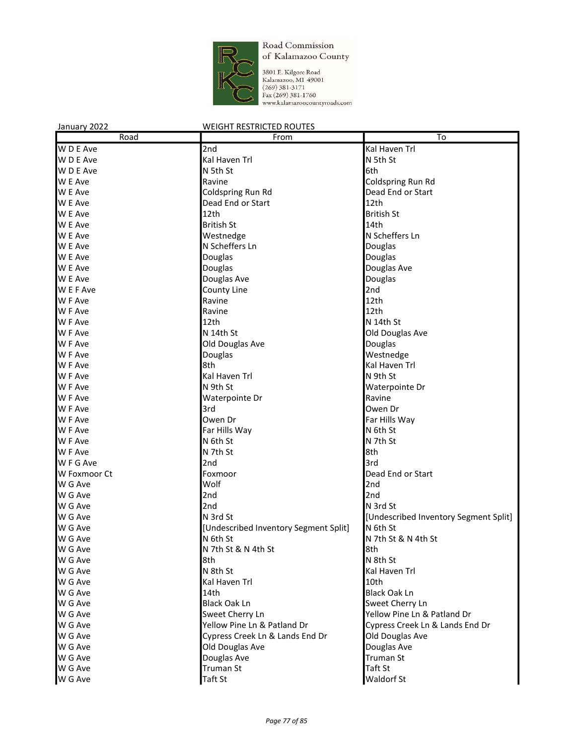

3801 E. Kilgore Road<br>Kalamazoo, MI 49001<br>(269) 381-3171<br>Fax (269) 381-1760<br>www.kalamazoocountyroads.com

| January 2022   | <b>WEIGHT RESTRICTED ROUTES</b>       |                                       |
|----------------|---------------------------------------|---------------------------------------|
| Road           | From                                  | To                                    |
| W D E Ave      | 2nd                                   | Kal Haven Trl                         |
| W D E Ave      | Kal Haven Trl                         | N 5th St                              |
| W D E Ave      | N 5th St                              | 6th                                   |
| W E Ave        | Ravine                                | Coldspring Run Rd                     |
| W E Ave        | Coldspring Run Rd                     | Dead End or Start                     |
| W E Ave        | Dead End or Start                     | 12th                                  |
| W E Ave        | 12th                                  | <b>British St</b>                     |
| W E Ave        | <b>British St</b>                     | 14th                                  |
| W E Ave        | Westnedge                             | N Scheffers Ln                        |
| W E Ave        | N Scheffers Ln                        | Douglas                               |
| W E Ave        | Douglas                               | Douglas                               |
| W E Ave        | Douglas                               | Douglas Ave                           |
| W E Ave        | Douglas Ave                           | Douglas                               |
| W E F Ave      | County Line                           | 2nd                                   |
| W F Ave        | Ravine                                | 12th                                  |
| W F Ave        | Ravine                                | 12th                                  |
| W F Ave        | 12th                                  | N 14th St                             |
| W F Ave        | N 14th St                             | Old Douglas Ave                       |
| W F Ave        | Old Douglas Ave                       | Douglas                               |
| <b>W</b> F Ave | Douglas                               | Westnedge                             |
| W F Ave        | 8th                                   | Kal Haven Trl                         |
| W F Ave        | Kal Haven Trl                         | N 9th St                              |
| W F Ave        | N 9th St                              | Waterpointe Dr                        |
| W F Ave        | Waterpointe Dr                        | Ravine                                |
| W F Ave        | 3rd                                   | Owen Dr                               |
| W F Ave        | Owen Dr                               | Far Hills Way                         |
| W F Ave        | Far Hills Way                         | N 6th St                              |
| W F Ave        | N 6th St                              | N 7th St                              |
| W F Ave        | N 7th St                              | 8th                                   |
| W F G Ave      | 2nd                                   | 3rd                                   |
| W Foxmoor Ct   | Foxmoor                               | Dead End or Start                     |
| W G Ave        | Wolf                                  | 2nd                                   |
| W G Ave        | 2nd                                   | 2nd                                   |
| W G Ave        | 2nd                                   | N 3rd St                              |
| W G Ave        | N 3rd St                              | [Undescribed Inventory Segment Split] |
| W G Ave        | [Undescribed Inventory Segment Split] | N 6th St                              |
| W G Ave        | N 6th St                              | N 7th St & N 4th St                   |
| W G Ave        | N 7th St & N 4th St                   | 8th                                   |
| W G Ave        | 8th                                   | N 8th St                              |
| W G Ave        | N 8th St                              | Kal Haven Trl                         |
| W G Ave        | Kal Haven Trl                         | 10th                                  |
| W G Ave        | 14th                                  | <b>Black Oak Ln</b>                   |
| W G Ave        | <b>Black Oak Ln</b>                   | Sweet Cherry Ln                       |
| W G Ave        | Sweet Cherry Ln                       | Yellow Pine Ln & Patland Dr           |
| W G Ave        | Yellow Pine Ln & Patland Dr           | Cypress Creek Ln & Lands End Dr       |
| W G Ave        |                                       | Old Douglas Ave                       |
| W G Ave        | Cypress Creek Ln & Lands End Dr       | Douglas Ave                           |
| W G Ave        | Old Douglas Ave<br>Douglas Ave        | <b>Truman St</b>                      |
| W G Ave        | Truman St                             | Taft St                               |
| W G Ave        | Taft St                               | Waldorf St                            |
|                |                                       |                                       |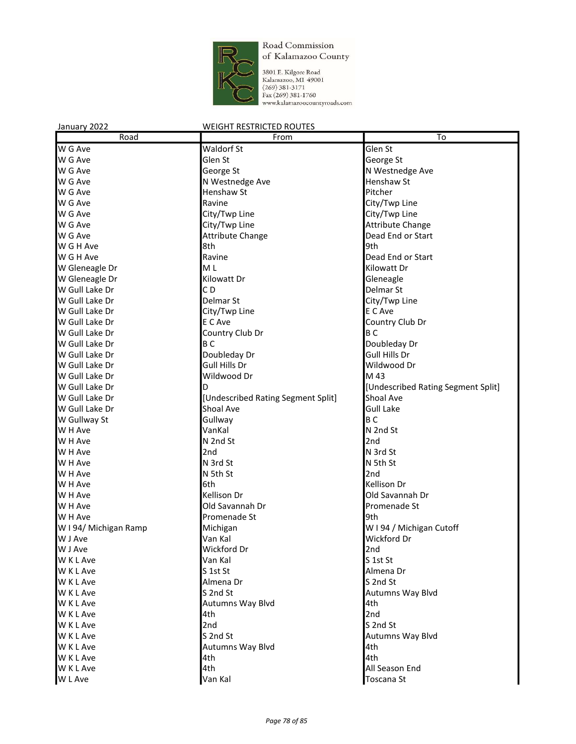

3801 E. Kilgore Road Kalamazoo, MI 49001  $(269)$  381-3171 Fax (269) 381-1760 www.kalamazoocountyroads.com

#### January 2022 WEIGHT RESTRICTED ROUTES Road **From To** W G Ave Glen St Glen St Glen St Glen St Glen St Glen St Glen St Glen St Glen St Glen St Glen St Glen St Glen St W G Ave Glen St Glen St George St George St W G Ave **George St** George St N Westnedge Ave W G Ave N Westnedge Ave N Westnedge Ave N Henshaw St W G Ave **Henshaw St** Pitcher W G Ave **Ravine** Ravine **City/Twp Line** W G Ave **City/Twp Line** City/Twp Line **City** City Constants **City** Constants **City** Constants **City** Constants **C** W G Ave **City/Twp Line** Attribute Change Attribute Change W G Ave **Attribute Change Change Dead End or Start** W G H Ave 8th 8th 8th 9th 9th **N** G H Ave **Ravine Ravine Ravine Ravine Dead End or Start** W Gleneagle Dr **ML** M L **M** M L **Kilowatt Dr** W Gleneagle Dr Gleneagle Communication of Kilowatt Dr Gleneagle Cleneagle W Gull Lake Dr **C D Delmar St Delmar St** W Gull Lake Dr **Delmar St** City/Twp Line W Gull Lake Dr **City/Twp Line** City/Twp Line E C Ave W Gull Lake Dr **EXEC EXECUTE:** E C Ave **COUNTY Club Dr** Country Club Dr W Gull Lake Dr **B Country Club Dr** B C W Gull Lake Dr **B C** B C B B C Doubleday Dr W Gull Lake Dr **Doubleday Dr** Boubleday Dr Gull Hills Dr W Gull Lake Dr Gull Hills Dr Gull Hills Dr Gull Hills Dr Gull Hills Dr Wildwood Dr W Gull Lake Dr **Wildwood Dr** M 43 W Gull Lake Dr D [Undescribed Rating Segment Split] W Gull Lake Dr **boat Communist Communist Communist Communist Communist Communist Communist Communist Communist Communist Communist Communist Communist Communist Communist Communist Communist Communist Communist Communist C** W Gull Lake Dr Shoal Ave W Gullway St B C Gullway B C W H Ave N 2nd St N 2nd St N 2nd St N 2nd St N 2nd St N 2nd St N 2nd St N 2nd St N 2nd St N 2nd St N 2nd St N 2nd St N 2nd St N 2nd St N 2nd St N 2nd St N 2nd St N 2nd St N 2nd St N 2nd St N 2nd St N 2nd St N 2nd St N 2nd S W H Ave N 2nd St 2nd W H Ave 2nd N 3rd St W H Ave N 3rd St N 3rd St N 5th St N 5th St W H Ave 2nd W H Ave 6th Kellison Dr **NOTE Are Constructed Ave** Kellison Dr **Constructed Ave Are Constructed Ave Are Constructed Ave Are Constructed Ave** W H Ave **Collection Collection** Cold Savannah Dr **Promenade St** W H Ave **Promenade St** Promenade St **Promenade St** W I 94/ Michigan Ramp Michigan Michigan Michigan Michigan Michigan Michigan Michigan Cutoff W J Ave Van Kal Wickford Dr W J Ave 2nd 2nd Wickford Dr W K L Ave Server Area Server Assembly M Van Kal Server Area Server Assembly S 1st St W K L Ave Server Almena Dr S 1st St St Almena Dr S 1st St Almena Dr S 1st St Almena Dr W K L Ave S 2nd St 2nd St 2nd St 2nd St 2nd St 2nd St 32nd St 32nd St 32nd St 32nd St 32nd St 32nd St 32nd St W K L Ave Service S 2nd St Autumns Way Blvd W K L Ave Autumns Way Blvd 4th W K L Ave 2nd W K L Ave Server Server All 2nd Server Server All 2nd St 2nd St 2nd St 2nd St 2nd St 2nd St 2nd St 2nd St 2nd St W K L Ave Service S 2nd St Autumns Way Blvd W K L Ave **Autumns Way Blvd** 4th W K L Ave **4th** 4th 4th W K L Ave 4th All Season End

W L Ave Van Kal Toscana St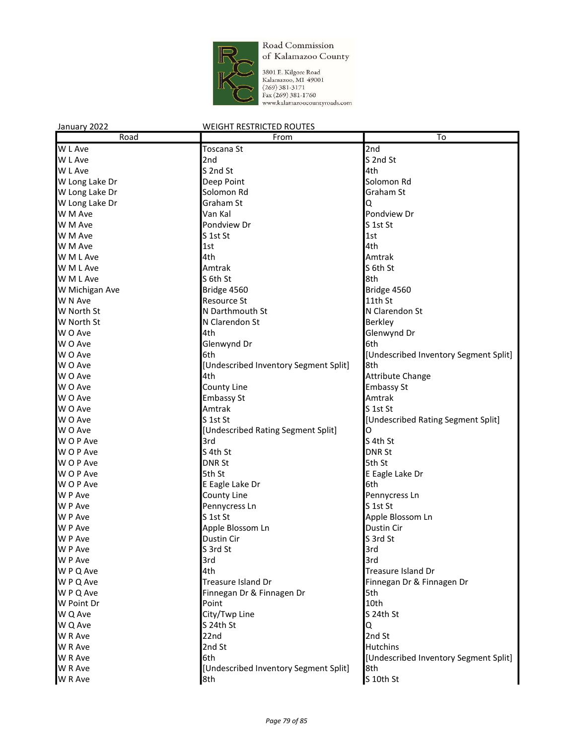

3801 E. Kilgore Road<br>Kalamazoo, MI 49001<br>(269) 381-3171<br>Fax (269) 381-1760<br>www.kalamazoocountyroads.com

| Road           | From                                  | To                                    |
|----------------|---------------------------------------|---------------------------------------|
| W L Ave        | Toscana St                            | 2nd                                   |
| W L Ave        | 2nd                                   | S 2nd St                              |
| W L Ave        | S 2nd St                              | 4th                                   |
| W Long Lake Dr | Deep Point                            | Solomon Rd                            |
| W Long Lake Dr | Solomon Rd                            | Graham St                             |
| W Long Lake Dr | Graham St                             | Q                                     |
| W M Ave        | Van Kal                               | Pondview Dr                           |
| W M Ave        | Pondview Dr                           | S 1st St                              |
| W M Ave        | S 1st St                              | 1st                                   |
| W M Ave        | 1st                                   | 4th                                   |
|                |                                       |                                       |
| W M L Ave      | 4th                                   | Amtrak                                |
| W M L Ave      | Amtrak                                | S 6th St                              |
| W M L Ave      | S 6th St                              | 8th                                   |
| W Michigan Ave | Bridge 4560                           | Bridge 4560                           |
| W N Ave        | <b>Resource St</b>                    | 11th St                               |
| W North St     | N Darthmouth St                       | N Clarendon St                        |
| W North St     | N Clarendon St                        | Berkley                               |
| W O Ave        | 4th                                   | Glenwynd Dr                           |
| W O Ave        | Glenwynd Dr                           | 6th                                   |
| W O Ave        | 6th                                   | [Undescribed Inventory Segment Split] |
| W O Ave        | [Undescribed Inventory Segment Split] | 8th                                   |
| W O Ave        | 4th                                   | Attribute Change                      |
| W O Ave        | County Line                           | <b>Embassy St</b>                     |
| W O Ave        | <b>Embassy St</b>                     | Amtrak                                |
| W O Ave        | Amtrak                                | S 1st St                              |
| W O Ave        | S 1st St                              | [Undescribed Rating Segment Split]    |
| W O Ave        | [Undescribed Rating Segment Split]    | O                                     |
| W O P Ave      | 3rd                                   | S 4th St                              |
| WOP Ave        | S 4th St                              | <b>DNR St</b>                         |
| WOP Ave        | <b>DNR St</b>                         | 5th St                                |
| W O P Ave      | 5th St                                | E Eagle Lake Dr                       |
| W O P Ave      | E Eagle Lake Dr                       | 6th                                   |
| W P Ave        | County Line                           | Pennycress Ln                         |
| W P Ave        | Pennycress Ln                         | S 1st St                              |
| W P Ave        | S 1st St                              | Apple Blossom Ln                      |
| W P Ave        | Apple Blossom Ln                      | Dustin Cir                            |
| W P Ave        | Dustin Cir                            | S 3rd St                              |
| W P Ave        | S 3rd St                              | 3rd                                   |
|                |                                       |                                       |
| W P Ave        | 3rd                                   | 3rd                                   |
| WPQ Ave        | 4th                                   | Treasure Island Dr                    |
| W P Q Ave      | <b>Treasure Island Dr</b>             | Finnegan Dr & Finnagen Dr             |
| W P Q Ave      | Finnegan Dr & Finnagen Dr             | 5th                                   |
| W Point Dr     | Point                                 | 10th                                  |
| W Q Ave        | City/Twp Line                         | S 24th St                             |
| W Q Ave        | S 24th St                             | Q                                     |
| W R Ave        | 22nd                                  | 2nd St                                |
| W R Ave        | 2nd St                                | <b>Hutchins</b>                       |
| W R Ave        | 6th                                   | [Undescribed Inventory Segment Split] |
| W R Ave        | [Undescribed Inventory Segment Split] | 8th                                   |
| W R Ave        | 8th                                   | S 10th St                             |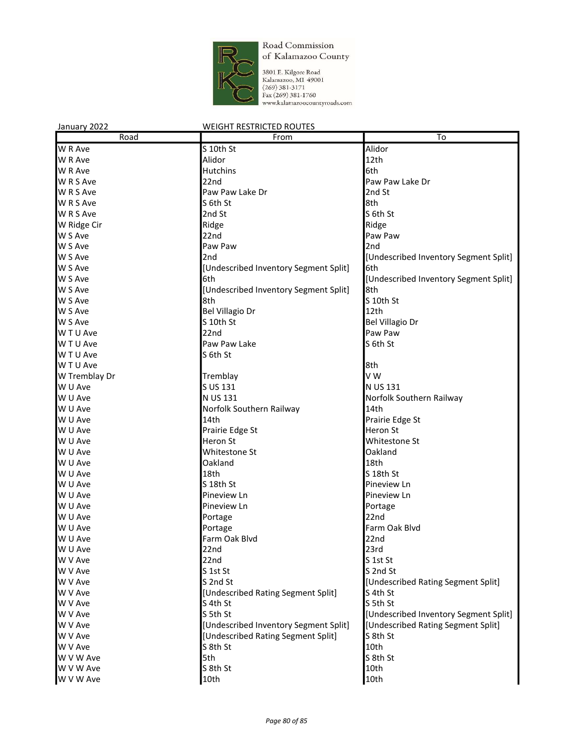

3801 E. Kilgore Road<br>Kalamazoo, M1 49001<br>(269) 381-3171<br>Fax (269) 381-1760<br>www.kalamazoocountyroads.com

| January 2022  | <b>WEIGHT RESTRICTED ROUTES</b>       |                                       |
|---------------|---------------------------------------|---------------------------------------|
| Road          | From                                  | To                                    |
| W R Ave       | S 10th St                             | Alidor                                |
| W R Ave       | Alidor                                | 12th                                  |
| W R Ave       | Hutchins                              | 6th                                   |
| W R S Ave     | 22nd                                  | Paw Paw Lake Dr                       |
| W R S Ave     | Paw Paw Lake Dr                       | 2nd St                                |
| W R S Ave     | S 6th St                              | 8th                                   |
| W R S Ave     | 2nd St                                | S 6th St                              |
| W Ridge Cir   | Ridge                                 | Ridge                                 |
| W S Ave       | 22nd                                  | Paw Paw                               |
| W S Ave       | Paw Paw                               | 2nd                                   |
| W S Ave       | 2nd                                   | [Undescribed Inventory Segment Split] |
| W S Ave       | [Undescribed Inventory Segment Split] | 6th                                   |
| W S Ave       | 6th                                   | [Undescribed Inventory Segment Split] |
| W S Ave       | [Undescribed Inventory Segment Split] | 8th                                   |
| W S Ave       | 8th                                   | S 10th St                             |
| W S Ave       | <b>Bel Villagio Dr</b>                | 12th                                  |
| W S Ave       | S 10th St                             | Bel Villagio Dr                       |
| W T U Ave     | 22nd                                  | Paw Paw                               |
| W T U Ave     | Paw Paw Lake                          | S 6th St                              |
| W T U Ave     | S 6th St                              |                                       |
| W T U Ave     |                                       | 8th                                   |
| W Tremblay Dr | Tremblay                              | V W                                   |
| W U Ave       | S US 131                              | N US 131                              |
| W U Ave       | N US 131                              | Norfolk Southern Railway              |
| W U Ave       | Norfolk Southern Railway              | 14th                                  |
| W U Ave       | 14th                                  | Prairie Edge St                       |
| W U Ave       | Prairie Edge St                       | Heron St                              |
| W U Ave       | Heron St                              | Whitestone St                         |
| W U Ave       | Whitestone St                         | Oakland                               |
| W U Ave       | Oakland                               | 18th                                  |
| W U Ave       | 18th                                  | S 18th St                             |
| W U Ave       | S 18th St                             | Pineview Ln                           |
| W U Ave       | Pineview Ln                           | Pineview Ln                           |
| W U Ave       | Pineview Ln                           | Portage                               |
| W U Ave       | Portage                               | 22nd                                  |
| W U Ave       | Portage                               | Farm Oak Blvd                         |
| W U Ave       | Farm Oak Blvd                         | 22 <sub>nd</sub>                      |
| W U Ave       | 22nd                                  | 23rd                                  |
| W V Ave       | 22nd                                  | S 1st St                              |
| W V Ave       | S 1st St                              | S 2nd St                              |
| W V Ave       | S 2nd St                              | [Undescribed Rating Segment Split]    |
| W V Ave       | [Undescribed Rating Segment Split]    | S 4th St                              |
| W V Ave       | S 4th St                              | S 5th St                              |
| W V Ave       | S 5th St                              | [Undescribed Inventory Segment Split] |
| W V Ave       | [Undescribed Inventory Segment Split] | [Undescribed Rating Segment Split]    |
| W V Ave       | [Undescribed Rating Segment Split]    | S 8th St                              |
| W V Ave       | S 8th St                              | 10th                                  |
| W V W Ave     | 5th                                   | S 8th St                              |
| W V W Ave     | S 8th St                              | 10th                                  |
| W V W Ave     | 10th                                  | 10th                                  |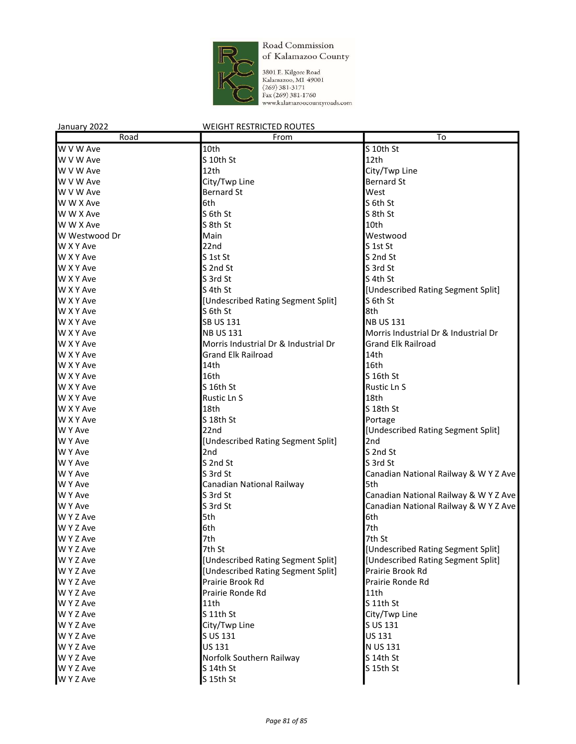

3801 E. Kilgore Road Kalamazoo, MI 49001  $(269)$  381-3171 Fax (269) 381-1760 www.kalamazoocountyroads.com

#### January 2022 WEIGHT RESTRICTED ROUTES Road **From To**  $W$  V W Ave  $\begin{array}{ccc} 10 \text{th} & \text{cm} & \text{cm} & \text{S} & 10 \text{th} & \text{S} & \text{S} & 10 \text{th} & \text{S} & \text{S} & 10 \text{th} & \text{S} & \text{S} & \text{S} & \text{S} & \text{S} & \text{S} & \text{S} & \text{S} & \text{S} & \text{S} & \text{S} & \text{S} & \text{S} & \text{S} & \text{S} & \text{S} & \text{S} & \text{S} & \text{S} & \text{S} & \text{$  $\blacksquare$  W V W Ave  $\blacksquare$  S 10th St  $\blacksquare$  S 10th St  $\blacksquare$  S 10th St  $\blacksquare$ W V W Ave 2012 12th City/Twp Line W V W Ave **City/Twp Line City/Twp Line Bernard St** W V W Ave **Bernard St** Bernard St West W W X Ave 6th St 56th St 56th St 56th St 56th St 56th St 56th St 56th St 56th St 56th St 56th St 56th St 56th St 56th St 56th St 56th St 56th St 56th St 56th St 56th St 56th St 56th St 56th St 56th St 56th St 56th St 56th W W X Ave S 6th St S 8th St W W X Ave and S 8th St 10th W Westwood Dr **Main** Main Main Westwood Dr **Main** Westwood W X Y Ave 22nd S 1st St W X Y Ave S 1st St S 2nd St W X Y Ave S 2nd St S 2nd St S 3rd St S 3rd St W X Y Ave Service State State State State State State State State State State State State State State State St W X Y Ave Segment Split and Section 1 S 4th St and Section 1 Section 1 Section 1 Section 1 Section 1 Section 1 W X Y Ave **EXECUTE:** [Undescribed Rating Segment Split] S 6th St W X Y Ave 8th St 8th St 8th St 8th St 8th 8th W X Y Ave  $\begin{array}{c} \text{SB } \text{US } 131 \end{array}$  NB US 131 W X Y Ave NB US 131 MB US 131 Morris Industrial Dr & Industrial Dr & Industrial Dr W X Y Ave **Morris Industrial Dr & Industrial Dr** Grand Elk Railroad W X Y Ave **Grand Elk Railroad** 14th W X Y Ave 2012 14th 2012 14th 2012 15th W X Y Ave Strategy and Strategy and Strategy and Strategy and Strategy and Strategy and Strategy and Strategy and Strategy and Strategy and Strategy and Strategy and Strategy and Strategy and Strategy and Strategy and Stra W X Y Ave Rustic Ln S 16th St Rustic Ln S W X Y Ave 28th 2008 and 2009 and 2009 and 2009 and 2009 and 2009 and 2009 and 2009 and 2009 and 2009 and 2009  $\mu$ W X Y Ave Server Server At the Server Server Assembly N Server Server Server Server Server Server Server Server W X Y Ave Portage S 18th St Portage S 18th St W Y Ave **22nd** 22nd 22nd **19.10 COVID-20.00** [Undescribed Rating Segment Split] W Y Ave **EXECUTE:** [Undescribed Rating Segment Split] 2nd W Y Ave 2nd S 2nd St W Y Ave Service S 2nd St S 2nd St S 3rd St W Y Ave Same Sand St Canadian National Railway & W Y Z Ave W Y Ave Canadian National Railway 5th W Y Ave Sard St Sand St Canadian National Railway & W Y Z Ave W Y Ave Service States Area States States Associates Canadian National Railway & W Y Z Ave W Y Z Ave 5th 6th W Y Z Ave 2012 19:00 19:00 19:00 19:00 19:00 19:00 19:00 19:00 19:00 19:00 19:00 19:00 19:00 19:00 19:00 19:00 W Y Z Ave 2012 2014 19:00 7th 7th St 2014 19:00 7th St 2014 19:00 7th St W Y Z Ave **7th St 2006** 7th St **1986** The St and Test in the Split Lundescribed Rating Segment Split W Y Z Ave **Example 3 COVERSIST** [Undescribed Rating Segment Split] [Undescribed Rating Segment Split] W Y Z Ave **EXEC ACCOM THE EXECUTE CONCERNATION** [Undescribed Rating Segment Split] Prairie Brook Rd W Y Z Ave **Prairie Brook Rd** Prairie Brook Rd **Prairie Ronde Rd** Prairie Ronde Rd W Y Z Ave **Prairie Ronde Rd** 211th W Y Z Ave Service Service Service Service Service Service Service Service Service Service Service Service Service Service Service Service Service Service Service Service Service Service Service Service Service Service Serv W Y Z Ave Service S 11th St City/Twp Line W Y Z Ave Subsetting Subsetting City/Twp Line Subsetting Subsetting Subsetting Subsetting Subsetting Subsetting Subsetting Subsetting Subsetting Subsetting Subsetting Subsetting Subsetting Subsetting Subsetting Subsetting W Y Z Ave  $\begin{array}{c} S \cup S \ 131 \end{array}$  US 131 W Y Z Ave  $US 131$  N US 131 W Y Z Ave State Southern Railway S 14th St W Y Z Ave S 14th St S 14th St S 14th St S 15th St

W Y Z Ave S 15th St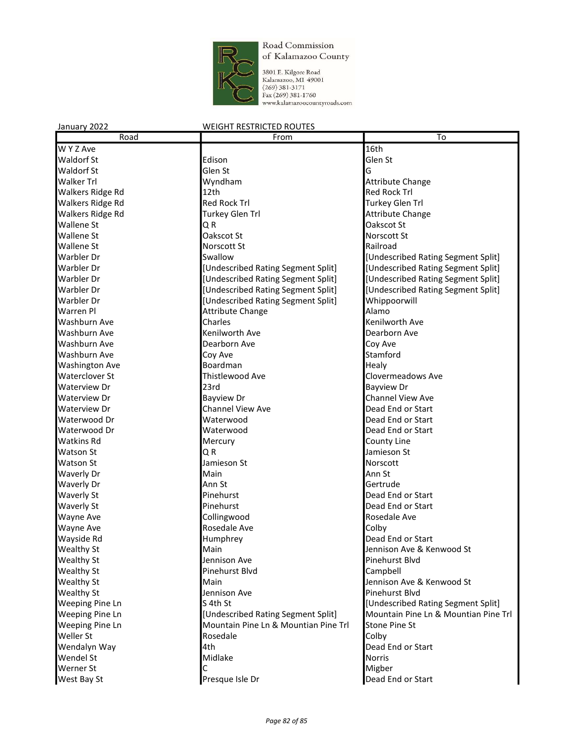

3801 E. Kilgore Road<br>Kalamazoo, MI 49001<br>(269) 381-3171<br>Fax (269) 381-1760<br>www.kalamazoocountyroads.com

| Road                   | From                                 | To                                   |
|------------------------|--------------------------------------|--------------------------------------|
| W Y Z Ave              |                                      | 16th                                 |
| <b>Waldorf St</b>      | Edison                               | Glen St                              |
| <b>Waldorf St</b>      | Glen St                              | G                                    |
| <b>Walker Trl</b>      | Wyndham                              | Attribute Change                     |
| Walkers Ridge Rd       | 12th                                 | <b>Red Rock Trl</b>                  |
| Walkers Ridge Rd       | <b>Red Rock Trl</b>                  | Turkey Glen Trl                      |
| Walkers Ridge Rd       | <b>Turkey Glen Trl</b>               | Attribute Change                     |
| Wallene St             | Q R                                  | Oakscot St                           |
| Wallene St             | Oakscot St                           | Norscott St                          |
| Wallene St             | <b>Norscott St</b>                   | Railroad                             |
| Warbler Dr             | Swallow                              | [Undescribed Rating Segment Split]   |
| Warbler Dr             | [Undescribed Rating Segment Split]   | [Undescribed Rating Segment Split]   |
| Warbler Dr             | [Undescribed Rating Segment Split]   | [Undescribed Rating Segment Split]   |
| Warbler Dr             | [Undescribed Rating Segment Split]   | [Undescribed Rating Segment Split]   |
| Warbler Dr             | [Undescribed Rating Segment Split]   | Whippoorwill                         |
| Warren Pl              | <b>Attribute Change</b>              | Alamo                                |
| Washburn Ave           | Charles                              | Kenilworth Ave                       |
| Washburn Ave           | Kenilworth Ave                       | Dearborn Ave                         |
| Washburn Ave           | Dearborn Ave                         | Coy Ave                              |
| Washburn Ave           | Coy Ave                              | Stamford                             |
| <b>Washington Ave</b>  | Boardman                             | Healy                                |
| Waterclover St         | Thistlewood Ave                      | <b>Clovermeadows Ave</b>             |
| Waterview Dr           | 23rd                                 | <b>Bayview Dr</b>                    |
| Waterview Dr           | <b>Bayview Dr</b>                    | <b>Channel View Ave</b>              |
| Waterview Dr           | Channel View Ave                     | Dead End or Start                    |
| Waterwood Dr           | Waterwood                            | Dead End or Start                    |
| Waterwood Dr           | Waterwood                            | Dead End or Start                    |
| <b>Watkins Rd</b>      | Mercury                              | County Line                          |
| <b>Watson St</b>       | QR                                   | Jamieson St                          |
| <b>Watson St</b>       | Jamieson St                          | Norscott                             |
| Waverly Dr             | Main                                 | Ann St                               |
| Waverly Dr             | Ann St                               | Gertrude                             |
| Waverly St             | Pinehurst                            | Dead End or Start                    |
| Waverly St             | Pinehurst                            | Dead End or Start                    |
| Wayne Ave              | Collingwood                          | Rosedale Ave                         |
| Wayne Ave              | Rosedale Ave                         | Colby                                |
| Wayside Rd             | Humphrey                             | Dead End or Start                    |
| <b>Wealthy St</b>      | Main                                 | Jennison Ave & Kenwood St            |
| Wealthy St             | Jennison Ave                         | Pinehurst Blvd                       |
| Wealthy St             | Pinehurst Blvd                       | Campbell                             |
| Wealthy St             | Main                                 | Jennison Ave & Kenwood St            |
| Wealthy St             | Jennison Ave                         | Pinehurst Blvd                       |
| <b>Weeping Pine Ln</b> | S 4th St                             | [Undescribed Rating Segment Split]   |
| Weeping Pine Ln        | [Undescribed Rating Segment Split]   | Mountain Pine Ln & Mountian Pine Trl |
| <b>Weeping Pine Ln</b> | Mountain Pine Ln & Mountian Pine Trl | <b>Stone Pine St</b>                 |
| Weller St              | Rosedale                             | Colby                                |
| Wendalyn Way           | 4th                                  | Dead End or Start                    |
| Wendel St              | Midlake                              | Norris                               |
| Werner St              | С                                    | Migber                               |
| West Bay St            | Presque Isle Dr                      | Dead End or Start                    |
|                        |                                      |                                      |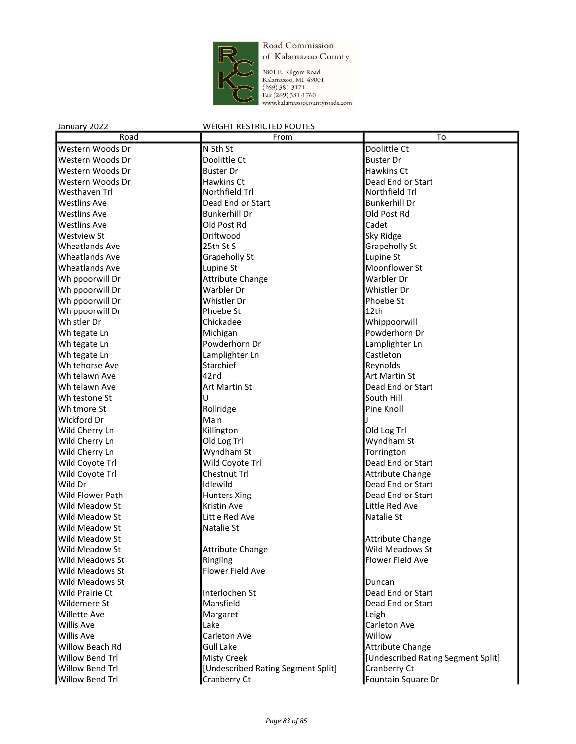

3801 E. Kilgore Road<br>Kalamazoo, MI 49001<br>(269) 381-3171<br>Fax (269) 381-1760<br>www.kalamazoocountyroads.com

| Road                  | From                               | To                                  |
|-----------------------|------------------------------------|-------------------------------------|
| Western Woods Dr      | N 5th St                           | Doolittle Ct                        |
| Western Woods Dr      | Doolittle Ct                       | <b>Buster Dr</b>                    |
| Western Woods Dr      | <b>Buster Dr</b>                   | <b>Hawkins Ct</b>                   |
| Western Woods Dr      | Hawkins Ct                         | Dead End or Start                   |
| Westhaven Trl         | Northfield Trl                     | Northfield Trl                      |
| <b>Westlins Ave</b>   | Dead End or Start                  | <b>Bunkerhill Dr</b>                |
| <b>Westlins Ave</b>   | <b>Bunkerhill Dr</b>               | Old Post Rd                         |
| <b>Westlins Ave</b>   | Old Post Rd                        | Cadet                               |
| Westview St           | Driftwood                          | Sky Ridge                           |
| <b>Wheatlands Ave</b> | 25th St S                          | Grapeholly St                       |
| <b>Wheatlands Ave</b> | Grapeholly St                      | Lupine St                           |
| <b>Wheatlands Ave</b> | Lupine St                          | Moonflower St                       |
| Whippoorwill Dr       | <b>Attribute Change</b>            | Warbler Dr                          |
| Whippoorwill Dr       | Warbler Dr                         | Whistler Dr                         |
| Whippoorwill Dr       | Whistler Dr                        | Phoebe St                           |
| Whippoorwill Dr       | Phoebe St                          | 12th                                |
| Whistler Dr           | Chickadee                          | Whippoorwill                        |
| Whitegate Ln          | Michigan                           | Powderhorn Dr                       |
| Whitegate Ln          | Powderhorn Dr                      | Lamplighter Ln                      |
| Whitegate Ln          | Lamplighter Ln                     | Castleton                           |
| Whitehorse Ave        | Starchief                          | Reynolds                            |
| Whitelawn Ave         | 42nd                               | <b>Art Martin St</b>                |
| Whitelawn Ave         | Art Martin St                      | Dead End or Start                   |
| Whitestone St         | U                                  | South Hill                          |
| Whitmore St           | Rollridge                          | Pine Knoll                          |
| Wickford Dr           | Main                               |                                     |
| Wild Cherry Ln        | Killington                         | Old Log Trl                         |
| Wild Cherry Ln        | Old Log Trl                        | Wyndham St                          |
| Wild Cherry Ln        | Wyndham St                         | Torrington                          |
| Wild Coyote Trl       | Wild Coyote Trl                    | Dead End or Start                   |
| Wild Coyote Trl       | Chestnut Trl                       | <b>Attribute Change</b>             |
| Wild Dr               | Idlewild                           | Dead End or Start                   |
| Wild Flower Path      | <b>Hunters Xing</b>                | Dead End or Start                   |
| Wild Meadow St        | <b>Kristin Ave</b>                 | Little Red Ave                      |
| Wild Meadow St        | Little Red Ave                     | Natalie St                          |
| Wild Meadow St        | Natalie St                         |                                     |
| Wild Meadow St        |                                    | <b>Attribute Change</b>             |
| Wild Meadow St        |                                    |                                     |
| Wild Meadows St       | <b>Attribute Change</b>            | Wild Meadows St<br>Flower Field Ave |
| Wild Meadows St       | Ringling<br>Flower Field Ave       |                                     |
| Wild Meadows St       |                                    |                                     |
|                       |                                    | Duncan                              |
| Wild Prairie Ct       | Interlochen St                     | Dead End or Start                   |
| Wildemere St          | Mansfield                          | Dead End or Start                   |
| <b>Willette Ave</b>   | Margaret                           | Leigh                               |
| <b>Willis Ave</b>     | Lake                               | Carleton Ave                        |
| <b>Willis Ave</b>     | Carleton Ave                       | Willow                              |
| Willow Beach Rd       | <b>Gull Lake</b>                   | <b>Attribute Change</b>             |
| Willow Bend Trl       | <b>Misty Creek</b>                 | [Undescribed Rating Segment Split]  |
| Willow Bend Trl       | [Undescribed Rating Segment Split] | Cranberry Ct                        |
| Willow Bend Trl       | Cranberry Ct                       | Fountain Square Dr                  |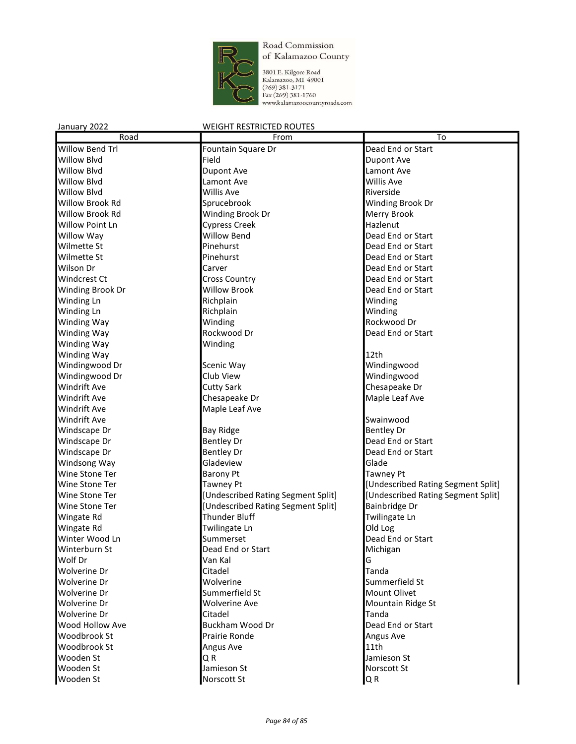

3801 E. Kilgore Road<br>Kalamazoo, MI 49001<br>(269) 381-3171<br>Fax (269) 381-1760<br>www.kalamazoocountyroads.com

| Road                   | From                               | To                                 |
|------------------------|------------------------------------|------------------------------------|
| Willow Bend Trl        | Fountain Square Dr                 | Dead End or Start                  |
| <b>Willow Blvd</b>     | Field                              | <b>Dupont Ave</b>                  |
| <b>Willow Blvd</b>     | <b>Dupont Ave</b>                  | Lamont Ave                         |
| Willow Blvd            | Lamont Ave                         | <b>Willis Ave</b>                  |
| <b>Willow Blvd</b>     | <b>Willis Ave</b>                  | Riverside                          |
| <b>Willow Brook Rd</b> | Sprucebrook                        | Winding Brook Dr                   |
| <b>Willow Brook Rd</b> | Winding Brook Dr                   | Merry Brook                        |
| <b>Willow Point Ln</b> | <b>Cypress Creek</b>               | Hazlenut                           |
| Willow Way             | <b>Willow Bend</b>                 | Dead End or Start                  |
| Wilmette St            | Pinehurst                          | Dead End or Start                  |
| Wilmette St            | Pinehurst                          | Dead End or Start                  |
| Wilson Dr              | Carver                             | Dead End or Start                  |
| Windcrest Ct           | <b>Cross Country</b>               | Dead End or Start                  |
| Winding Brook Dr       | <b>Willow Brook</b>                | Dead End or Start                  |
| Winding Ln             | Richplain                          | Winding                            |
| Winding Ln             | Richplain                          | Winding                            |
| Winding Way            | Winding                            | Rockwood Dr                        |
| Winding Way            | Rockwood Dr                        | Dead End or Start                  |
| Winding Way            | Winding                            |                                    |
| Winding Way            |                                    | 12th                               |
| Windingwood Dr         | Scenic Way                         | Windingwood                        |
| Windingwood Dr         | Club View                          | Windingwood                        |
| Windrift Ave           | <b>Cutty Sark</b>                  | Chesapeake Dr                      |
| <b>Windrift Ave</b>    | Chesapeake Dr                      | Maple Leaf Ave                     |
| Windrift Ave           | Maple Leaf Ave                     |                                    |
| Windrift Ave           |                                    | Swainwood                          |
| Windscape Dr           | <b>Bay Ridge</b>                   | <b>Bentley Dr</b>                  |
| Windscape Dr           | <b>Bentley Dr</b>                  | Dead End or Start                  |
| Windscape Dr           | <b>Bentley Dr</b>                  | Dead End or Start                  |
| Windsong Way           | Gladeview                          | Glade                              |
| Wine Stone Ter         | <b>Barony Pt</b>                   | <b>Tawney Pt</b>                   |
| Wine Stone Ter         | <b>Tawney Pt</b>                   | [Undescribed Rating Segment Split] |
| Wine Stone Ter         | [Undescribed Rating Segment Split] | [Undescribed Rating Segment Split] |
| Wine Stone Ter         | [Undescribed Rating Segment Split] | Bainbridge Dr                      |
| Wingate Rd             | <b>Thunder Bluff</b>               | Twilingate Ln                      |
| Wingate Rd             | Twilingate Ln                      | Old Log                            |
| Winter Wood Ln         | Summerset                          | Dead End or Start                  |
| Winterburn St          | Dead End or Start                  | Michigan                           |
| Wolf Dr                | Van Kal                            | G                                  |
| Wolverine Dr           | Citadel                            | Tanda                              |
| Wolverine Dr           | Wolverine                          | Summerfield St                     |
| Wolverine Dr           | Summerfield St                     | Mount Olivet                       |
| Wolverine Dr           | <b>Wolverine Ave</b>               | Mountain Ridge St                  |
| Wolverine Dr           | Citadel                            | Tanda                              |
| Wood Hollow Ave        | Buckham Wood Dr                    | Dead End or Start                  |
| Woodbrook St           | Prairie Ronde                      | Angus Ave                          |
| Woodbrook St           | Angus Ave                          | 11th                               |
| Wooden St              | QR                                 | Jamieson St                        |
| Wooden St              | Jamieson St                        | Norscott St                        |
| Wooden St              | Norscott St                        | Q R                                |
|                        |                                    |                                    |